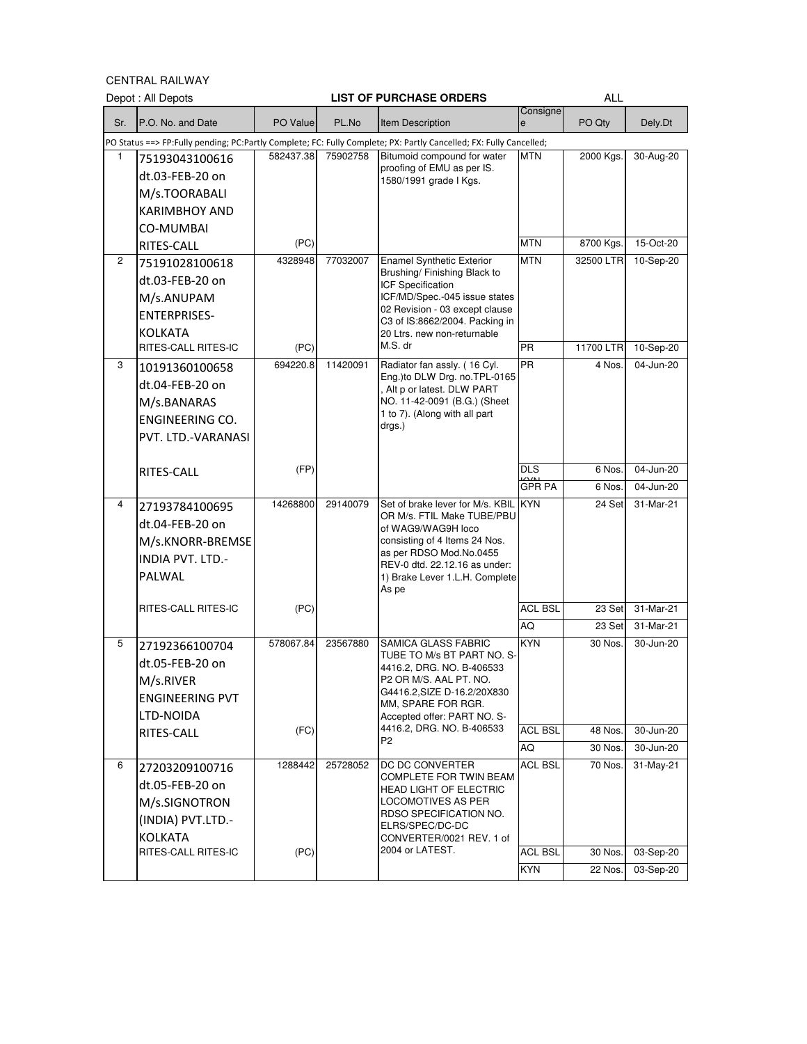CENTRAL RAILWAY

|                | Depot : All Depots                                                                                  |                   |          | <b>LIST OF PURCHASE ORDERS</b>                                                                                                                                                                                                                     |                             | <b>ALL</b>                    |                                     |
|----------------|-----------------------------------------------------------------------------------------------------|-------------------|----------|----------------------------------------------------------------------------------------------------------------------------------------------------------------------------------------------------------------------------------------------------|-----------------------------|-------------------------------|-------------------------------------|
| Sr.            | P.O. No. and Date                                                                                   | PO Value          | PL.No    | Item Description                                                                                                                                                                                                                                   | Consigne<br>e               | PO Qty                        | Dely.Dt                             |
|                |                                                                                                     |                   |          | PO Status ==> FP:Fully pending; PC:Partly Complete; FC: Fully Complete; PX: Partly Cancelled; FX: Fully Cancelled;                                                                                                                                 |                             |                               |                                     |
| 1              | 75193043100616<br>dt.03-FEB-20 on<br>M/s.TOORABALI<br><b>KARIMBHOY AND</b><br>CO-MUMBAI             | 582437.38         | 75902758 | Bitumoid compound for water<br>proofing of EMU as per IS.<br>1580/1991 grade   Kgs.                                                                                                                                                                | MTN                         | 2000 Kgs.                     | 30-Aug-20                           |
|                | RITES-CALL                                                                                          | (PC)              |          |                                                                                                                                                                                                                                                    | <b>MTN</b>                  | 8700 Kgs.                     | 15-Oct-20                           |
| $\overline{2}$ | 75191028100618<br>dt.03-FEB-20 on<br>M/s.ANUPAM<br><b>ENTERPRISES-</b><br><b>KOLKATA</b>            | 4328948           | 77032007 | <b>Enamel Synthetic Exterior</b><br>Brushing/ Finishing Black to<br><b>ICF Specification</b><br>ICF/MD/Spec.-045 issue states<br>02 Revision - 03 except clause<br>C3 of IS:8662/2004. Packing in<br>20 Ltrs. new non-returnable                   | <b>MTN</b>                  | 32500 LTR                     | 10-Sep-20                           |
|                | RITES-CALL RITES-IC                                                                                 | (PC)              |          | M.S. dr                                                                                                                                                                                                                                            | $\overline{\mathsf{PR}}$    | 11700 LTR                     | 10-Sep-20                           |
| 3              | 10191360100658<br>dt.04-FEB-20 on<br>M/s.BANARAS<br><b>ENGINEERING CO.</b><br>PVT. LTD.-VARANASI    | 694220.8          | 11420091 | Radiator fan assly. (16 Cyl.<br>Eng.) to DLW Drg. no. TPL-0165<br>, Alt p or latest. DLW PART<br>NO. 11-42-0091 (B.G.) (Sheet<br>1 to 7). (Along with all part<br>drgs.)                                                                           | <b>PR</b>                   | 4 Nos.                        | 04-Jun-20                           |
|                | RITES-CALL                                                                                          | (FP)              |          |                                                                                                                                                                                                                                                    | DLS                         | 6 Nos.                        | 04-Jun-20                           |
|                |                                                                                                     |                   |          |                                                                                                                                                                                                                                                    | <b>GPR PA</b>               | 6 Nos.                        | 04-Jun-20                           |
| 4              | 27193784100695<br>dt.04-FEB-20 on<br>M/s.KNORR-BREMSE<br><b>INDIA PVT. LTD.-</b><br>PALWAL          | 14268800          | 29140079 | Set of brake lever for M/s. KBIL<br>OR M/s. FTIL Make TUBE/PBU<br>of WAG9/WAG9H loco<br>consisting of 4 Items 24 Nos.<br>as per RDSO Mod.No.0455<br>REV-0 dtd. 22.12.16 as under:<br>1) Brake Lever 1.L.H. Complete<br>As pe                       | <b>KYN</b>                  | 24 Set                        | 31-Mar-21                           |
|                | RITES-CALL RITES-IC                                                                                 | (PC)              |          |                                                                                                                                                                                                                                                    | <b>ACL BSL</b>              | 23 Set                        | $31-Mar-21$                         |
|                |                                                                                                     |                   |          |                                                                                                                                                                                                                                                    | AQ                          | 23 Set                        | 31-Mar-21                           |
| 5              | 27192366100704<br>dt.05-FEB-20 on<br>M/s.RIVER<br><b>ENGINEERING PVT</b><br>LTD-NOIDA<br>RITES-CALL | 578067.84<br>(FC) | 23567880 | <b>SAMICA GLASS FABRIC</b><br>TUBE TO M/s BT PART NO. S-<br>4416.2, DRG. NO. B-406533<br>P2 OR M/S. AAL PT. NO.<br>G4416.2, SIZE D-16.2/20X830<br>MM, SPARE FOR RGR.<br>Accepted offer: PART NO. S-<br>4416.2, DRG. NO. B-406533<br>P <sub>2</sub> | KYN<br><b>ACL BSL</b><br>AQ | 30 Nos.<br>48 Nos.<br>30 Nos. | 30-Jun-20<br>30-Jun-20<br>30-Jun-20 |
| 6              | 27203209100716                                                                                      | 1288442           | 25728052 | DC DC CONVERTER                                                                                                                                                                                                                                    | ACL BSL                     | 70 Nos.                       | 31-May-21                           |
|                | dt.05-FEB-20 on<br>M/s.SIGNOTRON<br>(INDIA) PVT.LTD.-<br><b>KOLKATA</b>                             |                   |          | <b>COMPLETE FOR TWIN BEAM</b><br><b>HEAD LIGHT OF ELECTRIC</b><br><b>LOCOMOTIVES AS PER</b><br>RDSO SPECIFICATION NO.<br>ELRS/SPEC/DC-DC<br>CONVERTER/0021 REV. 1 of                                                                               |                             |                               |                                     |
|                | RITES-CALL RITES-IC                                                                                 | (PC)              |          | 2004 or LATEST.                                                                                                                                                                                                                                    | <b>ACL BSL</b>              | 30 Nos.                       | 03-Sep-20                           |
|                |                                                                                                     |                   |          |                                                                                                                                                                                                                                                    | KYN                         | 22 Nos.                       | 03-Sep-20                           |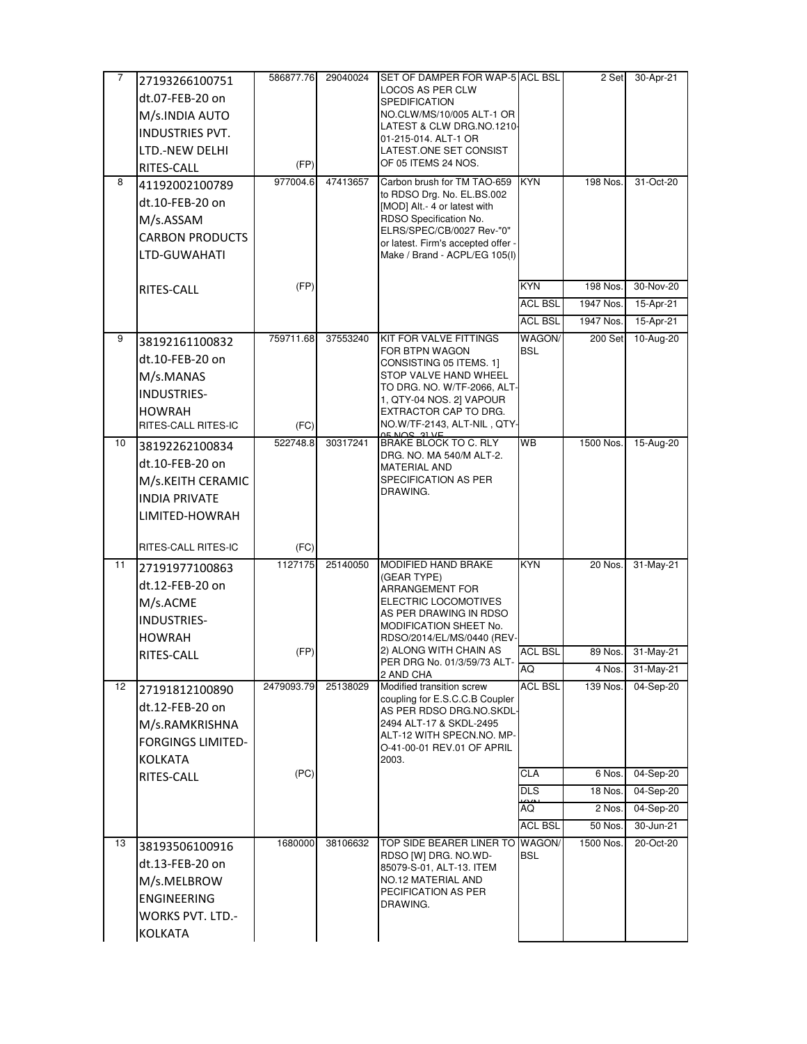| 7  | 27193266100751           | 586877.76  | 29040024 | SET OF DAMPER FOR WAP-5 ACL BSL                                     |                      | 2 Set     | 30-Apr-21 |
|----|--------------------------|------------|----------|---------------------------------------------------------------------|----------------------|-----------|-----------|
|    | dt.07-FEB-20 on          |            |          | LOCOS AS PER CLW                                                    |                      |           |           |
|    | M/s.INDIA AUTO           |            |          | <b>SPEDIFICATION</b><br>NO.CLW/MS/10/005 ALT-1 OR                   |                      |           |           |
|    | <b>INDUSTRIES PVT.</b>   |            |          | LATEST & CLW DRG.NO.1210-                                           |                      |           |           |
|    | LTD.-NEW DELHI           |            |          | 01-215-014. ALT-1 OR<br>LATEST.ONE SET CONSIST                      |                      |           |           |
|    | RITES-CALL               | (FP)       |          | OF 05 ITEMS 24 NOS.                                                 |                      |           |           |
| 8  | 41192002100789           | 977004.6   | 47413657 | Carbon brush for TM TAO-659                                         | <b>KYN</b>           | 198 Nos.  | 31-Oct-20 |
|    | dt.10-FEB-20 on          |            |          | to RDSO Drg. No. EL.BS.002<br>[MOD] Alt.- 4 or latest with          |                      |           |           |
|    | M/s.ASSAM                |            |          | RDSO Specification No.                                              |                      |           |           |
|    | <b>CARBON PRODUCTS</b>   |            |          | ELRS/SPEC/CB/0027 Rev-"0"                                           |                      |           |           |
|    | LTD-GUWAHATI             |            |          | or latest. Firm's accepted offer -<br>Make / Brand - ACPL/EG 105(I) |                      |           |           |
|    |                          |            |          |                                                                     |                      |           |           |
|    | RITES-CALL               | (FP)       |          |                                                                     | <b>KYN</b>           | 198 Nos.  | 30-Nov-20 |
|    |                          |            |          |                                                                     | <b>ACL BSL</b>       | 1947 Nos. | 15-Apr-21 |
|    |                          |            |          |                                                                     | <b>ACL BSL</b>       | 1947 Nos. | 15-Apr-21 |
| 9  | 38192161100832           | 759711.68  | 37553240 | KIT FOR VALVE FITTINGS<br>FOR BTPN WAGON                            | WAGON/<br><b>BSL</b> | 200 Set   | 10-Aug-20 |
|    | dt.10-FEB-20 on          |            |          | CONSISTING 05 ITEMS. 1]                                             |                      |           |           |
|    | M/s.MANAS                |            |          | STOP VALVE HAND WHEEL<br>TO DRG. NO. W/TF-2066, ALT-                |                      |           |           |
|    | INDUSTRIES-              |            |          | 1, QTY-04 NOS. 2] VAPOUR                                            |                      |           |           |
|    | <b>HOWRAH</b>            |            |          | EXTRACTOR CAP TO DRG.                                               |                      |           |           |
|    | RITES-CALL RITES-IC      | (FC)       |          | NO.W/TF-2143, ALT-NIL, QTY-                                         |                      |           |           |
| 10 | 38192262100834           | 522748.8   | 30317241 | <b>BRAKE BLOCK TO C. RLY</b><br>DRG. NO. MA 540/M ALT-2.            | <b>WB</b>            | 1500 Nos. | 15-Aug-20 |
|    | dt.10-FEB-20 on          |            |          | <b>MATERIAL AND</b>                                                 |                      |           |           |
|    | M/s.KEITH CERAMIC        |            |          | SPECIFICATION AS PER<br>DRAWING.                                    |                      |           |           |
|    | <b>INDIA PRIVATE</b>     |            |          |                                                                     |                      |           |           |
|    | LIMITED-HOWRAH           |            |          |                                                                     |                      |           |           |
|    | RITES-CALL RITES-IC      | (FC)       |          |                                                                     |                      |           |           |
| 11 | 27191977100863           | 1127175    | 25140050 | MODIFIED HAND BRAKE                                                 | <b>KYN</b>           | 20 Nos.   | 31-May-21 |
|    | dt.12-FEB-20 on          |            |          | (GEAR TYPE)                                                         |                      |           |           |
|    | M/s.ACME                 |            |          | ARRANGEMENT FOR<br>ELECTRIC LOCOMOTIVES                             |                      |           |           |
|    | <b>INDUSTRIES-</b>       |            |          | AS PER DRAWING IN RDSO                                              |                      |           |           |
|    | <b>HOWRAH</b>            |            |          | MODIFICATION SHEET No.<br>RDSO/2014/EL/MS/0440 (REV-                |                      |           |           |
|    | RITES-CALL               | (FP)       |          | 2) ALONG WITH CHAIN AS                                              | <b>ACL BSL</b>       | 89 Nos.   | 31-May-21 |
|    |                          |            |          | PER DRG No. 01/3/59/73 ALT<br>2 AND CHA                             | AQ                   | 4 Nos.    | 31-May-21 |
| 12 | 27191812100890           | 2479093.79 | 25138029 | Modified transition screw                                           | <b>ACL BSL</b>       | 139 Nos.  | 04-Sep-20 |
|    | dt.12-FEB-20 on          |            |          | coupling for E.S.C.C.B Coupler<br>AS PER RDSO DRG.NO.SKDL-          |                      |           |           |
|    | M/s.RAMKRISHNA           |            |          | 2494 ALT-17 & SKDL-2495                                             |                      |           |           |
|    | <b>FORGINGS LIMITED-</b> |            |          | ALT-12 WITH SPECN.NO. MP-<br>O-41-00-01 REV.01 OF APRIL             |                      |           |           |
|    | <b>KOLKATA</b>           |            |          | 2003.                                                               |                      |           |           |
|    | RITES-CALL               | (PC)       |          |                                                                     | CLA                  | 6 Nos.    | 04-Sep-20 |
|    |                          |            |          |                                                                     | <b>DLS</b>           | 18 Nos.   | 04-Sep-20 |
|    |                          |            |          |                                                                     | AQ                   | 2 Nos.    | 04-Sep-20 |
|    |                          |            |          |                                                                     | <b>ACL BSL</b>       | 50 Nos.   | 30-Jun-21 |
| 13 | 38193506100916           | 1680000    | 38106632 | <b>TOP SIDE BEARER LINER TO</b><br>RDSO [W] DRG. NO.WD-             | WAGON/<br><b>BSL</b> | 1500 Nos. | 20-Oct-20 |
|    | dt.13-FEB-20 on          |            |          | 85079-S-01, ALT-13. ITEM                                            |                      |           |           |
|    | M/s.MELBROW              |            |          | NO.12 MATERIAL AND<br>PECIFICATION AS PER                           |                      |           |           |
|    | ENGINEERING              |            |          | DRAWING.                                                            |                      |           |           |
|    | <b>WORKS PVT. LTD.-</b>  |            |          |                                                                     |                      |           |           |
|    | <b>KOLKATA</b>           |            |          |                                                                     |                      |           |           |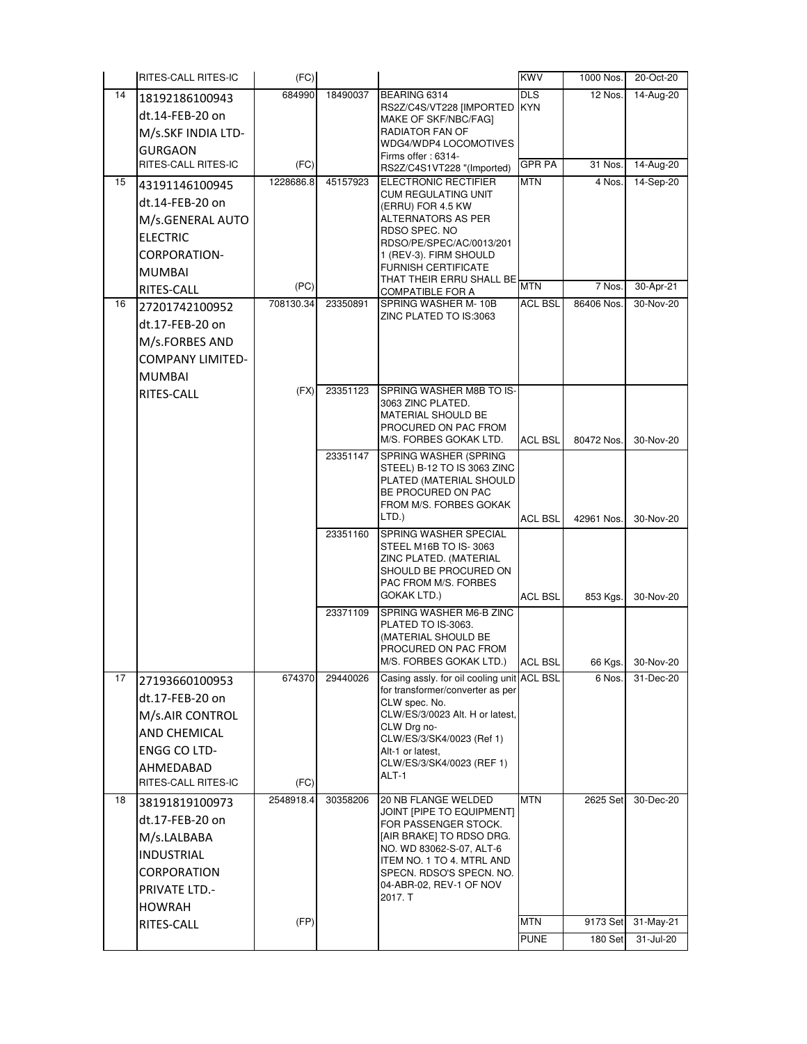|    | RITES-CALL RITES-IC     | (FC)      |          |                                                        | <b>KWV</b>     | 1000 Nos.  | 20-Oct-20    |
|----|-------------------------|-----------|----------|--------------------------------------------------------|----------------|------------|--------------|
| 14 | 18192186100943          | 684990    | 18490037 | BEARING 6314                                           | <b>DLS</b>     | 12 Nos.    | 14-Aug-20    |
|    | dt.14-FEB-20 on         |           |          | RS2Z/C4S/VT228 [IMPORTED<br>MAKE OF SKF/NBC/FAGI       | <b>KYN</b>     |            |              |
|    | M/s.SKF INDIA LTD-      |           |          | RADIATOR FAN OF                                        |                |            |              |
|    | <b>GURGAON</b>          |           |          | WDG4/WDP4 LOCOMOTIVES<br>Firms offer: 6314-            |                |            |              |
|    | RITES-CALL RITES-IC     | (FC)      |          | RS2Z/C4S1VT228 "(Imported)                             | <b>GPR PA</b>  | 31 Nos.    | 14-Aug-20    |
| 15 | 43191146100945          | 1228686.8 | 45157923 | <b>ELECTRONIC RECTIFIER</b>                            | <b>MTN</b>     | 4 Nos.     | 14-Sep-20    |
|    | dt.14-FEB-20 on         |           |          | CUM REGULATING UNIT<br>(ERRU) FOR 4.5 KW               |                |            |              |
|    | M/s.GENERAL AUTO        |           |          | ALTERNATORS AS PER                                     |                |            |              |
|    | <b>ELECTRIC</b>         |           |          | RDSO SPEC, NO<br>RDSO/PE/SPEC/AC/0013/201              |                |            |              |
|    | CORPORATION-            |           |          | 1 (REV-3). FIRM SHOULD                                 |                |            |              |
|    | <b>MUMBAI</b>           |           |          | <b>FURNISH CERTIFICATE</b><br>THAT THEIR ERRU SHALL BE |                |            |              |
|    | RITES-CALL              | (PC)      |          | COMPATIBLE FOR A                                       | <b>MTN</b>     | 7 Nos.     | 30-Apr-21    |
| 16 | 27201742100952          | 708130.34 | 23350891 | SPRING WASHER M-10B                                    | <b>ACL BSL</b> | 86406 Nos. | 30-Nov-20    |
|    | dt.17-FEB-20 on         |           |          | ZINC PLATED TO IS:3063                                 |                |            |              |
|    | M/s.FORBES AND          |           |          |                                                        |                |            |              |
|    | <b>COMPANY LIMITED-</b> |           |          |                                                        |                |            |              |
|    | <b>MUMBAI</b>           |           |          |                                                        |                |            |              |
|    | RITES-CALL              | (FX)      | 23351123 | SPRING WASHER M8B TO IS-<br>3063 ZINC PLATED.          |                |            |              |
|    |                         |           |          | MATERIAL SHOULD BE                                     |                |            |              |
|    |                         |           |          | PROCURED ON PAC FROM                                   |                |            |              |
|    |                         |           | 23351147 | M/S. FORBES GOKAK LTD.<br><b>SPRING WASHER (SPRING</b> | <b>ACL BSL</b> | 80472 Nos. | 30-Nov-20    |
|    |                         |           |          | STEEL) B-12 TO IS 3063 ZINC                            |                |            |              |
|    |                         |           |          | PLATED (MATERIAL SHOULD                                |                |            |              |
|    |                         |           |          | BE PROCURED ON PAC<br>FROM M/S. FORBES GOKAK           |                |            |              |
|    |                         |           |          | LTD.)                                                  | <b>ACL BSL</b> | 42961 Nos. | 30-Nov-20    |
|    |                         |           | 23351160 | SPRING WASHER SPECIAL                                  |                |            |              |
|    |                         |           |          | STEEL M16B TO IS-3063<br>ZINC PLATED. (MATERIAL        |                |            |              |
|    |                         |           |          | SHOULD BE PROCURED ON                                  |                |            |              |
|    |                         |           |          | PAC FROM M/S. FORBES<br><b>GOKAK LTD.)</b>             | <b>ACL BSL</b> | 853 Kgs.   | 30-Nov-20    |
|    |                         |           | 23371109 | SPRING WASHER M6-B ZINC                                |                |            |              |
|    |                         |           |          | PLATED TO IS-3063.                                     |                |            |              |
|    |                         |           |          | (MATERIAL SHOULD BE<br>PROCURED ON PAC FROM            |                |            |              |
|    |                         |           |          | M/S. FORBES GOKAK LTD.)                                | <b>ACL BSL</b> | 66 Kgs.    | 30-Nov-20    |
| 17 | 27193660100953          | 674370    | 29440026 | Casing assly. for oil cooling unit ACL BSL             |                | 6 Nos.     | 31-Dec-20    |
|    | dt.17-FEB-20 on         |           |          | for transformer/converter as per<br>CLW spec. No.      |                |            |              |
|    | M/s.AIR CONTROL         |           |          | CLW/ES/3/0023 Alt. H or latest,                        |                |            |              |
|    | AND CHEMICAL            |           |          | CLW Drg no-<br>CLW/ES/3/SK4/0023 (Ref 1)               |                |            |              |
|    | <b>ENGG CO LTD-</b>     |           |          | Alt-1 or latest,                                       |                |            |              |
|    | AHMEDABAD               |           |          | CLW/ES/3/SK4/0023 (REF 1)<br>ALT-1                     |                |            |              |
|    | RITES-CALL RITES-IC     | (FC)      |          |                                                        |                |            |              |
| 18 | 38191819100973          | 2548918.4 | 30358206 | 20 NB FLANGE WELDED                                    | <b>MTN</b>     | 2625 Set   | 30-Dec-20    |
|    | dt.17-FEB-20 on         |           |          | JOINT [PIPE TO EQUIPMENT]<br>FOR PASSENGER STOCK.      |                |            |              |
|    | M/s.LALBABA             |           |          | [AIR BRAKE] TO RDSO DRG.                               |                |            |              |
|    | <b>INDUSTRIAL</b>       |           |          | NO. WD 83062-S-07, ALT-6<br>ITEM NO. 1 TO 4. MTRL AND  |                |            |              |
|    | CORPORATION             |           |          | SPECN. RDSO'S SPECN. NO.                               |                |            |              |
|    | <b>PRIVATE LTD.-</b>    |           |          | 04-ABR-02, REV-1 OF NOV<br>2017. T                     |                |            |              |
|    | <b>HOWRAH</b>           |           |          |                                                        |                |            |              |
|    | RITES-CALL              | (FP)      |          |                                                        | <b>MTN</b>     | 9173 Set   | $31$ -May-21 |
|    |                         |           |          |                                                        | <b>PUNE</b>    | 180 Set    | 31-Jul-20    |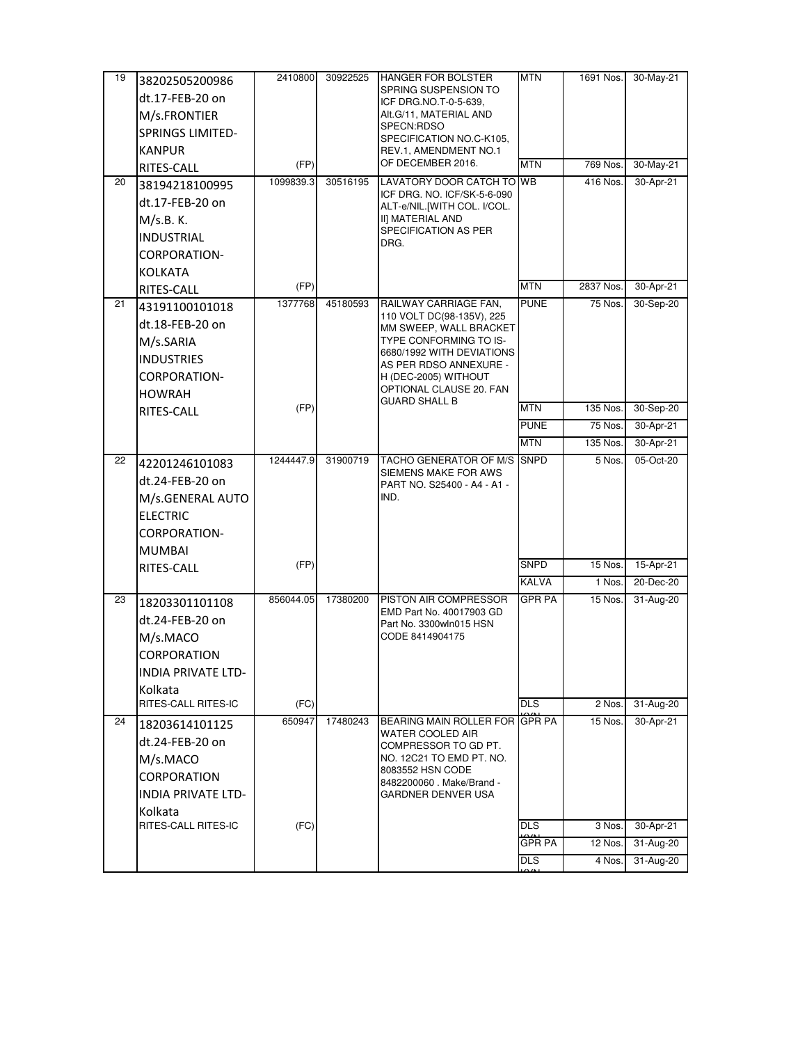| 19 | 38202505200986            | 2410800   | 30922525 | <b>HANGER FOR BOLSTER</b>                           | <b>MTN</b>    | 1691 Nos. | 30-May-21 |
|----|---------------------------|-----------|----------|-----------------------------------------------------|---------------|-----------|-----------|
|    | dt.17-FEB-20 on           |           |          | SPRING SUSPENSION TO<br>ICF DRG.NO.T-0-5-639,       |               |           |           |
|    | M/s.FRONTIER              |           |          | Alt.G/11, MATERIAL AND                              |               |           |           |
|    | <b>SPRINGS LIMITED-</b>   |           |          | SPECN:RDSO                                          |               |           |           |
|    | <b>KANPUR</b>             |           |          | SPECIFICATION NO.C-K105,<br>REV.1, AMENDMENT NO.1   |               |           |           |
|    | RITES-CALL                | (FP)      |          | OF DECEMBER 2016.                                   | <b>MTN</b>    | 769 Nos.  | 30-May-21 |
| 20 | 38194218100995            | 1099839.3 | 30516195 | LAVATORY DOOR CATCH TO WB                           |               | 416 Nos.  | 30-Apr-21 |
|    | dt.17-FEB-20 on           |           |          | ICF DRG. NO. ICF/SK-5-6-090                         |               |           |           |
|    | M/s.B. K.                 |           |          | ALT-e/NIL.[WITH COL. I/COL.<br>II] MATERIAL AND     |               |           |           |
|    | <b>INDUSTRIAL</b>         |           |          | SPECIFICATION AS PER                                |               |           |           |
|    | CORPORATION-              |           |          | DRG.                                                |               |           |           |
|    |                           |           |          |                                                     |               |           |           |
|    | KOLKATA                   | (FP)      |          |                                                     | <b>MTN</b>    | 2837 Nos. | 30-Apr-21 |
| 21 | RITES-CALL                | 1377768   | 45180593 | RAILWAY CARRIAGE FAN.                               | <b>PUNE</b>   | 75 Nos.   | 30-Sep-20 |
|    | 43191100101018            |           |          | 110 VOLT DC(98-135V), 225                           |               |           |           |
|    | dt.18-FEB-20 on           |           |          | MM SWEEP, WALL BRACKET                              |               |           |           |
|    | M/s.SARIA                 |           |          | TYPE CONFORMING TO IS-<br>6680/1992 WITH DEVIATIONS |               |           |           |
|    | <b>INDUSTRIES</b>         |           |          | AS PER RDSO ANNEXURE -                              |               |           |           |
|    | <b>CORPORATION-</b>       |           |          | H (DEC-2005) WITHOUT<br>OPTIONAL CLAUSE 20. FAN     |               |           |           |
|    | <b>HOWRAH</b>             |           |          | <b>GUARD SHALL B</b>                                |               |           |           |
|    | RITES-CALL                | (FP)      |          |                                                     | <b>MTN</b>    | 135 Nos.  | 30-Sep-20 |
|    |                           |           |          |                                                     | <b>PUNE</b>   | 75 Nos.   | 30-Apr-21 |
|    |                           |           |          |                                                     | <b>MTN</b>    | 135 Nos.  | 30-Apr-21 |
| 22 | 42201246101083            | 1244447.9 | 31900719 | TACHO GENERATOR OF M/S<br>SIEMENS MAKE FOR AWS      | <b>SNPD</b>   | 5 Nos.    | 05-Oct-20 |
|    | dt.24-FEB-20 on           |           |          | PART NO. S25400 - A4 - A1 -                         |               |           |           |
|    | M/s.GENERAL AUTO          |           |          | IND.                                                |               |           |           |
|    | <b>ELECTRIC</b>           |           |          |                                                     |               |           |           |
|    | <b>CORPORATION-</b>       |           |          |                                                     |               |           |           |
|    | <b>MUMBAI</b>             |           |          |                                                     |               |           |           |
|    | RITES-CALL                | (FP)      |          |                                                     | SNPD          | 15 Nos.   | 15-Apr-21 |
|    |                           |           |          |                                                     | <b>KALVA</b>  | 1 Nos.    | 20-Dec-20 |
| 23 | 18203301101108            | 856044.05 | 17380200 | PISTON AIR COMPRESSOR                               | <b>GPR PA</b> | 15 Nos.   | 31-Aug-20 |
|    | dt.24-FEB-20 on           |           |          | EMD Part No. 40017903 GD<br>Part No. 3300wln015 HSN |               |           |           |
|    | M/s.MACO                  |           |          | CODE 8414904175                                     |               |           |           |
|    | <b>CORPORATION</b>        |           |          |                                                     |               |           |           |
|    | <b>INDIA PRIVATE LTD-</b> |           |          |                                                     |               |           |           |
|    | Kolkata                   |           |          |                                                     |               |           |           |
|    | RITES-CALL RITES-IC       | (FC)      |          |                                                     | <b>DLS</b>    | 2 Nos.    | 31-Aug-20 |
| 24 | 18203614101125            | 650947    | 17480243 | BEARING MAIN ROLLER FOR GPR PA                      |               | 15 Nos.   | 30-Apr-21 |
|    | dt.24-FEB-20 on           |           |          | WATER COOLED AIR<br>COMPRESSOR TO GD PT.            |               |           |           |
|    | M/s.MACO                  |           |          | NO. 12C21 TO EMD PT. NO.                            |               |           |           |
|    | <b>CORPORATION</b>        |           |          | 8083552 HSN CODE                                    |               |           |           |
|    | <b>INDIA PRIVATE LTD-</b> |           |          | 8482200060 . Make/Brand -<br>GARDNER DENVER USA     |               |           |           |
|    | Kolkata                   |           |          |                                                     |               |           |           |
|    | RITES-CALL RITES-IC       | (FC)      |          |                                                     | <b>DLS</b>    | 3 Nos.    | 30-Apr-21 |
|    |                           |           |          |                                                     | GPR PA        | 12 Nos.   | 31-Aug-20 |
|    |                           |           |          |                                                     | DLS           | 4 Nos.    | 31-Aug-20 |
|    |                           |           |          |                                                     |               |           |           |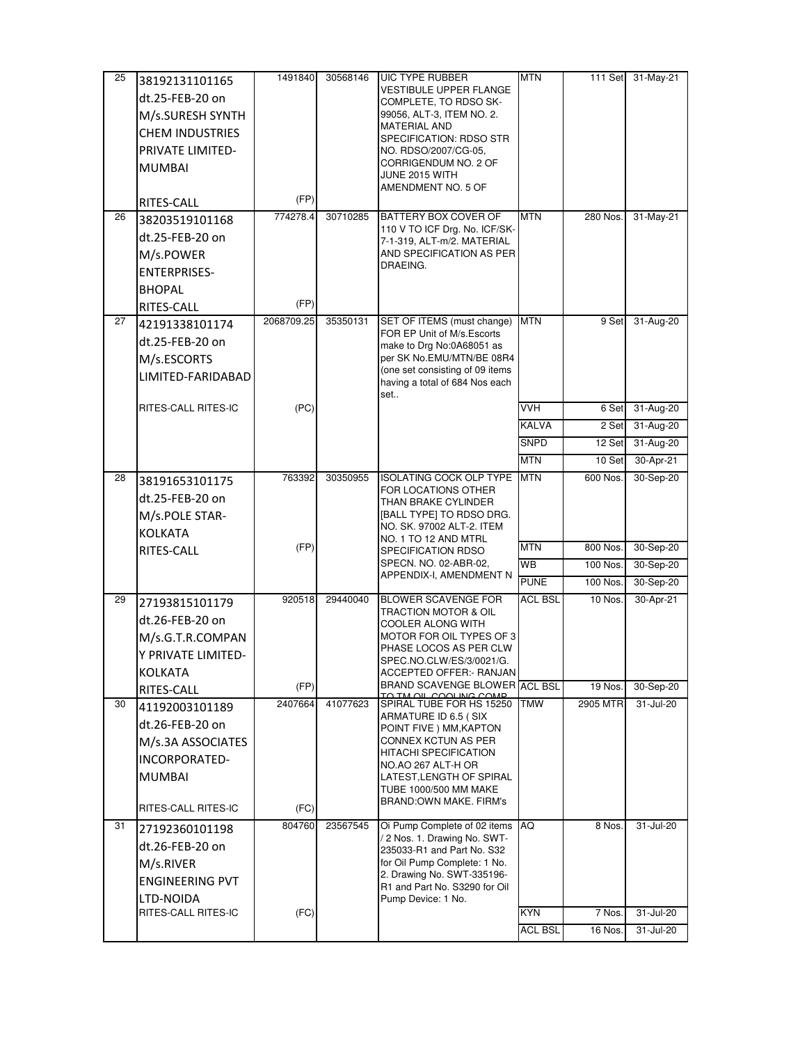| 25 | 38192131101165          | 1491840    | 30568146 | <b>UIC TYPE RUBBER</b>                                       | <b>MTN</b>     | 111 Set  | 31-May-21 |
|----|-------------------------|------------|----------|--------------------------------------------------------------|----------------|----------|-----------|
|    | dt.25-FEB-20 on         |            |          | <b>VESTIBULE UPPER FLANGE</b><br>COMPLETE, TO RDSO SK-       |                |          |           |
|    | M/s.SURESH SYNTH        |            |          | 99056, ALT-3, ITEM NO. 2.                                    |                |          |           |
|    | <b>CHEM INDUSTRIES</b>  |            |          | <b>MATERIAL AND</b>                                          |                |          |           |
|    | <b>PRIVATE LIMITED-</b> |            |          | SPECIFICATION: RDSO STR<br>NO. RDSO/2007/CG-05,              |                |          |           |
|    | <b>MUMBAI</b>           |            |          | CORRIGENDUM NO. 2 OF                                         |                |          |           |
|    |                         |            |          | JUNE 2015 WITH<br>AMENDMENT NO. 5 OF                         |                |          |           |
|    | RITES-CALL              | (FP)       |          |                                                              |                |          |           |
| 26 | 38203519101168          | 774278.4   | 30710285 | BATTERY BOX COVER OF                                         | <b>MTN</b>     | 280 Nos. | 31-May-21 |
|    | dt.25-FEB-20 on         |            |          | 110 V TO ICF Drg. No. ICF/SK-<br>7-1-319, ALT-m/2. MATERIAL  |                |          |           |
|    | M/s.POWER               |            |          | AND SPECIFICATION AS PER                                     |                |          |           |
|    | <b>ENTERPRISES-</b>     |            |          | DRAEING.                                                     |                |          |           |
|    | <b>BHOPAL</b>           |            |          |                                                              |                |          |           |
|    | RITES-CALL              | (FP)       |          |                                                              |                |          |           |
| 27 | 42191338101174          | 2068709.25 | 35350131 | SET OF ITEMS (must change)                                   | <b>MTN</b>     | 9 Set    | 31-Aug-20 |
|    | dt.25-FEB-20 on         |            |          | FOR EP Unit of M/s. Escorts<br>make to Drg No:0A68051 as     |                |          |           |
|    | M/s.ESCORTS             |            |          | per SK No.EMU/MTN/BE 08R4                                    |                |          |           |
|    | LIMITED-FARIDABAD       |            |          | (one set consisting of 09 items                              |                |          |           |
|    |                         |            |          | having a total of 684 Nos each<br>set                        |                |          |           |
|    | RITES-CALL RITES-IC     | (PC)       |          |                                                              | <b>VVH</b>     | 6 Set    | 31-Aug-20 |
|    |                         |            |          |                                                              | KALVA          | 2 Set    | 31-Aug-20 |
|    |                         |            |          |                                                              | <b>SNPD</b>    | 12 Set   | 31-Aug-20 |
|    |                         |            |          |                                                              | <b>MTN</b>     | 10 Set   | 30-Apr-21 |
| 28 | 38191653101175          | 763392     | 30350955 | <b>ISOLATING COCK OLP TYPE</b>                               | <b>MTN</b>     | 600 Nos. | 30-Sep-20 |
|    | dt.25-FEB-20 on         |            |          | FOR LOCATIONS OTHER<br>THAN BRAKE CYLINDER                   |                |          |           |
|    | M/s.POLE STAR-          |            |          | [BALL TYPE] TO RDSO DRG.                                     |                |          |           |
|    | <b>KOLKATA</b>          |            |          | NO. SK. 97002 ALT-2. ITEM                                    |                |          |           |
|    | RITES-CALL              | (FP)       |          | NO. 1 TO 12 AND MTRL<br>SPECIFICATION RDSO                   | <b>MTN</b>     | 800 Nos. | 30-Sep-20 |
|    |                         |            |          | SPECN. NO. 02-ABR-02,                                        | WB             | 100 Nos. | 30-Sep-20 |
|    |                         |            |          | APPENDIX-I, AMENDMENT N                                      | <b>PUNE</b>    | 100 Nos. | 30-Sep-20 |
| 29 | 27193815101179          | 920518     | 29440040 | <b>BLOWER SCAVENGE FOR</b>                                   | <b>ACL BSL</b> | 10 Nos.  | 30-Apr-21 |
|    | dt.26-FEB-20 on         |            |          | <b>TRACTION MOTOR &amp; OIL</b><br>COOLER ALONG WITH         |                |          |           |
|    | M/s.G.T.R.COMPAN        |            |          | MOTOR FOR OIL TYPES OF 3                                     |                |          |           |
|    | Y PRIVATE LIMITED-      |            |          | PHASE LOCOS AS PER CLW                                       |                |          |           |
|    | <b>KOLKATA</b>          |            |          | SPEC.NO.CLW/ES/3/0021/G.<br><b>ACCEPTED OFFER:- RANJAN</b>   |                |          |           |
|    | RITES-CALL              | (FP)       |          | BRAND SCAVENGE BLOWER ACL BSL                                |                | 19 Nos.  | 30-Sep-20 |
| 30 | 41192003101189          | 2407664    | 41077623 | TM OIL COOLING COMP<br>SPIRAL TUBE FOR HS 15250              | <b>TMW</b>     | 2905 MTR | 31-Jul-20 |
|    | dt.26-FEB-20 on         |            |          | ARMATURE ID 6.5 (SIX<br>POINT FIVE ) MM, KAPTON              |                |          |           |
|    | M/s.3A ASSOCIATES       |            |          | CONNEX KCTUN AS PER                                          |                |          |           |
|    | INCORPORATED-           |            |          | <b>HITACHI SPECIFICATION</b>                                 |                |          |           |
|    | <b>MUMBAI</b>           |            |          | NO.AO 267 ALT-H OR<br>LATEST, LENGTH OF SPIRAL               |                |          |           |
|    |                         |            |          | TUBE 1000/500 MM MAKE                                        |                |          |           |
|    | RITES-CALL RITES-IC     | (FC)       |          | <b>BRAND:OWN MAKE, FIRM's</b>                                |                |          |           |
| 31 | 27192360101198          | 804760     | 23567545 | Oi Pump Complete of 02 items<br>/ 2 Nos. 1. Drawing No. SWT- | AQ             | 8 Nos.   | 31-Jul-20 |
|    | dt.26-FEB-20 on         |            |          | 235033-R1 and Part No. S32                                   |                |          |           |
|    | M/s.RIVER               |            |          | for Oil Pump Complete: 1 No.                                 |                |          |           |
|    | <b>ENGINEERING PVT</b>  |            |          | 2. Drawing No. SWT-335196-<br>R1 and Part No. S3290 for Oil  |                |          |           |
|    | LTD-NOIDA               |            |          | Pump Device: 1 No.                                           |                |          |           |
|    | RITES-CALL RITES-IC     | (FC)       |          |                                                              | KYN            | 7 Nos.   | 31-Jul-20 |
|    |                         |            |          |                                                              | <b>ACL BSL</b> | 16 Nos.  | 31-Jul-20 |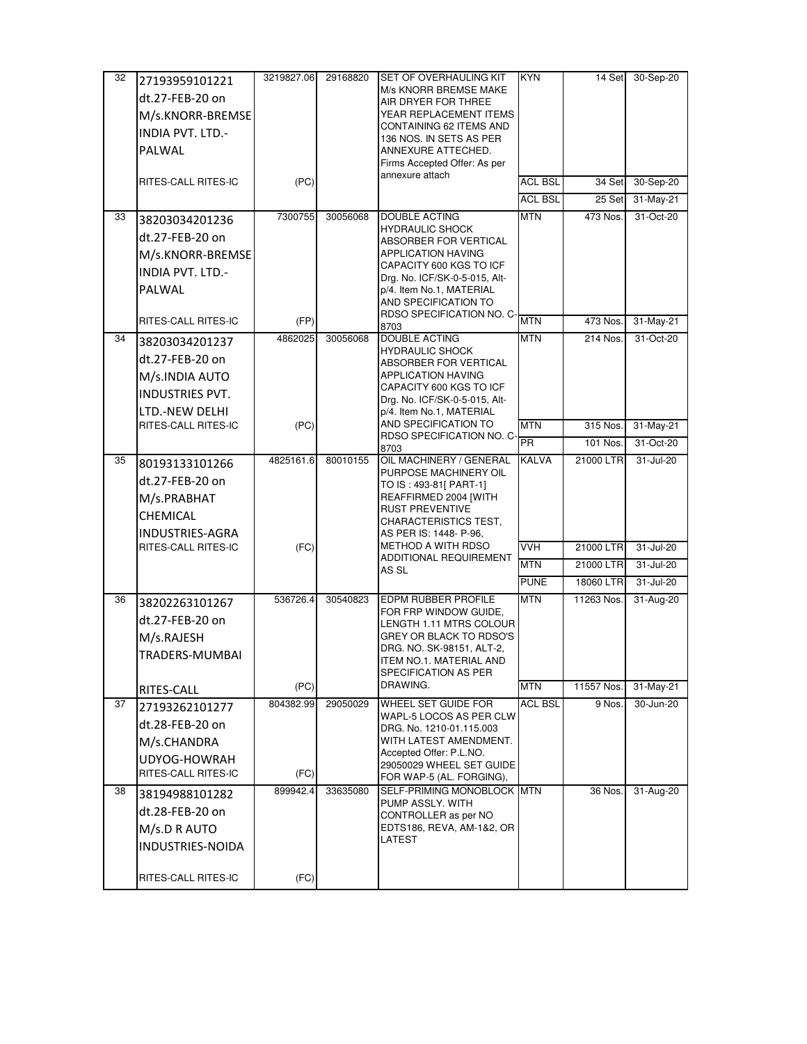| 32 | 27193959101221                        | 3219827.06 | 29168820 | <b>SET OF OVERHAULING KIT</b>                        | <b>KYN</b>     | 14 Set     | 30-Sep-20 |
|----|---------------------------------------|------------|----------|------------------------------------------------------|----------------|------------|-----------|
|    | dt.27-FEB-20 on                       |            |          | M/s KNORR BREMSE MAKE                                |                |            |           |
|    | M/s.KNORR-BREMSE                      |            |          | AIR DRYER FOR THREE<br>YEAR REPLACEMENT ITEMS        |                |            |           |
|    | <b>INDIA PVT. LTD.-</b>               |            |          | CONTAINING 62 ITEMS AND                              |                |            |           |
|    | <b>PALWAL</b>                         |            |          | 136 NOS. IN SETS AS PER                              |                |            |           |
|    |                                       |            |          | ANNEXURE ATTECHED.<br>Firms Accepted Offer: As per   |                |            |           |
|    | RITES-CALL RITES-IC                   | (PC)       |          | annexure attach                                      | <b>ACL BSL</b> | 34 Set     | 30-Sep-20 |
|    |                                       |            |          |                                                      | <b>ACL BSL</b> | 25 Set     | 31-May-21 |
| 33 | 38203034201236                        | 7300755    | 30056068 | <b>DOUBLE ACTING</b>                                 | <b>MTN</b>     | 473 Nos.   | 31-Oct-20 |
|    |                                       |            |          | <b>HYDRAULIC SHOCK</b>                               |                |            |           |
|    | dt.27-FEB-20 on                       |            |          | ABSORBER FOR VERTICAL<br>APPLICATION HAVING          |                |            |           |
|    | M/s.KNORR-BREMSE                      |            |          | CAPACITY 600 KGS TO ICF                              |                |            |           |
|    | <b>INDIA PVT. LTD.-</b>               |            |          | Drg. No. ICF/SK-0-5-015, Alt-                        |                |            |           |
|    | PALWAL                                |            |          | p/4. Item No.1, MATERIAL<br>AND SPECIFICATION TO     |                |            |           |
|    | RITES-CALL RITES-IC                   | (FP)       |          | RDSO SPECIFICATION NO. C-                            | <b>MTN</b>     | 473 Nos.   | 31-May-21 |
| 34 |                                       | 4862025    | 30056068 | 8703<br><b>DOUBLE ACTING</b>                         | <b>MTN</b>     | 214 Nos.   | 31-Oct-20 |
|    | 38203034201237                        |            |          | <b>HYDRAULIC SHOCK</b>                               |                |            |           |
|    | dt.27-FEB-20 on                       |            |          | <b>ABSORBER FOR VERTICAL</b>                         |                |            |           |
|    | M/s.INDIA AUTO                        |            |          | <b>APPLICATION HAVING</b><br>CAPACITY 600 KGS TO ICF |                |            |           |
|    | <b>INDUSTRIES PVT.</b>                |            |          | Drg. No. ICF/SK-0-5-015, Alt-                        |                |            |           |
|    | LTD.-NEW DELHI<br>RITES-CALL RITES-IC |            |          | p/4. Item No.1, MATERIAL<br>AND SPECIFICATION TO     |                |            |           |
|    |                                       | (PC)       |          | RDSO SPECIFICATION NO. C-                            | <b>MTN</b>     | 315 Nos.   | 31-May-21 |
|    |                                       |            |          | 8703                                                 | <b>PR</b>      | 101 Nos.   | 31-Oct-20 |
| 35 | 80193133101266                        | 4825161.6  | 80010155 | OIL MACHINERY / GENERAL<br>PURPOSE MACHINERY OIL     | <b>KALVA</b>   | 21000 LTR  | 31-Jul-20 |
|    | dt.27-FEB-20 on                       |            |          | TO IS: 493-81[ PART-1]                               |                |            |           |
|    | M/s.PRABHAT                           |            |          | REAFFIRMED 2004 [WITH<br><b>RUST PREVENTIVE</b>      |                |            |           |
|    | CHEMICAL                              |            |          | CHARACTERISTICS TEST,                                |                |            |           |
|    | <b>INDUSTRIES-AGRA</b>                |            |          | AS PER IS: 1448- P-96,                               |                |            |           |
|    | RITES-CALL RITES-IC                   | (FC)       |          | METHOD A WITH RDSO<br>ADDITIONAL REQUIREMENT         | <b>VVH</b>     | 21000 LTR  | 31-Jul-20 |
|    |                                       |            |          | AS SL                                                | <b>MTN</b>     | 21000 LTR  | 31-Jul-20 |
|    |                                       |            |          |                                                      | <b>PUNE</b>    | 18060 LTR  | 31-Jul-20 |
| 36 | 38202263101267                        | 536726.4   | 30540823 | <b>EDPM RUBBER PROFILE</b><br>FOR FRP WINDOW GUIDE,  | <b>MTN</b>     | 11263 Nos. | 31-Aug-20 |
|    | dt.27-FEB-20 on                       |            |          | LENGTH 1.11 MTRS COLOUR                              |                |            |           |
|    | M/s.RAJESH                            |            |          | GREY OR BLACK TO RDSO'S                              |                |            |           |
|    | TRADERS-MUMBAI                        |            |          | DRG. NO. SK-98151, ALT-2,<br>ITEM NO.1. MATERIAL AND |                |            |           |
|    |                                       |            |          | SPECIFICATION AS PER                                 |                |            |           |
|    | RITES-CALL                            | (PC)       |          | DRAWING.                                             | <b>MTN</b>     | 11557 Nos. | 31-May-21 |
| 37 | 27193262101277                        | 804382.99  | 29050029 | WHEEL SET GUIDE FOR<br>WAPL-5 LOCOS AS PER CLW       | <b>ACL BSL</b> | 9 Nos.     | 30-Jun-20 |
|    | dt.28-FEB-20 on                       |            |          | DRG. No. 1210-01.115.003                             |                |            |           |
|    | M/s.CHANDRA                           |            |          | WITH LATEST AMENDMENT.                               |                |            |           |
|    | UDYOG-HOWRAH                          |            |          | Accepted Offer: P.L.NO.<br>29050029 WHEEL SET GUIDE  |                |            |           |
|    | RITES-CALL RITES-IC                   | (FC)       |          | FOR WAP-5 (AL. FORGING),                             |                |            |           |
| 38 | 38194988101282                        | 899942.4   | 33635080 | SELF-PRIMING MONOBLOCK MTN<br>PUMP ASSLY. WITH       |                | 36 Nos.    | 31-Aug-20 |
|    | dt.28-FEB-20 on                       |            |          | CONTROLLER as per NO                                 |                |            |           |
|    | M/s.D R AUTO                          |            |          | EDTS186, REVA, AM-1&2, OR                            |                |            |           |
|    | INDUSTRIES-NOIDA                      |            |          | LATEST                                               |                |            |           |
|    |                                       |            |          |                                                      |                |            |           |
|    | RITES-CALL RITES-IC                   | (FC)       |          |                                                      |                |            |           |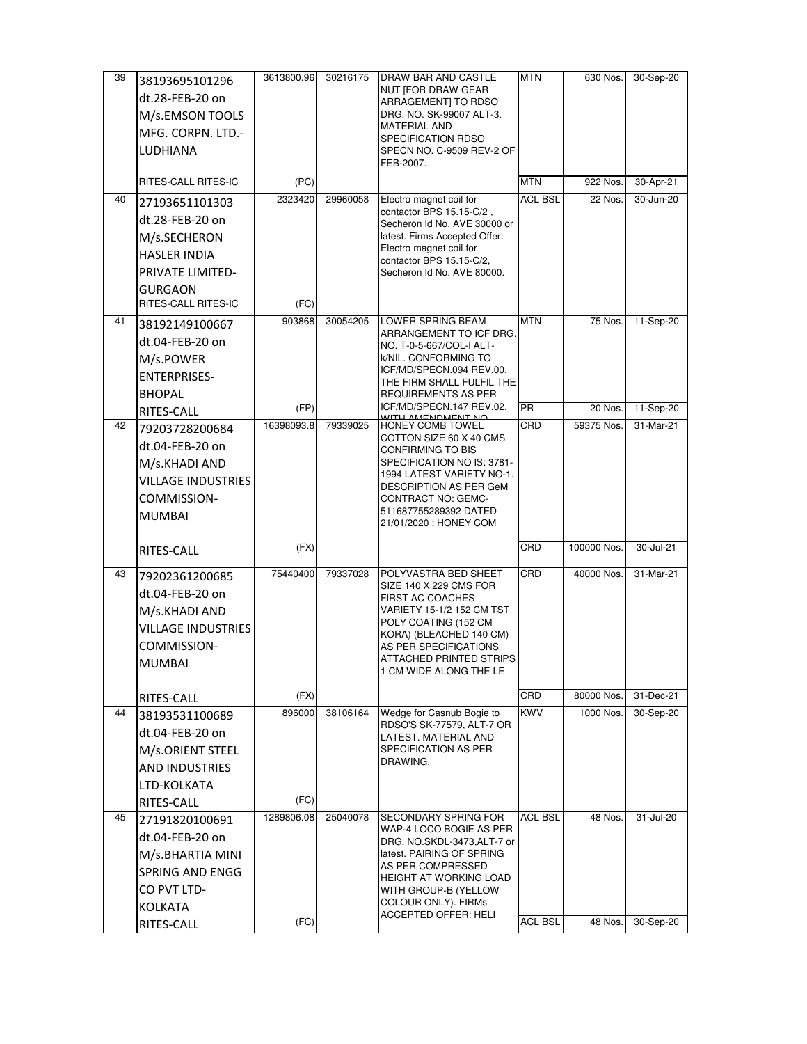| 39 | 38193695101296            | 3613800.96 | 30216175 | DRAW BAR AND CASTLE                                     | <b>MTN</b>     | 630 Nos.    | 30-Sep-20     |
|----|---------------------------|------------|----------|---------------------------------------------------------|----------------|-------------|---------------|
|    | dt.28-FEB-20 on           |            |          | NUT [FOR DRAW GEAR                                      |                |             |               |
|    | M/s.EMSON TOOLS           |            |          | ARRAGEMENT] TO RDSO<br>DRG. NO. SK-99007 ALT-3.         |                |             |               |
|    |                           |            |          | <b>MATERIAL AND</b>                                     |                |             |               |
|    | MFG. CORPN. LTD.-         |            |          | SPECIFICATION RDSO                                      |                |             |               |
|    | LUDHIANA                  |            |          | SPECN NO. C-9509 REV-2 OF<br>FEB-2007.                  |                |             |               |
|    |                           |            |          |                                                         |                |             |               |
|    | RITES-CALL RITES-IC       | (PC)       |          |                                                         | <b>MTN</b>     | 922 Nos.    | 30-Apr-21     |
| 40 | 27193651101303            | 2323420    | 29960058 | Electro magnet coil for<br>contactor BPS 15.15-C/2,     | <b>ACL BSL</b> | 22 Nos.     | 30-Jun-20     |
|    | dt.28-FEB-20 on           |            |          | Secheron Id No. AVE 30000 or                            |                |             |               |
|    | M/s.SECHERON              |            |          | latest. Firms Accepted Offer:                           |                |             |               |
|    | <b>HASLER INDIA</b>       |            |          | Electro magnet coil for<br>contactor BPS 15.15-C/2,     |                |             |               |
|    | <b>PRIVATE LIMITED-</b>   |            |          | Secheron Id No. AVE 80000.                              |                |             |               |
|    | <b>GURGAON</b>            |            |          |                                                         |                |             |               |
|    | RITES-CALL RITES-IC       | (FC)       |          |                                                         |                |             |               |
| 41 | 38192149100667            | 903868     | 30054205 | <b>LOWER SPRING BEAM</b>                                | <b>MTN</b>     | 75 Nos.     | 11-Sep-20     |
|    | dt.04-FEB-20 on           |            |          | ARRANGEMENT TO ICF DRG.                                 |                |             |               |
|    | M/s.POWER                 |            |          | NO. T-0-5-667/COL-I ALT-<br>k/NIL. CONFORMING TO        |                |             |               |
|    | <b>ENTERPRISES-</b>       |            |          | ICF/MD/SPECN.094 REV.00.                                |                |             |               |
|    | <b>BHOPAL</b>             |            |          | THE FIRM SHALL FULFIL THE                               |                |             |               |
|    | RITES-CALL                | (FP)       |          | REQUIREMENTS AS PER<br>ICF/MD/SPECN.147 REV.02.         | <b>PR</b>      | 20 Nos.     | 11-Sep-20     |
| 42 | 79203728200684            | 16398093.8 | 79339025 | WITH AMENDMENT NO                                       | CRD            | 59375 Nos.  | 31-Mar-21     |
|    | dt.04-FEB-20 on           |            |          | COTTON SIZE 60 X 40 CMS                                 |                |             |               |
|    |                           |            |          | CONFIRMING TO BIS                                       |                |             |               |
|    | M/s.KHADI AND             |            |          | SPECIFICATION NO IS: 3781-<br>1994 LATEST VARIETY NO-1. |                |             |               |
|    | <b>VILLAGE INDUSTRIES</b> |            |          | DESCRIPTION AS PER GeM                                  |                |             |               |
|    | COMMISSION-               |            |          | CONTRACT NO: GEMC-<br>511687755289392 DATED             |                |             |               |
|    | <b>MUMBAI</b>             |            |          | 21/01/2020 : HONEY COM                                  |                |             |               |
|    |                           |            |          |                                                         |                |             |               |
|    | RITES-CALL                | (FX)       |          |                                                         | CRD            | 100000 Nos. | $30 -$ Jul-21 |
| 43 | 79202361200685            | 75440400   | 79337028 | POLYVASTRA BED SHEET<br>SIZE 140 X 229 CMS FOR          | CRD            | 40000 Nos.  | 31-Mar-21     |
|    | dt.04-FEB-20 on           |            |          | <b>FIRST AC COACHES</b>                                 |                |             |               |
|    | M/s.KHADI AND             |            |          | VARIETY 15-1/2 152 CM TST                               |                |             |               |
|    | <b>VILLAGE INDUSTRIES</b> |            |          | POLY COATING (152 CM<br>KORA) (BLEACHED 140 CM)         |                |             |               |
|    | COMMISSION-               |            |          | AS PER SPECIFICATIONS                                   |                |             |               |
|    | <b>MUMBAI</b>             |            |          | ATTACHED PRINTED STRIPS                                 |                |             |               |
|    |                           |            |          | 1 CM WIDE ALONG THE LE                                  |                |             |               |
|    | RITES-CALL                | (FX)       |          |                                                         | CRD            | 80000 Nos.  | 31-Dec-21     |
| 44 | 38193531100689            | 896000     | 38106164 | Wedge for Casnub Bogie to<br>RDSO'S SK-77579, ALT-7 OR  | <b>KWV</b>     | 1000 Nos.   | 30-Sep-20     |
|    | dt.04-FEB-20 on           |            |          | LATEST. MATERIAL AND                                    |                |             |               |
|    | M/s.ORIENT STEEL          |            |          | SPECIFICATION AS PER                                    |                |             |               |
|    | AND INDUSTRIES            |            |          | DRAWING.                                                |                |             |               |
|    | LTD-KOLKATA               |            |          |                                                         |                |             |               |
|    | RITES-CALL                | (FC)       |          |                                                         |                |             |               |
| 45 | 27191820100691            | 1289806.08 | 25040078 | <b>SECONDARY SPRING FOR</b>                             | ACL BSL        | 48 Nos.     | 31-Jul-20     |
|    | dt.04-FEB-20 on           |            |          | WAP-4 LOCO BOGIE AS PER<br>DRG. NO.SKDL-3473,ALT-7 or   |                |             |               |
|    | M/s.BHARTIA MINI          |            |          | latest. PAIRING OF SPRING                               |                |             |               |
|    | <b>SPRING AND ENGG</b>    |            |          | AS PER COMPRESSED                                       |                |             |               |
|    | CO PVT LTD-               |            |          | HEIGHT AT WORKING LOAD<br>WITH GROUP-B (YELLOW          |                |             |               |
|    | <b>KOLKATA</b>            |            |          | COLOUR ONLY). FIRMs                                     |                |             |               |
|    |                           | (FC)       |          | <b>ACCEPTED OFFER: HELI</b>                             | <b>ACL BSL</b> | 48 Nos.     | 30-Sep-20     |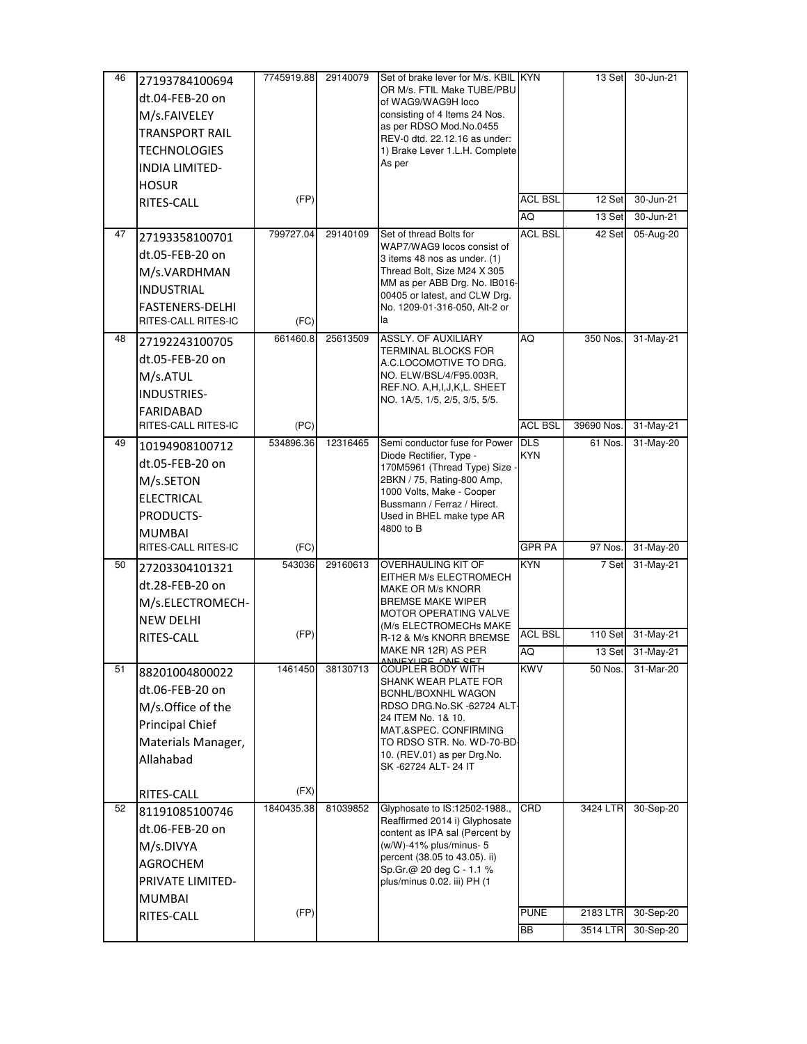| 46 | 27193784100694         | 7745919.88 | 29140079 | Set of brake lever for M/s. KBIL KYN                            |                | 13 Set     | $30 - Jun-21$ |
|----|------------------------|------------|----------|-----------------------------------------------------------------|----------------|------------|---------------|
|    | dt.04-FEB-20 on        |            |          | OR M/s. FTIL Make TUBE/PBU<br>of WAG9/WAG9H loco                |                |            |               |
|    | M/s.FAIVELEY           |            |          | consisting of 4 Items 24 Nos.                                   |                |            |               |
|    | <b>TRANSPORT RAIL</b>  |            |          | as per RDSO Mod.No.0455                                         |                |            |               |
|    | <b>TECHNOLOGIES</b>    |            |          | REV-0 dtd. 22.12.16 as under:                                   |                |            |               |
|    |                        |            |          | 1) Brake Lever 1.L.H. Complete<br>As per                        |                |            |               |
|    | <b>INDIA LIMITED-</b>  |            |          |                                                                 |                |            |               |
|    | <b>HOSUR</b>           | (FP)       |          |                                                                 | <b>ACL BSL</b> | 12 Set     | 30-Jun-21     |
|    | RITES-CALL             |            |          |                                                                 | AQ             | 13 Set     | 30-Jun-21     |
| 47 |                        | 799727.04  | 29140109 | Set of thread Bolts for                                         | <b>ACL BSL</b> | 42 Set     | 05-Aug-20     |
|    | 27193358100701         |            |          | WAP7/WAG9 locos consist of                                      |                |            |               |
|    | dt.05-FEB-20 on        |            |          | 3 items 48 nos as under. (1)                                    |                |            |               |
|    | M/s.VARDHMAN           |            |          | Thread Bolt, Size M24 X 305<br>MM as per ABB Drg. No. IB016-    |                |            |               |
|    | <b>INDUSTRIAL</b>      |            |          | 00405 or latest, and CLW Drg.                                   |                |            |               |
|    | <b>FASTENERS-DELHI</b> |            |          | No. 1209-01-316-050, Alt-2 or                                   |                |            |               |
|    | RITES-CALL RITES-IC    | (FC)       |          | la                                                              |                |            |               |
| 48 | 27192243100705         | 661460.8   | 25613509 | ASSLY. OF AUXILIARY<br>TERMINAL BLOCKS FOR                      | AQ             | 350 Nos.   | 31-May-21     |
|    | dt.05-FEB-20 on        |            |          | A.C.LOCOMOTIVE TO DRG.                                          |                |            |               |
|    | M/s.ATUL               |            |          | NO. ELW/BSL/4/F95.003R,                                         |                |            |               |
|    | INDUSTRIES-            |            |          | REF.NO. A, H, I, J, K, L. SHEET                                 |                |            |               |
|    | <b>FARIDABAD</b>       |            |          | NO. 1A/5, 1/5, 2/5, 3/5, 5/5.                                   |                |            |               |
|    | RITES-CALL RITES-IC    | (PC)       |          |                                                                 | <b>ACL BSL</b> | 39690 Nos. | 31-May-21     |
| 49 | 10194908100712         | 534896.36  | 12316465 | Semi conductor fuse for Power                                   | <b>DLS</b>     | 61 Nos.    | 31-May-20     |
|    | dt.05-FEB-20 on        |            |          | Diode Rectifier, Type -<br>170M5961 (Thread Type) Size -        | <b>KYN</b>     |            |               |
|    | M/s.SETON              |            |          | 2BKN / 75, Rating-800 Amp,                                      |                |            |               |
|    | <b>ELECTRICAL</b>      |            |          | 1000 Volts, Make - Cooper                                       |                |            |               |
|    | PRODUCTS-              |            |          | Bussmann / Ferraz / Hirect.<br>Used in BHEL make type AR        |                |            |               |
|    | <b>MUMBAI</b>          |            |          | 4800 to B                                                       |                |            |               |
|    | RITES-CALL RITES-IC    | (FC)       |          |                                                                 | <b>GPR PA</b>  | 97 Nos.    | 31-May-20     |
| 50 | 27203304101321         | 543036     | 29160613 | OVERHAULING KIT OF                                              | <b>KYN</b>     | 7 Set      | 31-May-21     |
|    | dt.28-FEB-20 on        |            |          | EITHER M/s ELECTROMECH                                          |                |            |               |
|    | M/s.ELECTROMECH-       |            |          | MAKE OR M/s KNORR<br><b>BREMSE MAKE WIPER</b>                   |                |            |               |
|    | <b>NEW DELHI</b>       |            |          | <b>MOTOR OPERATING VALVE</b>                                    |                |            |               |
|    | RITES-CALL             | (FP)       |          | (M/s ELECTROMECHs MAKE<br>R-12 & M/s KNORR BREMSE               | <b>ACL BSL</b> | 110 Set    | 31-May-21     |
|    |                        |            |          | MAKE NR 12R) AS PER                                             | AQ             | 13 Set     | 31-May-21     |
| 51 | 88201004800022         | 1461450    | 38130713 | ANNEVHDE ANE CET<br><b>COUPLER BODY WITH</b>                    | <b>KWV</b>     | 50 Nos.    | 31-Mar-20     |
|    | dt.06-FEB-20 on        |            |          | SHANK WEAR PLATE FOR<br>BCNHL/BOXNHL WAGON                      |                |            |               |
|    | M/s.Office of the      |            |          | RDSO DRG.No.SK -62724 ALT-                                      |                |            |               |
|    | Principal Chief        |            |          | 24 ITEM No. 1& 10.                                              |                |            |               |
|    | Materials Manager,     |            |          | MAT.&SPEC. CONFIRMING<br>TO RDSO STR. No. WD-70-BD-             |                |            |               |
|    | Allahabad              |            |          | 10. (REV.01) as per Drg.No.                                     |                |            |               |
|    |                        |            |          | SK-62724 ALT-24 IT                                              |                |            |               |
|    | RITES-CALL             | (FX)       |          |                                                                 |                |            |               |
| 52 | 81191085100746         | 1840435.38 | 81039852 | Glyphosate to IS:12502-1988.,                                   | CRD            | 3424 LTR   | 30-Sep-20     |
|    | dt.06-FEB-20 on        |            |          | Reaffirmed 2014 i) Glyphosate<br>content as IPA sal (Percent by |                |            |               |
|    | M/s.DIVYA              |            |          | $(w/W)$ -41% plus/minus- 5                                      |                |            |               |
|    | <b>AGROCHEM</b>        |            |          | percent (38.05 to 43.05). ii)                                   |                |            |               |
|    | PRIVATE LIMITED-       |            |          | Sp.Gr.@ 20 deg C - 1.1 %<br>plus/minus 0.02. iii) PH (1         |                |            |               |
|    | <b>MUMBAI</b>          |            |          |                                                                 |                |            |               |
|    | RITES-CALL             | (FP)       |          |                                                                 | <b>PUNE</b>    | 2183 LTR   | 30-Sep-20     |
|    |                        |            |          |                                                                 | BB             | 3514 LTR   | 30-Sep-20     |
|    |                        |            |          |                                                                 |                |            |               |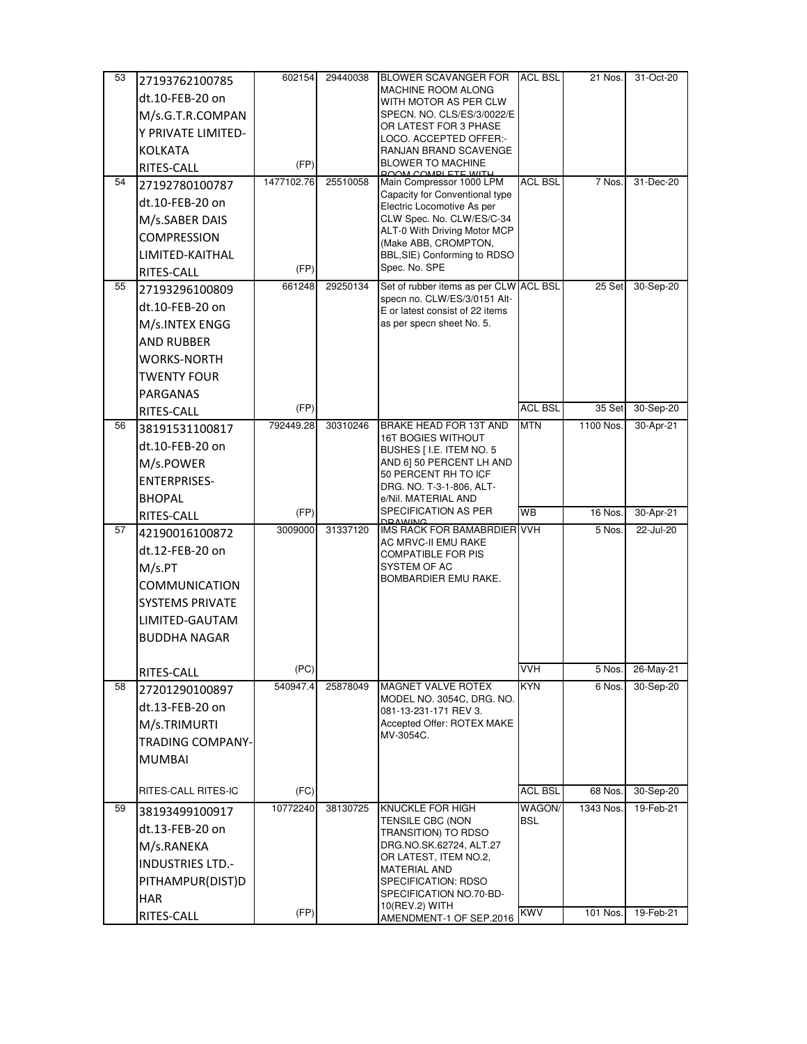| 53 | 27193762100785          | 602154     | 29440038 | <b>BLOWER SCAVANGER FOR</b>                                     | <b>ACL BSL</b>       | 21 Nos.   | 31-Oct-20 |
|----|-------------------------|------------|----------|-----------------------------------------------------------------|----------------------|-----------|-----------|
|    | dt.10-FEB-20 on         |            |          | <b>MACHINE ROOM ALONG</b>                                       |                      |           |           |
|    | M/s.G.T.R.COMPAN        |            |          | WITH MOTOR AS PER CLW<br>SPECN. NO. CLS/ES/3/0022/E             |                      |           |           |
|    |                         |            |          | OR LATEST FOR 3 PHASE                                           |                      |           |           |
|    | Y PRIVATE LIMITED-      |            |          | LOCO. ACCEPTED OFFER:-                                          |                      |           |           |
|    | <b>KOLKATA</b>          | (FP)       |          | RANJAN BRAND SCAVENGE<br><b>BLOWER TO MACHINE</b>               |                      |           |           |
|    | RITES-CALL              | 1477102.76 | 25510058 | <b>POOM COMPLETE WITH</b><br>Main Compressor 1000 LPM           | <b>ACL BSL</b>       | 7 Nos.    |           |
| 54 | 27192780100787          |            |          | Capacity for Conventional type                                  |                      |           | 31-Dec-20 |
|    | dt.10-FEB-20 on         |            |          | Electric Locomotive As per                                      |                      |           |           |
|    | M/s.SABER DAIS          |            |          | CLW Spec. No. CLW/ES/C-34<br>ALT-0 With Driving Motor MCP       |                      |           |           |
|    | <b>COMPRESSION</b>      |            |          | (Make ABB, CROMPTON,                                            |                      |           |           |
|    | LIMITED-KAITHAL         |            |          | BBL, SIE) Conforming to RDSO                                    |                      |           |           |
|    | RITES-CALL              | (FP)       |          | Spec. No. SPE                                                   |                      |           |           |
| 55 | 27193296100809          | 661248     | 29250134 | Set of rubber items as per CLW                                  | <b>ACL BSL</b>       | 25 Set    | 30-Sep-20 |
|    | dt.10-FEB-20 on         |            |          | specn no. CLW/ES/3/0151 Alt-<br>E or latest consist of 22 items |                      |           |           |
|    | M/s.INTEX ENGG          |            |          | as per specn sheet No. 5.                                       |                      |           |           |
|    | <b>AND RUBBER</b>       |            |          |                                                                 |                      |           |           |
|    | <b>WORKS-NORTH</b>      |            |          |                                                                 |                      |           |           |
|    | <b>TWENTY FOUR</b>      |            |          |                                                                 |                      |           |           |
|    | <b>PARGANAS</b>         |            |          |                                                                 |                      |           |           |
|    | RITES-CALL              | (FP)       |          |                                                                 | <b>ACL BSL</b>       | 35 Set    | 30-Sep-20 |
| 56 | 38191531100817          | 792449.28  | 30310246 | BRAKE HEAD FOR 13T AND                                          | <b>MTN</b>           | 1100 Nos. | 30-Apr-21 |
|    | dt.10-FEB-20 on         |            |          | <b>16T BOGIES WITHOUT</b>                                       |                      |           |           |
|    | M/s.POWER               |            |          | BUSHES [ I.E. ITEM NO. 5<br>AND 6] 50 PERCENT LH AND            |                      |           |           |
|    | <b>ENTERPRISES-</b>     |            |          | 50 PERCENT RH TO ICF                                            |                      |           |           |
|    |                         |            |          | DRG. NO. T-3-1-806, ALT-                                        |                      |           |           |
|    | <b>BHOPAL</b>           | (FP)       |          | e/Nil. MATERIAL AND<br>SPECIFICATION AS PER                     | <b>WB</b>            | 16 Nos.   | 30-Apr-21 |
| 57 | RITES-CALL              | 3009000    | 31337120 | <b>DRAWING</b><br>IMS RACK FOR BAMABRDIER                       | <b>VVH</b>           | 5 Nos.    | 22-Jul-20 |
|    | 42190016100872          |            |          | AC MRVC-II EMU RAKE                                             |                      |           |           |
|    | dt.12-FEB-20 on         |            |          | <b>COMPATIBLE FOR PIS</b>                                       |                      |           |           |
|    | M/s.PT                  |            |          | SYSTEM OF AC<br>BOMBARDIER EMU RAKE.                            |                      |           |           |
|    | <b>COMMUNICATION</b>    |            |          |                                                                 |                      |           |           |
|    | <b>SYSTEMS PRIVATE</b>  |            |          |                                                                 |                      |           |           |
|    | LIMITED-GAUTAM          |            |          |                                                                 |                      |           |           |
|    | <b>BUDDHA NAGAR</b>     |            |          |                                                                 |                      |           |           |
|    |                         |            |          |                                                                 |                      |           |           |
|    | RITES-CALL              | (PC)       |          |                                                                 | <b>VVH</b>           | 5 Nos.    | 26-May-21 |
| 58 | 27201290100897          | 540947.4   | 25878049 | <b>MAGNET VALVE ROTEX</b><br>MODEL NO. 3054C, DRG. NO.          | <b>KYN</b>           | 6 Nos.    | 30-Sep-20 |
|    | dt.13-FEB-20 on         |            |          | 081-13-231-171 REV 3.                                           |                      |           |           |
|    | M/s.TRIMURTI            |            |          | Accepted Offer: ROTEX MAKE                                      |                      |           |           |
|    | <b>TRADING COMPANY-</b> |            |          | MV-3054C.                                                       |                      |           |           |
|    | <b>MUMBAI</b>           |            |          |                                                                 |                      |           |           |
|    |                         |            |          |                                                                 |                      |           |           |
|    | RITES-CALL RITES-IC     | (FC)       |          |                                                                 | <b>ACL BSL</b>       | 68 Nos.   | 30-Sep-20 |
| 59 | 38193499100917          | 10772240   | 38130725 | KNUCKLE FOR HIGH<br>TENSILE CBC (NON                            | WAGON/<br><b>BSL</b> | 1343 Nos. | 19-Feb-21 |
|    | dt.13-FEB-20 on         |            |          | TRANSITION) TO RDSO                                             |                      |           |           |
|    | M/s.RANEKA              |            |          | DRG.NO.SK.62724, ALT.27                                         |                      |           |           |
|    | INDUSTRIES LTD.-        |            |          | OR LATEST, ITEM NO.2,<br><b>MATERIAL AND</b>                    |                      |           |           |
|    | PITHAMPUR(DIST)D        |            |          | SPECIFICATION: RDSO                                             |                      |           |           |
|    | <b>HAR</b>              |            |          | SPECIFICATION NO.70-BD-                                         |                      |           |           |
|    | RITES-CALL              | (FP)       |          | 10(REV.2) WITH<br>AMENDMENT-1 OF SEP.2016                       | <b>KWV</b>           | 101 Nos.  | 19-Feb-21 |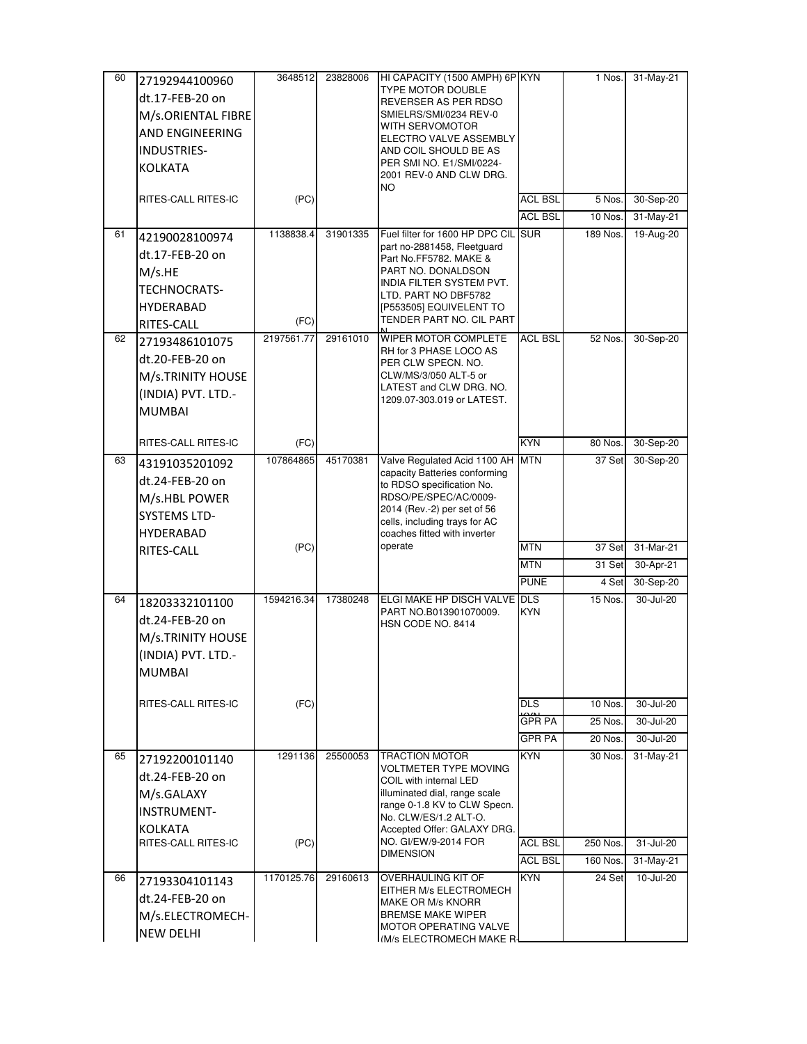| 60 | 27192944100960      | 3648512    | 23828006 | HI CAPACITY (1500 AMPH) 6P KYN                                     |                | 1 Nos.   | 31-May-21 |
|----|---------------------|------------|----------|--------------------------------------------------------------------|----------------|----------|-----------|
|    | dt.17-FEB-20 on     |            |          | TYPE MOTOR DOUBLE<br>REVERSER AS PER RDSO                          |                |          |           |
|    | M/s.ORIENTAL FIBRE  |            |          | SMIELRS/SMI/0234 REV-0                                             |                |          |           |
|    | AND ENGINEERING     |            |          | WITH SERVOMOTOR                                                    |                |          |           |
|    | INDUSTRIES-         |            |          | ELECTRO VALVE ASSEMBLY                                             |                |          |           |
|    |                     |            |          | AND COIL SHOULD BE AS<br>PER SMI NO. E1/SMI/0224-                  |                |          |           |
|    | <b>KOLKATA</b>      |            |          | 2001 REV-0 AND CLW DRG.<br>NO                                      |                |          |           |
|    | RITES-CALL RITES-IC | (PC)       |          |                                                                    | <b>ACL BSL</b> | 5 Nos.   | 30-Sep-20 |
|    |                     |            |          |                                                                    | <b>ACL BSL</b> | 10 Nos.  | 31-May-21 |
| 61 | 42190028100974      | 1138838.4  | 31901335 | Fuel filter for 1600 HP DPC CIL SUR<br>part no-2881458, Fleetguard |                | 189 Nos. | 19-Aug-20 |
|    | dt.17-FEB-20 on     |            |          | Part No.FF5782. MAKE &                                             |                |          |           |
|    | M/s.HE              |            |          | PART NO. DONALDSON                                                 |                |          |           |
|    | TECHNOCRATS-        |            |          | INDIA FILTER SYSTEM PVT.<br>LTD. PART NO DBF5782                   |                |          |           |
|    | <b>HYDERABAD</b>    |            |          | [P553505] EQUIVELENT TO                                            |                |          |           |
|    | RITES-CALL          | (FC)       |          | TENDER PART NO. CIL PART                                           |                |          |           |
| 62 | 27193486101075      | 2197561.77 | 29161010 | <b>WIPER MOTOR COMPLETE</b>                                        | <b>ACL BSL</b> | 52 Nos.  | 30-Sep-20 |
|    | dt.20-FEB-20 on     |            |          | RH for 3 PHASE LOCO AS<br>PER CLW SPECN. NO.                       |                |          |           |
|    | M/s.TRINITY HOUSE   |            |          | CLW/MS/3/050 ALT-5 or                                              |                |          |           |
|    | (INDIA) PVT. LTD.-  |            |          | LATEST and CLW DRG. NO.<br>1209.07-303.019 or LATEST.              |                |          |           |
|    | <b>MUMBAI</b>       |            |          |                                                                    |                |          |           |
|    |                     |            |          |                                                                    |                |          |           |
|    | RITES-CALL RITES-IC | (FC)       |          |                                                                    | <b>KYN</b>     | 80 Nos.  | 30-Sep-20 |
| 63 | 43191035201092      | 107864865  | 45170381 | Valve Regulated Acid 1100 AH                                       | <b>MTN</b>     | 37 Set   | 30-Sep-20 |
|    | dt.24-FEB-20 on     |            |          | capacity Batteries conforming<br>to RDSO specification No.         |                |          |           |
|    | M/s.HBL POWER       |            |          | RDSO/PE/SPEC/AC/0009-                                              |                |          |           |
|    | <b>SYSTEMS LTD-</b> |            |          | 2014 (Rev.-2) per set of 56                                        |                |          |           |
|    | HYDERABAD           |            |          | cells, including trays for AC<br>coaches fitted with inverter      |                |          |           |
|    | RITES-CALL          | (PC)       |          | operate                                                            | <b>MTN</b>     | 37 Set   | 31-Mar-21 |
|    |                     |            |          |                                                                    | <b>MTN</b>     | 31 Set   | 30-Apr-21 |
|    |                     |            |          |                                                                    | <b>PUNE</b>    | 4 Set    | 30-Sep-20 |
| 64 | 18203332101100      | 1594216.34 | 17380248 | ELGI MAKE HP DISCH VALVE DLS<br>PART NO.B013901070009.             | <b>KYN</b>     | 15 Nos.  | 30-Jul-20 |
|    | dt.24-FEB-20 on     |            |          | HSN CODE NO. 8414                                                  |                |          |           |
|    | M/s.TRINITY HOUSE   |            |          |                                                                    |                |          |           |
|    | (INDIA) PVT. LTD.-  |            |          |                                                                    |                |          |           |
|    | <b>MUMBAI</b>       |            |          |                                                                    |                |          |           |
|    |                     |            |          |                                                                    |                |          |           |
|    | RITES-CALL RITES-IC | (FC)       |          |                                                                    | <b>DLS</b>     | 10 Nos.  | 30-Jul-20 |
|    |                     |            |          |                                                                    | <b>GPR PA</b>  | 25 Nos.  | 30-Jul-20 |
|    |                     |            |          |                                                                    | <b>GPR PA</b>  | 20 Nos.  | 30-Jul-20 |
| 65 | 27192200101140      | 1291136    | 25500053 | <b>TRACTION MOTOR</b><br>VOLTMETER TYPE MOVING                     | <b>KYN</b>     | 30 Nos.  | 31-May-21 |
|    | dt.24-FEB-20 on     |            |          | COIL with internal LED                                             |                |          |           |
|    | M/s.GALAXY          |            |          | illuminated dial, range scale                                      |                |          |           |
|    | <b>INSTRUMENT-</b>  |            |          | range 0-1.8 KV to CLW Specn.<br>No. CLW/ES/1.2 ALT-O.              |                |          |           |
|    | <b>KOLKATA</b>      |            |          | Accepted Offer: GALAXY DRG.                                        |                |          |           |
|    | RITES-CALL RITES-IC | (PC)       |          | NO. GI/EW/9-2014 FOR<br><b>DIMENSION</b>                           | ACL BSL        | 250 Nos. | 31-Jul-20 |
|    |                     |            |          |                                                                    | <b>ACL BSL</b> | 160 Nos. | 31-May-21 |
| 66 | 27193304101143      | 1170125.76 | 29160613 | OVERHAULING KIT OF<br>EITHER M/s ELECTROMECH                       | <b>KYN</b>     | 24 Set   | 10-Jul-20 |
|    | dt.24-FEB-20 on     |            |          | MAKE OR M/s KNORR                                                  |                |          |           |
|    | M/s.ELECTROMECH-    |            |          | <b>BREMSE MAKE WIPER</b>                                           |                |          |           |
|    | <b>NEW DELHI</b>    |            |          | MOTOR OPERATING VALVE<br>I(M/s ELECTROMECH MAKE R-                 |                |          |           |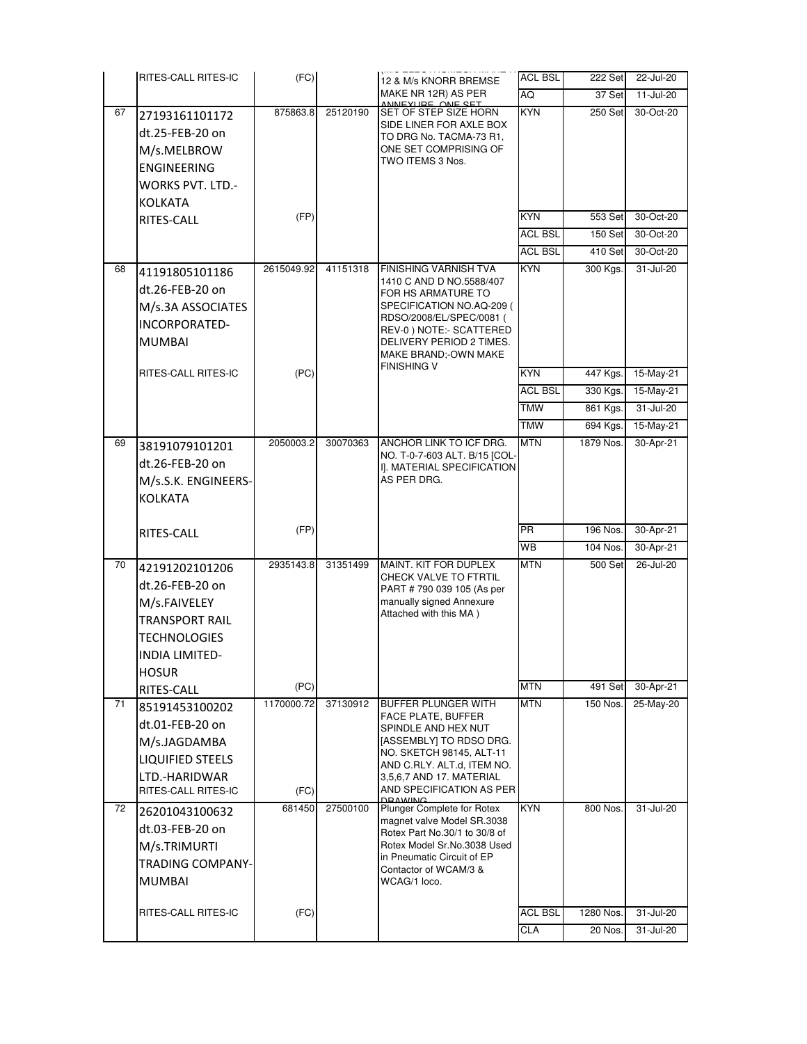|          | RITES-CALL RITES-IC                                                                                                                        | (FC)                         |                      | 12 & M/s KNORR BREMSE                                                                                                                                                                                                                              | <b>ACL BSL</b>           | 222 Set              | 22-Jul-20              |
|----------|--------------------------------------------------------------------------------------------------------------------------------------------|------------------------------|----------------------|----------------------------------------------------------------------------------------------------------------------------------------------------------------------------------------------------------------------------------------------------|--------------------------|----------------------|------------------------|
|          |                                                                                                                                            |                              |                      | MAKE NR 12R) AS PER                                                                                                                                                                                                                                | AQ                       | 37 Set               | 11-Jul-20              |
| 67       | 27193161101172<br>dt.25-FEB-20 on<br>M/s.MELBROW<br>ENGINEERING<br><b>WORKS PVT. LTD.-</b><br><b>KOLKATA</b>                               | 875863.8                     | 25120190             | INEVIIDE ANE CET<br>SET OF STEP SIZE HORN<br>SIDE LINER FOR AXLE BOX<br>TO DRG No. TACMA-73 R1,<br>ONE SET COMPRISING OF<br>TWO ITEMS 3 Nos.                                                                                                       | <b>KYN</b>               | 250 Set              | 30-Oct-20              |
|          | RITES-CALL                                                                                                                                 | (FP)                         |                      |                                                                                                                                                                                                                                                    | <b>KYN</b>               | 553 Set              | 30-Oct-20              |
|          |                                                                                                                                            |                              |                      |                                                                                                                                                                                                                                                    | <b>ACL BSL</b>           | 150 Set              | 30-Oct-20              |
|          |                                                                                                                                            |                              |                      |                                                                                                                                                                                                                                                    | <b>ACL BSL</b>           | 410 Set              | 30-Oct-20              |
| 68       | 41191805101186<br>dt.26-FEB-20 on<br>M/s.3A ASSOCIATES<br>INCORPORATED-<br><b>MUMBAI</b>                                                   | 2615049.92                   | 41151318             | FINISHING VARNISH TVA<br>1410 C AND D NO.5588/407<br>FOR HS ARMATURE TO<br>SPECIFICATION NO.AQ-209 (<br>RDSO/2008/EL/SPEC/0081 (<br>REV-0) NOTE:- SCATTERED<br>DELIVERY PERIOD 2 TIMES.<br>MAKE BRAND;-OWN MAKE                                    | <b>KYN</b>               | 300 Kgs.             | 31-Jul-20              |
|          | RITES-CALL RITES-IC                                                                                                                        | (PC)                         |                      | FINISHING V                                                                                                                                                                                                                                        | KYN                      | 447 Kgs.             | 15-May-21              |
|          |                                                                                                                                            |                              |                      |                                                                                                                                                                                                                                                    | <b>ACL BSL</b>           | 330 Kgs.             | 15-May-21              |
|          |                                                                                                                                            |                              |                      |                                                                                                                                                                                                                                                    | <b>TMW</b>               | 861 Kgs.             | 31-Jul-20              |
|          |                                                                                                                                            |                              |                      |                                                                                                                                                                                                                                                    | <b>TMW</b>               | 694 Kgs.             | 15-May-21              |
| 69       | 38191079101201<br>dt.26-FEB-20 on<br>M/s.S.K. ENGINEERS-<br><b>KOLKATA</b>                                                                 | 2050003.2                    | 30070363             | ANCHOR LINK TO ICF DRG.<br>NO. T-0-7-603 ALT. B/15 [COL-<br>I]. MATERIAL SPECIFICATION<br>AS PER DRG.                                                                                                                                              | <b>MTN</b>               | 1879 Nos.            | 30-Apr-21              |
|          | RITES-CALL                                                                                                                                 | (FP)                         |                      |                                                                                                                                                                                                                                                    | PR                       | 196 Nos.             | 30-Apr-21              |
|          |                                                                                                                                            |                              |                      |                                                                                                                                                                                                                                                    | WВ                       | 104 Nos.             | 30-Apr-21              |
| 70       | 42191202101206<br>dt.26-FEB-20 on<br>M/s.FAIVELEY<br><b>TRANSPORT RAIL</b><br><b>TECHNOLOGIES</b><br><b>INDIA LIMITED-</b><br><b>HOSUR</b> | 2935143.8                    | 31351499             | MAINT. KIT FOR DUPLEX<br>CHECK VALVE TO FTRTIL<br>PART # 790 039 105 (As per<br>manually signed Annexure<br>Attached with this MA)                                                                                                                 | <b>MTN</b>               | <b>500 Set</b>       | 26-Jul-20              |
|          | RITES-CALL                                                                                                                                 | (PC)                         |                      |                                                                                                                                                                                                                                                    | <b>MTN</b>               | 491 Set              | 30-Apr-21              |
| 71<br>72 | 85191453100202<br>dt.01-FEB-20 on<br>M/s.JAGDAMBA<br><b>LIQUIFIED STEELS</b><br>LTD.-HARIDWAR<br>RITES-CALL RITES-IC<br>26201043100632     | 1170000.72<br>(FC)<br>681450 | 37130912<br>27500100 | <b>BUFFER PLUNGER WITH</b><br>FACE PLATE, BUFFER<br>SPINDLE AND HEX NUT<br>[ASSEMBLY] TO RDSO DRG.<br>NO. SKETCH 98145, ALT-11<br>AND C.RLY. ALT.d, ITEM NO.<br>3,5,6,7 AND 17. MATERIAL<br>AND SPECIFICATION AS PER<br>Plunger Complete for Rotex | <b>MTN</b><br><b>KYN</b> | 150 Nos.<br>800 Nos. | 25-May-20<br>31-Jul-20 |
|          | dt.03-FEB-20 on<br>M/s.TRIMURTI<br><b>TRADING COMPANY-</b><br><b>MUMBAI</b><br>RITES-CALL RITES-IC                                         | (FC)                         |                      | magnet valve Model SR.3038<br>Rotex Part No.30/1 to 30/8 of<br>Rotex Model Sr.No.3038 Used<br>in Pneumatic Circuit of EP<br>Contactor of WCAM/3 &<br>WCAG/1 loco.                                                                                  | <b>ACL BSL</b>           | 1280 Nos.            | 31-Jul-20              |
|          |                                                                                                                                            |                              |                      |                                                                                                                                                                                                                                                    | CLA                      | 20 Nos.              | 31-Jul-20              |
|          |                                                                                                                                            |                              |                      |                                                                                                                                                                                                                                                    |                          |                      |                        |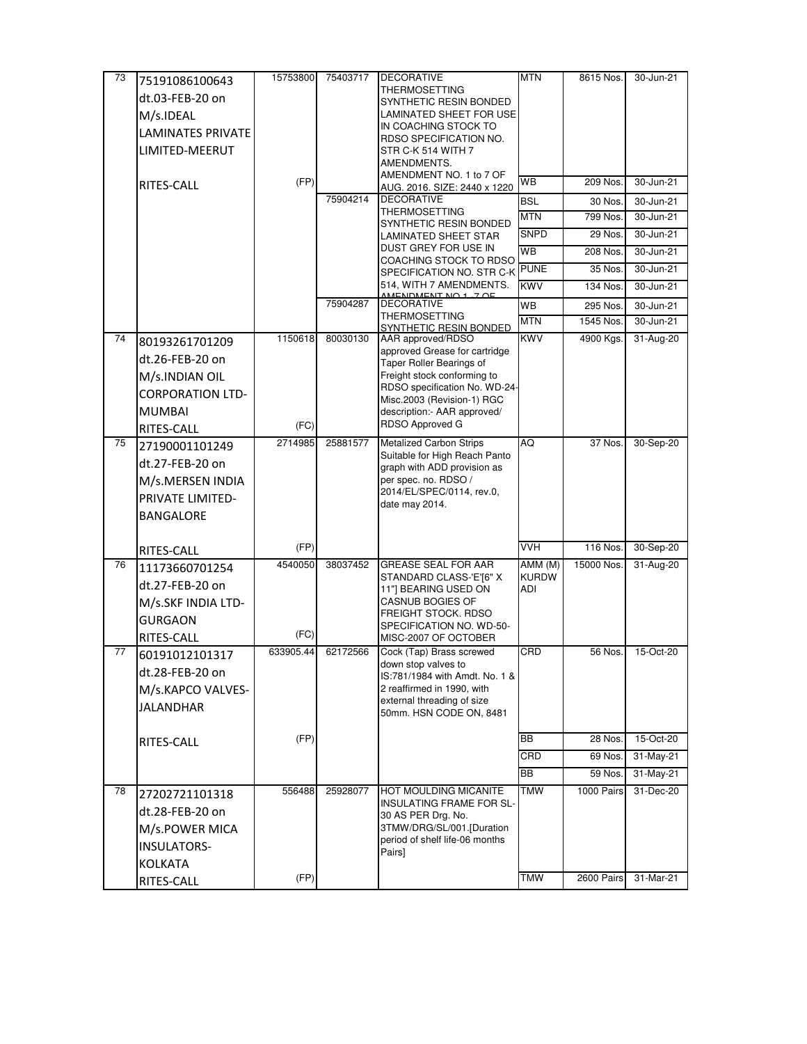| 73 | 75191086100643           | 15753800  | 75403717 | <b>DECORATIVE</b>                                               | <b>MTN</b>          | 8615 Nos.  | 30-Jun-21     |
|----|--------------------------|-----------|----------|-----------------------------------------------------------------|---------------------|------------|---------------|
|    | dt.03-FEB-20 on          |           |          | THERMOSETTING<br>SYNTHETIC RESIN BONDED                         |                     |            |               |
|    | M/s.IDEAL                |           |          | LAMINATED SHEET FOR USE                                         |                     |            |               |
|    | <b>LAMINATES PRIVATE</b> |           |          | IN COACHING STOCK TO                                            |                     |            |               |
|    | LIMITED-MEERUT           |           |          | RDSO SPECIFICATION NO.                                          |                     |            |               |
|    |                          |           |          | STR C-K 514 WITH 7<br>AMENDMENTS.                               |                     |            |               |
|    |                          |           |          | AMENDMENT NO. 1 to 7 OF                                         |                     |            |               |
|    | RITES-CALL               | (FP)      |          | AUG. 2016. SIZE: 2440 x 1220                                    | WВ                  | 209 Nos.   | 30-Jun-21     |
|    |                          |           | 75904214 | <b>DECORATIVE</b><br>THERMOSETTING                              | <b>BSL</b>          | 30 Nos.    | 30-Jun-21     |
|    |                          |           |          | SYNTHETIC RESIN BONDED                                          | <b>MTN</b>          | 799 Nos.   | 30-Jun-21     |
|    |                          |           |          | LAMINATED SHEET STAR                                            | <b>SNPD</b>         | 29 Nos.    | 30-Jun-21     |
|    |                          |           |          | DUST GREY FOR USE IN<br>COACHING STOCK TO RDSO                  | <b>WB</b>           | 208 Nos.   | 30-Jun-21     |
|    |                          |           |          | SPECIFICATION NO. STR C-K                                       | <b>PUNE</b>         | 35 Nos.    | $30 - Jun-21$ |
|    |                          |           |          | 514, WITH 7 AMENDMENTS.<br>DMENT NO 1 ZOF                       | <b>KWV</b>          | 134 Nos.   | 30-Jun-21     |
|    |                          |           | 75904287 | <b>DECORATIVE</b>                                               | <b>WB</b>           | 295 Nos.   | 30-Jun-21     |
|    |                          |           |          | THERMOSETTING<br>SYNTHETIC RESIN BONDED                         | <b>MTN</b>          | 1545 Nos.  | 30-Jun-21     |
| 74 | 80193261701209           | 1150618   | 80030130 | AAR approved/RDSO                                               | <b>KWV</b>          | 4900 Kgs.  | 31-Aug-20     |
|    | dt.26-FEB-20 on          |           |          | approved Grease for cartridge                                   |                     |            |               |
|    | M/s.INDIAN OIL           |           |          | Taper Roller Bearings of<br>Freight stock conforming to         |                     |            |               |
|    | <b>CORPORATION LTD-</b>  |           |          | RDSO specification No. WD-24-                                   |                     |            |               |
|    |                          |           |          | Misc.2003 (Revision-1) RGC                                      |                     |            |               |
|    | <b>MUMBAI</b>            | (FC)      |          | description:- AAR approved/<br>RDSO Approved G                  |                     |            |               |
|    | RITES-CALL               |           |          |                                                                 |                     |            |               |
| 75 | 27190001101249           | 2714985   | 25881577 | <b>Metalized Carbon Strips</b><br>Suitable for High Reach Panto | AQ                  | 37 Nos.    | 30-Sep-20     |
|    | dt.27-FEB-20 on          |           |          | graph with ADD provision as                                     |                     |            |               |
|    | M/s.MERSEN INDIA         |           |          | per spec. no. RDSO /<br>2014/EL/SPEC/0114, rev.0,               |                     |            |               |
|    | PRIVATE LIMITED-         |           |          | date may 2014.                                                  |                     |            |               |
|    | <b>BANGALORE</b>         |           |          |                                                                 |                     |            |               |
|    |                          |           |          |                                                                 |                     |            |               |
|    | RITES-CALL               | (FP)      |          |                                                                 | <b>VVH</b>          | 116 Nos.   | 30-Sep-20     |
| 76 | 11173660701254           | 4540050   | 38037452 | <b>GREASE SEAL FOR AAR</b>                                      | AMM (M)             | 15000 Nos. | 31-Aug-20     |
|    | dt.27-FEB-20 on          |           |          | STANDARD CLASS-'E'[6" X<br>11"] BEARING USED ON                 | <b>KURDW</b><br>ADI |            |               |
|    | M/s.SKF INDIA LTD-       |           |          | CASNUB BOGIES OF                                                |                     |            |               |
|    | <b>GURGAON</b>           |           |          | <b>FREIGHT STOCK. RDSO</b>                                      |                     |            |               |
|    | RITES-CALL               | (FC)      |          | SPECIFICATION NO. WD-50-<br>MISC-2007 OF OCTOBER                |                     |            |               |
| 77 | 60191012101317           | 633905.44 | 62172566 | Cock (Tap) Brass screwed                                        | CRD                 | 56 Nos.    | 15-Oct-20     |
|    | dt.28-FEB-20 on          |           |          | down stop valves to                                             |                     |            |               |
|    |                          |           |          | IS:781/1984 with Amdt. No. 1 &<br>2 reaffirmed in 1990, with    |                     |            |               |
|    | M/s.KAPCO VALVES-        |           |          | external threading of size                                      |                     |            |               |
|    | <b>JALANDHAR</b>         |           |          | 50mm. HSN CODE ON, 8481                                         |                     |            |               |
|    |                          |           |          |                                                                 | <b>BB</b>           |            |               |
|    | RITES-CALL               | (FP)      |          |                                                                 |                     | 28 Nos.    | 15-Oct-20     |
|    |                          |           |          |                                                                 | CRD                 | 69 Nos.    | 31-May-21     |
|    |                          |           |          |                                                                 | BB                  | 59 Nos.    | 31-May-21     |
| 78 | 27202721101318           | 556488    | 25928077 | HOT MOULDING MICANITE<br>INSULATING FRAME FOR SL-               | TMW                 | 1000 Pairs | 31-Dec-20     |
|    | dt.28-FEB-20 on          |           |          | 30 AS PER Drg. No.                                              |                     |            |               |
|    | M/s.POWER MICA           |           |          | 3TMW/DRG/SL/001.[Duration                                       |                     |            |               |
|    | <b>INSULATORS-</b>       |           |          | period of shelf life-06 months                                  |                     |            |               |
|    | <b>KOLKATA</b>           |           |          | Pairs]                                                          |                     |            |               |
|    | RITES-CALL               | (FP)      |          |                                                                 | <b>TMW</b>          | 2600 Pairs | 31-Mar-21     |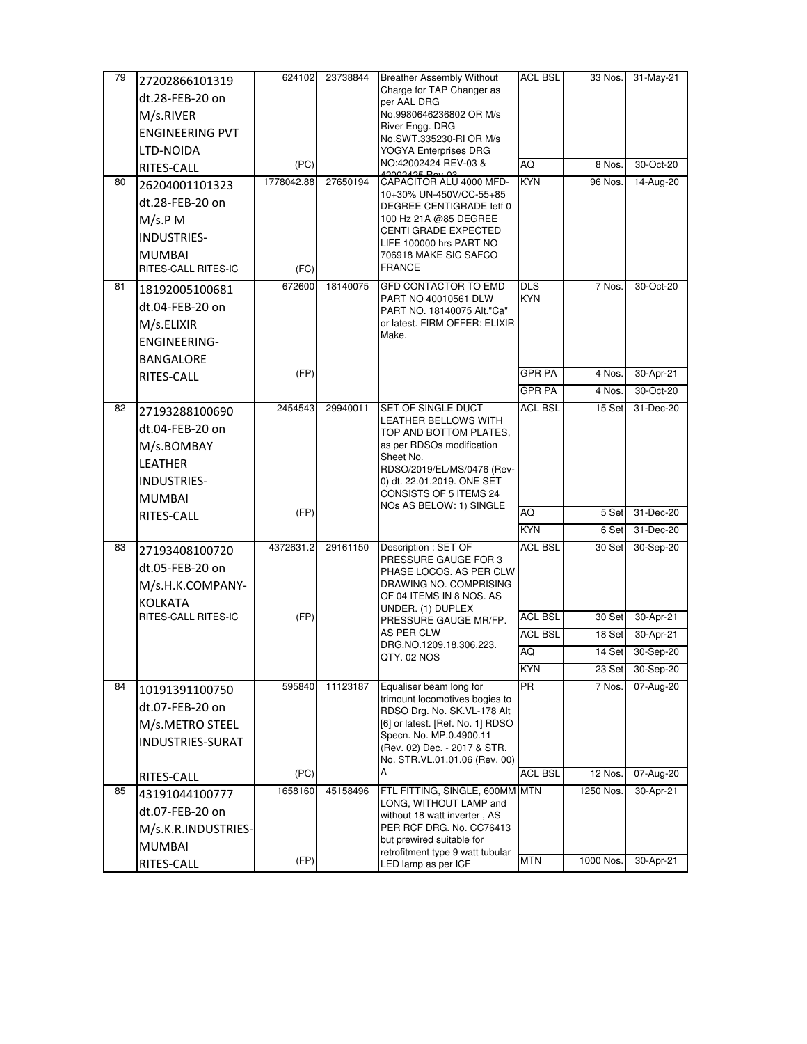| 79 | 27202866101319                        | 624102          | 23738844 | <b>Breather Assembly Without</b>                            | ACL BSL        | 33 Nos.          | 31-May-21              |
|----|---------------------------------------|-----------------|----------|-------------------------------------------------------------|----------------|------------------|------------------------|
|    | dt.28-FEB-20 on                       |                 |          | Charge for TAP Changer as<br>per AAL DRG                    |                |                  |                        |
|    | M/s.RIVER                             |                 |          | No.9980646236802 OR M/s                                     |                |                  |                        |
|    | <b>ENGINEERING PVT</b>                |                 |          | River Engg. DRG                                             |                |                  |                        |
|    | LTD-NOIDA                             |                 |          | No.SWT.335230-RI OR M/s<br>YOGYA Enterprises DRG            |                |                  |                        |
|    | RITES-CALL                            | (PC)            |          | NO:42002424 REV-03 &                                        | AQ             | 8 Nos.           | 30-Oct-20              |
| 80 | 26204001101323                        | 1778042.88      | 27650194 | <b>CONNO BONOON</b><br>CAPACITOR ALU 4000 MFD-              | <b>KYN</b>     | 96 Nos.          | 14-Aug-20              |
|    | dt.28-FEB-20 on                       |                 |          | 10+30% UN-450V/CC-55+85                                     |                |                  |                        |
|    | M/s.P M                               |                 |          | DEGREE CENTIGRADE leff 0<br>100 Hz 21A @85 DEGREE           |                |                  |                        |
|    | INDUSTRIES-                           |                 |          | CENTI GRADE EXPECTED                                        |                |                  |                        |
|    | <b>MUMBAI</b>                         |                 |          | LIFE 100000 hrs PART NO                                     |                |                  |                        |
|    | RITES-CALL RITES-IC                   | (FC)            |          | 706918 MAKE SIC SAFCO<br><b>FRANCE</b>                      |                |                  |                        |
| 81 | 18192005100681                        | 672600          | 18140075 | <b>GFD CONTACTOR TO EMD</b>                                 | <b>DLS</b>     | 7 Nos.           | 30-Oct-20              |
|    | dt.04-FEB-20 on                       |                 |          | PART NO 40010561 DLW                                        | <b>KYN</b>     |                  |                        |
|    |                                       |                 |          | PART NO. 18140075 Alt."Ca"<br>or latest. FIRM OFFER: ELIXIR |                |                  |                        |
|    | M/s.ELIXIR                            |                 |          | Make.                                                       |                |                  |                        |
|    | <b>ENGINEERING-</b>                   |                 |          |                                                             |                |                  |                        |
|    | BANGALORE<br>RITES-CALL               | (FP)            |          |                                                             | <b>GPR PA</b>  | 4 Nos.           | 30-Apr-21              |
|    |                                       |                 |          |                                                             | <b>GPR PA</b>  | 4 Nos.           | 30-Oct-20              |
| 82 | 27193288100690                        | 2454543         | 29940011 | SET OF SINGLE DUCT                                          | <b>ACL BSL</b> | 15 Set           | 31-Dec-20              |
|    | dt.04-FEB-20 on                       |                 |          | LEATHER BELLOWS WITH                                        |                |                  |                        |
|    |                                       |                 |          | TOP AND BOTTOM PLATES,<br>as per RDSOs modification         |                |                  |                        |
|    | M/s.BOMBAY<br><b>LEATHER</b>          |                 |          | Sheet No.                                                   |                |                  |                        |
|    |                                       |                 |          | RDSO/2019/EL/MS/0476 (Rev-                                  |                |                  |                        |
|    | INDUSTRIES-                           |                 |          | 0) dt. 22.01.2019. ONE SET<br>CONSISTS OF 5 ITEMS 24        |                |                  |                        |
|    | <b>MUMBAI</b>                         | (FP)            |          | NOs AS BELOW: 1) SINGLE                                     | AQ             | 5 Set            | 31-Dec-20              |
|    | RITES-CALL                            |                 |          |                                                             | <b>KYN</b>     | 6 Set            | 31-Dec-20              |
| 83 |                                       | 4372631.2       | 29161150 | Description : SET OF                                        | ACL BSL        | 30 Set           | 30-Sep-20              |
|    | 27193408100720                        |                 |          | PRESSURE GAUGE FOR 3                                        |                |                  |                        |
|    | dt.05-FEB-20 on                       |                 |          | PHASE LOCOS. AS PER CLW                                     |                |                  |                        |
|    | M/s.H.K.COMPANY-                      |                 |          | DRAWING NO. COMPRISING<br>OF 04 ITEMS IN 8 NOS. AS          |                |                  |                        |
|    | <b>KOLKATA</b><br>RITES-CALL RITES-IC | (FP)            |          | UNDER. (1) DUPLEX                                           | <b>ACL BSL</b> | 30 Set           | 30-Apr-21              |
|    |                                       |                 |          | PRESSURE GAUGE MR/FP.<br>AS PER CLW                         | <b>ACL BSL</b> | 18 Set           | 30-Apr-21              |
|    |                                       |                 |          | DRG.NO.1209.18.306.223.                                     | AQ             | 14 Set           | 30-Sep-20              |
|    |                                       |                 |          | QTY. 02 NOS                                                 | <b>KYN</b>     |                  |                        |
| 84 |                                       | 595840          | 11123187 | Equaliser beam long for                                     | <b>PR</b>      | 23 Set<br>7 Nos. | 30-Sep-20<br>07-Aug-20 |
|    | 10191391100750                        |                 |          | trimount locomotives bogies to                              |                |                  |                        |
|    | dt.07-FEB-20 on                       |                 |          | RDSO Drg. No. SK. VL-178 Alt                                |                |                  |                        |
|    | M/s.METRO STEEL                       |                 |          | [6] or latest. [Ref. No. 1] RDSO<br>Specn. No. MP.0.4900.11 |                |                  |                        |
|    | INDUSTRIES-SURAT                      |                 |          | (Rev. 02) Dec. - 2017 & STR.                                |                |                  |                        |
|    |                                       |                 |          | No. STR.VL.01.01.06 (Rev. 00)<br>A                          |                |                  |                        |
|    | RITES-CALL                            | (PC)<br>1658160 |          |                                                             | <b>ACL BSL</b> | 12 Nos.          | 07-Aug-20              |
| 85 | 43191044100777                        |                 | 45158496 | FTL FITTING, SINGLE, 600MM MTN<br>LONG, WITHOUT LAMP and    |                | 1250 Nos.        | 30-Apr-21              |
|    | dt.07-FEB-20 on                       |                 |          | without 18 watt inverter, AS                                |                |                  |                        |
|    | M/s.K.R.INDUSTRIES-                   |                 |          | PER RCF DRG. No. CC76413<br>but prewired suitable for       |                |                  |                        |
|    | <b>MUMBAI</b>                         |                 |          | retrofitment type 9 watt tubular                            |                |                  |                        |
|    | RITES-CALL                            | (FP)            |          | LED lamp as per ICF                                         | <b>MTN</b>     | 1000 Nos.        | 30-Apr-21              |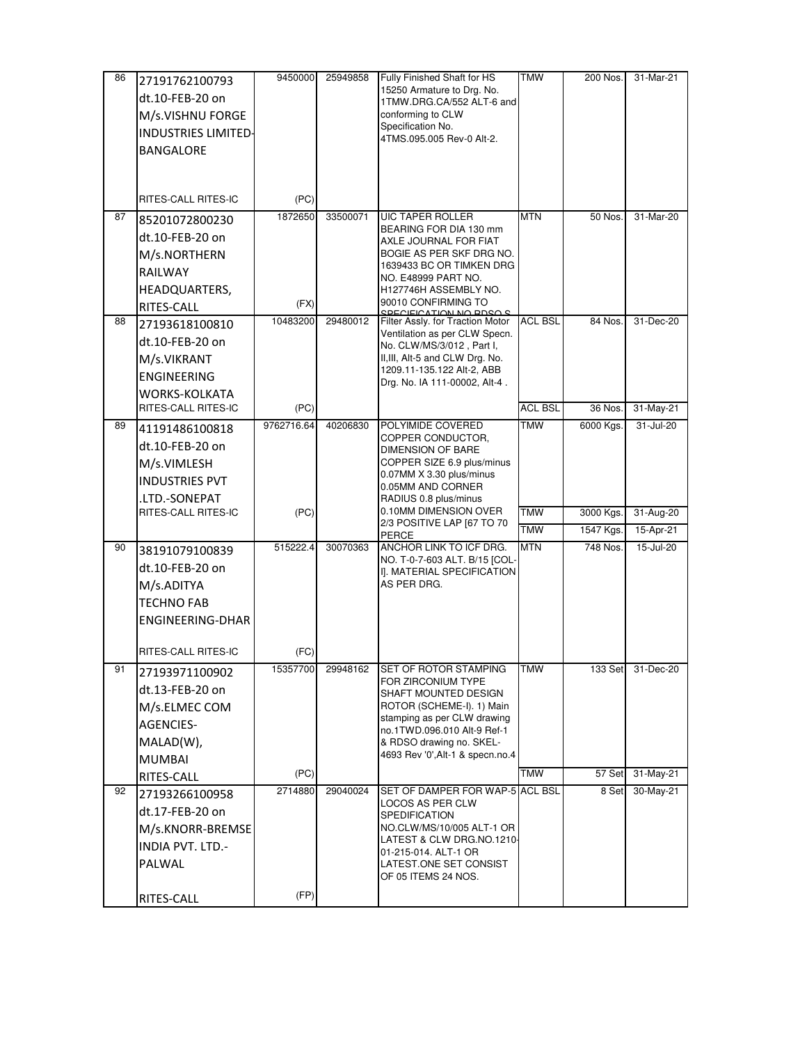| 86 | 27191762100793             | 9450000    | 25949858 | Fully Finished Shaft for HS                                       | <b>TMW</b>     | 200 Nos.  | 31-Mar-21 |
|----|----------------------------|------------|----------|-------------------------------------------------------------------|----------------|-----------|-----------|
|    | dt.10-FEB-20 on            |            |          | 15250 Armature to Drg. No.<br>1TMW.DRG.CA/552 ALT-6 and           |                |           |           |
|    | M/s.VISHNU FORGE           |            |          | conforming to CLW                                                 |                |           |           |
|    | <b>INDUSTRIES LIMITED-</b> |            |          | Specification No.                                                 |                |           |           |
|    | <b>BANGALORE</b>           |            |          | 4TMS.095.005 Rev-0 Alt-2.                                         |                |           |           |
|    |                            |            |          |                                                                   |                |           |           |
|    |                            |            |          |                                                                   |                |           |           |
|    | RITES-CALL RITES-IC        | (PC)       |          |                                                                   |                |           |           |
| 87 | 85201072800230             | 1872650    | 33500071 | <b>UIC TAPER ROLLER</b>                                           | <b>MTN</b>     | 50 Nos.   | 31-Mar-20 |
|    | dt.10-FEB-20 on            |            |          | BEARING FOR DIA 130 mm<br>AXLE JOURNAL FOR FIAT                   |                |           |           |
|    | M/s.NORTHERN               |            |          | BOGIE AS PER SKF DRG NO.                                          |                |           |           |
|    | <b>RAILWAY</b>             |            |          | 1639433 BC OR TIMKEN DRG<br>NO. E48999 PART NO.                   |                |           |           |
|    | HEADQUARTERS,              |            |          | H127746H ASSEMBLY NO.                                             |                |           |           |
|    | RITES-CALL                 | (FX)       |          | 90010 CONFIRMING TO<br>SPECIEICATION NO PDSO S                    |                |           |           |
| 88 | 27193618100810             | 10483200   | 29480012 | Filter Assly. for Traction Motor<br>Ventilation as per CLW Specn. | <b>ACL BSL</b> | 84 Nos.   | 31-Dec-20 |
|    | dt.10-FEB-20 on            |            |          | No. CLW/MS/3/012, Part I,                                         |                |           |           |
|    | M/s.VIKRANT                |            |          | II, III, Alt-5 and CLW Drg. No.                                   |                |           |           |
|    | <b>ENGINEERING</b>         |            |          | 1209.11-135.122 Alt-2, ABB<br>Drg. No. IA 111-00002, Alt-4.       |                |           |           |
|    | <b>WORKS-KOLKATA</b>       |            |          |                                                                   |                |           |           |
|    | RITES-CALL RITES-IC        | (PC)       |          |                                                                   | <b>ACL BSL</b> | 36 Nos.   | 31-May-21 |
| 89 | 41191486100818             | 9762716.64 | 40206830 | POLYIMIDE COVERED<br>COPPER CONDUCTOR,                            | <b>TMW</b>     | 6000 Kgs. | 31-Jul-20 |
|    | dt.10-FEB-20 on            |            |          | <b>DIMENSION OF BARE</b>                                          |                |           |           |
|    | M/s.VIMLESH                |            |          | COPPER SIZE 6.9 plus/minus                                        |                |           |           |
|    | <b>INDUSTRIES PVT</b>      |            |          | 0.07MM X 3.30 plus/minus<br>0.05MM AND CORNER                     |                |           |           |
|    | .LTD.-SONEPAT              |            |          | RADIUS 0.8 plus/minus                                             |                |           |           |
|    | RITES-CALL RITES-IC        | (PC)       |          | 0.10MM DIMENSION OVER<br>2/3 POSITIVE LAP [67 TO 70               | <b>TMW</b>     | 3000 Kgs. | 31-Aug-20 |
|    |                            |            |          | <b>PERCE</b>                                                      | <b>TMW</b>     | 1547 Kgs. | 15-Apr-21 |
| 90 | 38191079100839             | 515222.4   | 30070363 | ANCHOR LINK TO ICF DRG.<br>NO. T-0-7-603 ALT. B/15 [COL-          | <b>MTN</b>     | 748 Nos.  | 15-Jul-20 |
|    | dt.10-FEB-20 on            |            |          | I]. MATERIAL SPECIFICATION                                        |                |           |           |
|    | M/s.ADITYA                 |            |          | AS PER DRG.                                                       |                |           |           |
|    | <b>TECHNO FAB</b>          |            |          |                                                                   |                |           |           |
|    | <b>ENGINEERING-DHAR</b>    |            |          |                                                                   |                |           |           |
|    | RITES-CALL RITES-IC        | (FC)       |          |                                                                   |                |           |           |
| 91 | 27193971100902             | 15357700   | 29948162 | SET OF ROTOR STAMPING                                             | TMW            | 133 Set   | 31-Dec-20 |
|    | dt.13-FEB-20 on            |            |          | FOR ZIRCONIUM TYPE<br>SHAFT MOUNTED DESIGN                        |                |           |           |
|    | M/s.ELMEC COM              |            |          | ROTOR (SCHEME-I). 1) Main                                         |                |           |           |
|    | <b>AGENCIES-</b>           |            |          | stamping as per CLW drawing<br>no.1TWD.096.010 Alt-9 Ref-1        |                |           |           |
|    | MALAD(W),                  |            |          | & RDSO drawing no. SKEL-                                          |                |           |           |
|    | <b>MUMBAI</b>              |            |          | 4693 Rev '0', Alt-1 & specn.no.4                                  |                |           |           |
|    | RITES-CALL                 | (PC)       |          |                                                                   | <b>TMW</b>     | 57 Set    | 31-May-21 |
| 92 | 27193266100958             | 2714880    | 29040024 | SET OF DAMPER FOR WAP-5 ACL BSL<br>LOCOS AS PER CLW               |                | 8 Set     | 30-May-21 |
|    | dt.17-FEB-20 on            |            |          | SPEDIFICATION                                                     |                |           |           |
|    | M/s.KNORR-BREMSE           |            |          | NO.CLW/MS/10/005 ALT-1 OR                                         |                |           |           |
|    | <b>INDIA PVT. LTD.-</b>    |            |          | LATEST & CLW DRG.NO.1210-<br>01-215-014. ALT-1 OR                 |                |           |           |
|    | PALWAL                     |            |          | LATEST.ONE SET CONSIST                                            |                |           |           |
|    |                            |            |          | OF 05 ITEMS 24 NOS.                                               |                |           |           |
|    | RITES-CALL                 | (FP)       |          |                                                                   |                |           |           |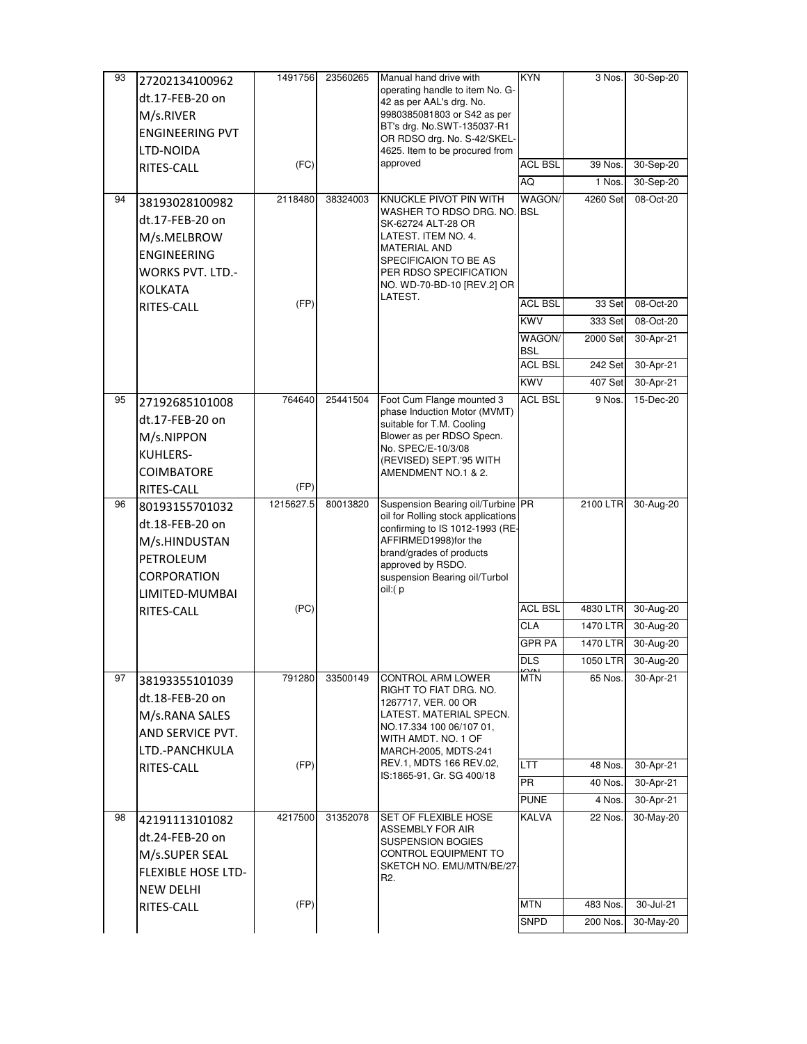| 93 | 27202134100962               | 1491756   | 23560265 | Manual hand drive with                                        | <b>KYN</b>       | 3 Nos.   | 30-Sep-20          |
|----|------------------------------|-----------|----------|---------------------------------------------------------------|------------------|----------|--------------------|
|    | dt.17-FEB-20 on              |           |          | operating handle to item No. G-<br>42 as per AAL's drg. No.   |                  |          |                    |
|    | M/s.RIVER                    |           |          | 9980385081803 or S42 as per                                   |                  |          |                    |
|    | <b>ENGINEERING PVT</b>       |           |          | BT's drg. No.SWT-135037-R1                                    |                  |          |                    |
|    | LTD-NOIDA                    |           |          | OR RDSO drg. No. S-42/SKEL-<br>4625. Item to be procured from |                  |          |                    |
|    | RITES-CALL                   | (FC)      |          | approved                                                      | <b>ACL BSL</b>   | 39 Nos.  | 30-Sep-20          |
|    |                              |           |          |                                                               | AQ               | 1 Nos.   | 30-Sep-20          |
| 94 | 38193028100982               | 2118480   | 38324003 | KNUCKLE PIVOT PIN WITH                                        | WAGON/           | 4260 Set | 08-Oct-20          |
|    | dt.17-FEB-20 on              |           |          | WASHER TO RDSO DRG. NO. BSL                                   |                  |          |                    |
|    |                              |           |          | SK-62724 ALT-28 OR<br>LATEST. ITEM NO. 4.                     |                  |          |                    |
|    | M/s.MELBROW                  |           |          | <b>MATERIAL AND</b>                                           |                  |          |                    |
|    | <b>ENGINEERING</b>           |           |          | SPECIFICAION TO BE AS                                         |                  |          |                    |
|    | WORKS PVT. LTD.-             |           |          | PER RDSO SPECIFICATION<br>NO. WD-70-BD-10 [REV.2] OR          |                  |          |                    |
|    | <b>KOLKATA</b>               | (FP)      |          | LATEST.                                                       | <b>ACL BSL</b>   | 33 Set   | 08-Oct-20          |
|    | RITES-CALL                   |           |          |                                                               | <b>KWV</b>       | 333 Set  | 08-Oct-20          |
|    |                              |           |          |                                                               | WAGON/           | 2000 Set | 30-Apr-21          |
|    |                              |           |          |                                                               | <b>BSL</b>       |          |                    |
|    |                              |           |          |                                                               | ACL BSL          | 242 Set  | 30-Apr-21          |
|    |                              |           |          |                                                               | <b>KWV</b>       | 407 Set  | 30-Apr-21          |
| 95 | 27192685101008               | 764640    | 25441504 | Foot Cum Flange mounted 3                                     | <b>ACL BSL</b>   | 9 Nos.   | 15-Dec-20          |
|    | dt.17-FEB-20 on              |           |          | phase Induction Motor (MVMT)<br>suitable for T.M. Cooling     |                  |          |                    |
|    | M/s.NIPPON                   |           |          | Blower as per RDSO Specn.                                     |                  |          |                    |
|    | KUHLERS-                     |           |          | No. SPEC/E-10/3/08                                            |                  |          |                    |
|    | <b>COIMBATORE</b>            |           |          | (REVISED) SEPT.'95 WITH<br>AMENDMENT NO.1 & 2.                |                  |          |                    |
|    | RITES-CALL                   | (FP)      |          |                                                               |                  |          |                    |
| 96 | 80193155701032               | 1215627.5 | 80013820 | Suspension Bearing oil/Turbine PR                             |                  | 2100 LTR | 30-Aug-20          |
|    | dt.18-FEB-20 on              |           |          | oil for Rolling stock applications                            |                  |          |                    |
|    | M/s.HINDUSTAN                |           |          | confirming to IS 1012-1993 (RE-<br>AFFIRMED1998)for the       |                  |          |                    |
|    | PETROLEUM                    |           |          | brand/grades of products                                      |                  |          |                    |
|    | CORPORATION                  |           |          | approved by RSDO.                                             |                  |          |                    |
|    |                              |           |          | suspension Bearing oil/Turbol<br>oil:(p                       |                  |          |                    |
|    | LIMITED-MUMBAI<br>RITES-CALL | (PC)      |          |                                                               | <b>ACL BSL</b>   | 4830 LTR | 30-Aug-20          |
|    |                              |           |          |                                                               | <b>CLA</b>       | 1470 LTR | 30-Aug-20          |
|    |                              |           |          |                                                               | <b>GPR PA</b>    | 1470 LTR | 30-Aug-20          |
|    |                              |           |          |                                                               | $\overline{DLS}$ |          | 1050 LTR 30-Aug-20 |
| 97 | 38193355101039               | 791280    | 33500149 | <b>CONTROL ARM LOWER</b>                                      | <b>KITN</b>      | 65 Nos.  | 30-Apr-21          |
|    |                              |           |          | RIGHT TO FIAT DRG. NO.                                        |                  |          |                    |
|    | dt.18-FEB-20 on              |           |          | 1267717, VER. 00 OR                                           |                  |          |                    |
|    | M/s.RANA SALES               |           |          | LATEST. MATERIAL SPECN.<br>NO.17.334 100 06/107 01,           |                  |          |                    |
|    | AND SERVICE PVT.             |           |          | WITH AMDT. NO. 1 OF                                           |                  |          |                    |
|    | LTD.-PANCHKULA               | (FP)      |          | MARCH-2005, MDTS-241<br>REV.1, MDTS 166 REV.02,               | LTT.             | 48 Nos.  | 30-Apr-21          |
|    | RITES-CALL                   |           |          | IS:1865-91, Gr. SG 400/18                                     | <b>PR</b>        | 40 Nos.  | 30-Apr-21          |
|    |                              |           |          |                                                               | <b>PUNE</b>      | 4 Nos.   | 30-Apr-21          |
| 98 |                              | 4217500   | 31352078 | SET OF FLEXIBLE HOSE                                          | KALVA            | 22 Nos.  | 30-May-20          |
|    | 42191113101082               |           |          | ASSEMBLY FOR AIR                                              |                  |          |                    |
|    | dt.24-FEB-20 on              |           |          | <b>SUSPENSION BOGIES</b>                                      |                  |          |                    |
|    | M/s.SUPER SEAL               |           |          | CONTROL EQUIPMENT TO<br>SKETCH NO. EMU/MTN/BE/27-             |                  |          |                    |
|    | <b>FLEXIBLE HOSE LTD-</b>    |           |          | R2.                                                           |                  |          |                    |
|    | <b>NEW DELHI</b>             | (FP)      |          |                                                               | <b>MTN</b>       | 483 Nos. | 30-Jul-21          |
|    | RITES-CALL                   |           |          |                                                               | <b>SNPD</b>      |          |                    |
|    |                              |           |          |                                                               |                  | 200 Nos. | 30-May-20          |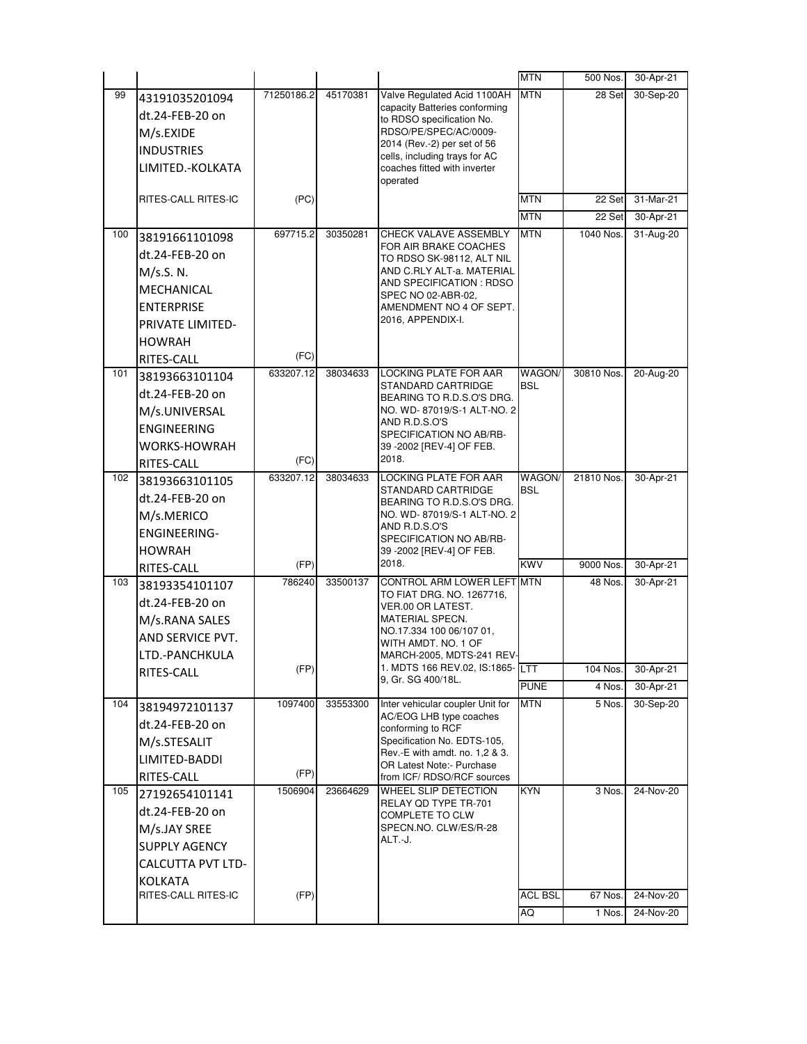|     |                          |            |          |                                                               | <b>MTN</b>     | 500 Nos.   | 30-Apr-21 |
|-----|--------------------------|------------|----------|---------------------------------------------------------------|----------------|------------|-----------|
| 99  | 43191035201094           | 71250186.2 | 45170381 | Valve Regulated Acid 1100AH                                   | <b>MTN</b>     | 28 Set     | 30-Sep-20 |
|     | dt.24-FEB-20 on          |            |          | capacity Batteries conforming<br>to RDSO specification No.    |                |            |           |
|     | M/s.EXIDE                |            |          | RDSO/PE/SPEC/AC/0009-                                         |                |            |           |
|     | <b>INDUSTRIES</b>        |            |          | 2014 (Rev.-2) per set of 56                                   |                |            |           |
|     | LIMITED.-KOLKATA         |            |          | cells, including trays for AC<br>coaches fitted with inverter |                |            |           |
|     |                          |            |          | operated                                                      |                |            |           |
|     | RITES-CALL RITES-IC      | (PC)       |          |                                                               | <b>MTN</b>     | 22 Set     | 31-Mar-21 |
|     |                          |            |          |                                                               | <b>MTN</b>     | 22 Set     | 30-Apr-21 |
| 100 | 38191661101098           | 697715.2   | 30350281 | CHECK VALAVE ASSEMBLY                                         | <b>MTN</b>     | 1040 Nos.  | 31-Aug-20 |
|     | dt.24-FEB-20 on          |            |          | FOR AIR BRAKE COACHES<br>TO RDSO SK-98112, ALT NIL            |                |            |           |
|     | M/s.S. N.                |            |          | AND C.RLY ALT-a. MATERIAL                                     |                |            |           |
|     | MECHANICAL               |            |          | AND SPECIFICATION : RDSO<br>SPEC NO 02-ABR-02,                |                |            |           |
|     | <b>ENTERPRISE</b>        |            |          | AMENDMENT NO 4 OF SEPT.                                       |                |            |           |
|     | PRIVATE LIMITED-         |            |          | 2016, APPENDIX-I.                                             |                |            |           |
|     | <b>HOWRAH</b>            |            |          |                                                               |                |            |           |
|     | RITES-CALL               | (FC)       |          |                                                               |                |            |           |
| 101 | 38193663101104           | 633207.12  | 38034633 | LOCKING PLATE FOR AAR                                         | WAGON/         | 30810 Nos. | 20-Aug-20 |
|     | dt.24-FEB-20 on          |            |          | STANDARD CARTRIDGE<br>BEARING TO R.D.S.O'S DRG.               | <b>BSL</b>     |            |           |
|     | M/s.UNIVERSAL            |            |          | NO. WD- 87019/S-1 ALT-NO. 2                                   |                |            |           |
|     | <b>ENGINEERING</b>       |            |          | AND R.D.S.O'S<br>SPECIFICATION NO AB/RB-                      |                |            |           |
|     | <b>WORKS-HOWRAH</b>      |            |          | 39 - 2002 [REV-4] OF FEB.                                     |                |            |           |
|     | RITES-CALL               | (FC)       |          | 2018.                                                         |                |            |           |
| 102 | 38193663101105           | 633207.12  | 38034633 | LOCKING PLATE FOR AAR                                         | WAGON/         | 21810 Nos. | 30-Apr-21 |
|     | dt.24-FEB-20 on          |            |          | STANDARD CARTRIDGE<br>BEARING TO R.D.S.O'S DRG.               | <b>BSL</b>     |            |           |
|     | M/s.MERICO               |            |          | NO. WD- 87019/S-1 ALT-NO. 2                                   |                |            |           |
|     | <b>ENGINEERING-</b>      |            |          | AND R.D.S.O'S                                                 |                |            |           |
|     | <b>HOWRAH</b>            |            |          | SPECIFICATION NO AB/RB-<br>39 -2002 [REV-4] OF FEB.           |                |            |           |
|     | RITES-CALL               | (FP)       |          | 2018.                                                         | <b>KWV</b>     | 9000 Nos.  | 30-Apr-21 |
| 103 | 38193354101107           | 786240     | 33500137 | CONTROL ARM LOWER LEFT MTN                                    |                | 48 Nos.    | 30-Apr-21 |
|     | dt.24-FEB-20 on          |            |          | TO FIAT DRG. NO. 1267716.                                     |                |            |           |
|     | M/s.RANA SALES           |            |          | VER.00 OR LATEST.<br>MATERIAL SPECN.                          |                |            |           |
|     | AND SERVICE PVT.         |            |          | NO.17.334 100 06/107 01.                                      |                |            |           |
|     | LTD.-PANCHKULA           |            |          | WITH AMDT. NO. 1 OF<br>MARCH-2005, MDTS-241 REV-              |                |            |           |
|     | RITES-CALL               | (FP)       |          | 1. MDTS 166 REV.02, IS:1865-LTT                               |                | 104 Nos.   | 30-Apr-21 |
|     |                          |            |          | 9, Gr. SG 400/18L.                                            | <b>PUNE</b>    | 4 Nos.     | 30-Apr-21 |
| 104 | 38194972101137           | 1097400    | 33553300 | Inter vehicular coupler Unit for                              | <b>MTN</b>     | 5 Nos.     | 30-Sep-20 |
|     | dt.24-FEB-20 on          |            |          | AC/EOG LHB type coaches<br>conforming to RCF                  |                |            |           |
|     | M/s.STESALIT             |            |          | Specification No. EDTS-105,                                   |                |            |           |
|     | LIMITED-BADDI            |            |          | Rev.-E with amdt. no. 1,2 & 3.                                |                |            |           |
|     | RITES-CALL               | (FP)       |          | OR Latest Note:- Purchase<br>from ICF/ RDSO/RCF sources       |                |            |           |
| 105 | 27192654101141           | 1506904    | 23664629 | WHEEL SLIP DETECTION                                          | KYN            | 3 Nos.     | 24-Nov-20 |
|     | dt.24-FEB-20 on          |            |          | RELAY OD TYPE TR-701                                          |                |            |           |
|     | M/s.JAY SREE             |            |          | COMPLETE TO CLW<br>SPECN.NO. CLW/ES/R-28                      |                |            |           |
|     | <b>SUPPLY AGENCY</b>     |            |          | ALT.-J.                                                       |                |            |           |
|     | <b>CALCUTTA PVT LTD-</b> |            |          |                                                               |                |            |           |
|     | <b>KOLKATA</b>           |            |          |                                                               |                |            |           |
|     | RITES-CALL RITES-IC      | (FP)       |          |                                                               | <b>ACL BSL</b> | 67 Nos.    | 24-Nov-20 |
|     |                          |            |          |                                                               | AQ             | 1 Nos.     | 24-Nov-20 |
|     |                          |            |          |                                                               |                |            |           |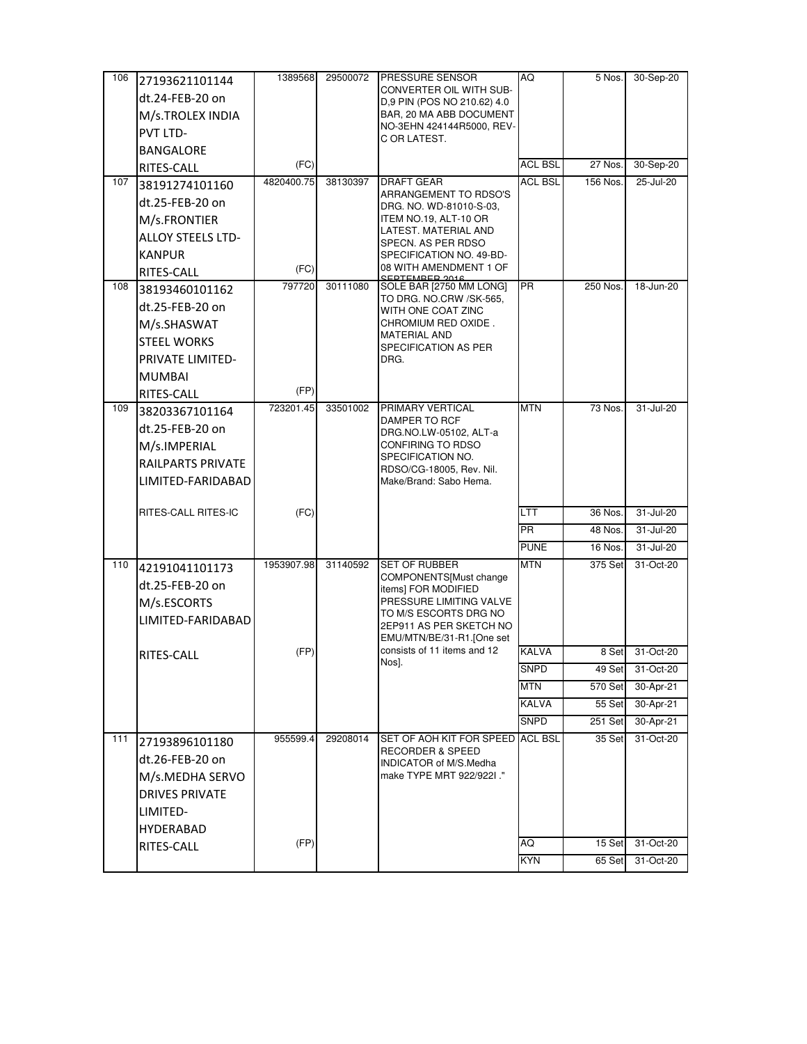| 106 | 27193621101144           | 1389568    | 29500072 | <b>PRESSURE SENSOR</b>                                          | AQ             | 5 Nos.         | 30-Sep-20     |
|-----|--------------------------|------------|----------|-----------------------------------------------------------------|----------------|----------------|---------------|
|     | dt.24-FEB-20 on          |            |          | CONVERTER OIL WITH SUB-<br>D.9 PIN (POS NO 210.62) 4.0          |                |                |               |
|     | M/s.TROLEX INDIA         |            |          | BAR, 20 MA ABB DOCUMENT                                         |                |                |               |
|     | <b>PVT LTD-</b>          |            |          | NO-3EHN 424144R5000, REV-                                       |                |                |               |
|     | <b>BANGALORE</b>         |            |          | C OR LATEST.                                                    |                |                |               |
|     | RITES-CALL               | (FC)       |          |                                                                 | <b>ACL BSL</b> | 27 Nos.        | 30-Sep-20     |
| 107 | 38191274101160           | 4820400.75 | 38130397 | <b>DRAFT GEAR</b>                                               | <b>ACL BSL</b> | 156 Nos.       | 25-Jul-20     |
|     | dt.25-FEB-20 on          |            |          | ARRANGEMENT TO RDSO'S                                           |                |                |               |
|     | M/s.FRONTIER             |            |          | DRG. NO. WD-81010-S-03.<br>ITEM NO.19, ALT-10 OR                |                |                |               |
|     | <b>ALLOY STEELS LTD-</b> |            |          | LATEST. MATERIAL AND                                            |                |                |               |
|     | <b>KANPUR</b>            |            |          | SPECN. AS PER RDSO<br>SPECIFICATION NO. 49-BD-                  |                |                |               |
|     | RITES-CALL               | (FC)       |          | 08 WITH AMENDMENT 1 OF                                          |                |                |               |
| 108 | 38193460101162           | 797720     | 30111080 | SOLE BAR [2750 MM LONG]                                         | PR.            | 250 Nos.       | 18-Jun-20     |
|     | dt.25-FEB-20 on          |            |          | TO DRG. NO.CRW /SK-565,<br>WITH ONE COAT ZINC                   |                |                |               |
|     | M/s.SHASWAT              |            |          | CHROMIUM RED OXIDE.                                             |                |                |               |
|     | <b>STEEL WORKS</b>       |            |          | <b>MATERIAL AND</b>                                             |                |                |               |
|     | PRIVATE LIMITED-         |            |          | SPECIFICATION AS PER<br>DRG.                                    |                |                |               |
|     | <b>MUMBAI</b>            |            |          |                                                                 |                |                |               |
|     | RITES-CALL               | (FP)       |          |                                                                 |                |                |               |
| 109 | 38203367101164           | 723201.45  | 33501002 | PRIMARY VERTICAL                                                | <b>MTN</b>     | 73 Nos.        | 31-Jul-20     |
|     | dt.25-FEB-20 on          |            |          | DAMPER TO RCF<br>DRG.NO.LW-05102, ALT-a                         |                |                |               |
|     | M/s.IMPERIAL             |            |          | CONFIRING TO RDSO                                               |                |                |               |
|     | RAILPARTS PRIVATE        |            |          | SPECIFICATION NO.                                               |                |                |               |
|     | LIMITED-FARIDABAD        |            |          | RDSO/CG-18005, Rev. Nil.<br>Make/Brand: Sabo Hema.              |                |                |               |
|     |                          |            |          |                                                                 |                |                |               |
|     | RITES-CALL RITES-IC      | (FC)       |          |                                                                 | LTT            | 36 Nos.        | 31-Jul-20     |
|     |                          |            |          |                                                                 | PR.            | 48 Nos.        | 31-Jul-20     |
|     |                          |            |          |                                                                 | <b>PUNE</b>    | 16 Nos.        | $31 -$ Jul-20 |
| 110 | 42191041101173           | 1953907.98 | 31140592 | <b>SET OF RUBBER</b><br>COMPONENTS[Must change                  | <b>MTN</b>     | 375 Set        | 31-Oct-20     |
|     | dt.25-FEB-20 on          |            |          | items] FOR MODIFIED                                             |                |                |               |
|     | M/s.ESCORTS              |            |          | PRESSURE LIMITING VALVE                                         |                |                |               |
|     | LIMITED-FARIDABAD        |            |          | TO M/S ESCORTS DRG NO<br>2EP911 AS PER SKETCH NO                |                |                |               |
|     |                          |            |          | EMU/MTN/BE/31-R1. [One set                                      |                |                |               |
|     | RITES-CALL               | (FP)       |          | consists of 11 items and 12<br>Nos].                            | <b>KALVA</b>   | 8 Set          | 31-Oct-20     |
|     |                          |            |          |                                                                 | SNPD           | 49 Set         | 31-Oct-20     |
|     |                          |            |          |                                                                 | <b>MTN</b>     | <b>570 Set</b> | 30-Apr-21     |
|     |                          |            |          |                                                                 | <b>KALVA</b>   | 55 Set         | 30-Apr-21     |
|     |                          |            |          |                                                                 | <b>SNPD</b>    | 251 Set        | 30-Apr-21     |
| 111 | 27193896101180           | 955599.4   | 29208014 | SET OF AOH KIT FOR SPEED ACL BSL<br><b>RECORDER &amp; SPEED</b> |                | 35 Set         | 31-Oct-20     |
|     | dt.26-FEB-20 on          |            |          | INDICATOR of M/S.Medha                                          |                |                |               |
|     | M/s.MEDHA SERVO          |            |          | make TYPE MRT 922/922I."                                        |                |                |               |
|     | <b>DRIVES PRIVATE</b>    |            |          |                                                                 |                |                |               |
|     | LIMITED-                 |            |          |                                                                 |                |                |               |
|     | HYDERABAD                | (FP)       |          |                                                                 | AQ             | 15 Set         | 31-Oct-20     |
|     | RITES-CALL               |            |          |                                                                 | <b>KYN</b>     | 65 Set         | 31-Oct-20     |
|     |                          |            |          |                                                                 |                |                |               |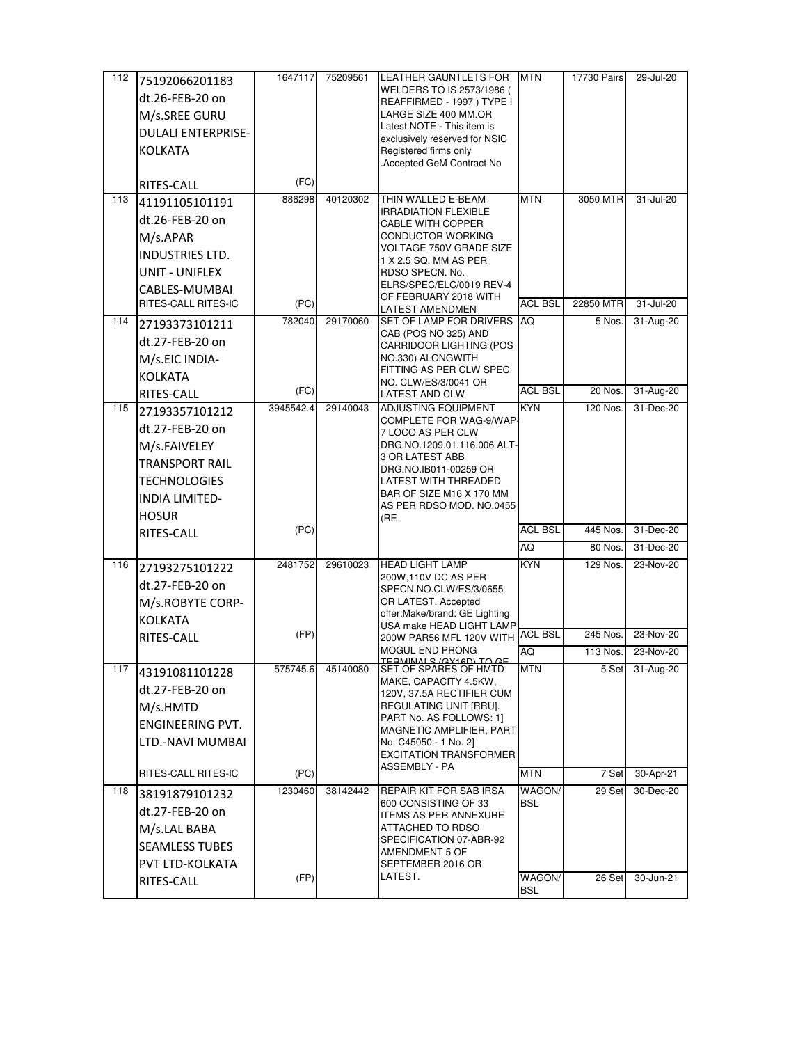| 112 | 75192066201183            | 1647117   | 75209561 | <b>LEATHER GAUNTLETS FOR</b>                           | <b>MTN</b>     | 17730 Pairs | 29-Jul-20 |
|-----|---------------------------|-----------|----------|--------------------------------------------------------|----------------|-------------|-----------|
|     | dt.26-FEB-20 on           |           |          | WELDERS TO IS 2573/1986 (<br>REAFFIRMED - 1997) TYPE I |                |             |           |
|     | M/s.SREE GURU             |           |          | LARGE SIZE 400 MM.OR                                   |                |             |           |
|     | <b>DULALI ENTERPRISE-</b> |           |          | Latest.NOTE:- This item is                             |                |             |           |
|     |                           |           |          | exclusively reserved for NSIC                          |                |             |           |
|     | <b>KOLKATA</b>            |           |          | Registered firms only<br>Accepted GeM Contract No      |                |             |           |
|     | RITES-CALL                | (FC)      |          |                                                        |                |             |           |
| 113 | 41191105101191            | 886298    | 40120302 | THIN WALLED E-BEAM                                     | <b>MTN</b>     | 3050 MTR    | 31-Jul-20 |
|     |                           |           |          | <b>IRRADIATION FLEXIBLE</b>                            |                |             |           |
|     | dt.26-FEB-20 on           |           |          | <b>CABLE WITH COPPER</b>                               |                |             |           |
|     | M/s.APAR                  |           |          | CONDUCTOR WORKING<br>VOLTAGE 750V GRADE SIZE           |                |             |           |
|     | INDUSTRIES LTD.           |           |          | 1 X 2.5 SQ. MM AS PER                                  |                |             |           |
|     | UNIT - UNIFLEX            |           |          | RDSO SPECN. No.                                        |                |             |           |
|     | CABLES-MUMBAI             |           |          | ELRS/SPEC/ELC/0019 REV-4<br>OF FEBRUARY 2018 WITH      |                |             |           |
|     | RITES-CALL RITES-IC       | (PC)      |          | LATEST AMENDMEN                                        | <b>ACL BSL</b> | 22850 MTR   | 31-Jul-20 |
| 114 | 27193373101211            | 782040    | 29170060 | SET OF LAMP FOR DRIVERS                                | AQ             | 5 Nos.      | 31-Aug-20 |
|     | dt.27-FEB-20 on           |           |          | CAB (POS NO 325) AND<br>CARRIDOOR LIGHTING (POS        |                |             |           |
|     | M/s.EIC INDIA-            |           |          | NO.330) ALONGWITH                                      |                |             |           |
|     | <b>KOLKATA</b>            |           |          | FITTING AS PER CLW SPEC                                |                |             |           |
|     | RITES-CALL                | (FC)      |          | NO. CLW/ES/3/0041 OR<br><b>LATEST AND CLW</b>          | <b>ACL BSL</b> | 20 Nos.     | 31-Aug-20 |
| 115 | 27193357101212            | 3945542.4 | 29140043 | <b>ADJUSTING EQUIPMENT</b>                             | <b>KYN</b>     | 120 Nos.    | 31-Dec-20 |
|     | dt.27-FEB-20 on           |           |          | COMPLETE FOR WAG-9/WAP                                 |                |             |           |
|     | M/s.FAIVELEY              |           |          | 7 LOCO AS PER CLW<br>DRG.NO.1209.01.116.006 ALT-       |                |             |           |
|     | <b>TRANSPORT RAIL</b>     |           |          | 3 OR LATEST ABB                                        |                |             |           |
|     | <b>TECHNOLOGIES</b>       |           |          | DRG.NO.IB011-00259 OR                                  |                |             |           |
|     |                           |           |          | LATEST WITH THREADED<br>BAR OF SIZE M16 X 170 MM       |                |             |           |
|     | INDIA LIMITED-            |           |          | AS PER RDSO MOD. NO.0455                               |                |             |           |
|     | <b>HOSUR</b>              | (PC)      |          | (RE                                                    | <b>ACL BSL</b> | 445 Nos.    | 31-Dec-20 |
|     | RITES-CALL                |           |          |                                                        | AQ             | 80 Nos.     | 31-Dec-20 |
| 116 | 27193275101222            | 2481752   | 29610023 | <b>HEAD LIGHT LAMP</b>                                 | <b>KYN</b>     | 129 Nos.    | 23-Nov-20 |
|     |                           |           |          | 200W, 110V DC AS PER                                   |                |             |           |
|     | dt.27-FEB-20 on           |           |          | SPECN.NO.CLW/ES/3/0655                                 |                |             |           |
|     | M/s.ROBYTE CORP-          |           |          | OR LATEST. Accepted<br>offer:Make/brand: GE Lighting   |                |             |           |
|     | KOLKATA                   |           |          | USA make HEAD LIGHT LAMP                               |                |             |           |
|     | RITES-CALL                | (FP)      |          | 200W PAR56 MFL 120V WITH                               | <b>ACL BSL</b> | 245 Nos.    | 23-Nov-20 |
|     |                           |           |          | MOGUL END PRONG<br>TEDMINIAI C (CV1CD) TO CE           | AQ             | 113 Nos.    | 23-Nov-20 |
| 117 | 43191081101228            | 575745.6  | 45140080 | SET OF SPARES OF HMTD<br>MAKE, CAPACITY 4.5KW,         | <b>MTN</b>     | 5 Set       | 31-Aug-20 |
|     | dt.27-FEB-20 on           |           |          | 120V, 37.5A RECTIFIER CUM                              |                |             |           |
|     | M/s.HMTD                  |           |          | REGULATING UNIT [RRU].                                 |                |             |           |
|     | <b>ENGINEERING PVT.</b>   |           |          | PART No. AS FOLLOWS: 1]<br>MAGNETIC AMPLIFIER, PART    |                |             |           |
|     | LTD.-NAVI MUMBAI          |           |          | No. C45050 - 1 No. 2]                                  |                |             |           |
|     |                           |           |          | <b>EXCITATION TRANSFORMER</b><br><b>ASSEMBLY - PA</b>  |                |             |           |
|     | RITES-CALL RITES-IC       | (PC)      |          |                                                        | <b>MTN</b>     | 7 Set       | 30-Apr-21 |
| 118 | 38191879101232            | 1230460   | 38142442 | REPAIR KIT FOR SAB IRSA                                | WAGON/         | 29 Set      | 30-Dec-20 |
|     | dt.27-FEB-20 on           |           |          | 600 CONSISTING OF 33<br><b>ITEMS AS PER ANNEXURE</b>   | <b>BSL</b>     |             |           |
|     | M/s.LAL BABA              |           |          | ATTACHED TO RDSO                                       |                |             |           |
|     | <b>SEAMLESS TUBES</b>     |           |          | SPECIFICATION 07-ABR-92<br>AMENDMENT 5 OF              |                |             |           |
|     | PVT LTD-KOLKATA           |           |          | SEPTEMBER 2016 OR                                      |                |             |           |
|     | RITES-CALL                | (FP)      |          | LATEST.                                                | WAGON/         | 26 Set      | 30-Jun-21 |
|     |                           |           |          |                                                        | <b>BSL</b>     |             |           |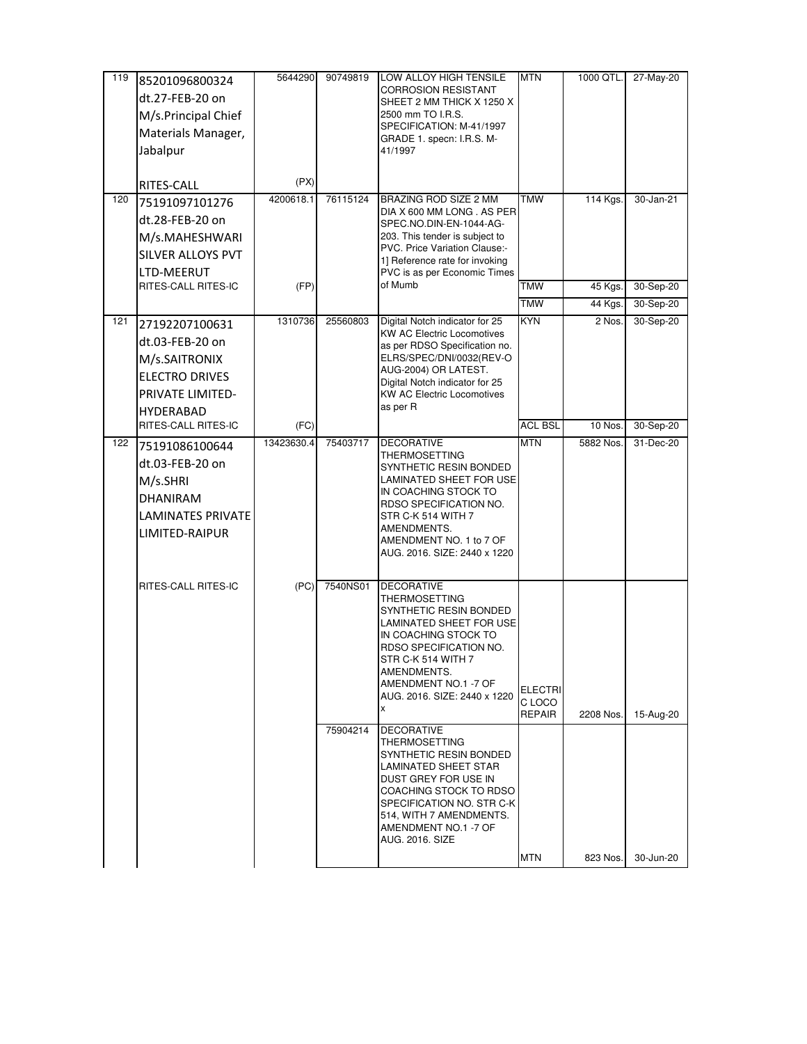| 119 | 85201096800324           | 5644290    | 90749819 | LOW ALLOY HIGH TENSILE<br><b>CORROSION RESISTANT</b>                   | <b>MTN</b>              | 1000 QTL. | 27-May-20 |
|-----|--------------------------|------------|----------|------------------------------------------------------------------------|-------------------------|-----------|-----------|
|     | dt.27-FEB-20 on          |            |          | SHEET 2 MM THICK X 1250 X                                              |                         |           |           |
|     | M/s.Principal Chief      |            |          | 2500 mm TO I.R.S.<br>SPECIFICATION: M-41/1997                          |                         |           |           |
|     | Materials Manager,       |            |          | GRADE 1. specn: I.R.S. M-                                              |                         |           |           |
|     | Jabalpur                 |            |          | 41/1997                                                                |                         |           |           |
|     | RITES-CALL               | (PX)       |          |                                                                        |                         |           |           |
| 120 | 75191097101276           | 4200618.1  | 76115124 | BRAZING ROD SIZE 2 MM<br>DIA X 600 MM LONG . AS PER                    | <b>TMW</b>              | 114 Kgs.  | 30-Jan-21 |
|     | dt.28-FEB-20 on          |            |          | SPEC.NO.DIN-EN-1044-AG-                                                |                         |           |           |
|     | M/s.MAHESHWARI           |            |          | 203. This tender is subject to<br><b>PVC. Price Variation Clause:-</b> |                         |           |           |
|     | SILVER ALLOYS PVT        |            |          | 1] Reference rate for invoking                                         |                         |           |           |
|     | LTD-MEERUT               |            |          | PVC is as per Economic Times                                           |                         |           |           |
|     | RITES-CALL RITES-IC      | (FP)       |          | of Mumb                                                                | <b>TMW</b>              | 45 Kgs.   | 30-Sep-20 |
|     |                          |            |          |                                                                        | <b>TMW</b>              | 44 Kgs.   | 30-Sep-20 |
| 121 | 27192207100631           | 1310736    | 25560803 | Digital Notch indicator for 25<br><b>KW AC Electric Locomotives</b>    | <b>KYN</b>              | 2 Nos.    | 30-Sep-20 |
|     | dt.03-FEB-20 on          |            |          | as per RDSO Specification no.                                          |                         |           |           |
|     | M/s.SAITRONIX            |            |          | ELRS/SPEC/DNI/0032(REV-O                                               |                         |           |           |
|     | <b>ELECTRO DRIVES</b>    |            |          | AUG-2004) OR LATEST.<br>Digital Notch indicator for 25                 |                         |           |           |
|     | PRIVATE LIMITED-         |            |          | <b>KW AC Electric Locomotives</b>                                      |                         |           |           |
|     | <b>HYDERABAD</b>         |            |          | as per R                                                               |                         |           |           |
|     | RITES-CALL RITES-IC      | (FC)       |          |                                                                        | <b>ACL BSL</b>          | 10 Nos.   | 30-Sep-20 |
| 122 | 75191086100644           | 13423630.4 | 75403717 | <b>DECORATIVE</b><br>THERMOSETTING                                     | <b>MTN</b>              | 5882 Nos. | 31-Dec-20 |
|     | dt.03-FEB-20 on          |            |          | SYNTHETIC RESIN BONDED                                                 |                         |           |           |
|     | M/s.SHRI                 |            |          | LAMINATED SHEET FOR USE                                                |                         |           |           |
|     | <b>DHANIRAM</b>          |            |          | IN COACHING STOCK TO<br>RDSO SPECIFICATION NO.                         |                         |           |           |
|     | <b>LAMINATES PRIVATE</b> |            |          | STR C-K 514 WITH 7                                                     |                         |           |           |
|     | LIMITED-RAIPUR           |            |          | AMENDMENTS.<br>AMENDMENT NO. 1 to 7 OF                                 |                         |           |           |
|     |                          |            |          | AUG. 2016. SIZE: 2440 x 1220                                           |                         |           |           |
|     |                          |            |          |                                                                        |                         |           |           |
|     | RITES-CALL RITES-IC      | (PC)       | 7540NS01 | <b>DECORATIVE</b>                                                      |                         |           |           |
|     |                          |            |          | <b>THERMOSETTING</b><br>SYNTHETIC RESIN BONDED                         |                         |           |           |
|     |                          |            |          | LAMINATED SHEET FOR USE                                                |                         |           |           |
|     |                          |            |          | IN COACHING STOCK TO<br>RDSO SPECIFICATION NO.                         |                         |           |           |
|     |                          |            |          | STR C-K 514 WITH 7                                                     |                         |           |           |
|     |                          |            |          | AMENDMENTS.                                                            |                         |           |           |
|     |                          |            |          | AMENDMENT NO.1 -7 OF<br>AUG. 2016. SIZE: 2440 x 1220                   | ELECTRI                 |           |           |
|     |                          |            |          | x                                                                      | C LOCO<br><b>REPAIR</b> | 2208 Nos. | 15-Aug-20 |
|     |                          |            | 75904214 | <b>DECORATIVE</b>                                                      |                         |           |           |
|     |                          |            |          | THERMOSETTING                                                          |                         |           |           |
|     |                          |            |          | SYNTHETIC RESIN BONDED<br>LAMINATED SHEET STAR                         |                         |           |           |
|     |                          |            |          | DUST GREY FOR USE IN                                                   |                         |           |           |
|     |                          |            |          | COACHING STOCK TO RDSO<br>SPECIFICATION NO. STR C-K                    |                         |           |           |
|     |                          |            |          | 514, WITH 7 AMENDMENTS.                                                |                         |           |           |
|     |                          |            |          | AMENDMENT NO.1 -7 OF                                                   |                         |           |           |
|     |                          |            |          | <b>AUG. 2016. SIZE</b>                                                 |                         |           |           |
|     |                          |            |          |                                                                        | <b>MTN</b>              | 823 Nos.  | 30-Jun-20 |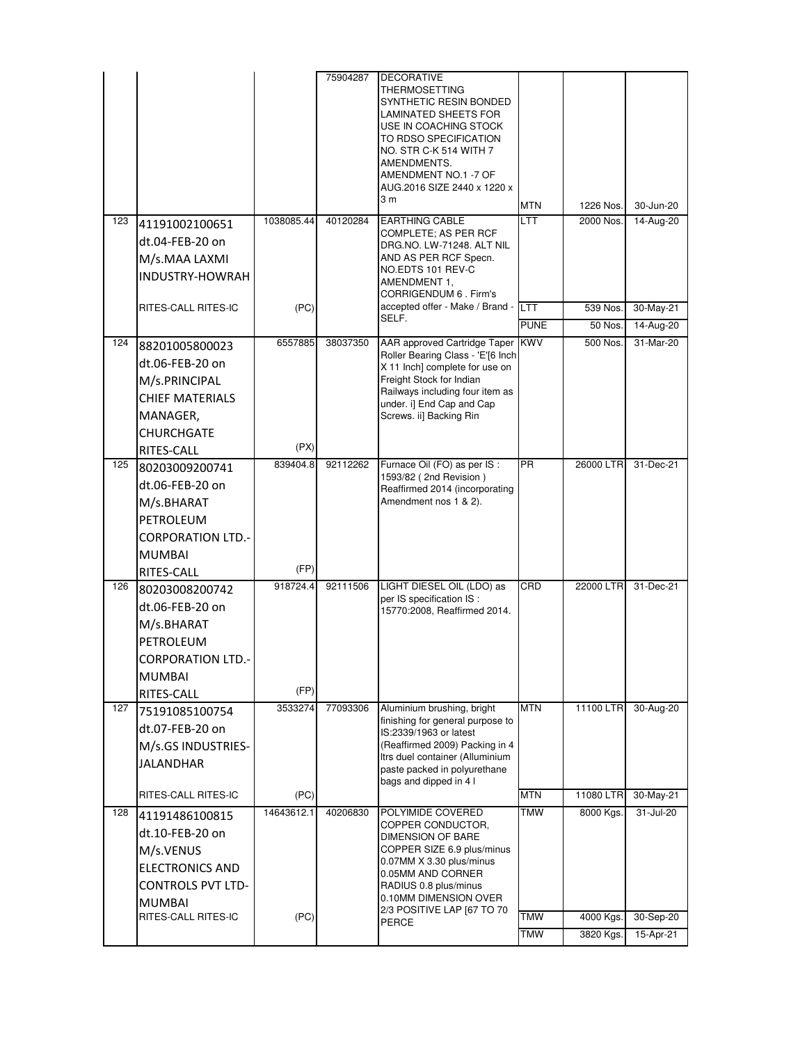|     |                          |            | 75904287 | <b>DECORATIVE</b>                                               |             |           |           |
|-----|--------------------------|------------|----------|-----------------------------------------------------------------|-------------|-----------|-----------|
|     |                          |            |          | THERMOSETTING                                                   |             |           |           |
|     |                          |            |          | SYNTHETIC RESIN BONDED                                          |             |           |           |
|     |                          |            |          | LAMINATED SHEETS FOR<br>USE IN COACHING STOCK                   |             |           |           |
|     |                          |            |          | TO RDSO SPECIFICATION                                           |             |           |           |
|     |                          |            |          | NO. STR C-K 514 WITH 7                                          |             |           |           |
|     |                          |            |          | AMENDMENTS.                                                     |             |           |           |
|     |                          |            |          | AMENDMENT NO.1 -7 OF                                            |             |           |           |
|     |                          |            |          | AUG.2016 SIZE 2440 x 1220 x<br>3 <sub>m</sub>                   |             |           |           |
|     |                          |            |          |                                                                 | <b>MTN</b>  | 1226 Nos. | 30-Jun-20 |
| 123 | 41191002100651           | 1038085.44 | 40120284 | <b>EARTHING CABLE</b><br>COMPLETE; AS PER RCF                   | LTT         | 2000 Nos. | 14-Aug-20 |
|     | dt.04-FEB-20 on          |            |          | DRG.NO. LW-71248. ALT NIL                                       |             |           |           |
|     | M/s.MAA LAXMI            |            |          | AND AS PER RCF Specn.                                           |             |           |           |
|     | <b>INDUSTRY-HOWRAH</b>   |            |          | NO.EDTS 101 REV-C                                               |             |           |           |
|     |                          |            |          | AMENDMENT 1,<br>CORRIGENDUM 6 . Firm's                          |             |           |           |
|     | RITES-CALL RITES-IC      | (PC)       |          | accepted offer - Make / Brand -                                 | LTT         | 539 Nos.  | 30-May-21 |
|     |                          |            |          | SELF.                                                           | <b>PUNE</b> | 50 Nos.   | 14-Aug-20 |
| 124 |                          | 6557885    | 38037350 | AAR approved Cartridge Taper                                    | <b>KWV</b>  | 500 Nos.  | 31-Mar-20 |
|     | 88201005800023           |            |          | Roller Bearing Class - 'E'[6 Inch                               |             |           |           |
|     | dt.06-FEB-20 on          |            |          | X 11 Inch] complete for use on                                  |             |           |           |
|     | M/s.PRINCIPAL            |            |          | Freight Stock for Indian                                        |             |           |           |
|     | <b>CHIEF MATERIALS</b>   |            |          | Railways including four item as<br>under. i] End Cap and Cap    |             |           |           |
|     | MANAGER,                 |            |          | Screws. ii] Backing Rin                                         |             |           |           |
|     | CHURCHGATE               |            |          |                                                                 |             |           |           |
|     | RITES-CALL               | (PX)       |          |                                                                 |             |           |           |
| 125 | 80203009200741           | 839404.8   | 92112262 | Furnace Oil (FO) as per IS :                                    | <b>PR</b>   | 26000 LTR | 31-Dec-21 |
|     | dt.06-FEB-20 on          |            |          | 1593/82 (2nd Revision)                                          |             |           |           |
|     |                          |            |          | Reaffirmed 2014 (incorporating<br>Amendment nos 1 & 2).         |             |           |           |
|     | M/s.BHARAT               |            |          |                                                                 |             |           |           |
|     | PETROLEUM                |            |          |                                                                 |             |           |           |
|     | <b>CORPORATION LTD.-</b> |            |          |                                                                 |             |           |           |
|     | MUMBAI                   |            |          |                                                                 |             |           |           |
|     | RITES-CALL               | (FP)       |          |                                                                 |             |           |           |
| 126 | 80203008200742           | 918724.4   | 92111506 | LIGHT DIESEL OIL (LDO) as                                       | CRD         | 22000 LTR | 31-Dec-21 |
|     | dt.06-FEB-20 on          |            |          | per IS specification IS :<br>15770:2008, Reaffirmed 2014.       |             |           |           |
|     | M/s.BHARAT               |            |          |                                                                 |             |           |           |
|     | PETROLEUM                |            |          |                                                                 |             |           |           |
|     | <b>CORPORATION LTD.</b>  |            |          |                                                                 |             |           |           |
|     |                          |            |          |                                                                 |             |           |           |
|     | <b>MUMBAI</b>            |            |          |                                                                 |             |           |           |
|     | RITES-CALL               | (FP)       |          |                                                                 |             |           |           |
| 127 | 75191085100754           | 3533274    | 77093306 | Aluminium brushing, bright<br>finishing for general purpose to  | <b>MTN</b>  | 11100 LTR | 30-Aug-20 |
|     | dt.07-FEB-20 on          |            |          | IS:2339/1963 or latest                                          |             |           |           |
|     | M/s.GS INDUSTRIES-       |            |          | (Reaffirmed 2009) Packing in 4                                  |             |           |           |
|     | <b>JALANDHAR</b>         |            |          | Itrs duel container (Alluminium<br>paste packed in polyurethane |             |           |           |
|     |                          |            |          | bags and dipped in 4 l                                          |             |           |           |
|     | RITES-CALL RITES-IC      | (PC)       |          |                                                                 | <b>MTN</b>  | 11080 LTR | 30-May-21 |
| 128 | 41191486100815           | 14643612.1 | 40206830 | POLYIMIDE COVERED                                               | TMW         | 8000 Kgs. | 31-Jul-20 |
|     | dt.10-FEB-20 on          |            |          | COPPER CONDUCTOR,                                               |             |           |           |
|     |                          |            |          | DIMENSION OF BARE<br>COPPER SIZE 6.9 plus/minus                 |             |           |           |
|     | M/s.VENUS                |            |          | 0.07MM X 3.30 plus/minus                                        |             |           |           |
|     | <b>ELECTRONICS AND</b>   |            |          | 0.05MM AND CORNER                                               |             |           |           |
|     | <b>CONTROLS PVT LTD-</b> |            |          | RADIUS 0.8 plus/minus                                           |             |           |           |
|     | MUMBAI                   |            |          | 0.10MM DIMENSION OVER<br>2/3 POSITIVE LAP [67 TO 70             |             |           |           |
|     | RITES-CALL RITES-IC      | (PC)       |          | PERCE                                                           | <b>TMW</b>  | 4000 Kgs. | 30-Sep-20 |
|     |                          |            |          |                                                                 | <b>TMW</b>  | 3820 Kgs. | 15-Apr-21 |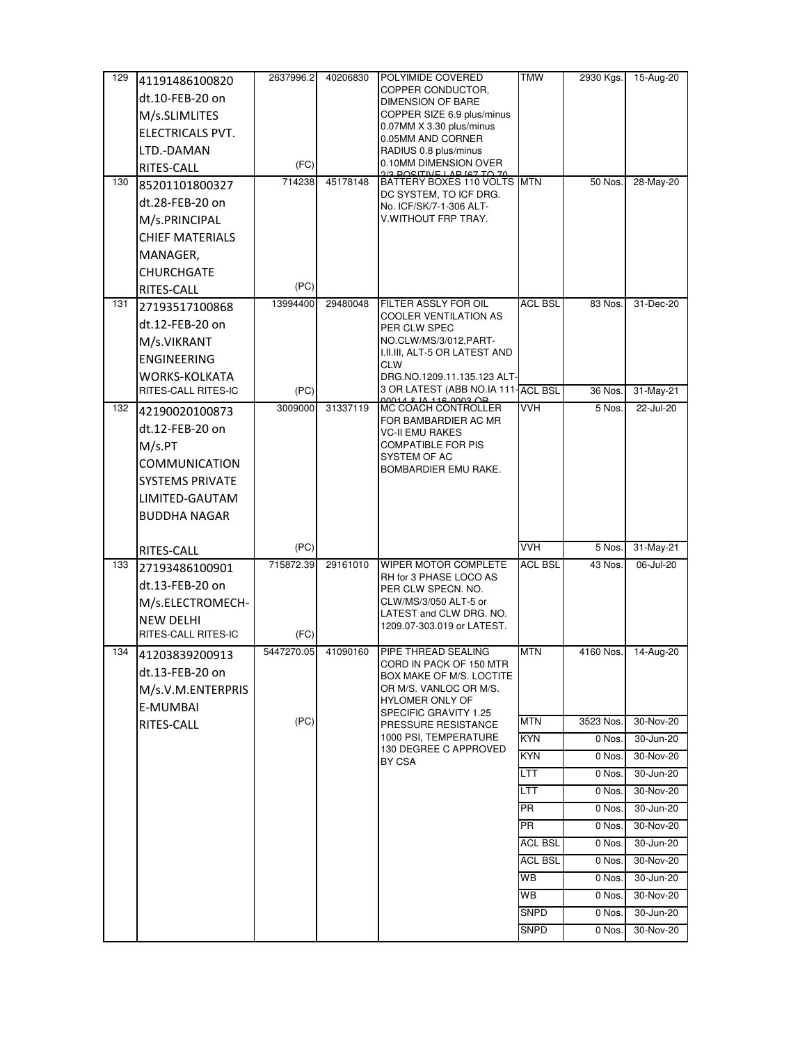| 129 | 41191486100820          | 2637996.2  | 40206830 | POLYIMIDE COVERED                                               | <b>TMW</b>     | 2930 Kgs. | 15-Aug-20 |
|-----|-------------------------|------------|----------|-----------------------------------------------------------------|----------------|-----------|-----------|
|     | dt.10-FEB-20 on         |            |          | COPPER CONDUCTOR,<br><b>DIMENSION OF BARE</b>                   |                |           |           |
|     | M/s.SLIMLITES           |            |          | COPPER SIZE 6.9 plus/minus                                      |                |           |           |
|     | <b>ELECTRICALS PVT.</b> |            |          | 0.07MM X 3.30 plus/minus                                        |                |           |           |
|     | LTD.-DAMAN              |            |          | 0.05MM AND CORNER<br>RADIUS 0.8 plus/minus                      |                |           |           |
|     | RITES-CALL              | (FC)       |          | 0.10MM DIMENSION OVER                                           |                |           |           |
| 130 | 85201101800327          | 714238     | 45178148 | <u>IO DOCITIVE LAB IST TO 70</u><br>BATTERY BOXES 110 VOLTS MTN |                | 50 Nos.   | 28-May-20 |
|     | dt.28-FEB-20 on         |            |          | DC SYSTEM, TO ICF DRG.<br>No. ICF/SK/7-1-306 ALT-               |                |           |           |
|     | M/s.PRINCIPAL           |            |          | V WITHOUT FRP TRAY.                                             |                |           |           |
|     | <b>CHIEF MATERIALS</b>  |            |          |                                                                 |                |           |           |
|     | MANAGER,                |            |          |                                                                 |                |           |           |
|     | <b>CHURCHGATE</b>       |            |          |                                                                 |                |           |           |
|     | RITES-CALL              | (PC)       |          |                                                                 |                |           |           |
| 131 | 27193517100868          | 13994400   | 29480048 | FILTER ASSLY FOR OIL                                            | <b>ACL BSL</b> | 83 Nos.   | 31-Dec-20 |
|     | dt.12-FEB-20 on         |            |          | COOLER VENTILATION AS<br>PER CLW SPEC                           |                |           |           |
|     | M/s.VIKRANT             |            |          | NO.CLW/MS/3/012,PART-                                           |                |           |           |
|     | <b>ENGINEERING</b>      |            |          | I.II.III, ALT-5 OR LATEST AND                                   |                |           |           |
|     | <b>WORKS-KOLKATA</b>    |            |          | <b>CLW</b><br>DRG.NO.1209.11.135.123 ALT-                       |                |           |           |
|     | RITES-CALL RITES-IC     | (PC)       |          | 3 OR LATEST (ABB NO.IA 111-                                     | <b>ACL BSL</b> | 36 Nos.   | 31-May-21 |
| 132 | 42190020100873          | 3009000    | 31337119 | <b>MC COACH CONTROLLER</b>                                      | <b>VVH</b>     | 5 Nos.    | 22-Jul-20 |
|     | dt.12-FEB-20 on         |            |          | FOR BAMBARDIER AC MR<br><b>VC-II EMU RAKES</b>                  |                |           |           |
|     | M/s.PT                  |            |          | <b>COMPATIBLE FOR PIS</b>                                       |                |           |           |
|     | COMMUNICATION           |            |          | SYSTEM OF AC                                                    |                |           |           |
|     | SYSTEMS PRIVATE         |            |          | BOMBARDIER EMU RAKE.                                            |                |           |           |
|     | LIMITED-GAUTAM          |            |          |                                                                 |                |           |           |
|     | <b>BUDDHA NAGAR</b>     |            |          |                                                                 |                |           |           |
|     |                         |            |          |                                                                 |                |           |           |
|     | RITES-CALL              | (PC)       |          |                                                                 | <b>VVH</b>     | 5 Nos.    | 31-May-21 |
| 133 | 27193486100901          | 715872.39  | 29161010 | WIPER MOTOR COMPLETE                                            | <b>ACL BSL</b> | 43 Nos.   | 06-Jul-20 |
|     | dt.13-FEB-20 on         |            |          | RH for 3 PHASE LOCO AS<br>PER CLW SPECN. NO.                    |                |           |           |
|     | M/s.ELECTROMECH-        |            |          | CLW/MS/3/050 ALT-5 or                                           |                |           |           |
|     | <b>NEW DELHI</b>        |            |          | LATEST and CLW DRG. NO.<br>1209.07-303.019 or LATEST.           |                |           |           |
|     | RITES-CALL RITES-IC     | (FC)       |          |                                                                 |                |           |           |
| 134 | 41203839200913          | 5447270.05 | 41090160 | PIPE THREAD SEALING                                             | <b>MTN</b>     | 4160 Nos. | 14-Aug-20 |
|     | dt.13-FEB-20 on         |            |          | CORD IN PACK OF 150 M I H<br>BOX MAKE OF M/S. LOCTITE           |                |           |           |
|     | M/s.V.M.ENTERPRIS       |            |          | OR M/S. VANLOC OR M/S.                                          |                |           |           |
|     | E-MUMBAI                |            |          | <b>HYLOMER ONLY OF</b><br>SPECIFIC GRAVITY 1.25                 |                |           |           |
|     | RITES-CALL              | (PC)       |          | PRESSURE RESISTANCE                                             | <b>MTN</b>     | 3523 Nos. | 30-Nov-20 |
|     |                         |            |          | 1000 PSI, TEMPERATURE<br>130 DEGREE C APPROVED                  | <b>KYN</b>     | 0 Nos.    | 30-Jun-20 |
|     |                         |            |          | BY CSA                                                          | <b>KYN</b>     | 0 Nos.    | 30-Nov-20 |
|     |                         |            |          |                                                                 | LTT            | 0 Nos.    | 30-Jun-20 |
|     |                         |            |          |                                                                 | LTT            | 0 Nos.    | 30-Nov-20 |
|     |                         |            |          |                                                                 | PR             | 0 Nos.    | 30-Jun-20 |
|     |                         |            |          |                                                                 | PR             | 0 Nos.    | 30-Nov-20 |
|     |                         |            |          |                                                                 | <b>ACL BSL</b> | 0 Nos.    | 30-Jun-20 |
|     |                         |            |          |                                                                 | <b>ACL BSL</b> | 0 Nos.    | 30-Nov-20 |
|     |                         |            |          |                                                                 | WB             | 0 Nos.    | 30-Jun-20 |
|     |                         |            |          |                                                                 | WB             | 0 Nos.    | 30-Nov-20 |
|     |                         |            |          |                                                                 | <b>SNPD</b>    | 0 Nos.    | 30-Jun-20 |
|     |                         |            |          |                                                                 | <b>SNPD</b>    | 0 Nos.    | 30-Nov-20 |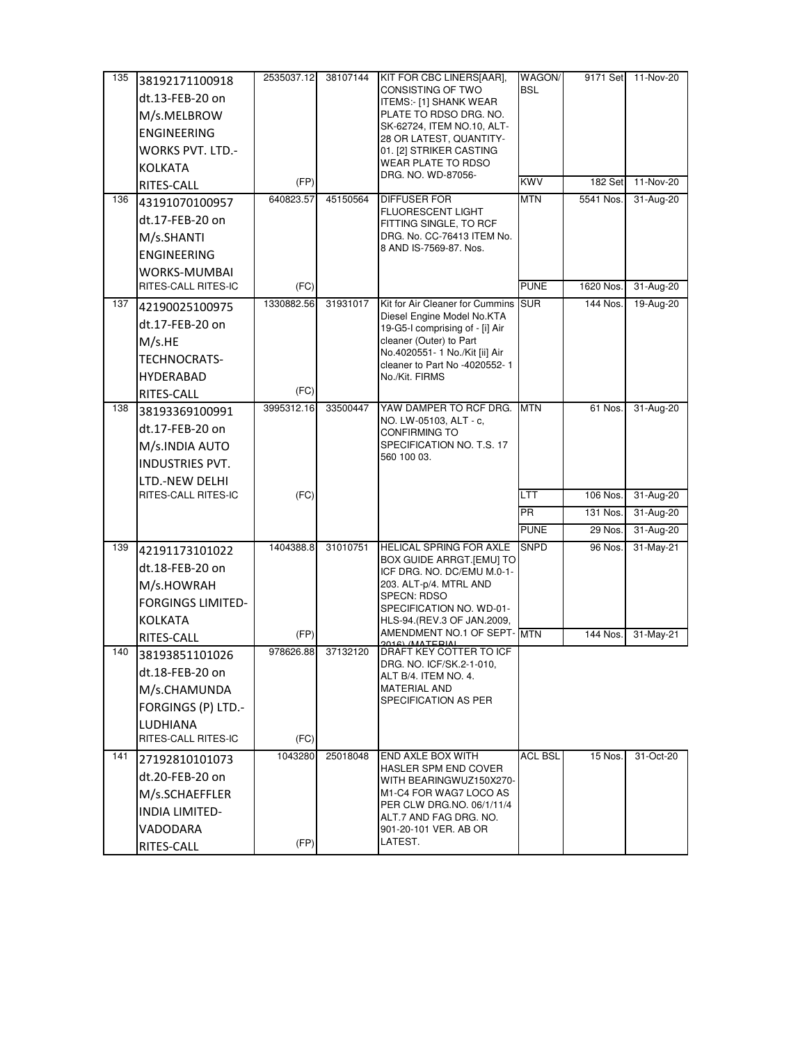| 135 | 38192171100918           | 2535037.12 | 38107144 | KIT FOR CBC LINERS[AAR],                                        | WAGON/         | 9171 Set  | 11-Nov-20 |
|-----|--------------------------|------------|----------|-----------------------------------------------------------------|----------------|-----------|-----------|
|     | dt.13-FEB-20 on          |            |          | CONSISTING OF TWO<br>ITEMS:- [1] SHANK WEAR                     | <b>BSL</b>     |           |           |
|     | M/s.MELBROW              |            |          | PLATE TO RDSO DRG. NO.                                          |                |           |           |
|     | <b>ENGINEERING</b>       |            |          | SK-62724, ITEM NO.10, ALT-<br>28 OR LATEST, QUANTITY-           |                |           |           |
|     | <b>WORKS PVT. LTD.-</b>  |            |          | 01. [2] STRIKER CASTING                                         |                |           |           |
|     | KOLKATA                  |            |          | WEAR PLATE TO RDSO                                              |                |           |           |
|     | RITES-CALL               | (FP)       |          | DRG. NO. WD-87056-                                              | <b>KWV</b>     | 182 Set   | 11-Nov-20 |
| 136 | 43191070100957           | 640823.57  | 45150564 | <b>DIFFUSER FOR</b>                                             | <b>MTN</b>     | 5541 Nos. | 31-Aug-20 |
|     | dt.17-FEB-20 on          |            |          | <b>FLUORESCENT LIGHT</b><br>FITTING SINGLE, TO RCF              |                |           |           |
|     | M/s.SHANTI               |            |          | DRG. No. CC-76413 ITEM No.                                      |                |           |           |
|     | <b>ENGINEERING</b>       |            |          | 8 AND IS-7569-87. Nos.                                          |                |           |           |
|     | <b>WORKS-MUMBAI</b>      |            |          |                                                                 |                |           |           |
|     | RITES-CALL RITES-IC      | (FC)       |          |                                                                 | <b>PUNE</b>    | 1620 Nos. | 31-Aug-20 |
| 137 | 42190025100975           | 1330882.56 | 31931017 | Kit for Air Cleaner for Cummins                                 | <b>SUR</b>     | 144 Nos.  | 19-Aug-20 |
|     | dt.17-FEB-20 on          |            |          | Diesel Engine Model No.KTA<br>19-G5-I comprising of - [i] Air   |                |           |           |
|     | M/s.HE                   |            |          | cleaner (Outer) to Part                                         |                |           |           |
|     | TECHNOCRATS-             |            |          | No.4020551- 1 No./Kit [ii] Air<br>cleaner to Part No -4020552-1 |                |           |           |
|     | <b>HYDERABAD</b>         |            |          | No./Kit. FIRMS                                                  |                |           |           |
|     | RITES-CALL               | (FC)       |          |                                                                 |                |           |           |
| 138 | 38193369100991           | 3995312.16 | 33500447 | YAW DAMPER TO RCF DRG.<br>NO. LW-05103, ALT - c,                | <b>MTN</b>     | 61 Nos.   | 31-Aug-20 |
|     | dt.17-FEB-20 on          |            |          | CONFIRMING TO                                                   |                |           |           |
|     | M/s.INDIA AUTO           |            |          | SPECIFICATION NO. T.S. 17                                       |                |           |           |
|     | <b>INDUSTRIES PVT.</b>   |            |          | 560 100 03.                                                     |                |           |           |
|     | LTD.-NEW DELHI           |            |          |                                                                 |                |           |           |
|     | RITES-CALL RITES-IC      | (FC)       |          |                                                                 | LTT            | 106 Nos.  | 31-Aug-20 |
|     |                          |            |          |                                                                 | <b>PR</b>      | 131 Nos.  | 31-Aug-20 |
|     |                          |            |          |                                                                 | <b>PUNE</b>    | 29 Nos.   | 31-Aug-20 |
| 139 | 42191173101022           | 1404388.8  | 31010751 | HELICAL SPRING FOR AXLE<br>BOX GUIDE ARRGT.[EMU] TO             | <b>SNPD</b>    | 96 Nos.   | 31-May-21 |
|     | dt.18-FEB-20 on          |            |          | ICF DRG. NO. DC/EMU M.0-1-                                      |                |           |           |
|     | M/s.HOWRAH               |            |          | 203. ALT-p/4. MTRL AND<br><b>SPECN: RDSO</b>                    |                |           |           |
|     | <b>FORGINGS LIMITED-</b> |            |          | SPECIFICATION NO. WD-01-                                        |                |           |           |
|     | <b>KOLKATA</b>           |            |          | HLS-94.(REV.3 OF JAN.2009,                                      |                |           |           |
|     | RITES-CALL               | (FP)       |          | AMENDMENT NO.1 OF SEPT-MTN                                      |                | 144 Nos.  | 31-May-21 |
| 140 | 38193851101026           | 978626.88  | 37132120 | DRAFT KEY COTTER TO ICF<br>DRG. NO. ICF/SK.2-1-010,             |                |           |           |
|     | dt.18-FEB-20 on          |            |          | ALT B/4. ITEM NO. 4.                                            |                |           |           |
|     | M/s.CHAMUNDA             |            |          | <b>MATERIAL AND</b><br>SPECIFICATION AS PER                     |                |           |           |
|     | FORGINGS (P) LTD.-       |            |          |                                                                 |                |           |           |
|     | LUDHIANA                 |            |          |                                                                 |                |           |           |
|     | RITES-CALL RITES-IC      | (FC)       |          |                                                                 |                |           |           |
| 141 | 27192810101073           | 1043280    | 25018048 | END AXLE BOX WITH<br><b>HASLER SPM END COVER</b>                | <b>ACL BSL</b> | 15 Nos.   | 31-Oct-20 |
|     | dt.20-FEB-20 on          |            |          | WITH BEARINGWUZ150X270-                                         |                |           |           |
|     | M/s.SCHAEFFLER           |            |          | M1-C4 FOR WAG7 LOCO AS<br>PER CLW DRG.NO. 06/1/11/4             |                |           |           |
|     | INDIA LIMITED-           |            |          | ALT.7 AND FAG DRG. NO.                                          |                |           |           |
|     | VADODARA                 |            |          | 901-20-101 VER. AB OR<br>LATEST.                                |                |           |           |
|     | RITES-CALL               | (FP)       |          |                                                                 |                |           |           |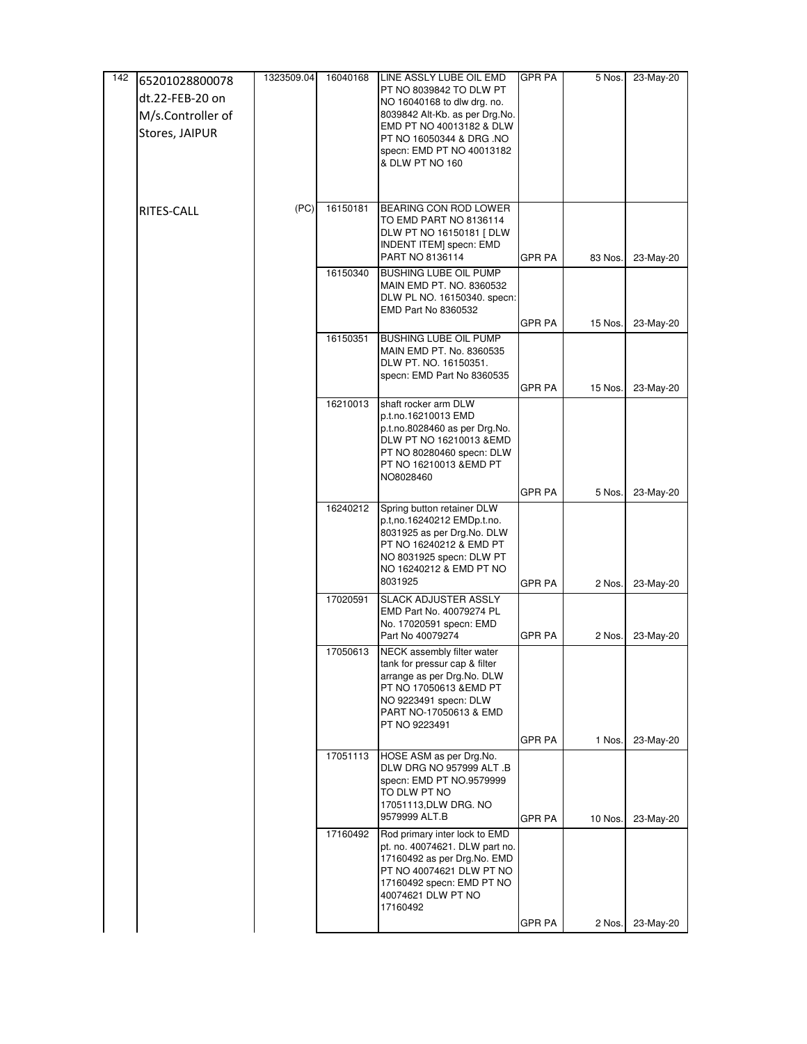| 142 | 65201028800078    | 1323509.04 | 16040168 | LINE ASSLY LUBE OIL EMD                                         | <b>GPR PA</b> | 5 Nos.  | 23-May-20 |
|-----|-------------------|------------|----------|-----------------------------------------------------------------|---------------|---------|-----------|
|     | dt.22-FEB-20 on   |            |          | PT NO 8039842 TO DLW PT<br>NO 16040168 to dlw drg. no.          |               |         |           |
|     | M/s.Controller of |            |          | 8039842 Alt-Kb. as per Drg.No.                                  |               |         |           |
|     | Stores, JAIPUR    |            |          | EMD PT NO 40013182 & DLW                                        |               |         |           |
|     |                   |            |          | PT NO 16050344 & DRG .NO<br>specn: EMD PT NO 40013182           |               |         |           |
|     |                   |            |          | & DLW PT NO 160                                                 |               |         |           |
|     |                   |            |          |                                                                 |               |         |           |
|     |                   |            |          |                                                                 |               |         |           |
|     | RITES-CALL        | (PC)       | 16150181 | BEARING CON ROD LOWER                                           |               |         |           |
|     |                   |            |          | TO EMD PART NO 8136114<br>DLW PT NO 16150181 [ DLW              |               |         |           |
|     |                   |            |          | INDENT ITEM] specn: EMD                                         |               |         |           |
|     |                   |            |          | PART NO 8136114                                                 | <b>GPR PA</b> | 83 Nos. | 23-May-20 |
|     |                   |            | 16150340 | <b>BUSHING LUBE OIL PUMP</b>                                    |               |         |           |
|     |                   |            |          | MAIN EMD PT. NO. 8360532<br>DLW PL NO. 16150340. specn:         |               |         |           |
|     |                   |            |          | EMD Part No 8360532                                             |               |         |           |
|     |                   |            |          |                                                                 | <b>GPR PA</b> | 15 Nos. | 23-May-20 |
|     |                   |            | 16150351 | BUSHING LUBE OIL PUMP<br>MAIN EMD PT. No. 8360535               |               |         |           |
|     |                   |            |          | DLW PT. NO. 16150351.                                           |               |         |           |
|     |                   |            |          | specn: EMD Part No 8360535                                      |               |         |           |
|     |                   |            |          |                                                                 | <b>GPR PA</b> | 15 Nos. | 23-May-20 |
|     |                   |            | 16210013 | shaft rocker arm DLW<br>p.t.no.16210013 EMD                     |               |         |           |
|     |                   |            |          | p.t.no.8028460 as per Drg.No.                                   |               |         |           |
|     |                   |            |          | DLW PT NO 16210013 &EMD                                         |               |         |           |
|     |                   |            |          | PT NO 80280460 specn: DLW<br>PT NO 16210013 &EMD PT             |               |         |           |
|     |                   |            |          | NO8028460                                                       |               |         |           |
|     |                   |            |          |                                                                 | <b>GPR PA</b> | 5 Nos.  | 23-May-20 |
|     |                   |            | 16240212 | Spring button retainer DLW                                      |               |         |           |
|     |                   |            |          | p.t,no.16240212 EMDp.t.no.<br>8031925 as per Drg.No. DLW        |               |         |           |
|     |                   |            |          | PT NO 16240212 & EMD PT                                         |               |         |           |
|     |                   |            |          | NO 8031925 specn: DLW PT                                        |               |         |           |
|     |                   |            |          | NO 16240212 & EMD PT NO<br>8031925                              | <b>GPR PA</b> |         |           |
|     |                   |            | 17020591 | <b>SLACK ADJUSTER ASSLY</b>                                     |               | 2 Nos.  | 23-May-20 |
|     |                   |            |          | EMD Part No. 40079274 PL                                        |               |         |           |
|     |                   |            |          | No. 17020591 specn: EMD                                         |               |         |           |
|     |                   |            |          | Part No 40079274                                                | GPR PA        | 2 Nos.  | 23-May-20 |
|     |                   |            | 17050613 | NECK assembly filter water<br>tank for pressur cap & filter     |               |         |           |
|     |                   |            |          | arrange as per Drg.No. DLW                                      |               |         |           |
|     |                   |            |          | PT NO 17050613 &EMD PT                                          |               |         |           |
|     |                   |            |          | NO 9223491 specn: DLW<br>PART NO-17050613 & EMD                 |               |         |           |
|     |                   |            |          | PT NO 9223491                                                   |               |         |           |
|     |                   |            |          |                                                                 | GPR PA        | 1 Nos.  | 23-May-20 |
|     |                   |            | 17051113 | HOSE ASM as per Drg.No.                                         |               |         |           |
|     |                   |            |          | DLW DRG NO 957999 ALT .B<br>specn: EMD PT NO.9579999            |               |         |           |
|     |                   |            |          | to dlw pt no                                                    |               |         |           |
|     |                   |            |          | 17051113, DLW DRG. NO<br>9579999 ALT.B                          |               |         |           |
|     |                   |            |          |                                                                 | <b>GPR PA</b> | 10 Nos. | 23-May-20 |
|     |                   |            | 17160492 | Rod primary inter lock to EMD<br>pt. no. 40074621. DLW part no. |               |         |           |
|     |                   |            |          | 17160492 as per Drg.No. EMD                                     |               |         |           |
|     |                   |            |          | PT NO 40074621 DLW PT NO<br>17160492 specn: EMD PT NO           |               |         |           |
|     |                   |            |          | 40074621 DLW PT NO                                              |               |         |           |
|     |                   |            |          | 17160492                                                        |               |         |           |
|     |                   |            |          |                                                                 | <b>GPR PA</b> | 2 Nos.  | 23-May-20 |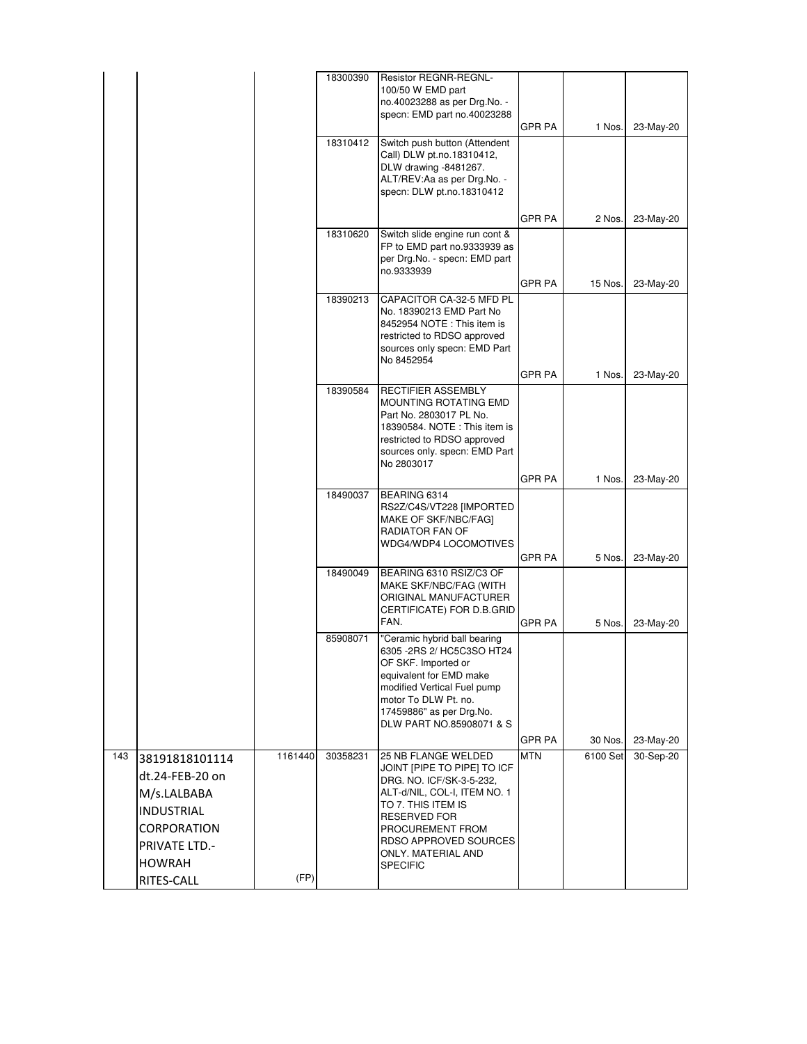|     |                      |         | 18300390 | Resistor REGNR-REGNL-                                          |               |          |           |
|-----|----------------------|---------|----------|----------------------------------------------------------------|---------------|----------|-----------|
|     |                      |         |          | 100/50 W EMD part<br>no.40023288 as per Drg.No. -              |               |          |           |
|     |                      |         |          | specn: EMD part no.40023288                                    |               |          |           |
|     |                      |         |          | Switch push button (Attendent                                  | <b>GPR PA</b> | 1 Nos.   | 23-May-20 |
|     |                      |         | 18310412 | Call) DLW pt.no.18310412,                                      |               |          |           |
|     |                      |         |          | DLW drawing -8481267.                                          |               |          |           |
|     |                      |         |          | ALT/REV:Aa as per Drg.No. -<br>specn: DLW pt.no.18310412       |               |          |           |
|     |                      |         |          |                                                                |               |          |           |
|     |                      |         |          |                                                                | GPR PA        | 2 Nos.   | 23-May-20 |
|     |                      |         | 18310620 | Switch slide engine run cont &<br>FP to EMD part no.9333939 as |               |          |           |
|     |                      |         |          | per Drg.No. - specn: EMD part                                  |               |          |           |
|     |                      |         |          | no.9333939                                                     | GPR PA        | 15 Nos.  | 23-May-20 |
|     |                      |         | 18390213 | CAPACITOR CA-32-5 MFD PL                                       |               |          |           |
|     |                      |         |          | No. 18390213 EMD Part No<br>8452954 NOTE: This item is         |               |          |           |
|     |                      |         |          | restricted to RDSO approved                                    |               |          |           |
|     |                      |         |          | sources only specn: EMD Part<br>No 8452954                     |               |          |           |
|     |                      |         |          |                                                                | GPR PA        | 1 Nos.   | 23-May-20 |
|     |                      |         | 18390584 | RECTIFIER ASSEMBLY                                             |               |          |           |
|     |                      |         |          | MOUNTING ROTATING EMD<br>Part No. 2803017 PL No.               |               |          |           |
|     |                      |         |          | 18390584. NOTE: This item is                                   |               |          |           |
|     |                      |         |          | restricted to RDSO approved<br>sources only. specn: EMD Part   |               |          |           |
|     |                      |         |          | No 2803017                                                     |               |          |           |
|     |                      |         |          |                                                                | GPR PA        | 1 Nos.   | 23-May-20 |
|     |                      |         | 18490037 | BEARING 6314                                                   |               |          |           |
|     |                      |         |          | RS2Z/C4S/VT228 [IMPORTED<br>MAKE OF SKF/NBC/FAG]               |               |          |           |
|     |                      |         |          | RADIATOR FAN OF<br>WDG4/WDP4 LOCOMOTIVES                       |               |          |           |
|     |                      |         |          |                                                                | GPR PA        | 5 Nos.   | 23-May-20 |
|     |                      |         | 18490049 | BEARING 6310 RSIZ/C3 OF                                        |               |          |           |
|     |                      |         |          | MAKE SKF/NBC/FAG (WITH<br>ORIGINAL MANUFACTURER                |               |          |           |
|     |                      |         |          | CERTIFICATE) FOR D.B.GRID                                      |               |          |           |
|     |                      |         |          | FAN.                                                           | GPR PA        | 5 Nos.   | 23-May-20 |
|     |                      |         | 85908071 | 'Ceramic hybrid ball bearing<br>6305 -2RS 2/ HC5C3SO HT24      |               |          |           |
|     |                      |         |          | OF SKF. Imported or                                            |               |          |           |
|     |                      |         |          | equivalent for EMD make<br>modified Vertical Fuel pump         |               |          |           |
|     |                      |         |          | motor To DLW Pt. no.                                           |               |          |           |
|     |                      |         |          | 17459886" as per Drg.No.<br>DLW PART NO.85908071 & S           |               |          |           |
|     |                      |         |          |                                                                | GPR PA        | 30 Nos.  | 23-May-20 |
| 143 | 38191818101114       | 1161440 | 30358231 | 25 NB FLANGE WELDED                                            | <b>MTN</b>    | 6100 Set | 30-Sep-20 |
|     | dt.24-FEB-20 on      |         |          | JOINT [PIPE TO PIPE] TO ICF<br>DRG. NO. ICF/SK-3-5-232,        |               |          |           |
|     | M/s.LALBABA          |         |          | ALT-d/NIL, COL-I, ITEM NO. 1                                   |               |          |           |
|     | <b>INDUSTRIAL</b>    |         |          | TO 7. THIS ITEM IS<br><b>RESERVED FOR</b>                      |               |          |           |
|     | <b>CORPORATION</b>   |         |          | PROCUREMENT FROM                                               |               |          |           |
|     | <b>PRIVATE LTD.-</b> |         |          | RDSO APPROVED SOURCES<br>ONLY. MATERIAL AND                    |               |          |           |
|     | <b>HOWRAH</b>        |         |          | <b>SPECIFIC</b>                                                |               |          |           |
|     | RITES-CALL           | (FP)    |          |                                                                |               |          |           |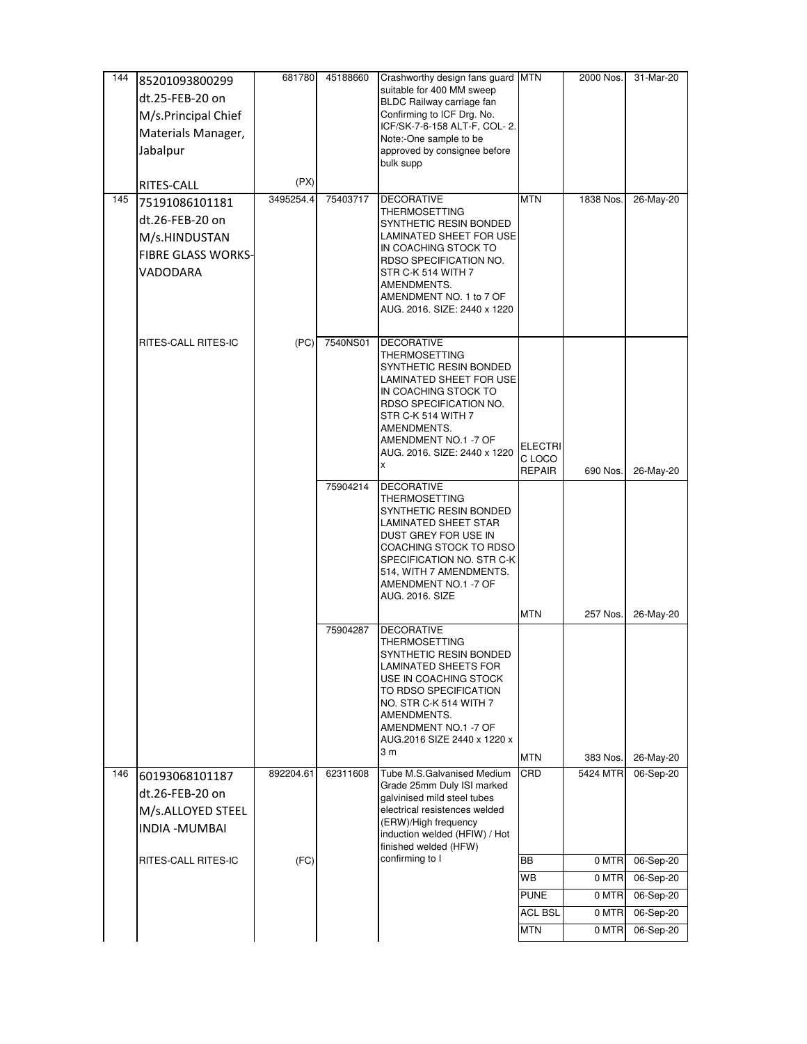| 144 | 85201093800299            | 681780    | 45188660 | Crashworthy design fans guard MTN                        |                          | 2000 Nos. | 31-Mar-20 |
|-----|---------------------------|-----------|----------|----------------------------------------------------------|--------------------------|-----------|-----------|
|     | dt.25-FEB-20 on           |           |          | suitable for 400 MM sweep<br>BLDC Railway carriage fan   |                          |           |           |
|     | M/s.Principal Chief       |           |          | Confirming to ICF Drg. No.                               |                          |           |           |
|     | Materials Manager,        |           |          | ICF/SK-7-6-158 ALT-F, COL-2.<br>Note:-One sample to be   |                          |           |           |
|     | Jabalpur                  |           |          | approved by consignee before                             |                          |           |           |
|     |                           |           |          | bulk supp                                                |                          |           |           |
|     | RITES-CALL                | (PX)      |          |                                                          |                          |           |           |
| 145 | 75191086101181            | 3495254.4 | 75403717 | <b>DECORATIVE</b>                                        | <b>MTN</b>               | 1838 Nos. | 26-May-20 |
|     | dt.26-FEB-20 on           |           |          | THERMOSETTING<br>SYNTHETIC RESIN BONDED                  |                          |           |           |
|     | M/s.HINDUSTAN             |           |          | LAMINATED SHEET FOR USE                                  |                          |           |           |
|     | <b>FIBRE GLASS WORKS-</b> |           |          | IN COACHING STOCK TO<br>RDSO SPECIFICATION NO.           |                          |           |           |
|     | VADODARA                  |           |          | STR C-K 514 WITH 7                                       |                          |           |           |
|     |                           |           |          | AMENDMENTS.<br>AMENDMENT NO. 1 to 7 OF                   |                          |           |           |
|     |                           |           |          | AUG. 2016. SIZE: 2440 x 1220                             |                          |           |           |
|     |                           |           |          |                                                          |                          |           |           |
|     | RITES-CALL RITES-IC       | (PC)      | 7540NS01 | <b>DECORATIVE</b>                                        |                          |           |           |
|     |                           |           |          | THERMOSETTING<br>SYNTHETIC RESIN BONDED                  |                          |           |           |
|     |                           |           |          | LAMINATED SHEET FOR USE                                  |                          |           |           |
|     |                           |           |          | IN COACHING STOCK TO<br>RDSO SPECIFICATION NO.           |                          |           |           |
|     |                           |           |          | STR C-K 514 WITH 7                                       |                          |           |           |
|     |                           |           |          | AMENDMENTS.<br>AMENDMENT NO.1 -7 OF                      |                          |           |           |
|     |                           |           |          | AUG. 2016. SIZE: 2440 x 1220                             | <b>ELECTRI</b><br>C LOCO |           |           |
|     |                           |           |          | x                                                        | <b>REPAIR</b>            | 690 Nos.  | 26-May-20 |
|     |                           |           | 75904214 | DECORATIVE                                               |                          |           |           |
|     |                           |           |          | THERMOSETTING<br>SYNTHETIC RESIN BONDED                  |                          |           |           |
|     |                           |           |          | LAMINATED SHEET STAR                                     |                          |           |           |
|     |                           |           |          | DUST GREY FOR USE IN<br>COACHING STOCK TO RDSO           |                          |           |           |
|     |                           |           |          | SPECIFICATION NO. STR C-K                                |                          |           |           |
|     |                           |           |          | 514, WITH 7 AMENDMENTS.<br>AMENDMENT NO.1 -7 OF          |                          |           |           |
|     |                           |           |          | AUG. 2016. SIZE                                          |                          |           |           |
|     |                           |           |          |                                                          | <b>MTN</b>               | 257 Nos.  | 26-May-20 |
|     |                           |           | 75904287 | <b>DECORATIVE</b><br>THERMOSETTING                       |                          |           |           |
|     |                           |           |          | SYNTHETIC RESIN BONDED                                   |                          |           |           |
|     |                           |           |          | LAMINATED SHEETS FOR<br>USE IN COACHING STOCK            |                          |           |           |
|     |                           |           |          | TO RDSO SPECIFICATION                                    |                          |           |           |
|     |                           |           |          | NO. STR C-K 514 WITH 7                                   |                          |           |           |
|     |                           |           |          | AMENDMENTS.<br>AMENDMENT NO.1 -7 OF                      |                          |           |           |
|     |                           |           |          | AUG.2016 SIZE 2440 x 1220 x                              |                          |           |           |
|     |                           |           |          | 3 m                                                      | <b>MTN</b>               | 383 Nos.  | 26-May-20 |
| 146 | 60193068101187            | 892204.61 | 62311608 | Tube M.S.Galvanised Medium<br>Grade 25mm Duly ISI marked | CRD                      | 5424 MTR  | 06-Sep-20 |
|     | dt.26-FEB-20 on           |           |          | galvinised mild steel tubes                              |                          |           |           |
|     | M/s.ALLOYED STEEL         |           |          | electrical resistences welded                            |                          |           |           |
|     | INDIA - MUMBAI            |           |          | (ERW)/High frequency<br>induction welded (HFIW) / Hot    |                          |           |           |
|     |                           |           |          | finished welded (HFW)                                    |                          |           |           |
|     | RITES-CALL RITES-IC       | (FC)      |          | confirming to I                                          | <b>BB</b>                | 0 MTR     | 06-Sep-20 |
|     |                           |           |          |                                                          | WB                       | 0 MTR     | 06-Sep-20 |
|     |                           |           |          |                                                          | <b>PUNE</b>              | 0 MTR     | 06-Sep-20 |
|     |                           |           |          |                                                          | <b>ACL BSL</b>           | 0 MTR     | 06-Sep-20 |
|     |                           |           |          |                                                          | <b>MTN</b>               | 0 MTR     | 06-Sep-20 |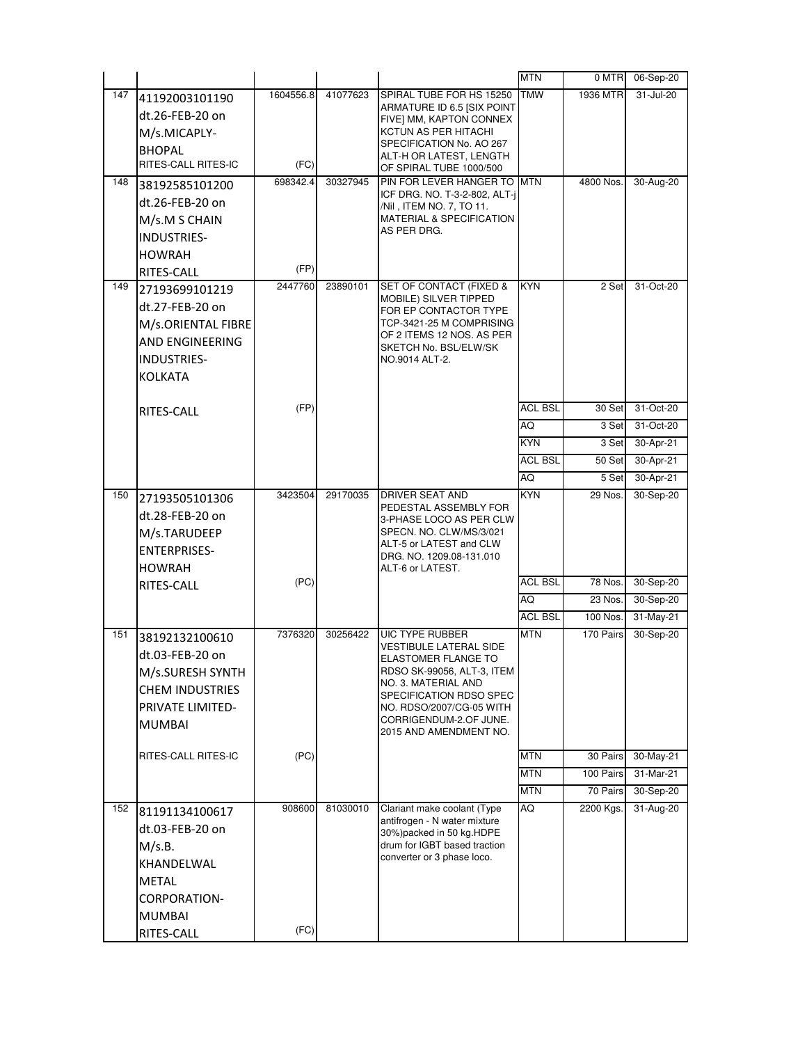|     |                         |           |          |                                                            | <b>MTN</b>     | 0 MTR     | 06-Sep-20 |
|-----|-------------------------|-----------|----------|------------------------------------------------------------|----------------|-----------|-----------|
| 147 | 41192003101190          | 1604556.8 | 41077623 | SPIRAL TUBE FOR HS 15250                                   | <b>TMW</b>     | 1936 MTR  | 31-Jul-20 |
|     | dt.26-FEB-20 on         |           |          | ARMATURE ID 6.5 [SIX POINT<br>FIVE] MM, KAPTON CONNEX      |                |           |           |
|     | M/s.MICAPLY-            |           |          | KCTUN AS PER HITACHI                                       |                |           |           |
|     | <b>BHOPAL</b>           |           |          | SPECIFICATION No. AO 267                                   |                |           |           |
|     | RITES-CALL RITES-IC     | (FC)      |          | ALT-H OR LATEST, LENGTH<br>OF SPIRAL TUBE 1000/500         |                |           |           |
| 148 | 38192585101200          | 698342.4  | 30327945 | PIN FOR LEVER HANGER TO                                    | <b>MTN</b>     | 4800 Nos. | 30-Aug-20 |
|     | dt.26-FEB-20 on         |           |          | ICF DRG. NO. T-3-2-802, ALT-j<br>/Nil , ITEM NO. 7, TO 11. |                |           |           |
|     | M/s.M S CHAIN           |           |          | <b>MATERIAL &amp; SPECIFICATION</b>                        |                |           |           |
|     | <b>INDUSTRIES-</b>      |           |          | AS PER DRG.                                                |                |           |           |
|     | <b>HOWRAH</b>           |           |          |                                                            |                |           |           |
|     | RITES-CALL              | (FP)      |          |                                                            |                |           |           |
| 149 | 27193699101219          | 2447760   | 23890101 | <b>SET OF CONTACT (FIXED &amp;</b>                         | <b>KYN</b>     | 2 Set     | 31-Oct-20 |
|     | dt.27-FEB-20 on         |           |          | MOBILE) SILVER TIPPED<br>FOR EP CONTACTOR TYPE             |                |           |           |
|     | M/s.ORIENTAL FIBRE      |           |          | TCP-3421-25 M COMPRISING                                   |                |           |           |
|     | AND ENGINEERING         |           |          | OF 2 ITEMS 12 NOS. AS PER<br>SKETCH No. BSL/ELW/SK         |                |           |           |
|     | <b>INDUSTRIES-</b>      |           |          | NO.9014 ALT-2.                                             |                |           |           |
|     | <b>KOLKATA</b>          |           |          |                                                            |                |           |           |
|     |                         |           |          |                                                            |                |           |           |
|     | RITES-CALL              | (FP)      |          |                                                            | <b>ACL BSL</b> | 30 Set    | 31-Oct-20 |
|     |                         |           |          |                                                            | AQ             | 3 Set     | 31-Oct-20 |
|     |                         |           |          |                                                            | <b>KYN</b>     | 3 Set     | 30-Apr-21 |
|     |                         |           |          |                                                            | <b>ACL BSL</b> | 50 Set    | 30-Apr-21 |
|     |                         |           |          |                                                            | AQ             | 5 Set     | 30-Apr-21 |
| 150 | 27193505101306          | 3423504   | 29170035 | DRIVER SEAT AND<br>PEDESTAL ASSEMBLY FOR                   | <b>KYN</b>     | 29 Nos.   | 30-Sep-20 |
|     | dt.28-FEB-20 on         |           |          | 3-PHASE LOCO AS PER CLW                                    |                |           |           |
|     | M/s.TARUDEEP            |           |          | SPECN. NO. CLW/MS/3/021                                    |                |           |           |
|     | <b>ENTERPRISES-</b>     |           |          | ALT-5 or LATEST and CLW<br>DRG. NO. 1209.08-131.010        |                |           |           |
|     | <b>HOWRAH</b>           |           |          | ALT-6 or LATEST.                                           |                |           |           |
|     | RITES-CALL              | (PC)      |          |                                                            | <b>ACL BSL</b> | 78 Nos.   | 30-Sep-20 |
|     |                         |           |          |                                                            | AQ             | 23 Nos.   | 30-Sep-20 |
|     |                         |           |          |                                                            | <b>ACL BSL</b> | 100 Nos.  | 31-May-21 |
| 151 | 38192132100610          | 7376320   | 30256422 | UIC TYPE RUBBER<br>VESTIBULE LATERAL SIDE                  | <b>MTN</b>     | 170 Pairs | 30-Sep-20 |
|     | dt.03-FEB-20 on         |           |          | ELASTOMER FLANGE TO                                        |                |           |           |
|     | M/s.SURESH SYNTH        |           |          | RDSO SK-99056, ALT-3, ITEM<br>NO. 3. MATERIAL AND          |                |           |           |
|     | <b>CHEM INDUSTRIES</b>  |           |          | SPECIFICATION RDSO SPEC                                    |                |           |           |
|     | <b>PRIVATE LIMITED-</b> |           |          | NO. RDSO/2007/CG-05 WITH<br>CORRIGENDUM-2.OF JUNE.         |                |           |           |
|     | <b>MUMBAI</b>           |           |          | 2015 AND AMENDMENT NO.                                     |                |           |           |
|     | RITES-CALL RITES-IC     | (PC)      |          |                                                            | <b>MTN</b>     | 30 Pairs  | 30-May-21 |
|     |                         |           |          |                                                            | <b>MTN</b>     | 100 Pairs | 31-Mar-21 |
|     |                         |           |          |                                                            | MTN            | 70 Pairs  | 30-Sep-20 |
| 152 |                         | 908600    | 81030010 | Clariant make coolant (Type                                | AQ             | 2200 Kgs. | 31-Aug-20 |
|     | 81191134100617          |           |          | antifrogen - N water mixture                               |                |           |           |
|     | dt.03-FEB-20 on         |           |          | 30%) packed in 50 kg. HDPE<br>drum for IGBT based traction |                |           |           |
|     | M/s.B.<br>KHANDELWAL    |           |          | converter or 3 phase loco.                                 |                |           |           |
|     |                         |           |          |                                                            |                |           |           |
|     | METAL                   |           |          |                                                            |                |           |           |
|     | <b>CORPORATION-</b>     |           |          |                                                            |                |           |           |
|     | <b>MUMBAI</b>           | (FC)      |          |                                                            |                |           |           |
|     | RITES-CALL              |           |          |                                                            |                |           |           |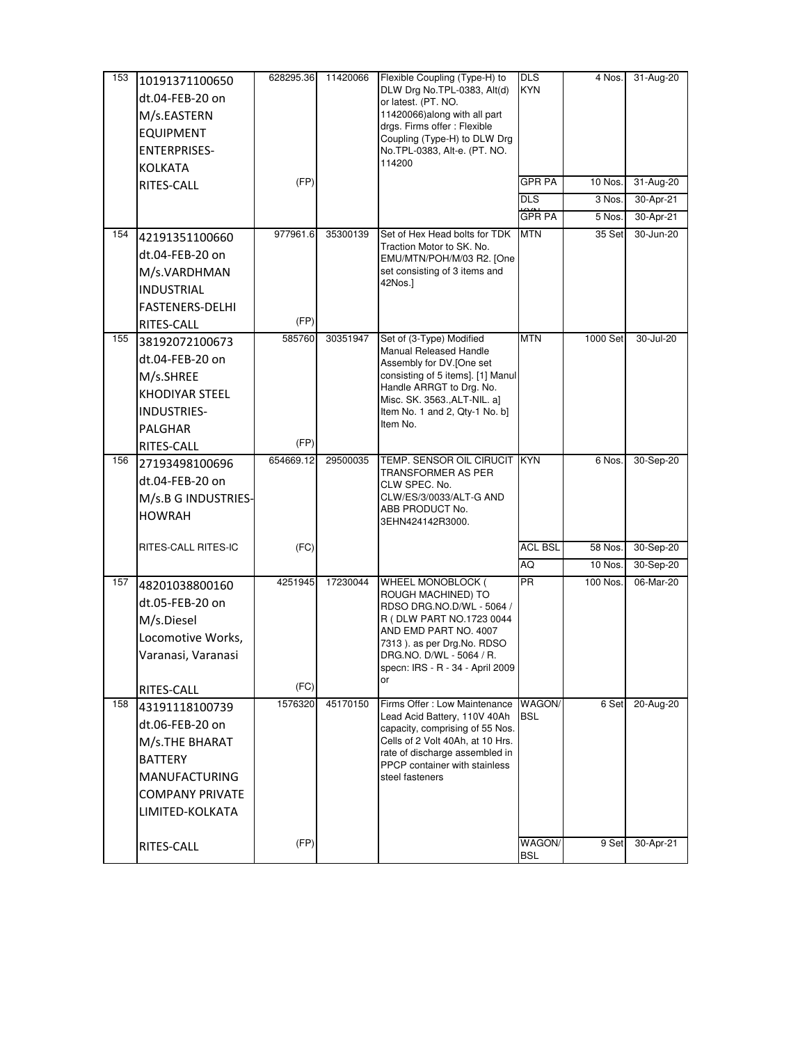| 153 | 10191371100650         | 628295.36 | 11420066 | Flexible Coupling (Type-H) to                                   | <b>DLS</b>           | 4 Nos.   | 31-Aug-20 |
|-----|------------------------|-----------|----------|-----------------------------------------------------------------|----------------------|----------|-----------|
|     | dt.04-FEB-20 on        |           |          | DLW Drg No.TPL-0383, Alt(d)<br>or latest. (PT. NO.              | <b>KYN</b>           |          |           |
|     | M/s.EASTERN            |           |          | 11420066) along with all part                                   |                      |          |           |
|     | <b>EQUIPMENT</b>       |           |          | drgs. Firms offer : Flexible                                    |                      |          |           |
|     | <b>ENTERPRISES-</b>    |           |          | Coupling (Type-H) to DLW Drg<br>No.TPL-0383, Alt-e. (PT. NO.    |                      |          |           |
|     | <b>KOLKATA</b>         |           |          | 114200                                                          |                      |          |           |
|     | RITES-CALL             | (FP)      |          |                                                                 | <b>GPR PA</b>        | 10 Nos.  | 31-Aug-20 |
|     |                        |           |          |                                                                 | <b>DLS</b>           | 3 Nos.   | 30-Apr-21 |
|     |                        |           |          |                                                                 | <b>GPR PA</b>        | 5 Nos.   | 30-Apr-21 |
| 154 | 42191351100660         | 977961.6  | 35300139 | Set of Hex Head bolts for TDK                                   | <b>MTN</b>           | 35 Set   | 30-Jun-20 |
|     | dt.04-FEB-20 on        |           |          | Traction Motor to SK. No.<br>EMU/MTN/POH/M/03 R2. [One          |                      |          |           |
|     | M/s.VARDHMAN           |           |          | set consisting of 3 items and                                   |                      |          |           |
|     | <b>INDUSTRIAL</b>      |           |          | 42Nos.]                                                         |                      |          |           |
|     | <b>FASTENERS-DELHI</b> |           |          |                                                                 |                      |          |           |
|     | RITES-CALL             | (FP)      |          |                                                                 |                      |          |           |
| 155 | 38192072100673         | 585760    | 30351947 | Set of (3-Type) Modified                                        | <b>MTN</b>           | 1000 Set | 30-Jul-20 |
|     | dt.04-FEB-20 on        |           |          | Manual Released Handle<br>Assembly for DV.[One set              |                      |          |           |
|     | M/s.SHREE              |           |          | consisting of 5 items]. [1] Manul                               |                      |          |           |
|     | KHODIYAR STEEL         |           |          | Handle ARRGT to Drg. No.<br>Misc. SK. 3563., ALT-NIL. a]        |                      |          |           |
|     | INDUSTRIES-            |           |          | Item No. 1 and 2, Qty-1 No. b]                                  |                      |          |           |
|     | PALGHAR                |           |          | Item No.                                                        |                      |          |           |
|     | RITES-CALL             | (FP)      |          |                                                                 |                      |          |           |
| 156 | 27193498100696         | 654669.12 | 29500035 | TEMP. SENSOR OIL CIRUCIT                                        | <b>KYN</b>           | 6 Nos.   | 30-Sep-20 |
|     | dt.04-FEB-20 on        |           |          | TRANSFORMER AS PER<br>CLW SPEC. No.                             |                      |          |           |
|     | M/s.B G INDUSTRIES-    |           |          | CLW/ES/3/0033/ALT-G AND                                         |                      |          |           |
|     | <b>HOWRAH</b>          |           |          | ABB PRODUCT No.<br>3EHN424142R3000.                             |                      |          |           |
|     |                        |           |          |                                                                 |                      |          |           |
|     | RITES-CALL RITES-IC    | (FC)      |          |                                                                 | <b>ACL BSL</b>       | 58 Nos.  | 30-Sep-20 |
|     |                        |           |          |                                                                 | AQ                   | 10 Nos.  | 30-Sep-20 |
| 157 | 48201038800160         | 4251945   | 17230044 | WHEEL MONOBLOCK (<br>ROUGH MACHINED) TO                         | <b>PR</b>            | 100 Nos. | 06-Mar-20 |
|     | dt.05-FEB-20 on        |           |          | RDSO DRG.NO.D/WL - 5064 /                                       |                      |          |           |
|     | M/s.Diesel             |           |          | R (DLW PART NO.1723 0044                                        |                      |          |           |
|     | Locomotive Works,      |           |          | AND EMD PART NO. 4007<br>7313). as per Drg.No. RDSO             |                      |          |           |
|     | Varanasi, Varanasi     |           |          | DRG.NO. D/WL - 5064 / R.                                        |                      |          |           |
|     |                        |           |          | specn: IRS - R - 34 - April 2009<br>or                          |                      |          |           |
|     | RITES-CALL             | (FC)      |          |                                                                 |                      |          |           |
| 158 | 43191118100739         | 1576320   | 45170150 | Firms Offer: Low Maintenance                                    | WAGON/<br><b>BSL</b> | 6 Set    | 20-Aug-20 |
|     | dt.06-FEB-20 on        |           |          | Lead Acid Battery, 110V 40Ah<br>capacity, comprising of 55 Nos. |                      |          |           |
|     | M/s.THE BHARAT         |           |          | Cells of 2 Volt 40Ah, at 10 Hrs.                                |                      |          |           |
|     | <b>BATTERY</b>         |           |          | rate of discharge assembled in<br>PPCP container with stainless |                      |          |           |
|     | <b>MANUFACTURING</b>   |           |          | steel fasteners                                                 |                      |          |           |
|     | <b>COMPANY PRIVATE</b> |           |          |                                                                 |                      |          |           |
|     | LIMITED-KOLKATA        |           |          |                                                                 |                      |          |           |
|     |                        |           |          |                                                                 |                      |          |           |
|     | RITES-CALL             | (FP)      |          |                                                                 | WAGON/<br><b>BSL</b> | 9 Set    | 30-Apr-21 |
|     |                        |           |          |                                                                 |                      |          |           |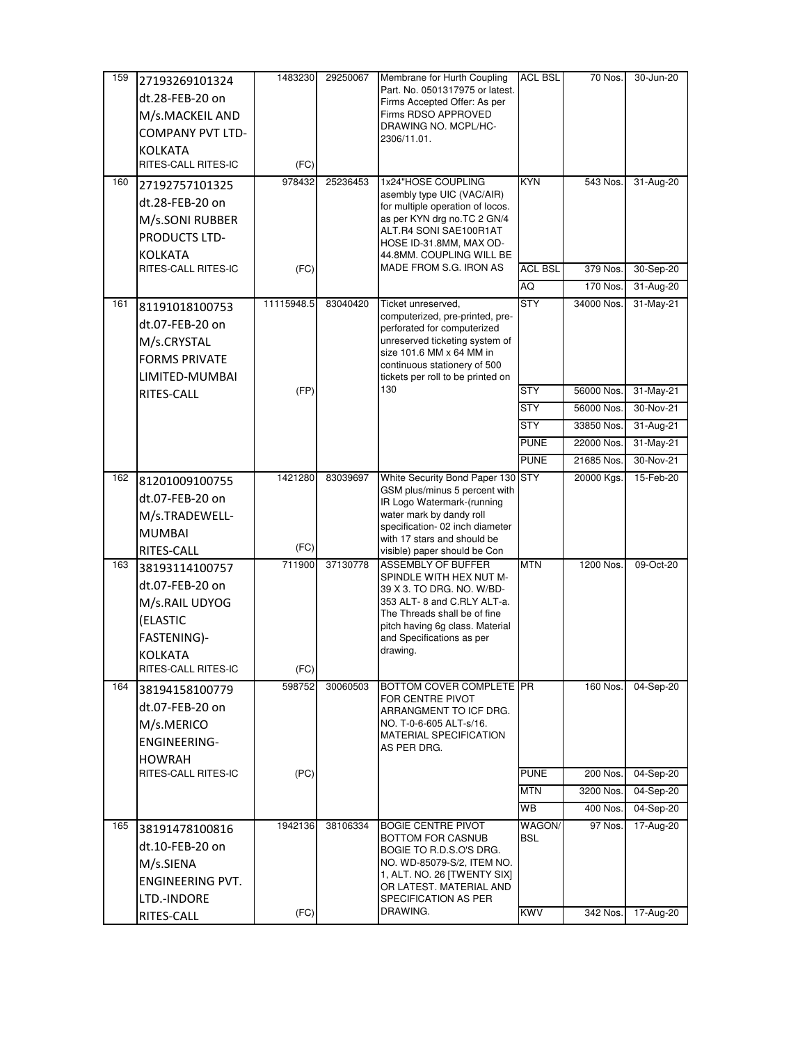| 159 | 27193269101324          | 1483230    | 29250067 | Membrane for Hurth Coupling                                       | <b>ACL BSL</b> | 70 Nos.    | 30-Jun-20 |
|-----|-------------------------|------------|----------|-------------------------------------------------------------------|----------------|------------|-----------|
|     | dt.28-FEB-20 on         |            |          | Part. No. 0501317975 or latest.                                   |                |            |           |
|     | M/s.MACKEIL AND         |            |          | Firms Accepted Offer: As per<br>Firms RDSO APPROVED               |                |            |           |
|     | <b>COMPANY PVT LTD-</b> |            |          | DRAWING NO. MCPL/HC-                                              |                |            |           |
|     | <b>KOLKATA</b>          |            |          | 2306/11.01.                                                       |                |            |           |
|     | RITES-CALL RITES-IC     | (FC)       |          |                                                                   |                |            |           |
| 160 | 27192757101325          | 978432     | 25236453 | 1x24"HOSE COUPLING                                                | <b>KYN</b>     | 543 Nos.   | 31-Aug-20 |
|     | dt.28-FEB-20 on         |            |          | asembly type UIC (VAC/AIR)<br>for multiple operation of locos.    |                |            |           |
|     | M/s.SONI RUBBER         |            |          | as per KYN drg no.TC 2 GN/4                                       |                |            |           |
|     | PRODUCTS LTD-           |            |          | ALT.R4 SONI SAE100R1AT                                            |                |            |           |
|     | <b>KOLKATA</b>          |            |          | HOSE ID-31.8MM, MAX OD-<br>44.8MM. COUPLING WILL BE               |                |            |           |
|     | RITES-CALL RITES-IC     | (FC)       |          | MADE FROM S.G. IRON AS                                            | <b>ACL BSL</b> | 379 Nos.   | 30-Sep-20 |
|     |                         |            |          |                                                                   | AQ             | 170 Nos.   | 31-Aug-20 |
| 161 | 81191018100753          | 11115948.5 | 83040420 | Ticket unreserved,                                                | <b>STY</b>     | 34000 Nos. | 31-May-21 |
|     | dt.07-FEB-20 on         |            |          | computerized, pre-printed, pre-                                   |                |            |           |
|     | M/s.CRYSTAL             |            |          | perforated for computerized<br>unreserved ticketing system of     |                |            |           |
|     | <b>FORMS PRIVATE</b>    |            |          | size 101.6 MM x 64 MM in                                          |                |            |           |
|     | LIMITED-MUMBAI          |            |          | continuous stationery of 500<br>tickets per roll to be printed on |                |            |           |
|     | RITES-CALL              | (FP)       |          | 130                                                               | <b>STY</b>     | 56000 Nos. | 31-May-21 |
|     |                         |            |          |                                                                   | <b>STY</b>     | 56000 Nos. | 30-Nov-21 |
|     |                         |            |          |                                                                   | <b>STY</b>     | 33850 Nos. | 31-Aug-21 |
|     |                         |            |          |                                                                   | <b>PUNE</b>    | 22000 Nos. | 31-May-21 |
|     |                         |            |          |                                                                   | <b>PUNE</b>    | 21685 Nos. | 30-Nov-21 |
| 162 | 81201009100755          | 1421280    | 83039697 | White Security Bond Paper 130 STY                                 |                | 20000 Kgs. | 15-Feb-20 |
|     | dt.07-FEB-20 on         |            |          | GSM plus/minus 5 percent with<br>IR Logo Watermark-(running       |                |            |           |
|     | M/s.TRADEWELL-          |            |          | water mark by dandy roll                                          |                |            |           |
|     | <b>MUMBAI</b>           |            |          | specification- 02 inch diameter<br>with 17 stars and should be    |                |            |           |
|     | RITES-CALL              | (FC)       |          | visible) paper should be Con                                      |                |            |           |
| 163 | 38193114100757          | 711900     | 37130778 | ASSEMBLY OF BUFFER                                                | <b>MTN</b>     | 1200 Nos.  | 09-Oct-20 |
|     | dt.07-FEB-20 on         |            |          | SPINDLE WITH HEX NUT M-<br>39 X 3. TO DRG. NO. W/BD-              |                |            |           |
|     | M/s.RAIL UDYOG          |            |          | 353 ALT-8 and C.RLY ALT-a.                                        |                |            |           |
|     | (ELASTIC                |            |          | The Threads shall be of fine                                      |                |            |           |
|     | FASTENING)-             |            |          | pitch having 6g class. Material<br>and Specifications as per      |                |            |           |
|     | <b>KOLKATA</b>          |            |          | drawing.                                                          |                |            |           |
|     | RITES-CALL RITES-IC     | (FC)       |          |                                                                   |                |            |           |
| 164 | 38194158100779          | 598752     | 30060503 | BOTTOM COVER COMPLETE PR                                          |                | 160 Nos.   | 04-Sep-20 |
|     | dt.07-FEB-20 on         |            |          | FOR CENTRE PIVOT<br>ARRANGMENT TO ICF DRG.                        |                |            |           |
|     | M/s.MERICO              |            |          | NO. T-0-6-605 ALT-s/16.                                           |                |            |           |
|     | <b>ENGINEERING-</b>     |            |          | <b>MATERIAL SPECIFICATION</b>                                     |                |            |           |
|     | <b>HOWRAH</b>           |            |          | AS PER DRG.                                                       |                |            |           |
|     | RITES-CALL RITES-IC     | (PC)       |          |                                                                   | <b>PUNE</b>    | 200 Nos.   | 04-Sep-20 |
|     |                         |            |          |                                                                   | <b>MTN</b>     | 3200 Nos.  | 04-Sep-20 |
|     |                         |            |          |                                                                   | <b>WB</b>      | 400 Nos.   | 04-Sep-20 |
| 165 | 38191478100816          | 1942136    | 38106334 | <b>BOGIE CENTRE PIVOT</b><br>BOTTOM FOR CASNUB                    | WAGON/<br>BSL  | 97 Nos.    | 17-Aug-20 |
|     | dt.10-FEB-20 on         |            |          | BOGIE TO R.D.S.O'S DRG.                                           |                |            |           |
|     | M/s.SIENA               |            |          | NO. WD-85079-S/2, ITEM NO.                                        |                |            |           |
|     | <b>ENGINEERING PVT.</b> |            |          | 1, ALT. NO. 26 [TWENTY SIX]<br>OR LATEST. MATERIAL AND            |                |            |           |
|     | LTD.-INDORE             |            |          | SPECIFICATION AS PER                                              |                |            |           |
|     | RITES-CALL              | (FC)       |          | DRAWING.                                                          | <b>KWV</b>     | 342 Nos.   | 17-Aug-20 |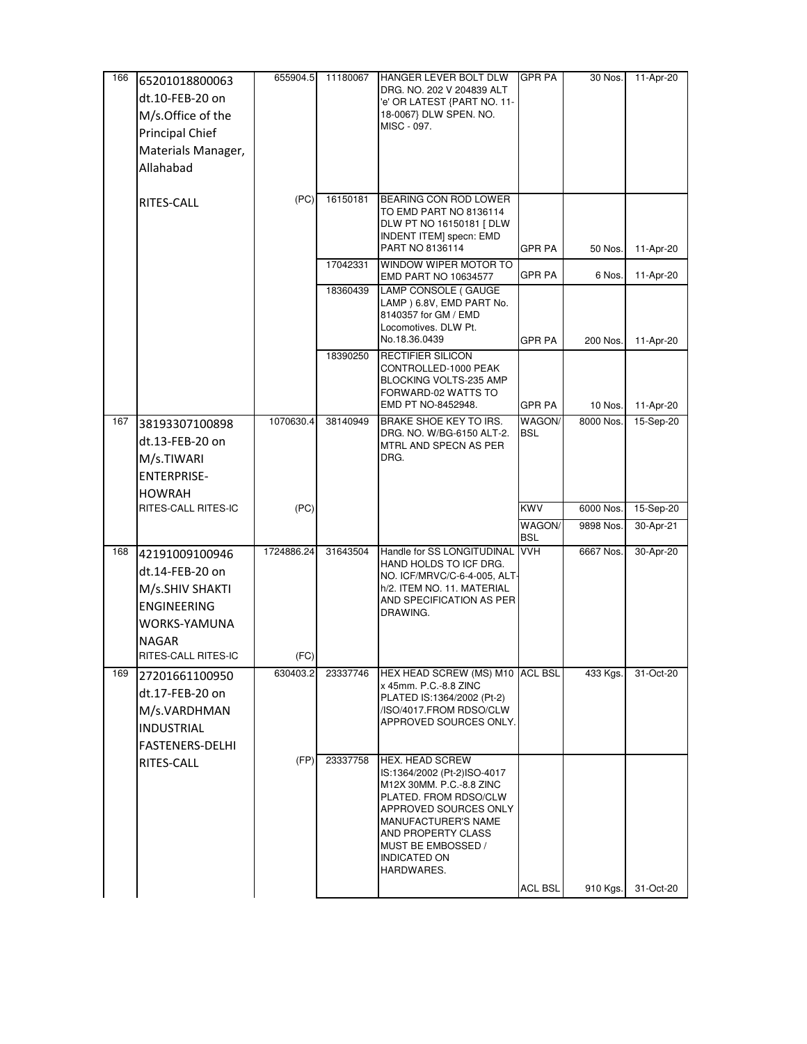| 166 | 65201018800063                                                                                   | 655904.5   | 11180067 | <b>HANGER LEVER BOLT DLW</b><br>DRG. NO. 202 V 204839 ALT                                                                                                                                                                            | <b>GPR PA</b> | 30 Nos.   | 11-Apr-20 |
|-----|--------------------------------------------------------------------------------------------------|------------|----------|--------------------------------------------------------------------------------------------------------------------------------------------------------------------------------------------------------------------------------------|---------------|-----------|-----------|
|     | dt.10-FEB-20 on                                                                                  |            |          | 'e' OR LATEST {PART NO. 11-                                                                                                                                                                                                          |               |           |           |
|     | M/s.Office of the                                                                                |            |          | 18-0067} DLW SPEN. NO.<br>MISC - 097.                                                                                                                                                                                                |               |           |           |
|     | Principal Chief                                                                                  |            |          |                                                                                                                                                                                                                                      |               |           |           |
|     | Materials Manager,                                                                               |            |          |                                                                                                                                                                                                                                      |               |           |           |
|     | Allahabad                                                                                        |            |          |                                                                                                                                                                                                                                      |               |           |           |
|     | RITES-CALL                                                                                       | (PC)       | 16150181 | BEARING CON ROD LOWER                                                                                                                                                                                                                |               |           |           |
|     |                                                                                                  |            |          | TO EMD PART NO 8136114<br>DLW PT NO 16150181 [ DLW<br><b>INDENT ITEM] specn: EMD</b>                                                                                                                                                 |               |           |           |
|     |                                                                                                  |            |          | PART NO 8136114                                                                                                                                                                                                                      | <b>GPR PA</b> | 50 Nos.   | 11-Apr-20 |
|     |                                                                                                  |            | 17042331 | WINDOW WIPER MOTOR TO<br>EMD PART NO 10634577                                                                                                                                                                                        | GPR PA        | 6 Nos.    | 11-Apr-20 |
|     |                                                                                                  |            | 18360439 | LAMP CONSOLE (GAUGE<br>LAMP ) 6.8V, EMD PART No.<br>8140357 for GM / EMD<br>Locomotives. DLW Pt.                                                                                                                                     |               |           |           |
|     |                                                                                                  |            |          | No.18.36.0439                                                                                                                                                                                                                        | GPR PA        | 200 Nos.  | 11-Apr-20 |
|     |                                                                                                  |            | 18390250 | RECTIFIER SILICON<br>CONTROLLED-1000 PEAK<br>BLOCKING VOLTS-235 AMP<br>FORWARD-02 WATTS TO                                                                                                                                           |               |           |           |
|     |                                                                                                  |            |          | EMD PT NO-8452948.                                                                                                                                                                                                                   | GPR PA        | 10 Nos.   | 11-Apr-20 |
| 167 | 38193307100898<br>dt.13-FEB-20 on<br>M/s.TIWARI<br><b>ENTERPRISE-</b><br>HOWRAH                  | 1070630.4  | 38140949 | BRAKE SHOE KEY TO IRS.<br>DRG. NO. W/BG-6150 ALT-2.<br>MTRL AND SPECN AS PER<br>DRG.                                                                                                                                                 | WAGON/<br>BSL | 8000 Nos. | 15-Sep-20 |
|     | RITES-CALL RITES-IC                                                                              | (PC)       |          |                                                                                                                                                                                                                                      | KWV           | 6000 Nos. | 15-Sep-20 |
|     |                                                                                                  |            |          |                                                                                                                                                                                                                                      | WAGON/<br>BSL | 9898 Nos. | 30-Apr-21 |
| 168 | 42191009100946<br>dt.14-FEB-20 on<br>M/s.SHIV SHAKTI<br>ENGINEERING<br>WORKS-YAMUNA<br>NAGAR     | 1724886.24 | 31643504 | Handle for SS LONGITUDINAL VVH<br>HAND HOLDS TO ICF DRG.<br>NO. ICF/MRVC/C-6-4-005, ALT-<br>h/2. ITEM NO. 11. MATERIAL<br>AND SPECIFICATION AS PER<br>DRAWING.                                                                       |               | 6667 Nos. | 30-Apr-20 |
|     | RITES-CALL RITES-IC                                                                              | (FC)       |          |                                                                                                                                                                                                                                      |               |           |           |
| 169 | 27201661100950<br>dt.17-FEB-20 on<br>M/s.VARDHMAN<br><b>INDUSTRIAL</b><br><b>FASTENERS-DELHI</b> | 630403.2   | 23337746 | HEX HEAD SCREW (MS) M10 ACL BSL<br>x 45mm. P.C.-8.8 ZINC<br>PLATED IS:1364/2002 (Pt-2)<br>/ISO/4017.FROM RDSO/CLW<br>APPROVED SOURCES ONLY.                                                                                          |               | 433 Kgs.  | 31-Oct-20 |
|     | RITES-CALL                                                                                       | (FP)       | 23337758 | HEX. HEAD SCREW<br>IS:1364/2002 (Pt-2)ISO-4017<br>M12X 30MM, P.C.-8.8 ZINC<br>PLATED. FROM RDSO/CLW<br>APPROVED SOURCES ONLY<br>MANUFACTURER'S NAME<br>AND PROPERTY CLASS<br>MUST BE EMBOSSED /<br><b>INDICATED ON</b><br>HARDWARES. | ACL BSL       | 910 Kgs.  | 31-Oct-20 |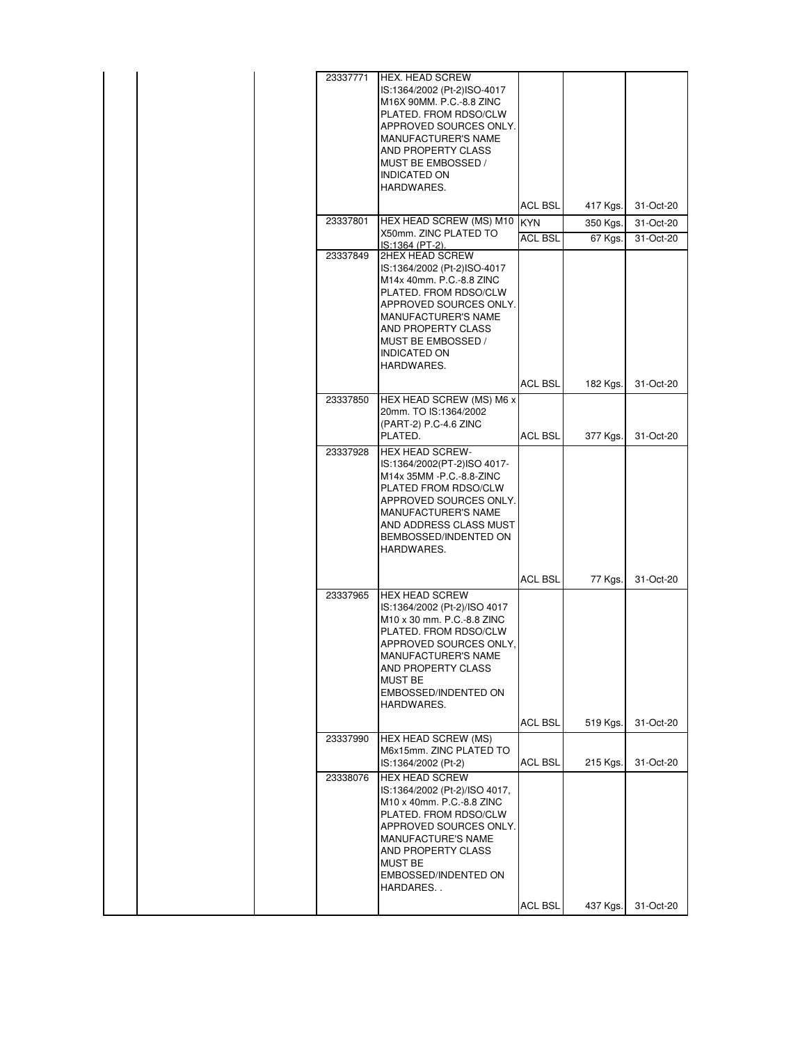|  | 23337771 | <b>HEX. HEAD SCREW</b><br>IS:1364/2002 (Pt-2)ISO-4017<br>M16X 90MM, P.C.-8.8 ZINC<br>PLATED. FROM RDSO/CLW<br>APPROVED SOURCES ONLY.<br><b>MANUFACTURER'S NAME</b><br>AND PROPERTY CLASS<br>MUST BE EMBOSSED /<br><b>INDICATED ON</b> |                               |                     |                        |
|--|----------|---------------------------------------------------------------------------------------------------------------------------------------------------------------------------------------------------------------------------------------|-------------------------------|---------------------|------------------------|
|  |          | HARDWARES.                                                                                                                                                                                                                            |                               |                     |                        |
|  | 23337801 | HEX HEAD SCREW (MS) M10                                                                                                                                                                                                               | <b>ACL BSL</b>                | 417 Kgs.            | 31-Oct-20              |
|  |          | X50mm. ZINC PLATED TO                                                                                                                                                                                                                 | <b>IKYN</b><br><b>ACL BSL</b> | 350 Kgs.<br>67 Kgs. | 31-Oct-20<br>31-Oct-20 |
|  | 23337849 | IS:1364 (PT-2).<br>2HEX HEAD SCREW                                                                                                                                                                                                    |                               |                     |                        |
|  |          | IS:1364/2002 (Pt-2)ISO-4017<br>M14x 40mm. P.C.-8.8 ZINC<br>PLATED. FROM RDSO/CLW<br>APPROVED SOURCES ONLY.<br>MANUFACTURER'S NAME<br>AND PROPERTY CLASS<br>MUST BE EMBOSSED /<br>INDICATED ON<br>HARDWARES.                           |                               |                     |                        |
|  |          |                                                                                                                                                                                                                                       | <b>ACL BSL</b>                | 182 Kgs.            | 31-Oct-20              |
|  | 23337850 | HEX HEAD SCREW (MS) M6 x<br>20mm. TO IS:1364/2002<br>(PART-2) P.C-4.6 ZINC<br>PLATED.                                                                                                                                                 | <b>ACL BSL</b>                | 377 Kgs.            | 31-Oct-20              |
|  | 23337928 | HEX HEAD SCREW-<br>IS:1364/2002(PT-2)ISO 4017-<br>M14x 35MM -P.C.-8.8-ZINC<br>PLATED FROM RDSO/CLW<br>APPROVED SOURCES ONLY.<br>MANUFACTURER'S NAME<br>AND ADDRESS CLASS MUST<br>BEMBOSSED/INDENTED ON<br>HARDWARES.                  |                               |                     |                        |
|  |          |                                                                                                                                                                                                                                       | <b>ACL BSL</b>                | 77 Kgs.             | 31-Oct-20              |
|  | 23337965 | <b>HEX HEAD SCREW</b><br>IS:1364/2002 (Pt-2)/ISO 4017<br>M10 x 30 mm. P.C.-8.8 ZINC<br>PLATED. FROM RDSO/CLW<br>APPROVED SOURCES ONLY.<br>MANUFACTURER'S NAME<br>AND PROPERTY CLASS<br>MUST BE<br>EMBOSSED/INDENTED ON<br>HARDWARES.  |                               |                     |                        |
|  |          |                                                                                                                                                                                                                                       | <b>ACL BSL</b>                | 519 Kgs.            | 31-Oct-20              |
|  | 23337990 | HEX HEAD SCREW (MS)<br>M6x15mm. ZINC PLATED TO<br>IS:1364/2002 (Pt-2)                                                                                                                                                                 | <b>ACL BSL</b>                | 215 Kgs.            | 31-Oct-20              |
|  | 23338076 | <b>HEX HEAD SCREW</b><br>IS:1364/2002 (Pt-2)/ISO 4017,<br>M10 x 40mm. P.C.-8.8 ZINC<br>PLATED. FROM RDSO/CLW<br>APPROVED SOURCES ONLY.<br>MANUFACTURE'S NAME<br>AND PROPERTY CLASS<br>MUST BE<br>EMBOSSED/INDENTED ON<br>HARDARES     | ACL BSL                       | 437 Kgs.            | 31-Oct-20              |
|  |          |                                                                                                                                                                                                                                       |                               |                     |                        |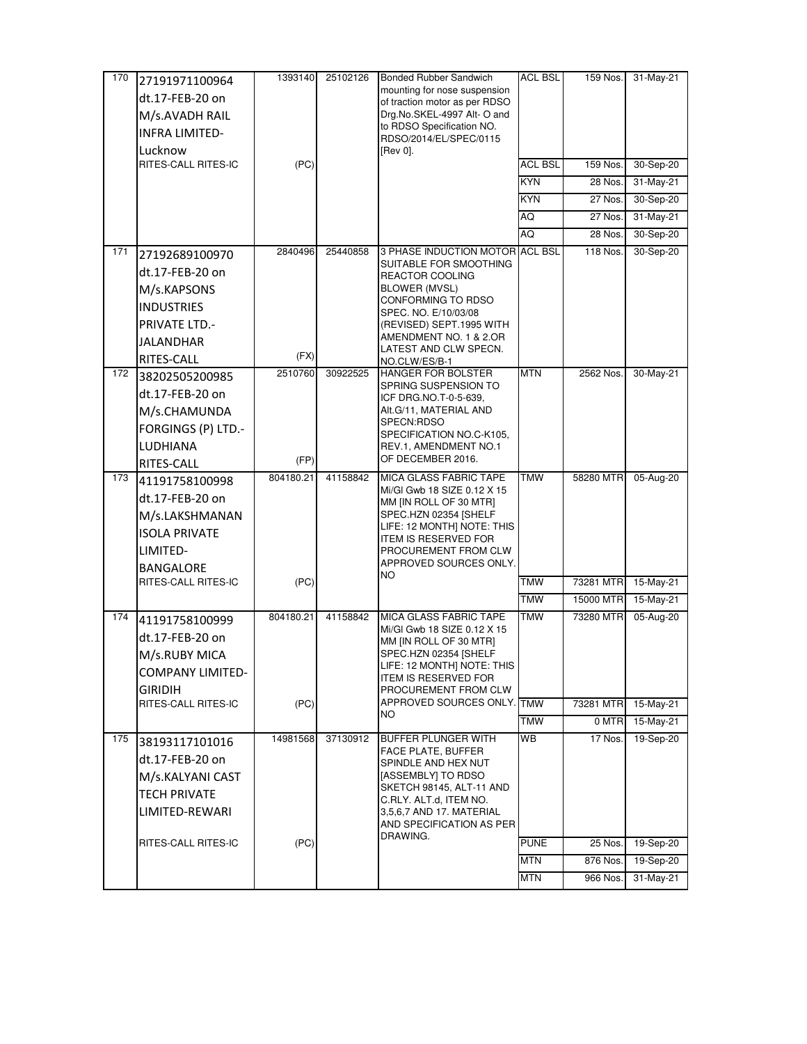| 170 | 27191971100964          | 1393140   | 25102126 | Bonded Rubber Sandwich                                      | ACL BSL        | 159 Nos.  | 31-May-21 |
|-----|-------------------------|-----------|----------|-------------------------------------------------------------|----------------|-----------|-----------|
|     | dt.17-FEB-20 on         |           |          | mounting for nose suspension                                |                |           |           |
|     | M/s.AVADH RAIL          |           |          | of traction motor as per RDSO<br>Drg.No.SKEL-4997 Alt-O and |                |           |           |
|     | <b>INFRA LIMITED-</b>   |           |          | to RDSO Specification NO.                                   |                |           |           |
|     | Lucknow                 |           |          | RDSO/2014/EL/SPEC/0115<br>[Rev 0].                          |                |           |           |
|     | RITES-CALL RITES-IC     | (PC)      |          |                                                             | <b>ACL BSL</b> | 159 Nos.  | 30-Sep-20 |
|     |                         |           |          |                                                             | <b>KYN</b>     | 28 Nos.   | 31-May-21 |
|     |                         |           |          |                                                             | KYN            | 27 Nos.   | 30-Sep-20 |
|     |                         |           |          |                                                             | AQ             | 27 Nos.   | 31-May-21 |
|     |                         |           |          |                                                             | AQ             | 28 Nos.   | 30-Sep-20 |
| 171 | 27192689100970          | 2840496   | 25440858 | 3 PHASE INDUCTION MOTOR ACL BSL                             |                | 118 Nos.  | 30-Sep-20 |
|     | dt.17-FEB-20 on         |           |          | SUITABLE FOR SMOOTHING                                      |                |           |           |
|     | M/s.KAPSONS             |           |          | REACTOR COOLING<br><b>BLOWER (MVSL)</b>                     |                |           |           |
|     | <b>INDUSTRIES</b>       |           |          | CONFORMING TO RDSO                                          |                |           |           |
|     | <b>PRIVATE LTD.-</b>    |           |          | SPEC. NO. E/10/03/08<br>(REVISED) SEPT.1995 WITH            |                |           |           |
|     | JALANDHAR               |           |          | AMENDMENT NO. 1 & 2.OR                                      |                |           |           |
|     | RITES-CALL              | (FX)      |          | LATEST AND CLW SPECN.                                       |                |           |           |
| 172 | 38202505200985          | 2510760   | 30922525 | NO.CLW/ES/B-1<br>HANGER FOR BOLSTER                         | <b>MTN</b>     | 2562 Nos. | 30-May-21 |
|     | dt.17-FEB-20 on         |           |          | SPRING SUSPENSION TO                                        |                |           |           |
|     |                         |           |          | ICF DRG.NO.T-0-5-639,<br>Alt.G/11, MATERIAL AND             |                |           |           |
|     | M/s.CHAMUNDA            |           |          | SPECN:RDSO                                                  |                |           |           |
|     | FORGINGS (P) LTD.-      |           |          | SPECIFICATION NO.C-K105,                                    |                |           |           |
|     | <b>LUDHIANA</b>         | (FP)      |          | REV.1, AMENDMENT NO.1<br>OF DECEMBER 2016.                  |                |           |           |
| 173 | RITES-CALL              | 804180.21 | 41158842 | <b>MICA GLASS FABRIC TAPE</b>                               | <b>TMW</b>     | 58280 MTR | 05-Aug-20 |
|     | 41191758100998          |           |          | Mi/GI Gwb 18 SIZE 0.12 X 15                                 |                |           |           |
|     | dt.17-FEB-20 on         |           |          | MM [IN ROLL OF 30 MTR]                                      |                |           |           |
|     | M/s.LAKSHMANAN          |           |          | SPEC.HZN 02354 [SHELF<br>LIFE: 12 MONTH] NOTE: THIS         |                |           |           |
|     | <b>ISOLA PRIVATE</b>    |           |          | ITEM IS RESERVED FOR                                        |                |           |           |
|     | LIMITED-                |           |          | PROCUREMENT FROM CLW                                        |                |           |           |
|     | <b>BANGALORE</b>        |           |          | APPROVED SOURCES ONLY.<br>NO.                               |                |           |           |
|     | RITES-CALL RITES-IC     | (PC)      |          |                                                             | <b>TMW</b>     | 73281 MTR | 15-May-21 |
|     |                         |           |          |                                                             | <b>TMW</b>     | 15000 MTR | 15-May-21 |
| 174 | 41191758100999          | 804180.21 | 41158842 | MICA GLASS FABRIC TAPE<br>Mi/GI Gwb 18 SIZE 0.12 X 15       | <b>TMW</b>     | 73280 MTR | 05-Aug-20 |
|     | dt.17-FEB-20 on         |           |          | MM [IN ROLL OF 30 MTR]                                      |                |           |           |
|     | M/s.RUBY MICA           |           |          | SPEC.HZN 02354 [SHELF                                       |                |           |           |
|     | <b>COMPANY LIMITED-</b> |           |          | LIFE: 12 MONTH] NOTE: THIS<br><b>ITEM IS RESERVED FOR</b>   |                |           |           |
|     | <b>GIRIDIH</b>          |           |          | PROCUREMENT FROM CLW                                        |                |           |           |
|     | RITES-CALL RITES-IC     | (PC)      |          | APPROVED SOURCES ONLY. TMW<br>NO.                           |                | 73281 MTR | 15-May-21 |
|     |                         |           |          |                                                             | TMW            | 0 MTR     | 15-May-21 |
| 175 | 38193117101016          | 14981568  | 37130912 | <b>BUFFER PLUNGER WITH</b><br>FACE PLATE, BUFFER            | WB             | 17 Nos.   | 19-Sep-20 |
|     | dt.17-FEB-20 on         |           |          | SPINDLE AND HEX NUT                                         |                |           |           |
|     | M/s.KALYANI CAST        |           |          | [ASSEMBLY] TO RDSO                                          |                |           |           |
|     | <b>TECH PRIVATE</b>     |           |          | SKETCH 98145, ALT-11 AND<br>C.RLY. ALT.d, ITEM NO.          |                |           |           |
|     | LIMITED-REWARI          |           |          | 3,5,6,7 AND 17. MATERIAL                                    |                |           |           |
|     |                         |           |          | AND SPECIFICATION AS PER<br>DRAWING.                        |                |           |           |
|     | RITES-CALL RITES-IC     | (PC)      |          |                                                             | <b>PUNE</b>    | 25 Nos.   | 19-Sep-20 |
|     |                         |           |          |                                                             | <b>MTN</b>     | 876 Nos.  | 19-Sep-20 |
|     |                         |           |          |                                                             | MTN            | 966 Nos.  | 31-May-21 |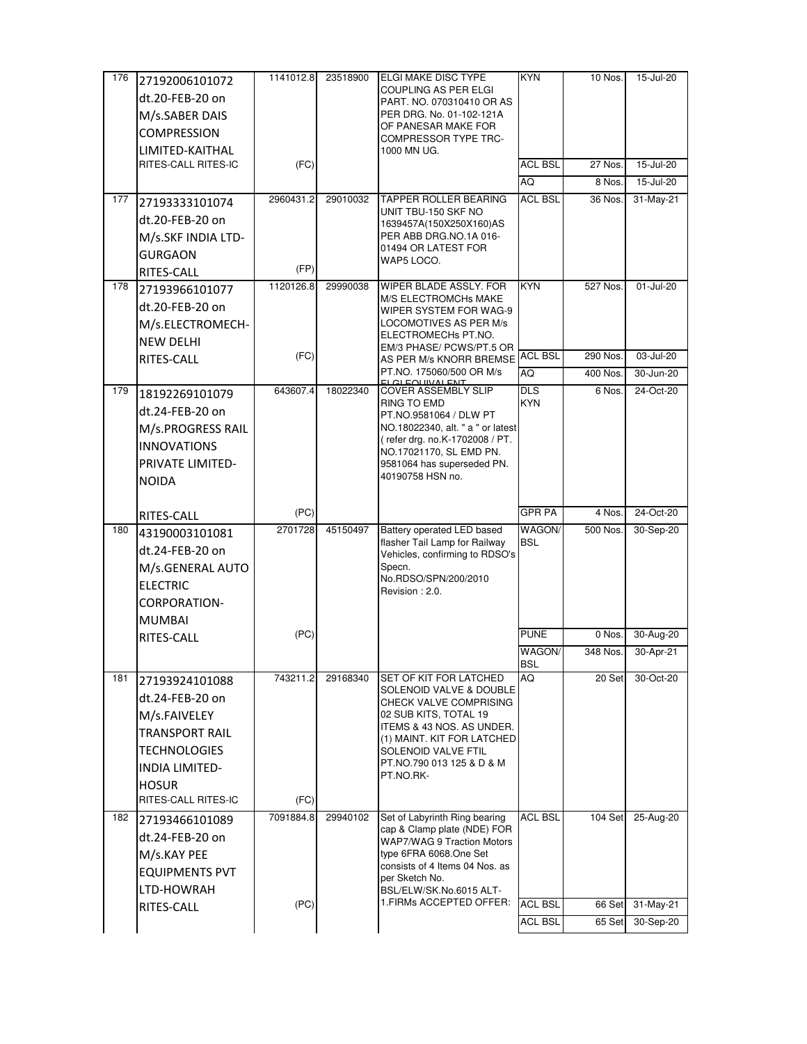| 176 | 27192006101072                      | 1141012.8 | 23518900 | <b>ELGI MAKE DISC TYPE</b>                                  | <b>KYN</b>     | 10 Nos.  | 15-Jul-20 |
|-----|-------------------------------------|-----------|----------|-------------------------------------------------------------|----------------|----------|-----------|
|     | dt.20-FEB-20 on                     |           |          | COUPLING AS PER ELGI<br>PART. NO. 070310410 OR AS           |                |          |           |
|     | M/s.SABER DAIS                      |           |          | PER DRG. No. 01-102-121A                                    |                |          |           |
|     | <b>COMPRESSION</b>                  |           |          | OF PANESAR MAKE FOR                                         |                |          |           |
|     | LIMITED-KAITHAL                     |           |          | <b>COMPRESSOR TYPE TRC-</b><br>1000 MN UG.                  |                |          |           |
|     | RITES-CALL RITES-IC                 | (FC)      |          |                                                             | <b>ACL BSL</b> | 27 Nos.  | 15-Jul-20 |
|     |                                     |           |          |                                                             | AQ             | 8 Nos.   | 15-Jul-20 |
| 177 | 27193333101074                      | 2960431.2 | 29010032 | <b>TAPPER ROLLER BEARING</b>                                | <b>ACL BSL</b> | 36 Nos.  | 31-May-21 |
|     | dt.20-FEB-20 on                     |           |          | UNIT TBU-150 SKF NO<br>1639457A(150X250X160)AS              |                |          |           |
|     | M/s.SKF INDIA LTD-                  |           |          | PER ABB DRG.NO.1A 016-                                      |                |          |           |
|     | <b>GURGAON</b>                      |           |          | 01494 OR LATEST FOR                                         |                |          |           |
|     | RITES-CALL                          | (FP)      |          | WAP5 LOCO.                                                  |                |          |           |
| 178 | 27193966101077                      | 1120126.8 | 29990038 | WIPER BLADE ASSLY. FOR                                      | <b>KYN</b>     | 527 Nos. | 01-Jul-20 |
|     | dt.20-FEB-20 on                     |           |          | M/S ELECTROMCHs MAKE<br>WIPER SYSTEM FOR WAG-9              |                |          |           |
|     | M/s.ELECTROMECH-                    |           |          | LOCOMOTIVES AS PER M/s                                      |                |          |           |
|     | <b>NEW DELHI</b>                    |           |          | ELECTROMECHS PT.NO.                                         |                |          |           |
|     | RITES-CALL                          | (FC)      |          | EM/3 PHASE/ PCWS/PT.5 OR<br>AS PER M/s KNORR BREMSE         | <b>ACL BSL</b> | 290 Nos. | 03-Jul-20 |
|     |                                     |           |          | PT.NO. 175060/500 OR M/s<br>CLEQUIVALENT                    | AQ             | 400 Nos. | 30-Jun-20 |
| 179 | 18192269101079                      | 643607.4  | 18022340 | <b>COVER ASSEMBLY SLIP</b>                                  | <b>DLS</b>     | 6 Nos.   | 24-Oct-20 |
|     | dt.24-FEB-20 on                     |           |          | RING TO EMD<br>PT.NO.9581064 / DLW PT                       | <b>KYN</b>     |          |           |
|     | M/s.PROGRESS RAIL                   |           |          | NO.18022340, alt. " a " or latest                           |                |          |           |
|     | <b>INNOVATIONS</b>                  |           |          | (refer drg. no.K-1702008 / PT.                              |                |          |           |
|     | <b>PRIVATE LIMITED-</b>             |           |          | NO.17021170, SL EMD PN.<br>9581064 has superseded PN.       |                |          |           |
|     | <b>NOIDA</b>                        |           |          | 40190758 HSN no.                                            |                |          |           |
|     |                                     |           |          |                                                             |                |          |           |
|     |                                     |           |          |                                                             |                |          |           |
|     | RITES-CALL                          | (PC)      |          |                                                             | <b>GPR PA</b>  | 4 Nos.   | 24-Oct-20 |
| 180 | 43190003101081                      | 2701728   | 45150497 | Battery operated LED based                                  | WAGON/         | 500 Nos. | 30-Sep-20 |
|     | dt.24-FEB-20 on                     |           |          | flasher Tail Lamp for Railway                               | <b>BSL</b>     |          |           |
|     | M/s.GENERAL AUTO                    |           |          | Vehicles, confirming to RDSO's<br>Specn.                    |                |          |           |
|     | <b>ELECTRIC</b>                     |           |          | No.RDSO/SPN/200/2010                                        |                |          |           |
|     | CORPORATION-                        |           |          | Revision: 2.0.                                              |                |          |           |
|     | <b>MUMBAI</b>                       |           |          |                                                             |                |          |           |
|     | RITES-CALL                          | (PC)      |          |                                                             | <b>PUNE</b>    | 0 Nos.   | 30-Aug-20 |
|     |                                     |           |          |                                                             | WAGON/         | 348 Nos. | 30-Apr-21 |
| 181 |                                     | 743211.2  | 29168340 | <b>SET OF KIT FOR LATCHED</b>                               | BSL<br>AQ      | 20 Set   | 30-Oct-20 |
|     | 27193924101088                      |           |          | SOLENOID VALVE & DOUBLE                                     |                |          |           |
|     | dt.24-FEB-20 on                     |           |          | CHECK VALVE COMPRISING                                      |                |          |           |
|     | M/s.FAIVELEY                        |           |          | 02 SUB KITS, TOTAL 19<br>ITEMS & 43 NOS. AS UNDER.          |                |          |           |
|     | <b>TRANSPORT RAIL</b>               |           |          | (1) MAINT. KIT FOR LATCHED                                  |                |          |           |
|     | <b>TECHNOLOGIES</b>                 |           |          | SOLENOID VALVE FTIL<br>PT.NO.790 013 125 & D & M            |                |          |           |
|     | <b>INDIA LIMITED-</b>               |           |          | PT.NO.RK-                                                   |                |          |           |
|     | <b>HOSUR</b><br>RITES-CALL RITES-IC | (FC)      |          |                                                             |                |          |           |
| 182 |                                     | 7091884.8 | 29940102 | Set of Labyrinth Ring bearing                               | <b>ACL BSL</b> | 104 Set  | 25-Aug-20 |
|     | 27193466101089                      |           |          | cap & Clamp plate (NDE) FOR                                 |                |          |           |
|     | dt.24-FEB-20 on                     |           |          | <b>WAP7/WAG 9 Traction Motors</b><br>type 6FRA 6068.One Set |                |          |           |
|     | M/s.KAY PEE                         |           |          | consists of 4 Items 04 Nos. as                              |                |          |           |
|     | <b>EQUIPMENTS PVT</b>               |           |          | per Sketch No.                                              |                |          |           |
|     | LTD-HOWRAH<br>RITES-CALL            | (PC)      |          | BSL/ELW/SK.No.6015 ALT-<br>1. FIRMs ACCEPTED OFFER:         | ACL BSL        | 66 Set   | 31-May-21 |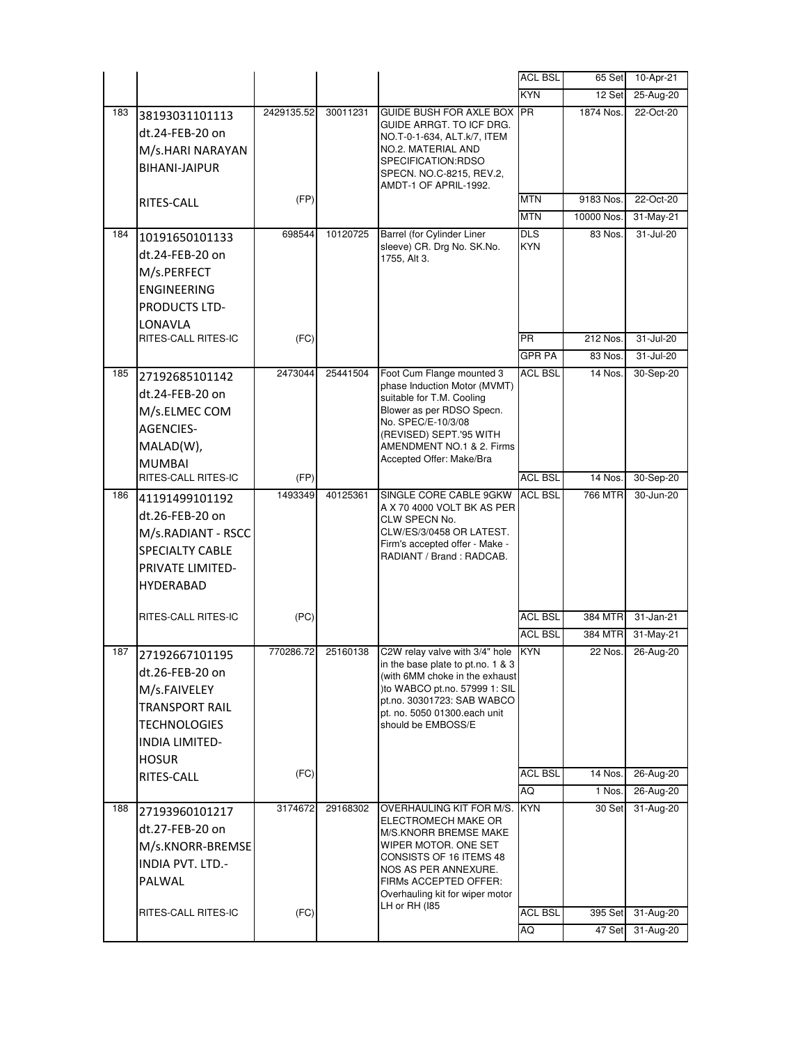|     |                                      |            |          |                                                             | <b>ACL BSL</b> | 65 Set             | 10-Apr-21              |
|-----|--------------------------------------|------------|----------|-------------------------------------------------------------|----------------|--------------------|------------------------|
|     |                                      |            |          |                                                             | <b>KYN</b>     | 12 Set             | 25-Aug-20              |
| 183 | 38193031101113                       | 2429135.52 | 30011231 | GUIDE BUSH FOR AXLE BOX PR                                  |                | 1874 Nos.          | 22-Oct-20              |
|     | dt.24-FEB-20 on                      |            |          | GUIDE ARRGT. TO ICF DRG.<br>NO.T-0-1-634, ALT.k/7, ITEM     |                |                    |                        |
|     | M/s.HARI NARAYAN                     |            |          | NO.2. MATERIAL AND                                          |                |                    |                        |
|     | <b>BIHANI-JAIPUR</b>                 |            |          | SPECIFICATION:RDSO                                          |                |                    |                        |
|     |                                      |            |          | SPECN. NO.C-8215, REV.2,<br>AMDT-1 OF APRIL-1992.           |                |                    |                        |
|     | RITES-CALL                           | (FP)       |          |                                                             | <b>MTN</b>     | 9183 Nos.          | 22-Oct-20              |
|     |                                      |            |          |                                                             | <b>MTN</b>     | 10000 Nos.         | 31-May-21              |
| 184 | 10191650101133                       | 698544     | 10120725 | Barrel (for Cylinder Liner                                  | $DLS$          | 83 Nos.            | 31-Jul-20              |
|     | dt.24-FEB-20 on                      |            |          | sleeve) CR. Drg No. SK.No.                                  | <b>KYN</b>     |                    |                        |
|     | M/s.PERFECT                          |            |          | 1755, Alt 3.                                                |                |                    |                        |
|     | <b>ENGINEERING</b>                   |            |          |                                                             |                |                    |                        |
|     | <b>PRODUCTS LTD-</b>                 |            |          |                                                             |                |                    |                        |
|     | LONAVLA                              |            |          |                                                             |                |                    |                        |
|     | RITES-CALL RITES-IC                  | (FC)       |          |                                                             | <b>PR</b>      | 212 Nos.           | 31-Jul-20              |
|     |                                      |            |          |                                                             | GPR PA         | 83 Nos.            | 31-Jul-20              |
| 185 | 27192685101142                       | 2473044    | 25441504 | Foot Cum Flange mounted 3                                   | ACL BSL        | 14 Nos.            | 30-Sep-20              |
|     | dt.24-FEB-20 on                      |            |          | phase Induction Motor (MVMT)                                |                |                    |                        |
|     |                                      |            |          | suitable for T.M. Cooling<br>Blower as per RDSO Specn.      |                |                    |                        |
|     | M/s.ELMEC COM                        |            |          | No. SPEC/E-10/3/08                                          |                |                    |                        |
|     | <b>AGENCIES-</b>                     |            |          | (REVISED) SEPT.'95 WITH                                     |                |                    |                        |
|     | MALAD(W),                            |            |          | AMENDMENT NO.1 & 2. Firms<br>Accepted Offer: Make/Bra       |                |                    |                        |
|     | <b>MUMBAI</b><br>RITES-CALL RITES-IC | (FP)       |          |                                                             | <b>ACL BSL</b> | 14 Nos.            | 30-Sep-20              |
| 186 |                                      | 1493349    | 40125361 | SINGLE CORE CABLE 9GKW                                      | <b>ACL BSL</b> | 766 MTR            | 30-Jun-20              |
|     | 41191499101192                       |            |          | A X 70 4000 VOLT BK AS PER                                  |                |                    |                        |
|     | dt.26-FEB-20 on                      |            |          | CLW SPECN No.                                               |                |                    |                        |
|     | M/s.RADIANT - RSCC                   |            |          | CLW/ES/3/0458 OR LATEST.<br>Firm's accepted offer - Make -  |                |                    |                        |
|     | SPECIALTY CABLE                      |            |          | RADIANT / Brand : RADCAB.                                   |                |                    |                        |
|     | <b>PRIVATE LIMITED-</b>              |            |          |                                                             |                |                    |                        |
|     | <b>HYDERABAD</b>                     |            |          |                                                             |                |                    |                        |
|     |                                      | (PC)       |          |                                                             | <b>ACL BSL</b> |                    |                        |
|     | RITES-CALL RITES-IC                  |            |          |                                                             | <b>ACL BSL</b> | 384 MTR<br>384 MTR | 31-Jan-21<br>31-May-21 |
| 187 |                                      | 770286.72  | 25160138 | C2W relay valve with 3/4" hole                              | <b>KYN</b>     | 22 Nos.            | 26-Aug-20              |
|     | 27192667101195                       |            |          | in the base plate to pt.no. 1 $\&$ 3                        |                |                    |                        |
|     | dt.26-FEB-20 on                      |            |          | (with 6MM choke in the exhaust                              |                |                    |                        |
|     | M/s.FAIVELEY                         |            |          | )to WABCO pt.no. 57999 1: SIL<br>pt.no. 30301723: SAB WABCO |                |                    |                        |
|     | <b>TRANSPORT RAIL</b>                |            |          | pt. no. 5050 01300 each unit                                |                |                    |                        |
|     | <b>TECHNOLOGIES</b>                  |            |          | should be EMBOSS/E                                          |                |                    |                        |
|     | INDIA LIMITED-                       |            |          |                                                             |                |                    |                        |
|     | <b>HOSUR</b>                         |            |          |                                                             |                |                    |                        |
|     | RITES-CALL                           | (FC)       |          |                                                             | <b>ACL BSL</b> | 14 Nos.            | 26-Aug-20              |
|     |                                      |            |          |                                                             | AQ             | 1 Nos.             | 26-Aug-20              |
| 188 | 27193960101217                       | 3174672    | 29168302 | OVERHAULING KIT FOR M/S.  <br>ELECTROMECH MAKE OR           | <b>KYN</b>     | 30 Set             | 31-Aug-20              |
|     | dt.27-FEB-20 on                      |            |          | M/S.KNORR BREMSE MAKE                                       |                |                    |                        |
|     | M/s.KNORR-BREMSE                     |            |          | WIPER MOTOR. ONE SET                                        |                |                    |                        |
|     | <b>INDIA PVT. LTD.-</b>              |            |          | CONSISTS OF 16 ITEMS 48<br>NOS AS PER ANNEXURE.             |                |                    |                        |
|     | PALWAL                               |            |          | FIRMs ACCEPTED OFFER:                                       |                |                    |                        |
|     |                                      |            |          | Overhauling kit for wiper motor<br>LH or RH (185            |                |                    |                        |
|     | RITES-CALL RITES-IC                  | (FC)       |          |                                                             | <b>ACL BSL</b> | 395 Set            | 31-Aug-20              |
|     |                                      |            |          |                                                             | AQ             | 47 Set             | 31-Aug-20              |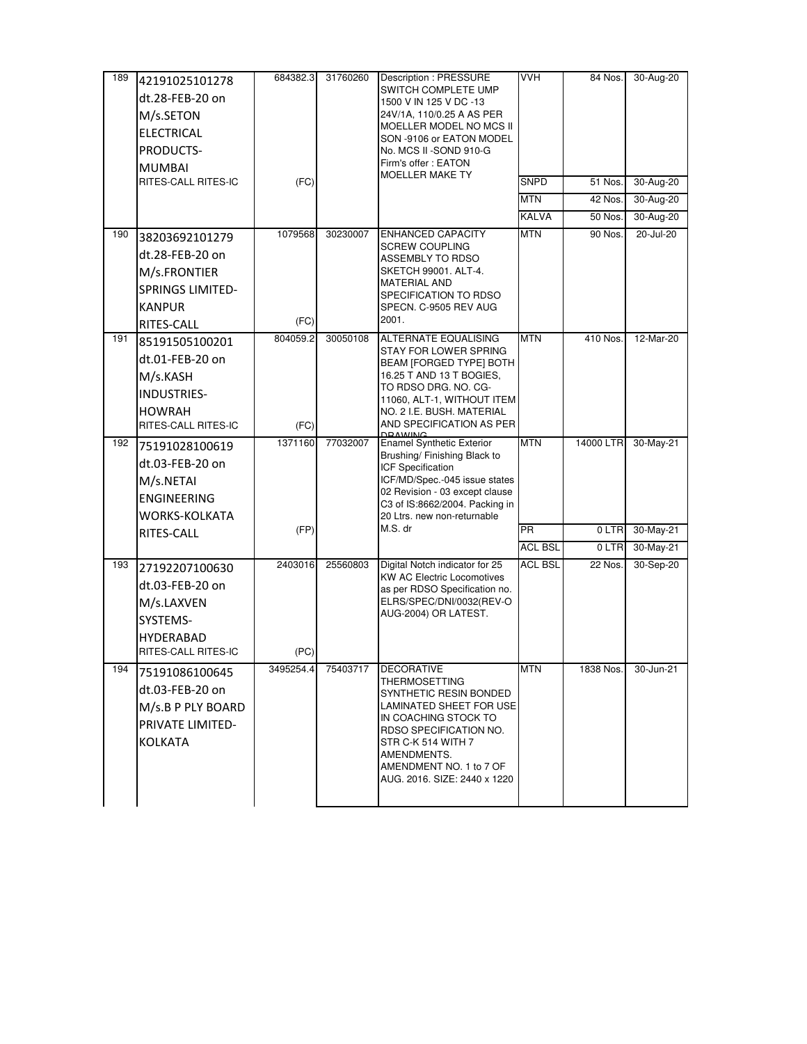| SWITCH COMPLETE UMP<br>dt.28-FEB-20 on<br>1500 V IN 125 V DC -13<br>24V/1A, 110/0.25 A AS PER<br>M/s.SETON<br>MOELLER MODEL NO MCS II<br><b>ELECTRICAL</b> |           |           |
|------------------------------------------------------------------------------------------------------------------------------------------------------------|-----------|-----------|
|                                                                                                                                                            |           |           |
|                                                                                                                                                            |           |           |
|                                                                                                                                                            |           |           |
| SON -9106 or EATON MODEL<br>PRODUCTS-<br>No. MCS II -SOND 910-G                                                                                            |           |           |
| Firm's offer : EATON<br><b>MUMBAI</b>                                                                                                                      |           |           |
| MOELLER MAKE TY<br>(FC)<br>RITES-CALL RITES-IC<br>SNPD                                                                                                     | 51 Nos.   | 30-Aug-20 |
| <b>MTN</b>                                                                                                                                                 | 42 Nos.   | 30-Aug-20 |
| <b>KALVA</b>                                                                                                                                               | 50 Nos.   | 30-Aug-20 |
| <b>MTN</b><br>1079568<br><b>ENHANCED CAPACITY</b><br>190<br>30230007<br>38203692101279                                                                     | 90 Nos.   | 20-Jul-20 |
| <b>SCREW COUPLING</b><br>dt.28-FEB-20 on                                                                                                                   |           |           |
| ASSEMBLY TO RDSO<br>SKETCH 99001. ALT-4.<br>M/s.FRONTIER                                                                                                   |           |           |
| <b>MATERIAL AND</b><br><b>SPRINGS LIMITED-</b>                                                                                                             |           |           |
| SPECIFICATION TO RDSO<br><b>KANPUR</b><br>SPECN. C-9505 REV AUG                                                                                            |           |           |
| 2001.<br>(FC)                                                                                                                                              |           |           |
| RITES-CALL<br><b>MTN</b><br>191<br>804059.2<br>30050108<br>ALTERNATE EQUALISING<br>85191505100201                                                          | 410 Nos.  | 12-Mar-20 |
| STAY FOR LOWER SPRING                                                                                                                                      |           |           |
| dt.01-FEB-20 on<br>BEAM [FORGED TYPE] BOTH                                                                                                                 |           |           |
| M/s.KASH<br>16.25 T AND 13 T BOGIES,<br>to RDSO DRG. No. CG-                                                                                               |           |           |
| <b>INDUSTRIES-</b><br>11060, ALT-1, WITHOUT ITEM                                                                                                           |           |           |
| <b>HOWRAH</b><br>NO. 2 I.E. BUSH. MATERIAL                                                                                                                 |           |           |
| AND SPECIFICATION AS PER<br>RITES-CALL RITES-IC<br>(FC)<br><b>DRIVING</b>                                                                                  |           |           |
| <b>MTN</b><br>1371160<br>77032007<br><b>Enamel Synthetic Exterior</b><br>192<br>75191028100619<br>Brushing/ Finishing Black to                             | 14000 LTR | 30-May-21 |
| dt.03-FEB-20 on<br>ICF Specification                                                                                                                       |           |           |
| ICF/MD/Spec.-045 issue states<br>M/s.NETAI                                                                                                                 |           |           |
| 02 Revision - 03 except clause<br><b>ENGINEERING</b><br>C3 of IS:8662/2004. Packing in                                                                     |           |           |
| WORKS-KOLKATA<br>20 Ltrs. new non-returnable                                                                                                               |           |           |
| M.S. dr<br>(FP)<br>PR.<br>RITES-CALL                                                                                                                       | 0 LTR     | 30-May-21 |
| ACL BSL                                                                                                                                                    | 0 LTR     | 30-May-21 |
| Digital Notch indicator for 25<br>ACL BSL<br>193<br>2403016<br>25560803<br>27192207100630                                                                  | 22 Nos.   | 30-Sep-20 |
| KW AC Electric Locomotives<br>dt.03-FEB-20 on<br>as per RDSO Specification no.                                                                             |           |           |
| ELRS/SPEC/DNI/0032(REV-O<br>M/s.LAXVEN                                                                                                                     |           |           |
| AUG-2004) OR LATEST.<br>SYSTEMS-                                                                                                                           |           |           |
| <b>HYDERABAD</b>                                                                                                                                           |           |           |
| (PC)<br>RITES-CALL RITES-IC                                                                                                                                |           |           |
| <b>DECORATIVE</b><br><b>MTN</b><br>194<br>3495254.4<br>75403717<br>75191086100645                                                                          | 1838 Nos. | 30-Jun-21 |
| THERMOSETTING<br>dt.03-FEB-20 on<br>SYNTHETIC RESIN BONDED                                                                                                 |           |           |
| LAMINATED SHEET FOR USE<br>M/s.B P PLY BOARD                                                                                                               |           |           |
| IN COACHING STOCK TO<br>PRIVATE LIMITED-                                                                                                                   |           |           |
| RDSO SPECIFICATION NO.<br>KOLKATA<br>STR C-K 514 WITH 7                                                                                                    |           |           |
| AMENDMENTS.                                                                                                                                                |           |           |
| AMENDMENT NO. 1 to 7 OF                                                                                                                                    |           |           |
| AUG. 2016. SIZE: 2440 x 1220                                                                                                                               |           |           |
|                                                                                                                                                            |           |           |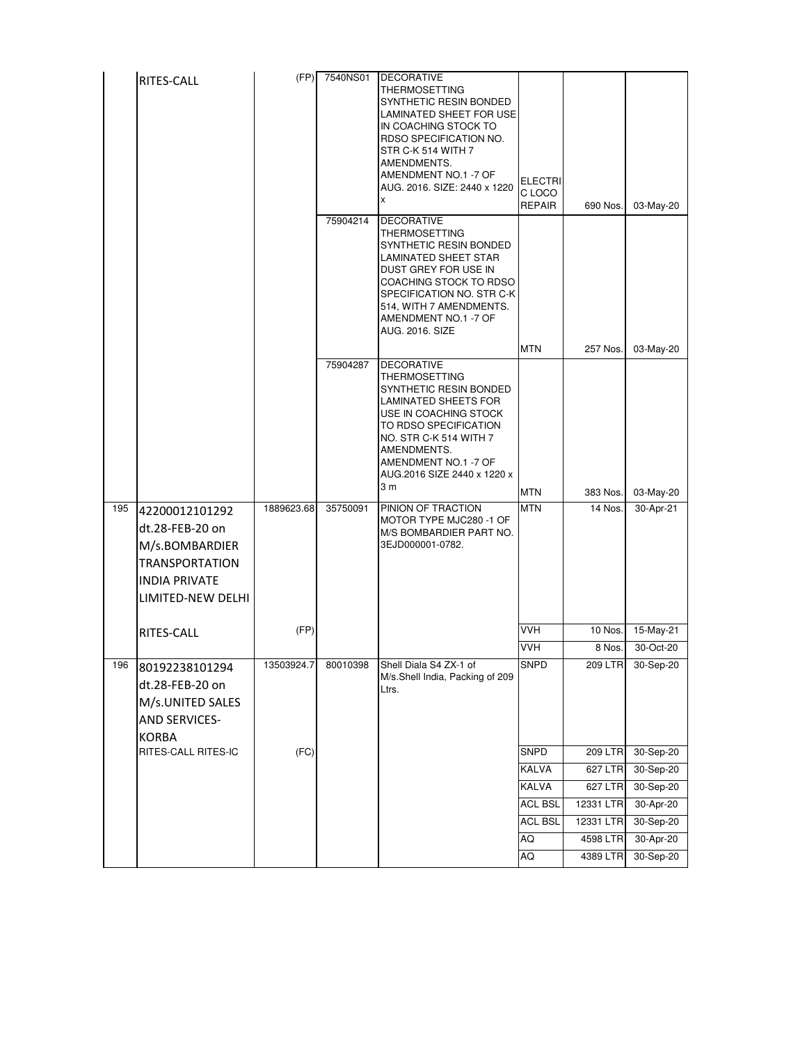|     | RITES-CALL                                                                                                                | (FP)       | 7540NS01 | <b>DECORATIVE</b><br><b>THERMOSETTING</b><br>SYNTHETIC RESIN BONDED<br><b>LAMINATED SHEET FOR USE</b><br>IN COACHING STOCK TO<br>RDSO SPECIFICATION NO.<br>STR C-K 514 WITH 7<br>AMENDMENTS.<br>AMENDMENT NO.1 -7 OF<br>AUG. 2016. SIZE: 2440 x 1220<br>X | <b>ELECTRI</b><br>C LOCO<br><b>REPAIR</b> | 690 Nos.       | 03-May-20 |
|-----|---------------------------------------------------------------------------------------------------------------------------|------------|----------|-----------------------------------------------------------------------------------------------------------------------------------------------------------------------------------------------------------------------------------------------------------|-------------------------------------------|----------------|-----------|
|     |                                                                                                                           |            | 75904214 | <b>DECORATIVE</b><br>THERMOSETTING<br>SYNTHETIC RESIN BONDED<br>LAMINATED SHEET STAR<br>DUST GREY FOR USE IN<br>COACHING STOCK TO RDSO<br>SPECIFICATION NO. STR C-K<br>514, WITH 7 AMENDMENTS.<br>AMENDMENT NO.1 -7 OF<br><b>AUG. 2016. SIZE</b>          |                                           |                |           |
|     |                                                                                                                           |            |          |                                                                                                                                                                                                                                                           | <b>MTN</b>                                | 257 Nos.       | 03-May-20 |
|     |                                                                                                                           |            | 75904287 | <b>DECORATIVE</b><br>THERMOSETTING<br>SYNTHETIC RESIN BONDED<br>LAMINATED SHEETS FOR<br>USE IN COACHING STOCK<br>TO RDSO SPECIFICATION<br>NO. STR C-K 514 WITH 7<br>AMENDMENTS.<br>AMENDMENT NO.1 -7 OF<br>AUG.2016 SIZE 2440 x 1220 x<br>3 m             |                                           |                |           |
|     |                                                                                                                           |            |          |                                                                                                                                                                                                                                                           | <b>MTN</b>                                | 383 Nos.       | 03-May-20 |
| 195 | 42200012101292<br>dt.28-FEB-20 on<br>M/s.BOMBARDIER<br><b>TRANSPORTATION</b><br><b>INDIA PRIVATE</b><br>LIMITED-NEW DELHI | 1889623.68 | 35750091 | PINION OF TRACTION<br>MOTOR TYPE MJC280 -1 OF<br>M/S BOMBARDIER PART NO.<br>3EJD000001-0782.                                                                                                                                                              | <b>MTN</b>                                | 14 Nos.        | 30-Apr-21 |
|     | <b>RITES-CALL</b>                                                                                                         | (FP)       |          |                                                                                                                                                                                                                                                           | <b>VVH</b>                                | 10 Nos.        | 15-May-21 |
|     |                                                                                                                           |            |          |                                                                                                                                                                                                                                                           | <b>VVH</b>                                | 8 Nos.         | 30-Oct-20 |
| 196 | 80192238101294<br>dt.28-FEB-20 on<br>M/s.UNITED SALES<br><b>AND SERVICES-</b><br><b>KORBA</b>                             | 13503924.7 | 80010398 | Shell Diala S4 ZX-1 of<br>M/s.Shell India, Packing of 209<br>Ltrs.                                                                                                                                                                                        | <b>SNPD</b>                               | <b>209 LTR</b> | 30-Sep-20 |
|     | RITES-CALL RITES-IC                                                                                                       | (FC)       |          |                                                                                                                                                                                                                                                           | SNPD                                      | 209 LTR        | 30-Sep-20 |
|     |                                                                                                                           |            |          |                                                                                                                                                                                                                                                           | <b>KALVA</b>                              | 627 LTR        | 30-Sep-20 |
|     |                                                                                                                           |            |          |                                                                                                                                                                                                                                                           | KALVA                                     | 627 LTR        | 30-Sep-20 |
|     |                                                                                                                           |            |          |                                                                                                                                                                                                                                                           | <b>ACL BSL</b>                            | 12331 LTR      | 30-Apr-20 |
|     |                                                                                                                           |            |          |                                                                                                                                                                                                                                                           | ACL BSL                                   | 12331 LTR      | 30-Sep-20 |
|     |                                                                                                                           |            |          |                                                                                                                                                                                                                                                           | AQ                                        | 4598 LTR       | 30-Apr-20 |
|     |                                                                                                                           |            |          |                                                                                                                                                                                                                                                           | AQ                                        | 4389 LTR       | 30-Sep-20 |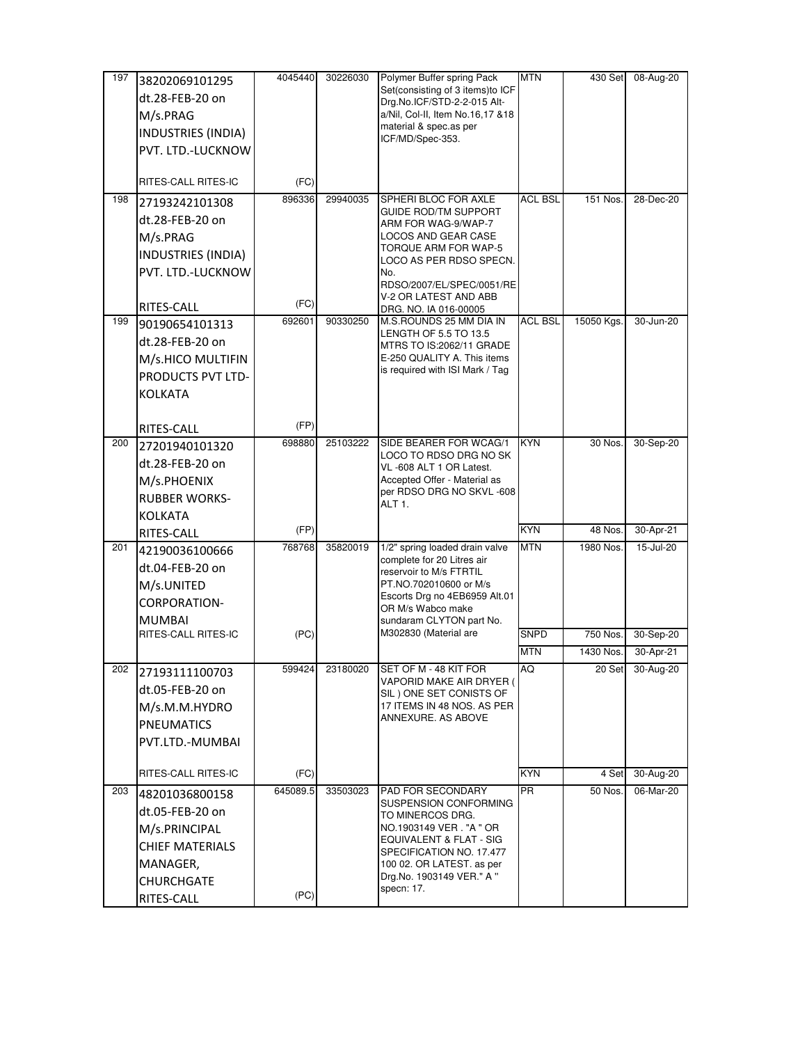| 197 | 38202069101295         | 4045440  | 30226030 | Polymer Buffer spring Pack                                      | <b>MTN</b>     | 430 Set    | 08-Aug-20 |
|-----|------------------------|----------|----------|-----------------------------------------------------------------|----------------|------------|-----------|
|     | dt.28-FEB-20 on        |          |          | Set(consisting of 3 items)to ICF                                |                |            |           |
|     | M/s.PRAG               |          |          | Drg.No.ICF/STD-2-2-015 Alt-<br>a/Nil, Col-II, Item No.16,17 &18 |                |            |           |
|     | INDUSTRIES (INDIA)     |          |          | material & spec.as per                                          |                |            |           |
|     | PVT. LTD.-LUCKNOW      |          |          | ICF/MD/Spec-353.                                                |                |            |           |
|     |                        |          |          |                                                                 |                |            |           |
|     | RITES-CALL RITES-IC    | (FC)     |          |                                                                 |                |            |           |
| 198 | 27193242101308         | 896336   | 29940035 | SPHERI BLOC FOR AXLE                                            | <b>ACL BSL</b> | 151 Nos.   | 28-Dec-20 |
|     | dt.28-FEB-20 on        |          |          | <b>GUIDE ROD/TM SUPPORT</b><br>ARM FOR WAG-9/WAP-7              |                |            |           |
|     | M/s.PRAG               |          |          | <b>LOCOS AND GEAR CASE</b>                                      |                |            |           |
|     | INDUSTRIES (INDIA)     |          |          | TORQUE ARM FOR WAP-5<br>LOCO AS PER RDSO SPECN.                 |                |            |           |
|     | PVT. LTD.-LUCKNOW      |          |          | No.                                                             |                |            |           |
|     |                        |          |          | RDSO/2007/EL/SPEC/0051/RE                                       |                |            |           |
|     | RITES-CALL             | (FC)     |          | V-2 OR LATEST AND ABB<br>DRG. NO. IA 016-00005                  |                |            |           |
| 199 | 90190654101313         | 692601   | 90330250 | M.S.ROUNDS 25 MM DIA IN                                         | <b>ACL BSL</b> | 15050 Kgs. | 30-Jun-20 |
|     | dt.28-FEB-20 on        |          |          | LENGTH OF 5.5 TO 13.5                                           |                |            |           |
|     | M/s.HICO MULTIFIN      |          |          | MTRS TO IS:2062/11 GRADE<br>E-250 QUALITY A. This items         |                |            |           |
|     | PRODUCTS PVT LTD-      |          |          | is required with ISI Mark / Tag                                 |                |            |           |
|     | <b>KOLKATA</b>         |          |          |                                                                 |                |            |           |
|     |                        |          |          |                                                                 |                |            |           |
|     |                        | (FP)     |          |                                                                 |                |            |           |
| 200 | RITES-CALL             | 698880   | 25103222 | SIDE BEARER FOR WCAG/1                                          | <b>KYN</b>     | 30 Nos.    | 30-Sep-20 |
|     | 27201940101320         |          |          | LOCO TO RDSO DRG NO SK                                          |                |            |           |
|     | dt.28-FEB-20 on        |          |          | VL-608 ALT 1 OR Latest.                                         |                |            |           |
|     | M/s.PHOENIX            |          |          | Accepted Offer - Material as<br>per RDSO DRG NO SKVL-608        |                |            |           |
|     | <b>RUBBER WORKS-</b>   |          |          | ALT <sub>1</sub> .                                              |                |            |           |
|     | KOLKATA                |          |          |                                                                 |                |            |           |
|     | RITES-CALL             | (FP)     |          |                                                                 | <b>KYN</b>     | 48 Nos.    | 30-Apr-21 |
| 201 | 42190036100666         | 768768   | 35820019 | 1/2" spring loaded drain valve<br>complete for 20 Litres air    | <b>MTN</b>     | 1980 Nos.  | 15-Jul-20 |
|     | dt.04-FEB-20 on        |          |          | reservoir to M/s FTRTIL                                         |                |            |           |
|     | M/s.UNITED             |          |          | PT.NO.702010600 or M/s<br>Escorts Drg no 4EB6959 Alt.01         |                |            |           |
|     | CORPORATION-           |          |          | OR M/s Wabco make                                               |                |            |           |
|     | <b>MUMBAI</b>          |          |          | sundaram CLYTON part No.                                        |                |            |           |
|     | RITES-CALL RITES-IC    | (PC)     |          | M302830 (Material are                                           | <b>SNPD</b>    | 750 Nos.   | 30-Sep-20 |
|     |                        |          |          |                                                                 | <b>MTN</b>     | 1430 Nos.  | 30-Apr-21 |
| 202 | 27193111100703         | 599424   | 23180020 | SET OF M - 48 KIT FOR<br>VAPORID MAKE AIR DRYER (               | AQ             | 20 Set     | 30-Aug-20 |
|     | dt.05-FEB-20 on        |          |          | SIL) ONE SET CONISTS OF                                         |                |            |           |
|     | M/s.M.M.HYDRO          |          |          | 17 ITEMS IN 48 NOS. AS PER                                      |                |            |           |
|     | <b>PNEUMATICS</b>      |          |          | ANNEXURE. AS ABOVE                                              |                |            |           |
|     | PVT.LTD.-MUMBAI        |          |          |                                                                 |                |            |           |
|     |                        |          |          |                                                                 |                |            |           |
|     | RITES-CALL RITES-IC    | (FC)     |          |                                                                 | <b>KYN</b>     | 4 Set      | 30-Aug-20 |
| 203 | 48201036800158         | 645089.5 | 33503023 | PAD FOR SECONDARY<br>SUSPENSION CONFORMING                      | <b>PR</b>      | 50 Nos.    | 06-Mar-20 |
|     | dt.05-FEB-20 on        |          |          | TO MINERCOS DRG.                                                |                |            |           |
|     | M/s.PRINCIPAL          |          |          | NO.1903149 VER. "A " OR                                         |                |            |           |
|     | <b>CHIEF MATERIALS</b> |          |          | EQUIVALENT & FLAT - SIG<br>SPECIFICATION NO. 17.477             |                |            |           |
|     | MANAGER,               |          |          | 100 02. OR LATEST. as per                                       |                |            |           |
|     | <b>CHURCHGATE</b>      |          |          | Drg.No. 1903149 VER." A "                                       |                |            |           |
|     | RITES-CALL             | (PC)     |          | specn: 17.                                                      |                |            |           |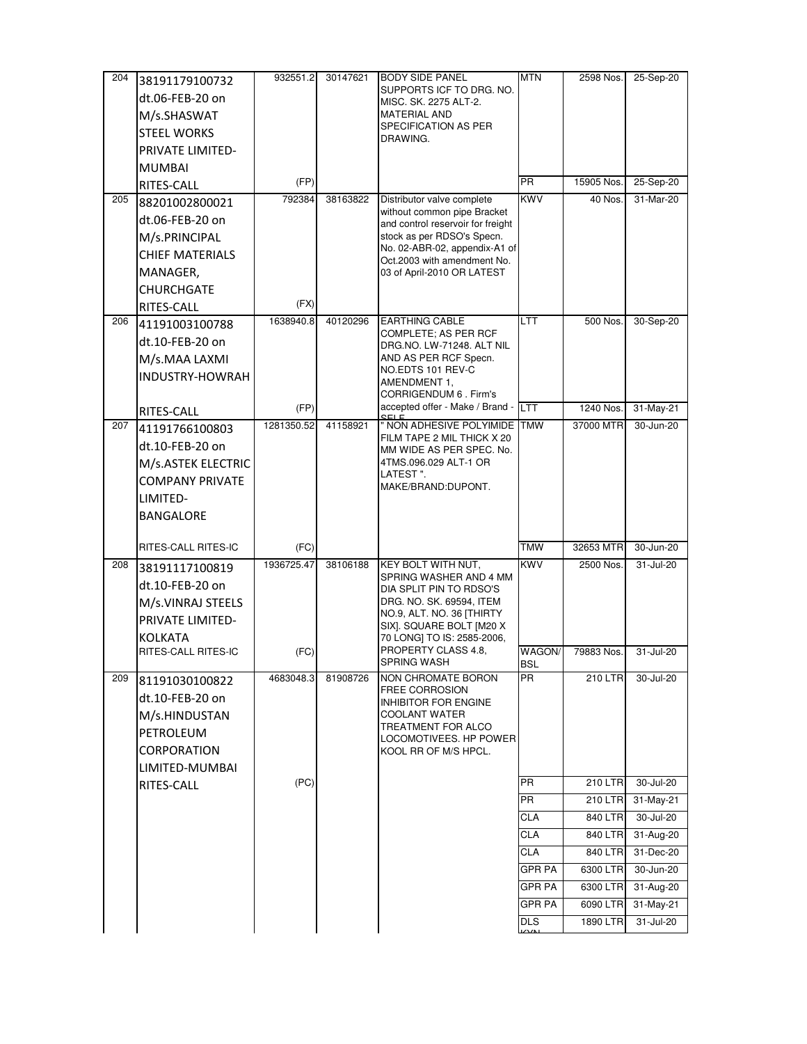| 204 | 38191179100732          | 932551.2   | 30147621 | <b>BODY SIDE PANEL</b>                                           | <b>MTN</b>    | 2598 Nos.      | 25-Sep-20 |
|-----|-------------------------|------------|----------|------------------------------------------------------------------|---------------|----------------|-----------|
|     | dt.06-FEB-20 on         |            |          | SUPPORTS ICF TO DRG. NO.<br>MISC. SK. 2275 ALT-2.                |               |                |           |
|     | M/s.SHASWAT             |            |          | <b>MATERIAL AND</b>                                              |               |                |           |
|     | <b>STEEL WORKS</b>      |            |          | SPECIFICATION AS PER                                             |               |                |           |
|     | <b>PRIVATE LIMITED-</b> |            |          | DRAWING.                                                         |               |                |           |
|     | <b>MUMBAI</b>           |            |          |                                                                  |               |                |           |
|     | RITES-CALL              | (FP)       |          |                                                                  | <b>PR</b>     | 15905 Nos.     | 25-Sep-20 |
| 205 | 88201002800021          | 792384     | 38163822 | Distributor valve complete                                       | <b>KWV</b>    | 40 Nos.        | 31-Mar-20 |
|     | dt.06-FEB-20 on         |            |          | without common pipe Bracket<br>and control reservoir for freight |               |                |           |
|     | M/s.PRINCIPAL           |            |          | stock as per RDSO's Specn.                                       |               |                |           |
|     | <b>CHIEF MATERIALS</b>  |            |          | No. 02-ABR-02, appendix-A1 of                                    |               |                |           |
|     | MANAGER,                |            |          | Oct.2003 with amendment No.<br>03 of April-2010 OR LATEST        |               |                |           |
|     | <b>CHURCHGATE</b>       |            |          |                                                                  |               |                |           |
|     | RITES-CALL              | (FX)       |          |                                                                  |               |                |           |
| 206 | 41191003100788          | 1638940.8  | 40120296 | <b>EARTHING CABLE</b>                                            | LTT           | 500 Nos.       | 30-Sep-20 |
|     | dt.10-FEB-20 on         |            |          | <b>COMPLETE: AS PER RCF</b>                                      |               |                |           |
|     | M/s.MAA LAXMI           |            |          | DRG.NO. LW-71248. ALT NIL<br>AND AS PER RCF Specn.               |               |                |           |
|     | INDUSTRY-HOWRAH         |            |          | NO.EDTS 101 REV-C                                                |               |                |           |
|     |                         |            |          | AMENDMENT 1,<br>CORRIGENDUM 6 . Firm's                           |               |                |           |
|     | RITES-CALL              | (FP)       |          | accepted offer - Make / Brand -                                  | <b>LTT</b>    | 1240 Nos.      | 31-May-21 |
| 207 | 41191766100803          | 1281350.52 | 41158921 | " NON ADHESIVE POLYIMIDE                                         | <b>TMW</b>    | 37000 MTR      | 30-Jun-20 |
|     | dt.10-FEB-20 on         |            |          | FILM TAPE 2 MIL THICK X 20                                       |               |                |           |
|     | M/s.ASTEK ELECTRIC      |            |          | MM WIDE AS PER SPEC. No.<br>4TMS.096.029 ALT-1 OR                |               |                |           |
|     | <b>COMPANY PRIVATE</b>  |            |          | LATEST".                                                         |               |                |           |
|     |                         |            |          | MAKE/BRAND:DUPONT.                                               |               |                |           |
|     | LIMITED-                |            |          |                                                                  |               |                |           |
|     | <b>BANGALORE</b>        |            |          |                                                                  |               |                |           |
|     | RITES-CALL RITES-IC     | (FC)       |          |                                                                  | <b>TMW</b>    | 32653 MTR      | 30-Jun-20 |
| 208 | 38191117100819          | 1936725.47 | 38106188 | KEY BOLT WITH NUT,                                               | <b>KWV</b>    | 2500 Nos.      | 31-Jul-20 |
|     | dt.10-FEB-20 on         |            |          | SPRING WASHER AND 4 MM                                           |               |                |           |
|     | M/s.VINRAJ STEELS       |            |          | DIA SPLIT PIN TO RDSO'S<br>DRG. NO. SK. 69594, ITEM              |               |                |           |
|     | <b>PRIVATE LIMITED-</b> |            |          | NO.9, ALT. NO. 36  THIRTY                                        |               |                |           |
|     | KOLKATA                 |            |          | SIX]. SQUARE BOLT [M20 X                                         |               |                |           |
|     | RITES-CALL RITES-IC     | (FC)       |          | 70 LONG] TO IS: 2585-2006,<br>PROPERTY CLASS 4.8.                | WAGON/        | 79883 Nos.     | 31-Jul-20 |
|     |                         |            |          |                                                                  |               |                |           |
|     |                         |            |          | SPRING WASH                                                      | BSL           |                |           |
| 209 | 81191030100822          | 4683048.3  | 81908726 | NON CHROMATE BORON                                               | <b>PR</b>     | 210 LTR        | 30-Jul-20 |
|     | dt.10-FEB-20 on         |            |          | <b>FREE CORROSION</b><br>INHIBITOR FOR ENGINE                    |               |                |           |
|     | M/s.HINDUSTAN           |            |          | COOLANT WATER                                                    |               |                |           |
|     | PETROLEUM               |            |          | TREATMENT FOR ALCO                                               |               |                |           |
|     | <b>CORPORATION</b>      |            |          | LOCOMOTIVEES. HP POWER<br>KOOL RR OF M/S HPCL.                   |               |                |           |
|     | LIMITED-MUMBAI          |            |          |                                                                  |               |                |           |
|     | RITES-CALL              | (PC)       |          |                                                                  | PR            | <b>210 LTR</b> | 30-Jul-20 |
|     |                         |            |          |                                                                  | <b>PR</b>     | 210 LTR        | 31-May-21 |
|     |                         |            |          |                                                                  | CLA           | 840 LTR        | 30-Jul-20 |
|     |                         |            |          |                                                                  | <b>CLA</b>    | 840 LTR        | 31-Aug-20 |
|     |                         |            |          |                                                                  | CLA           | 840 LTR        | 31-Dec-20 |
|     |                         |            |          |                                                                  | <b>GPR PA</b> | 6300 LTR       | 30-Jun-20 |
|     |                         |            |          |                                                                  | <b>GPR PA</b> | 6300 LTR       | 31-Aug-20 |
|     |                         |            |          |                                                                  | GPR PA        | 6090 LTR       | 31-May-21 |
|     |                         |            |          |                                                                  | <b>DLS</b>    | 1890 LTR       | 31-Jul-20 |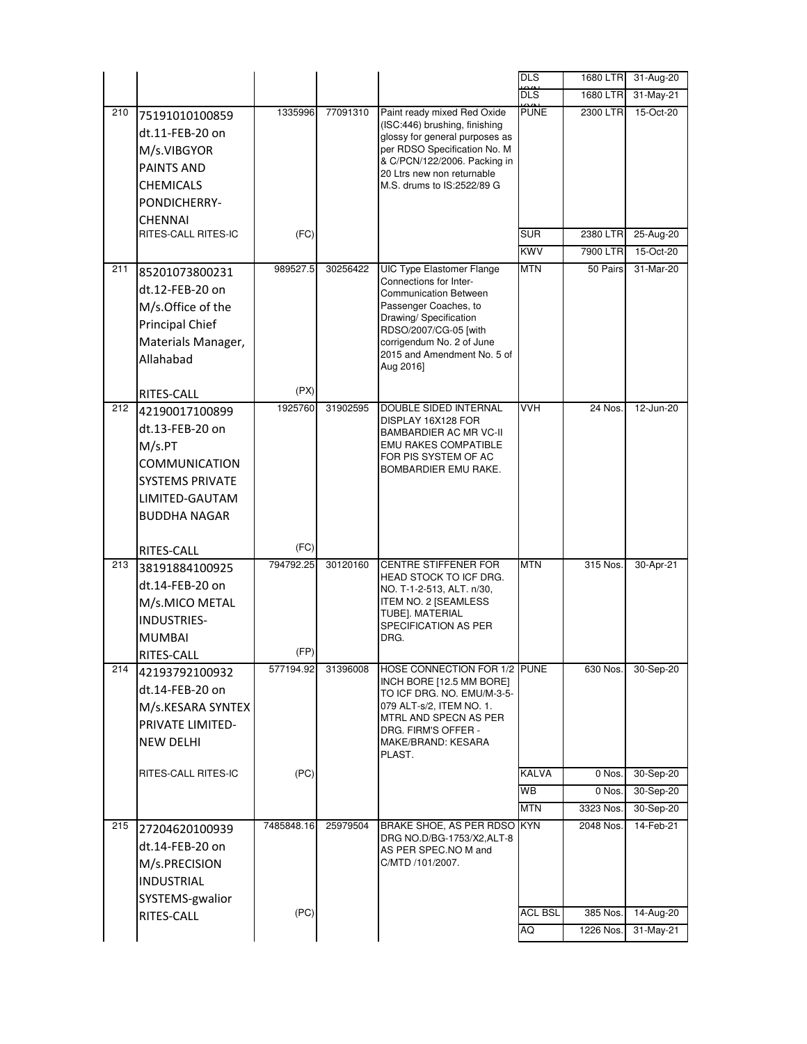|     |                                                                                                                             |                    |          |                                                                                                                                                                                                                                          | <b>DLS</b>                                 | 1680 LTR                           | 31-Aug-20                           |
|-----|-----------------------------------------------------------------------------------------------------------------------------|--------------------|----------|------------------------------------------------------------------------------------------------------------------------------------------------------------------------------------------------------------------------------------------|--------------------------------------------|------------------------------------|-------------------------------------|
|     |                                                                                                                             |                    |          |                                                                                                                                                                                                                                          | <b>DLS</b>                                 | 1680 LTR                           | 31-May-21                           |
| 210 | 75191010100859<br>dt.11-FEB-20 on<br>M/s.VIBGYOR<br><b>PAINTS AND</b><br><b>CHEMICALS</b><br>PONDICHERRY-<br><b>CHENNAI</b> | 1335996            | 77091310 | Paint ready mixed Red Oxide<br>(ISC:446) brushing, finishing<br>glossy for general purposes as<br>per RDSO Specification No. M<br>& C/PCN/122/2006. Packing in<br>20 Ltrs new non returnable<br>M.S. drums to IS:2522/89 G.              | <b>PUNE</b>                                | 2300 LTR                           | 15-Oct-20                           |
|     | RITES-CALL RITES-IC                                                                                                         | (FC)               |          |                                                                                                                                                                                                                                          | <b>SUR</b>                                 | 2380 LTR                           | 25-Aug-20                           |
|     |                                                                                                                             |                    |          |                                                                                                                                                                                                                                          | <b>KWV</b>                                 | 7900 LTR                           | 15-Oct-20                           |
| 211 | 85201073800231<br>dt.12-FEB-20 on<br>M/s.Office of the<br>Principal Chief<br>Materials Manager,<br>Allahabad<br>RITES-CALL  | 989527.5<br>(PX)   | 30256422 | UIC Type Elastomer Flange<br>Connections for Inter-<br><b>Communication Between</b><br>Passenger Coaches, to<br>Drawing/ Specification<br>RDSO/2007/CG-05 [with<br>corrigendum No. 2 of June<br>2015 and Amendment No. 5 of<br>Aug 2016] | <b>MTN</b>                                 | 50 Pairs                           | 31-Mar-20                           |
| 212 | 42190017100899                                                                                                              | 1925760            | 31902595 | DOUBLE SIDED INTERNAL                                                                                                                                                                                                                    | <b>VVH</b>                                 | 24 Nos.                            | 12-Jun-20                           |
|     | dt.13-FEB-20 on<br>M/s.PT<br><b>COMMUNICATION</b><br>SYSTEMS PRIVATE<br>LIMITED-GAUTAM<br><b>BUDDHA NAGAR</b><br>RITES-CALL | (FC)               |          | DISPLAY 16X128 FOR<br><b>BAMBARDIER AC MR VC-II</b><br><b>EMU RAKES COMPATIBLE</b><br>FOR PIS SYSTEM OF AC<br>BOMBARDIER EMU RAKE.                                                                                                       |                                            |                                    |                                     |
| 213 | 38191884100925                                                                                                              | 794792.25          | 30120160 | <b>CENTRE STIFFENER FOR</b>                                                                                                                                                                                                              | <b>MTN</b>                                 | 315 Nos.                           | 30-Apr-21                           |
|     | dt.14-FEB-20 on<br>M/s.MICO METAL<br><b>INDUSTRIES-</b><br><b>MUMBAI</b><br>RITES-CALL                                      | (FP)               |          | <b>HEAD STOCK TO ICF DRG.</b><br>NO. T-1-2-513, ALT. n/30,<br>ITEM NO. 2 [SEAMLESS<br>TUBE]. MATERIAL<br>SPECIFICATION AS PER<br>DRG.                                                                                                    |                                            |                                    |                                     |
| 214 | 42193792100932<br>dt.14-FEB-20 on<br>M/s.KESARA SYNTEX<br>PRIVATE LIMITED-<br><b>NEW DELHI</b><br>RITES-CALL RITES-IC       | 577194.92<br>(PC)  | 31396008 | HOSE CONNECTION FOR 1/2 PUNE<br>INCH BORE [12.5 MM BORE]<br>TO ICF DRG. NO. EMU/M-3-5-<br>079 ALT-s/2, ITEM NO. 1.<br>MTRL AND SPECN AS PER<br>DRG. FIRM'S OFFER -<br>MAKE/BRAND: KESARA<br>PLAST.                                       | <b>KALVA</b>                               | 630 Nos.<br>0 Nos.                 | 30-Sep-20<br>30-Sep-20              |
|     |                                                                                                                             |                    |          |                                                                                                                                                                                                                                          |                                            |                                    |                                     |
|     |                                                                                                                             |                    |          |                                                                                                                                                                                                                                          | WB                                         | 0 Nos.                             | 30-Sep-20                           |
| 215 | 27204620100939<br>dt.14-FEB-20 on<br>M/s.PRECISION<br><b>INDUSTRIAL</b><br>SYSTEMS-gwalior<br>RITES-CALL                    | 7485848.16<br>(PC) | 25979504 | BRAKE SHOE, AS PER RDSO<br>DRG NO.D/BG-1753/X2,ALT-8<br>AS PER SPEC.NO M and<br>C/MTD /101/2007.                                                                                                                                         | <b>MTN</b><br><b>KYN</b><br><b>ACL BSL</b> | 3323 Nos.<br>2048 Nos.<br>385 Nos. | 30-Sep-20<br>14-Feb-21<br>14-Aug-20 |
|     |                                                                                                                             |                    |          |                                                                                                                                                                                                                                          | AQ                                         | 1226 Nos.                          | 31-May-21                           |
|     |                                                                                                                             |                    |          |                                                                                                                                                                                                                                          |                                            |                                    |                                     |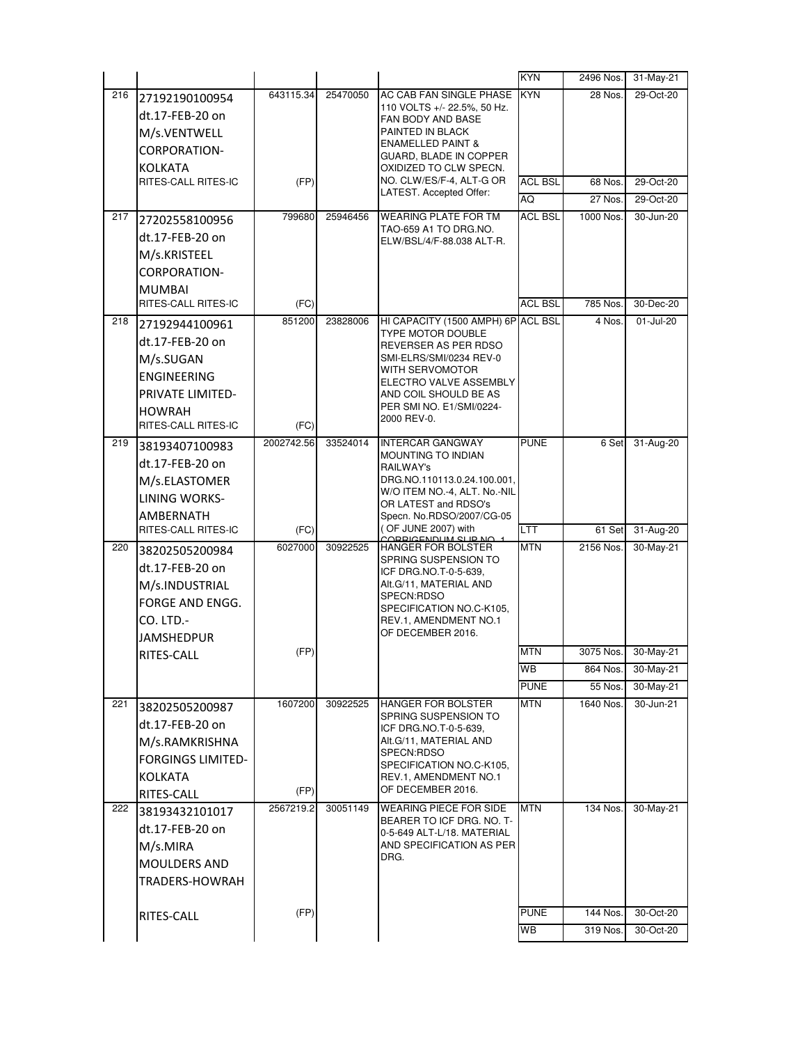|     |                          |            |          |                                                         | <b>KYN</b>     | 2496 Nos. | 31-May-21 |
|-----|--------------------------|------------|----------|---------------------------------------------------------|----------------|-----------|-----------|
| 216 | 27192190100954           | 643115.34  | 25470050 | AC CAB FAN SINGLE PHASE                                 | <b>KYN</b>     | 28 Nos.   | 29-Oct-20 |
|     | dt.17-FEB-20 on          |            |          | 110 VOLTS +/- 22.5%, 50 Hz.<br>FAN BODY AND BASE        |                |           |           |
|     | M/s.VENTWELL             |            |          | PAINTED IN BLACK                                        |                |           |           |
|     | <b>CORPORATION-</b>      |            |          | <b>ENAMELLED PAINT &amp;</b>                            |                |           |           |
|     | KOLKATA                  |            |          | GUARD, BLADE IN COPPER<br>OXIDIZED TO CLW SPECN.        |                |           |           |
|     | RITES-CALL RITES-IC      | (FP)       |          | NO. CLW/ES/F-4, ALT-G OR                                | <b>ACL BSL</b> | 68 Nos.   | 29-Oct-20 |
|     |                          |            |          | LATEST. Accepted Offer:                                 | AQ             | 27 Nos.   | 29-Oct-20 |
| 217 | 27202558100956           | 799680     | 25946456 | <b>WEARING PLATE FOR TM</b>                             | <b>ACL BSL</b> | 1000 Nos. | 30-Jun-20 |
|     | dt.17-FEB-20 on          |            |          | TAO-659 A1 TO DRG.NO.<br>ELW/BSL/4/F-88.038 ALT-R.      |                |           |           |
|     | M/s.KRISTEEL             |            |          |                                                         |                |           |           |
|     | CORPORATION-             |            |          |                                                         |                |           |           |
|     | <b>MUMBAI</b>            |            |          |                                                         |                |           |           |
|     | RITES-CALL RITES-IC      | (FC)       |          |                                                         | <b>ACL BSL</b> | 785 Nos.  | 30-Dec-20 |
| 218 | 27192944100961           | 851200     | 23828006 | HI CAPACITY (1500 AMPH) 6P ACL BSL                      |                | 4 Nos.    | 01-Jul-20 |
|     | dt.17-FEB-20 on          |            |          | TYPE MOTOR DOUBLE                                       |                |           |           |
|     | M/s.SUGAN                |            |          | REVERSER AS PER RDSO<br>SMI-ELRS/SMI/0234 REV-0         |                |           |           |
|     | <b>ENGINEERING</b>       |            |          | WITH SERVOMOTOR                                         |                |           |           |
|     | PRIVATE LIMITED-         |            |          | ELECTRO VALVE ASSEMBLY<br>AND COIL SHOULD BE AS         |                |           |           |
|     | <b>HOWRAH</b>            |            |          | PER SMI NO. E1/SMI/0224-                                |                |           |           |
|     | RITES-CALL RITES-IC      | (FC)       |          | 2000 REV-0.                                             |                |           |           |
| 219 | 38193407100983           | 2002742.56 | 33524014 | <b>INTERCAR GANGWAY</b>                                 | <b>PUNE</b>    | 6 Set     | 31-Aug-20 |
|     | dt.17-FEB-20 on          |            |          | <b>MOUNTING TO INDIAN</b>                               |                |           |           |
|     | M/s.ELASTOMER            |            |          | RAILWAY's<br>DRG.NO.110113.0.24.100.001,                |                |           |           |
|     | <b>LINING WORKS-</b>     |            |          | W/O ITEM NO.-4, ALT. No.-NIL                            |                |           |           |
|     | AMBERNATH                |            |          | OR LATEST and RDSO's<br>Specn. No.RDSO/2007/CG-05       |                |           |           |
|     | RITES-CALL RITES-IC      | (FC)       |          | (OF JUNE 2007) with                                     | LTT            | 61 Set    | 31-Aug-20 |
| 220 | 38202505200984           | 6027000    | 30922525 | CODDICENDUM SUD NO<br>HANGER FOR BOLSTER                | <b>MTN</b>     | 2156 Nos. | 30-May-21 |
|     | dt.17-FEB-20 on          |            |          | SPRING SUSPENSION TO<br>ICF DRG.NO.T-0-5-639,           |                |           |           |
|     | M/s.INDUSTRIAL           |            |          | Alt.G/11, MATERIAL AND                                  |                |           |           |
|     | FORGE AND ENGG.          |            |          | SPECN:RDSO                                              |                |           |           |
|     | CO. LTD.-                |            |          | SPECIFICATION NO.C-K105,<br>REV.1, AMENDMENT NO.1       |                |           |           |
|     | <b>JAMSHEDPUR</b>        |            |          | OF DECEMBER 2016.                                       |                |           |           |
|     | RITES-CALL               | (FP)       |          |                                                         | <b>MTN</b>     | 3075 Nos. | 30-May-21 |
|     |                          |            |          |                                                         | WB             | 864 Nos.  | 30-May-21 |
|     |                          |            |          |                                                         | <b>PUNE</b>    | 55 Nos.   | 30-May-21 |
| 221 | 38202505200987           | 1607200    | 30922525 | <b>HANGER FOR BOLSTER</b>                               | <b>MTN</b>     | 1640 Nos. | 30-Jun-21 |
|     | dt.17-FEB-20 on          |            |          | SPRING SUSPENSION TO<br>ICF DRG.NO.T-0-5-639,           |                |           |           |
|     | M/s.RAMKRISHNA           |            |          | Alt.G/11, MATERIAL AND                                  |                |           |           |
|     | <b>FORGINGS LIMITED-</b> |            |          | SPECN:RDSO                                              |                |           |           |
|     | <b>KOLKATA</b>           |            |          | SPECIFICATION NO.C-K105,<br>REV.1, AMENDMENT NO.1       |                |           |           |
|     | RITES-CALL               | (FP)       |          | OF DECEMBER 2016.                                       |                |           |           |
| 222 | 38193432101017           | 2567219.2  | 30051149 | <b>WEARING PIECE FOR SIDE</b>                           | MTN            | 134 Nos.  | 30-May-21 |
|     | dt.17-FEB-20 on          |            |          | BEARER TO ICF DRG. NO. T-<br>0-5-649 ALT-L/18. MATERIAL |                |           |           |
|     |                          |            |          |                                                         |                |           |           |
|     |                          |            |          | AND SPECIFICATION AS PER                                |                |           |           |
|     | M/s.MIRA                 |            |          | DRG.                                                    |                |           |           |
|     | <b>MOULDERS AND</b>      |            |          |                                                         |                |           |           |
|     | TRADERS-HOWRAH           |            |          |                                                         |                |           |           |
|     | RITES-CALL               | (FP)       |          |                                                         | <b>PUNE</b>    | 144 Nos.  | 30-Oct-20 |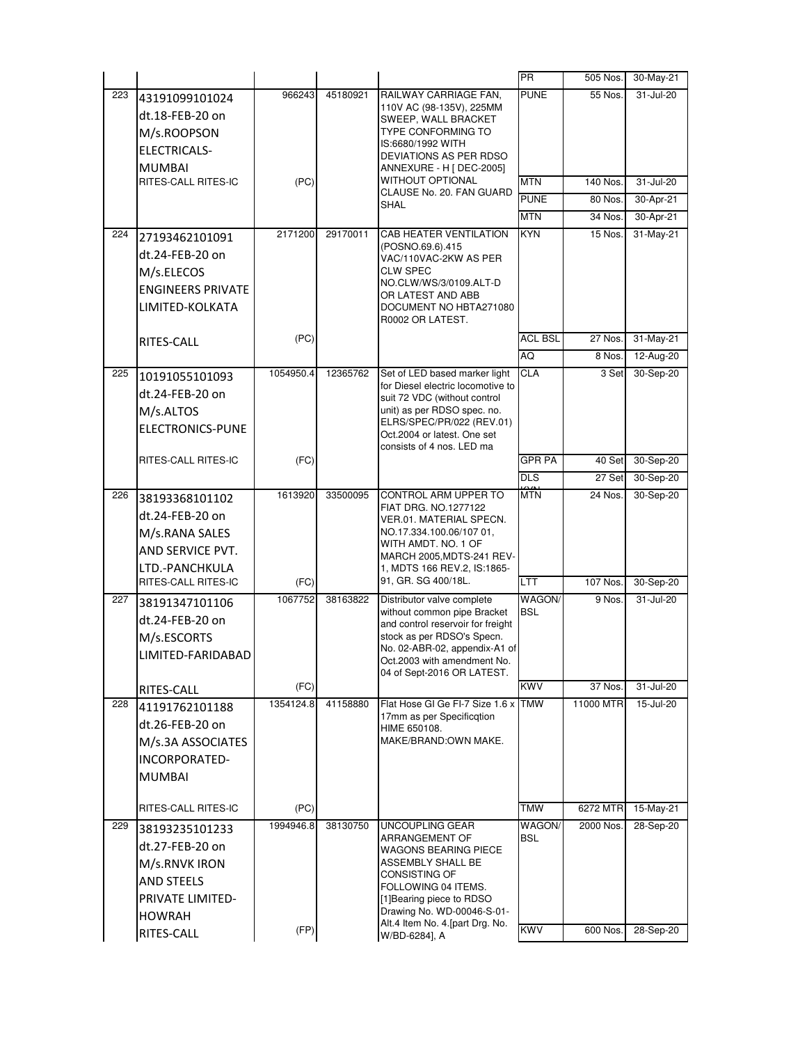|     |                                       |           |          |                                                                 | <b>PR</b>      | 505 Nos.  | 30-May-21 |
|-----|---------------------------------------|-----------|----------|-----------------------------------------------------------------|----------------|-----------|-----------|
| 223 | 43191099101024                        | 966243    | 45180921 | RAILWAY CARRIAGE FAN,                                           | <b>PUNE</b>    | 55 Nos.   | 31-Jul-20 |
|     | dt.18-FEB-20 on                       |           |          | 110V AC (98-135V), 225MM<br>SWEEP, WALL BRACKET                 |                |           |           |
|     | M/s.ROOPSON                           |           |          | TYPE CONFORMING TO                                              |                |           |           |
|     | <b>ELECTRICALS-</b>                   |           |          | IS:6680/1992 WITH                                               |                |           |           |
|     | <b>MUMBAI</b>                         |           |          | DEVIATIONS AS PER RDSO<br>ANNEXURE - H [ DEC-2005]              |                |           |           |
|     | RITES-CALL RITES-IC                   | (PC)      |          | WITHOUT OPTIONAL                                                | <b>MTN</b>     | 140 Nos.  | 31-Jul-20 |
|     |                                       |           |          | CLAUSE No. 20. FAN GUARD                                        | <b>PUNE</b>    | 80 Nos.   | 30-Apr-21 |
|     |                                       |           |          | <b>SHAL</b>                                                     | <b>MTN</b>     | 34 Nos.   | 30-Apr-21 |
| 224 | 27193462101091                        | 2171200   | 29170011 | CAB HEATER VENTILATION                                          | <b>KYN</b>     | 15 Nos.   | 31-May-21 |
|     | dt.24-FEB-20 on                       |           |          | (POSNO.69.6).415                                                |                |           |           |
|     | M/s.ELECOS                            |           |          | VAC/110VAC-2KW AS PER<br>CLW SPEC                               |                |           |           |
|     | <b>ENGINEERS PRIVATE</b>              |           |          | NO.CLW/WS/3/0109.ALT-D                                          |                |           |           |
|     | LIMITED-KOLKATA                       |           |          | OR LATEST AND ABB                                               |                |           |           |
|     |                                       |           |          | DOCUMENT NO HBTA271080<br>R0002 OR LATEST.                      |                |           |           |
|     | RITES-CALL                            | (PC)      |          |                                                                 | <b>ACL BSL</b> | 27 Nos.   | 31-May-21 |
|     |                                       |           |          |                                                                 | AQ             | 8 Nos.    | 12-Aug-20 |
| 225 | 10191055101093                        | 1054950.4 | 12365762 | Set of LED based marker light                                   | <b>CLA</b>     | 3 Set     | 30-Sep-20 |
|     | dt.24-FEB-20 on                       |           |          | for Diesel electric locomotive to                               |                |           |           |
|     |                                       |           |          | suit 72 VDC (without control<br>unit) as per RDSO spec. no.     |                |           |           |
|     | M/s.ALTOS<br>ELECTRONICS-PUNE         |           |          | ELRS/SPEC/PR/022 (REV.01)                                       |                |           |           |
|     |                                       |           |          | Oct.2004 or latest. One set                                     |                |           |           |
|     | RITES-CALL RITES-IC                   | (FC)      |          | consists of 4 nos. LED ma                                       | <b>GPR PA</b>  | 40 Set    | 30-Sep-20 |
|     |                                       |           |          |                                                                 | <b>DLS</b>     | 27 Set    | 30-Sep-20 |
| 226 |                                       | 1613920   | 33500095 | CONTROL ARM UPPER TO                                            | <b>MTN</b>     | 24 Nos.   | 30-Sep-20 |
|     | 38193368101102                        |           |          | FIAT DRG. NO.1277122                                            |                |           |           |
|     | dt.24-FEB-20 on                       |           |          | VER.01. MATERIAL SPECN.<br>NO.17.334.100.06/107 01,             |                |           |           |
|     | M/s.RANA SALES                        |           |          | WITH AMDT. NO. 1 OF                                             |                |           |           |
|     | AND SERVICE PVT.                      |           |          | MARCH 2005, MDTS-241 REV-                                       |                |           |           |
|     | LTD.-PANCHKULA<br>RITES-CALL RITES-IC | (FC)      |          | 1, MDTS 166 REV.2, IS:1865-<br>91, GR. SG 400/18L.              | LTT            | 107 Nos.  | 30-Sep-20 |
| 227 |                                       | 1067752   | 38163822 | Distributor valve complete                                      | WAGON/         | 9 Nos.    | 31-Jul-20 |
|     | 38191347101106<br>dt.24-FEB-20 on     |           |          | without common pipe Bracket                                     | <b>BSL</b>     |           |           |
|     | M/s.ESCORTS                           |           |          | and control reservoir for freight<br>stock as per RDSO's Specn. |                |           |           |
|     |                                       |           |          | No. 02-ABR-02, appendix-A1 of                                   |                |           |           |
|     | LIMITED-FARIDABAD                     |           |          | Oct 2003 with amendment No                                      |                |           |           |
|     |                                       | (FC)      |          | 04 of Sept-2016 OR LATEST.                                      | KWV            | 37 Nos.   | 31-Jul-20 |
| 228 | RITES-CALL<br>41191762101188          | 1354124.8 | 41158880 | Flat Hose GI Ge FI-7 Size 1.6 x                                 | <b>TMW</b>     | 11000 MTR | 15-Jul-20 |
|     |                                       |           |          | 17mm as per Specificqtion                                       |                |           |           |
|     | dt.26-FEB-20 on                       |           |          | HIME 650108.<br>MAKE/BRAND:OWN MAKE.                            |                |           |           |
|     | M/s.3A ASSOCIATES                     |           |          |                                                                 |                |           |           |
|     | INCORPORATED-                         |           |          |                                                                 |                |           |           |
|     | <b>MUMBAI</b>                         |           |          |                                                                 |                |           |           |
|     | RITES-CALL RITES-IC                   | (PC)      |          |                                                                 | TMW            | 6272 MTR  | 15-May-21 |
| 229 | 38193235101233                        | 1994946.8 | 38130750 | UNCOUPLING GEAR                                                 | WAGON/         | 2000 Nos. | 28-Sep-20 |
|     | dt.27-FEB-20 on                       |           |          | ARRANGEMENT OF                                                  | BSL            |           |           |
|     | M/s.RNVK IRON                         |           |          | WAGONS BEARING PIECE<br>ASSEMBLY SHALL BE                       |                |           |           |
|     | <b>AND STEELS</b>                     |           |          | CONSISTING OF                                                   |                |           |           |
|     | PRIVATE LIMITED-                      |           |          | FOLLOWING 04 ITEMS.                                             |                |           |           |
|     |                                       |           |          | [1]Bearing piece to RDSO<br>Drawing No. WD-00046-S-01-          |                |           |           |
|     | <b>HOWRAH</b>                         | (FP)      |          | Alt.4 Item No. 4. [part Drg. No.                                | <b>KWV</b>     | 600 Nos.  | 28-Sep-20 |
|     | RITES-CALL                            |           |          | W/BD-6284], A                                                   |                |           |           |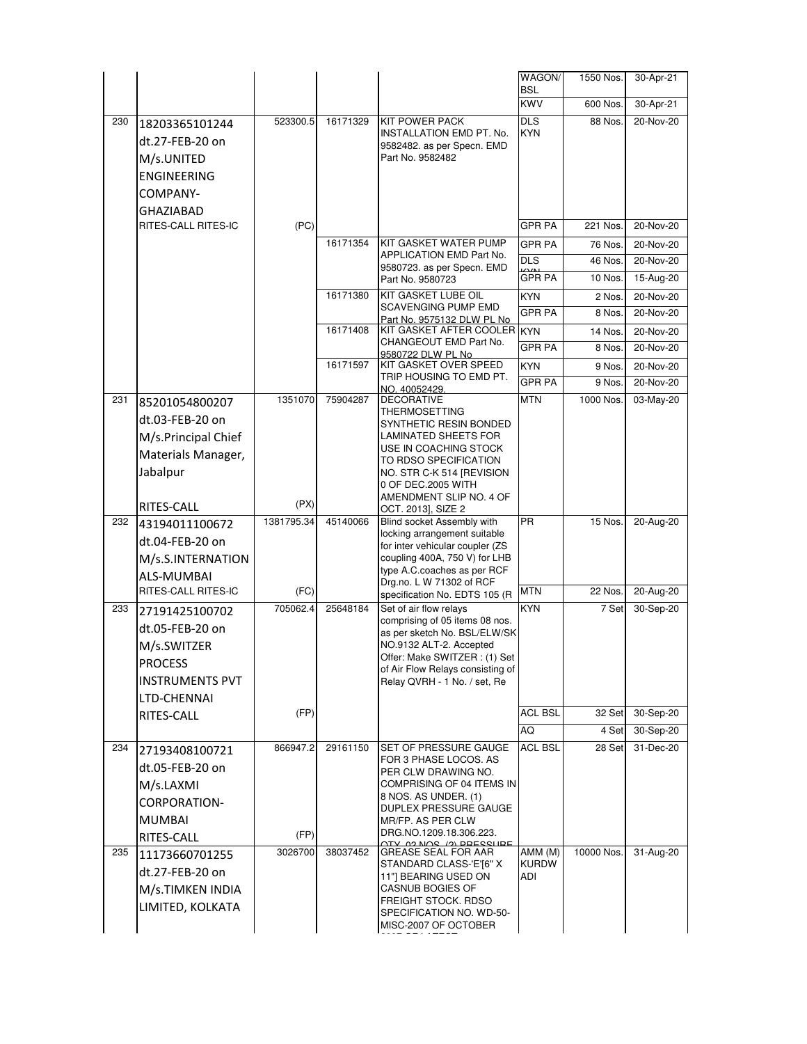|     |                        |            |          |                                                                  | WAGON/                   | 1550 Nos.  | 30-Apr-21 |
|-----|------------------------|------------|----------|------------------------------------------------------------------|--------------------------|------------|-----------|
|     |                        |            |          |                                                                  | <b>BSL</b><br><b>KWV</b> | 600 Nos.   | 30-Apr-21 |
|     |                        |            | 16171329 | <b>KIT POWER PACK</b>                                            | <b>DLS</b>               |            |           |
| 230 | 18203365101244         | 523300.5   |          | INSTALLATION EMD PT. No.                                         | <b>KYN</b>               | 88 Nos.    | 20-Nov-20 |
|     | dt.27-FEB-20 on        |            |          | 9582482. as per Specn. EMD                                       |                          |            |           |
|     | M/s.UNITED             |            |          | Part No. 9582482                                                 |                          |            |           |
|     | <b>ENGINEERING</b>     |            |          |                                                                  |                          |            |           |
|     | COMPANY-               |            |          |                                                                  |                          |            |           |
|     | GHAZIABAD              |            |          |                                                                  |                          |            |           |
|     | RITES-CALL RITES-IC    | (PC)       |          |                                                                  | <b>GPR PA</b>            | 221 Nos.   | 20-Nov-20 |
|     |                        |            | 16171354 | KIT GASKET WATER PUMP                                            | GPR PA                   | 76 Nos.    | 20-Nov-20 |
|     |                        |            |          | <b>APPLICATION EMD Part No.</b><br>9580723. as per Specn. EMD    | <b>DLS</b>               | 46 Nos.    | 20-Nov-20 |
|     |                        |            |          | Part No. 9580723                                                 | <b>GPR PA</b>            | 10 Nos.    | 15-Aug-20 |
|     |                        |            | 16171380 | <b>KIT GASKET LUBE OIL</b>                                       | <b>KYN</b>               | 2 Nos.     | 20-Nov-20 |
|     |                        |            |          | SCAVENGING PUMP EMD<br>Part No. 9575132 DLW PL No                | <b>GPR PA</b>            | 8 Nos.     | 20-Nov-20 |
|     |                        |            | 16171408 | KIT GASKET AFTER COOLER KYN                                      |                          | 14 Nos.    | 20-Nov-20 |
|     |                        |            |          | CHANGEOUT EMD Part No.<br>9580722 DLW PL No                      | <b>GPR PA</b>            | 8 Nos.     | 20-Nov-20 |
|     |                        |            | 16171597 | KIT GASKET OVER SPEED                                            | <b>KYN</b>               | 9 Nos.     | 20-Nov-20 |
|     |                        |            |          | TRIP HOUSING TO EMD PT.                                          | <b>GPR PA</b>            | 9 Nos.     | 20-Nov-20 |
| 231 | 85201054800207         | 1351070    | 75904287 | NO. 40052429.<br><b>DECORATIVE</b>                               | <b>MTN</b>               | 1000 Nos.  | 03-May-20 |
|     | dt.03-FEB-20 on        |            |          | THERMOSETTING                                                    |                          |            |           |
|     | M/s.Principal Chief    |            |          | SYNTHETIC RESIN BONDED<br><b>LAMINATED SHEETS FOR</b>            |                          |            |           |
|     | Materials Manager,     |            |          | USE IN COACHING STOCK                                            |                          |            |           |
|     | Jabalpur               |            |          | TO RDSO SPECIFICATION<br>NO. STR C-K 514 [REVISION               |                          |            |           |
|     |                        |            |          | 0 OF DEC.2005 WITH                                               |                          |            |           |
|     | RITES-CALL             | (PX)       |          | AMENDMENT SLIP NO. 4 OF<br>OCT. 2013], SIZE 2                    |                          |            |           |
| 232 | 43194011100672         | 1381795.34 | 45140066 | Blind socket Assembly with                                       | <b>PR</b>                | 15 Nos.    | 20-Aug-20 |
|     | dt.04-FEB-20 on        |            |          | locking arrangement suitable<br>for inter vehicular coupler (ZS  |                          |            |           |
|     | M/s.S.INTERNATION      |            |          | coupling 400A, 750 V) for LHB                                    |                          |            |           |
|     | ALS-MUMBAI             |            |          | type A.C.coaches as per RCF                                      |                          |            |           |
|     | RITES-CALL RITES-IC    | (FC)       |          | Drg.no. L W 71302 of RCF<br>specification No. EDTS 105 (R        | <b>MTN</b>               | 22 Nos.    | 20-Aug-20 |
| 233 | 27191425100702         | 705062.4   | 25648184 | Set of air flow relays                                           | <b>KYN</b>               | 7 Set      | 30-Sep-20 |
|     | dt.05-FEB-20 on        |            |          | comprising of 05 items 08 nos.<br>as per sketch No. BSL/ELW/SK   |                          |            |           |
|     | M/s.SWITZER            |            |          | NO.9132 ALT-2. Accepted                                          |                          |            |           |
|     | <b>PROCESS</b>         |            |          | Offer: Make SWITZER: (1) Set                                     |                          |            |           |
|     | <b>INSTRUMENTS PVT</b> |            |          | of Air Flow Relays consisting of<br>Relay QVRH - 1 No. / set, Re |                          |            |           |
|     | LTD-CHENNAI            |            |          |                                                                  |                          |            |           |
|     | RITES-CALL             | (FP)       |          |                                                                  | <b>ACL BSL</b>           | 32 Set     | 30-Sep-20 |
|     |                        |            |          |                                                                  | AQ                       | 4 Set      | 30-Sep-20 |
| 234 | 27193408100721         | 866947.2   | 29161150 | SET OF PRESSURE GAUGE                                            | <b>ACL BSL</b>           | 28 Set     | 31-Dec-20 |
|     | dt.05-FEB-20 on        |            |          | FOR 3 PHASE LOCOS. AS<br>PER CLW DRAWING NO.                     |                          |            |           |
|     | M/s.LAXMI              |            |          | COMPRISING OF 04 ITEMS IN                                        |                          |            |           |
|     | CORPORATION-           |            |          | 8 NOS. AS UNDER. (1)<br>DUPLEX PRESSURE GAUGE                    |                          |            |           |
|     | <b>MUMBAI</b>          |            |          | MR/FP. AS PER CLW                                                |                          |            |           |
|     | RITES-CALL             | (FP)       |          | DRG.NO.1209.18.306.223.<br>02 NOS (2) DOESSUDE                   |                          |            |           |
| 235 | 11173660701255         | 3026700    | 38037452 | <b>GREASE SEAL FOR AAR</b>                                       | AMM (M)                  | 10000 Nos. | 31-Aug-20 |
|     | dt.27-FEB-20 on        |            |          | STANDARD CLASS-'E'[6" X<br>11"] BEARING USED ON                  | <b>KURDW</b><br>ADI      |            |           |
|     | M/s.TIMKEN INDIA       |            |          | CASNUB BOGIES OF                                                 |                          |            |           |
|     | LIMITED, KOLKATA       |            |          | FREIGHT STOCK. RDSO<br>SPECIFICATION NO. WD-50-                  |                          |            |           |
|     |                        |            |          | MISC-2007 OF OCTOBER                                             |                          |            |           |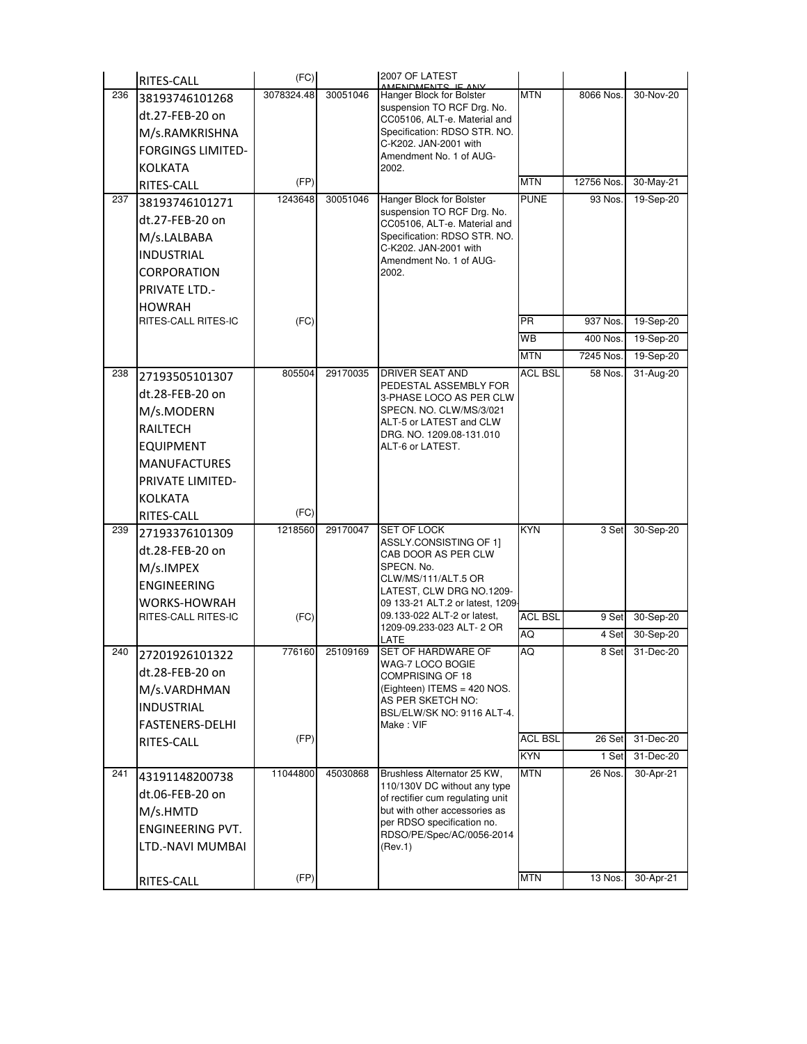|     | RITES-CALL               | (FC)       |          | 2007 OF LATEST<br>AMENDMENTS IE ANV                              |                |            |           |
|-----|--------------------------|------------|----------|------------------------------------------------------------------|----------------|------------|-----------|
| 236 | 38193746101268           | 3078324.48 | 30051046 | Hanger Block for Bolster                                         | <b>MTN</b>     | 8066 Nos.  | 30-Nov-20 |
|     | dt.27-FEB-20 on          |            |          | suspension TO RCF Drg. No.<br>CC05106, ALT-e. Material and       |                |            |           |
|     | M/s.RAMKRISHNA           |            |          | Specification: RDSO STR. NO.                                     |                |            |           |
|     | <b>FORGINGS LIMITED-</b> |            |          | C-K202. JAN-2001 with                                            |                |            |           |
|     | <b>KOLKATA</b>           |            |          | Amendment No. 1 of AUG-<br>2002.                                 |                |            |           |
|     | RITES-CALL               | (FP)       |          |                                                                  | <b>MTN</b>     | 12756 Nos. | 30-May-21 |
| 237 | 38193746101271           | 1243648    | 30051046 | Hanger Block for Bolster                                         | <b>PUNE</b>    | 93 Nos.    | 19-Sep-20 |
|     | dt.27-FEB-20 on          |            |          | suspension TO RCF Drg. No.                                       |                |            |           |
|     | M/s.LALBABA              |            |          | CC05106, ALT-e. Material and<br>Specification: RDSO STR. NO.     |                |            |           |
|     | <b>INDUSTRIAL</b>        |            |          | C-K202. JAN-2001 with                                            |                |            |           |
|     | CORPORATION              |            |          | Amendment No. 1 of AUG-<br>2002.                                 |                |            |           |
|     | <b>PRIVATE LTD.-</b>     |            |          |                                                                  |                |            |           |
|     | <b>HOWRAH</b>            |            |          |                                                                  |                |            |           |
|     | RITES-CALL RITES-IC      | (FC)       |          |                                                                  | <b>PR</b>      | 937 Nos.   | 19-Sep-20 |
|     |                          |            |          |                                                                  | WB             | 400 Nos.   | 19-Sep-20 |
|     |                          |            |          |                                                                  | <b>MTN</b>     | 7245 Nos.  | 19-Sep-20 |
| 238 | 27193505101307           | 805504     | 29170035 | DRIVER SEAT AND                                                  | <b>ACL BSL</b> | 58 Nos.    | 31-Aug-20 |
|     | dt.28-FEB-20 on          |            |          | PEDESTAL ASSEMBLY FOR<br>3-PHASE LOCO AS PER CLW                 |                |            |           |
|     | M/s.MODERN               |            |          | SPECN. NO. CLW/MS/3/021                                          |                |            |           |
|     | <b>RAILTECH</b>          |            |          | ALT-5 or LATEST and CLW                                          |                |            |           |
|     | <b>EQUIPMENT</b>         |            |          | DRG. NO. 1209.08-131.010<br>ALT-6 or LATEST.                     |                |            |           |
|     | <b>MANUFACTURES</b>      |            |          |                                                                  |                |            |           |
|     | <b>PRIVATE LIMITED-</b>  |            |          |                                                                  |                |            |           |
|     | KOLKATA                  |            |          |                                                                  |                |            |           |
|     | RITES-CALL               | (FC)       |          |                                                                  |                |            |           |
| 239 | 27193376101309           | 1218560    | 29170047 | <b>SET OF LOCK</b>                                               | <b>KYN</b>     | 3 Set      | 30-Sep-20 |
|     | dt.28-FEB-20 on          |            |          | ASSLY.CONSISTING OF 1]<br>CAB DOOR AS PER CLW                    |                |            |           |
|     | M/s.IMPEX                |            |          | SPECN. No.                                                       |                |            |           |
|     | <b>ENGINEERING</b>       |            |          | CLW/MS/111/ALT.5 OR                                              |                |            |           |
|     | <b>WORKS-HOWRAH</b>      |            |          | LATEST, CLW DRG NO.1209-<br>09 133-21 ALT.2 or latest, 1209      |                |            |           |
|     | RITES-CALL RITES-IC      | (FC)       |          | 09.133-022 ALT-2 or latest,                                      | <b>ACL BSL</b> | 9 Set      | 30-Sep-20 |
|     |                          |            |          | 1209-09.233-023 ALT- 2 OR<br>LATE                                | AQ             | 4 Set      | 30-Sep-20 |
| 240 | 27201926101322           | 776160     | 25109169 | SET OF HARDWARE OF                                               | AQ             | 8 Set      | 31-Dec-20 |
|     | dt.28-FEB-20 on          |            |          | WAG-7 LOCO BOGIE<br>COMPRISING OF 18                             |                |            |           |
|     | M/s.VARDHMAN             |            |          | (Eighteen) ITEMS = 420 NOS.                                      |                |            |           |
|     | <b>INDUSTRIAL</b>        |            |          | AS PER SKETCH NO:<br>BSL/ELW/SK NO: 9116 ALT-4.                  |                |            |           |
|     | <b>FASTENERS-DELHI</b>   |            |          | Make: VIF                                                        |                |            |           |
|     | RITES-CALL               | (FP)       |          |                                                                  | <b>ACL BSL</b> | 26 Set     | 31-Dec-20 |
|     |                          |            |          |                                                                  | <b>KYN</b>     | 1 Set      | 31-Dec-20 |
| 241 | 43191148200738           | 11044800   | 45030868 | Brushless Alternator 25 KW,                                      | <b>MTN</b>     | 26 Nos.    | 30-Apr-21 |
|     | dt.06-FEB-20 on          |            |          | 110/130V DC without any type<br>of rectifier cum regulating unit |                |            |           |
|     | M/s.HMTD                 |            |          | but with other accessories as                                    |                |            |           |
|     | ENGINEERING PVT.         |            |          | per RDSO specification no.<br>RDSO/PE/Spec/AC/0056-2014          |                |            |           |
|     | LTD.-NAVI MUMBAI         |            |          | (Rev.1)                                                          |                |            |           |
|     |                          |            |          |                                                                  |                |            |           |
|     | RITES-CALL               | (FP)       |          |                                                                  | <b>MTN</b>     | 13 Nos.    | 30-Apr-21 |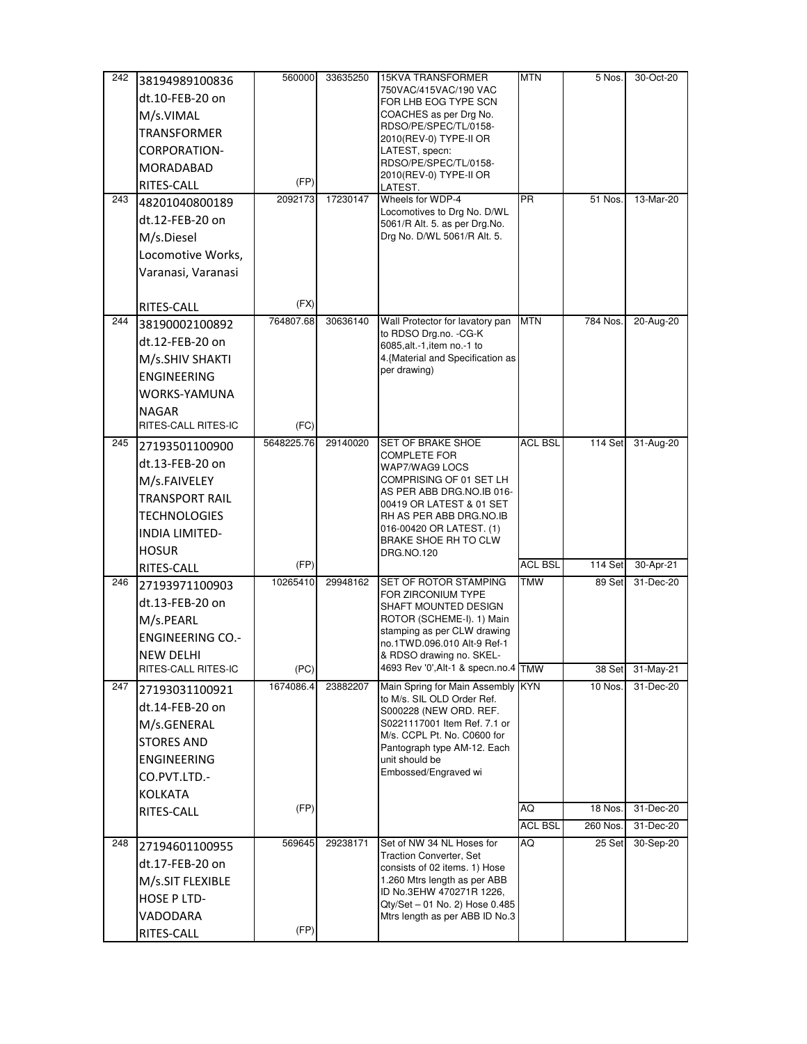| 242 | 38194989100836          | 560000     | 33635250 | <b>15KVA TRANSFORMER</b>                                        | <b>MTN</b>     | 5 Nos.   | 30-Oct-20 |
|-----|-------------------------|------------|----------|-----------------------------------------------------------------|----------------|----------|-----------|
|     | dt.10-FEB-20 on         |            |          | 750VAC/415VAC/190 VAC<br>FOR LHB EOG TYPE SCN                   |                |          |           |
|     | M/s.VIMAL               |            |          | COACHES as per Drg No.                                          |                |          |           |
|     | <b>TRANSFORMER</b>      |            |          | RDSO/PE/SPEC/TL/0158-                                           |                |          |           |
|     | CORPORATION-            |            |          | 2010(REV-0) TYPE-II OR<br>LATEST, specn:                        |                |          |           |
|     | MORADABAD               |            |          | RDSO/PE/SPEC/TL/0158-                                           |                |          |           |
|     | RITES-CALL              | (FP)       |          | 2010(REV-0) TYPE-II OR<br>LATEST.                               |                |          |           |
| 243 | 48201040800189          | 2092173    | 17230147 | Wheels for WDP-4                                                | <b>PR</b>      | 51 Nos.  | 13-Mar-20 |
|     | dt.12-FEB-20 on         |            |          | Locomotives to Drg No. D/WL                                     |                |          |           |
|     | M/s.Diesel              |            |          | 5061/R Alt. 5. as per Drg. No.<br>Drg No. D/WL 5061/R Alt. 5.   |                |          |           |
|     | Locomotive Works,       |            |          |                                                                 |                |          |           |
|     | Varanasi, Varanasi      |            |          |                                                                 |                |          |           |
|     |                         |            |          |                                                                 |                |          |           |
|     | RITES-CALL              | (FX)       |          |                                                                 |                |          |           |
| 244 | 38190002100892          | 764807.68  | 30636140 | Wall Protector for lavatory pan                                 | <b>MTN</b>     | 784 Nos. | 20-Aug-20 |
|     | dt.12-FEB-20 on         |            |          | to RDSO Drg.no. - CG-K<br>6085, alt. - 1, item no. - 1 to       |                |          |           |
|     | M/s.SHIV SHAKTI         |            |          | 4. {Material and Specification as                               |                |          |           |
|     | <b>ENGINEERING</b>      |            |          | per drawing)                                                    |                |          |           |
|     | WORKS-YAMUNA            |            |          |                                                                 |                |          |           |
|     | <b>NAGAR</b>            |            |          |                                                                 |                |          |           |
|     | RITES-CALL RITES-IC     | (FC)       |          |                                                                 |                |          |           |
| 245 | 27193501100900          | 5648225.76 | 29140020 | SET OF BRAKE SHOE                                               | <b>ACL BSL</b> | 114 Set  | 31-Aug-20 |
|     | dt.13-FEB-20 on         |            |          | <b>COMPLETE FOR</b><br>WAP7/WAG9 LOCS                           |                |          |           |
|     | M/s.FAIVELEY            |            |          | COMPRISING OF 01 SET LH                                         |                |          |           |
|     | <b>TRANSPORT RAIL</b>   |            |          | AS PER ABB DRG.NO.IB 016-<br>00419 OR LATEST & 01 SET           |                |          |           |
|     | <b>TECHNOLOGIES</b>     |            |          | RH AS PER ABB DRG.NO.IB                                         |                |          |           |
|     | <b>INDIA LIMITED-</b>   |            |          | 016-00420 OR LATEST. (1)                                        |                |          |           |
|     | <b>HOSUR</b>            |            |          | BRAKE SHOE RH TO CLW<br>DRG.NO.120                              |                |          |           |
|     | RITES-CALL              | (FP)       |          |                                                                 | <b>ACL BSL</b> | 114 Set  | 30-Apr-21 |
| 246 | 27193971100903          | 10265410   | 29948162 | SET OF ROTOR STAMPING                                           | <b>TMW</b>     | 89 Set   | 31-Dec-20 |
|     | dt.13-FEB-20 on         |            |          | FOR ZIRCONIUM TYPE<br>SHAFT MOUNTED DESIGN                      |                |          |           |
|     | M/s.PEARL               |            |          | ROTOR (SCHEME-I). 1) Main                                       |                |          |           |
|     | <b>ENGINEERING CO.-</b> |            |          | stamping as per CLW drawing<br>no.1TWD.096.010 Alt-9 Ref-1      |                |          |           |
|     | <b>NEW DELHI</b>        |            |          | & RDSO drawing no. SKEL-                                        |                |          |           |
|     | RITES-CALL RITES-IC     | (PC)       |          | 4693 Rev '0', Alt-1 & specn.no.4 TMW                            |                | 38 Set   | 31-May-21 |
| 247 | 27193031100921          | 1674086.4  | 23882207 | Main Spring for Main Assembly KYN                               |                | 10 Nos.  | 31-Dec-20 |
|     | dt.14-FEB-20 on         |            |          | to M/s. SIL OLD Order Ref.<br>S000228 (NEW ORD. REF.            |                |          |           |
|     | M/s.GENERAL             |            |          | S0221117001 Item Ref. 7.1 or                                    |                |          |           |
|     | <b>STORES AND</b>       |            |          | M/s. CCPL Pt. No. C0600 for<br>Pantograph type AM-12. Each      |                |          |           |
|     | <b>ENGINEERING</b>      |            |          | unit should be                                                  |                |          |           |
|     | CO.PVT.LTD.-            |            |          | Embossed/Engraved wi                                            |                |          |           |
|     | <b>KOLKATA</b>          |            |          |                                                                 |                |          |           |
|     | RITES-CALL              | (FP)       |          |                                                                 | AQ             | 18 Nos.  | 31-Dec-20 |
|     |                         |            |          |                                                                 | <b>ACL BSL</b> | 260 Nos. | 31-Dec-20 |
| 248 | 27194601100955          | 569645     | 29238171 | Set of NW 34 NL Hoses for                                       | AQ             | 25 Set   | 30-Sep-20 |
|     | dt.17-FEB-20 on         |            |          | <b>Traction Converter, Set</b><br>consists of 02 items. 1) Hose |                |          |           |
|     | M/s.SIT FLEXIBLE        |            |          | 1.260 Mtrs length as per ABB                                    |                |          |           |
|     | HOSE P LTD-             |            |          | ID No.3EHW 470271R 1226,<br>Qty/Set - 01 No. 2) Hose 0.485      |                |          |           |
|     | VADODARA                |            |          | Mtrs length as per ABB ID No.3                                  |                |          |           |
|     | RITES-CALL              | (FP)       |          |                                                                 |                |          |           |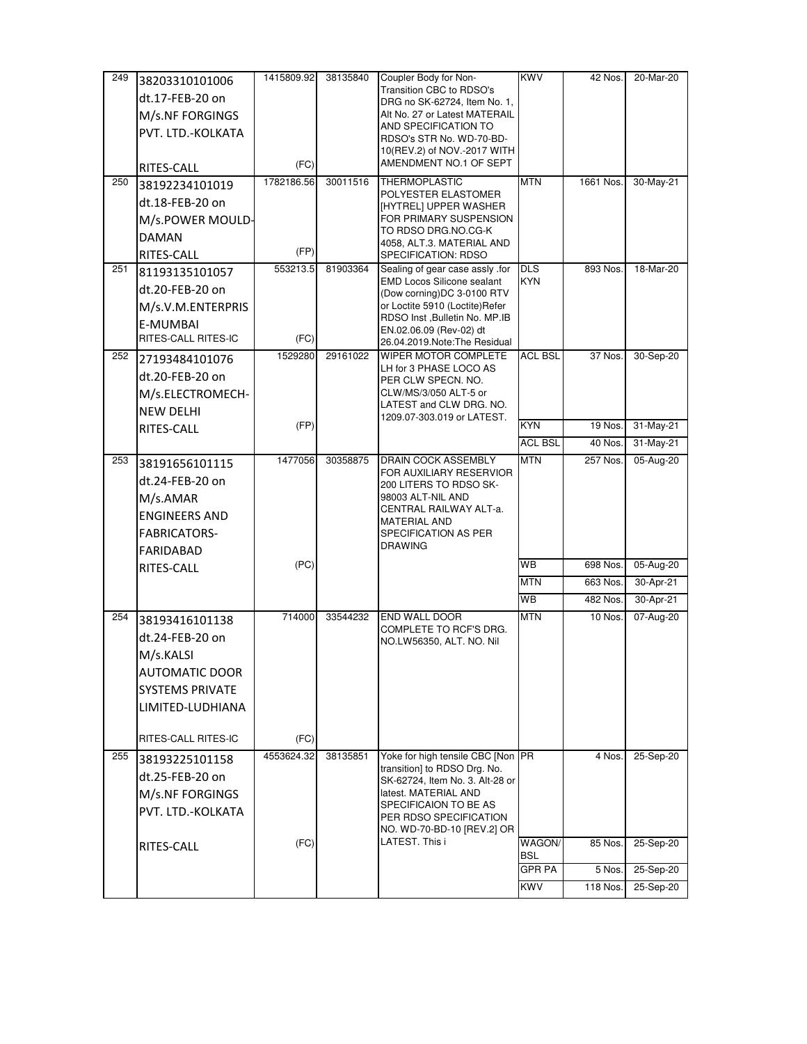| 249 | 38203310101006               | 1415809.92 | 38135840 | Coupler Body for Non-                                            | <b>KWV</b>     | 42 Nos.   | 20-Mar-20 |
|-----|------------------------------|------------|----------|------------------------------------------------------------------|----------------|-----------|-----------|
|     | dt.17-FEB-20 on              |            |          | Transition CBC to RDSO's                                         |                |           |           |
|     |                              |            |          | DRG no SK-62724, Item No. 1,                                     |                |           |           |
|     | M/s.NF FORGINGS              |            |          | Alt No. 27 or Latest MATERAIL<br>AND SPECIFICATION TO            |                |           |           |
|     | PVT. LTD.-KOLKATA            |            |          | RDSO's STR No. WD-70-BD-                                         |                |           |           |
|     |                              |            |          | 10(REV.2) of NOV.-2017 WITH                                      |                |           |           |
|     | RITES-CALL                   | (FC)       |          | AMENDMENT NO.1 OF SEPT                                           |                |           |           |
| 250 | 38192234101019               | 1782186.56 | 30011516 | <b>THERMOPLASTIC</b>                                             | <b>MTN</b>     | 1661 Nos. | 30-May-21 |
|     | dt.18-FEB-20 on              |            |          | POLYESTER ELASTOMER<br>[HYTREL] UPPER WASHER                     |                |           |           |
|     | M/s.POWER MOULD-             |            |          | FOR PRIMARY SUSPENSION                                           |                |           |           |
|     | <b>DAMAN</b>                 |            |          | TO RDSO DRG.NO.CG-K                                              |                |           |           |
|     |                              | (FP)       |          | 4058, ALT.3. MATERIAL AND                                        |                |           |           |
| 251 | RITES-CALL<br>81193135101057 | 553213.5   | 81903364 | SPECIFICATION: RDSO<br>Sealing of gear case assly .for           | <b>DLS</b>     | 893 Nos.  | 18-Mar-20 |
|     |                              |            |          | <b>EMD Locos Silicone sealant</b>                                | <b>KYN</b>     |           |           |
|     | dt.20-FEB-20 on              |            |          | (Dow corning)DC 3-0100 RTV                                       |                |           |           |
|     | M/s.V.M.ENTERPRIS            |            |          | or Loctite 5910 (Loctite)Refer<br>RDSO Inst , Bulletin No. MP.IB |                |           |           |
|     | E-MUMBAI                     |            |          | EN.02.06.09 (Rev-02) dt                                          |                |           |           |
|     | RITES-CALL RITES-IC          | (FC)       |          | 26.04.2019.Note:The Residual                                     |                |           |           |
| 252 | 27193484101076               | 1529280    | 29161022 | WIPER MOTOR COMPLETE<br>LH for 3 PHASE LOCO AS                   | ACL BSL        | 37 Nos.   | 30-Sep-20 |
|     | dt.20-FEB-20 on              |            |          | PER CLW SPECN. NO.                                               |                |           |           |
|     | M/s.ELECTROMECH-             |            |          | CLW/MS/3/050 ALT-5 or                                            |                |           |           |
|     | <b>NEW DELHI</b>             |            |          | LATEST and CLW DRG. NO.                                          |                |           |           |
|     | RITES-CALL                   | (FP)       |          | 1209.07-303.019 or LATEST.                                       | <b>KYN</b>     | 19 Nos.   | 31-May-21 |
|     |                              |            |          |                                                                  | <b>ACL BSL</b> | 40 Nos.   | 31-May-21 |
| 253 | 38191656101115               | 1477056    | 30358875 | DRAIN COCK ASSEMBLY                                              | <b>MTN</b>     | 257 Nos.  | 05-Aug-20 |
|     | dt.24-FEB-20 on              |            |          | FOR AUXILIARY RESERVIOR                                          |                |           |           |
|     | M/s.AMAR                     |            |          | 200 LITERS TO RDSO SK-<br>98003 ALT-NIL AND                      |                |           |           |
|     | <b>ENGINEERS AND</b>         |            |          | CENTRAL RAILWAY ALT-a.                                           |                |           |           |
|     |                              |            |          | <b>MATERIAL AND</b>                                              |                |           |           |
|     | FABRICATORS-                 |            |          | SPECIFICATION AS PER<br><b>DRAWING</b>                           |                |           |           |
|     | FARIDABAD                    | (PC)       |          |                                                                  | WB             | 698 Nos.  | 05-Aug-20 |
|     | RITES-CALL                   |            |          |                                                                  | <b>MTN</b>     | 663 Nos.  | 30-Apr-21 |
|     |                              |            |          |                                                                  | <b>WB</b>      | 482 Nos.  | 30-Apr-21 |
|     |                              | 714000     |          | <b>END WALL DOOR</b>                                             | <b>MTN</b>     | 10 Nos.   | 07-Aug-20 |
| 254 | 38193416101138               |            | 33544232 | COMPLETE TO RCF'S DRG.                                           |                |           |           |
|     | dt.24-FEB-20 on              |            |          | NO.LW56350, ALT. NO. Nil                                         |                |           |           |
|     | M/s.KALSI                    |            |          |                                                                  |                |           |           |
|     | <b>AUTOMATIC DOOR</b>        |            |          |                                                                  |                |           |           |
|     | <b>SYSTEMS PRIVATE</b>       |            |          |                                                                  |                |           |           |
|     | LIMITED-LUDHIANA             |            |          |                                                                  |                |           |           |
|     |                              |            |          |                                                                  |                |           |           |
|     | RITES-CALL RITES-IC          | (FC)       |          |                                                                  |                |           |           |
| 255 | 38193225101158               | 4553624.32 | 38135851 | Yoke for high tensile CBC [Non PR                                |                | 4 Nos.    | 25-Sep-20 |
|     | dt.25-FEB-20 on              |            |          | transition] to RDSO Drg. No.<br>SK-62724, Item No. 3. Alt-28 or  |                |           |           |
|     | M/s.NF FORGINGS              |            |          | latest. MATERIAL AND                                             |                |           |           |
|     | PVT. LTD.-KOLKATA            |            |          | SPECIFICAION TO BE AS                                            |                |           |           |
|     |                              |            |          | PER RDSO SPECIFICATION<br>NO. WD-70-BD-10 [REV.2] OR             |                |           |           |
|     | RITES-CALL                   | (FC)       |          | LATEST. This i                                                   | WAGON/         | 85 Nos.   | 25-Sep-20 |
|     |                              |            |          |                                                                  | <b>BSL</b>     |           |           |
|     |                              |            |          |                                                                  | GPR PA         | 5 Nos.    | 25-Sep-20 |
|     |                              |            |          |                                                                  | <b>KWV</b>     | 118 Nos.  | 25-Sep-20 |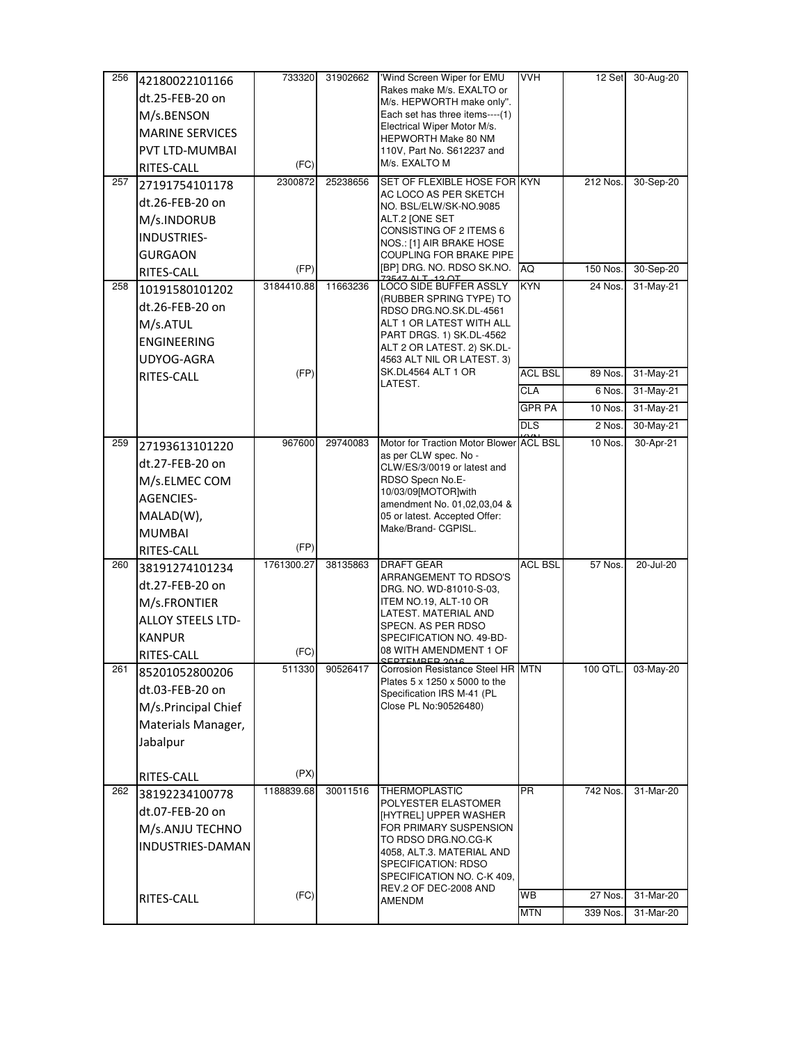| 256 | 42180022101166           | 733320     | 31902662 | 'Wind Screen Wiper for EMU                                   | <b>VVH</b>     | 12 Set   | 30-Aug-20 |
|-----|--------------------------|------------|----------|--------------------------------------------------------------|----------------|----------|-----------|
|     | dt.25-FEB-20 on          |            |          | Rakes make M/s. EXALTO or<br>M/s. HEPWORTH make only".       |                |          |           |
|     | M/s.BENSON               |            |          | Each set has three items----(1)                              |                |          |           |
|     | <b>MARINE SERVICES</b>   |            |          | Electrical Wiper Motor M/s.                                  |                |          |           |
|     | PVT LTD-MUMBAI           |            |          | HEPWORTH Make 80 NM<br>110V, Part No. S612237 and            |                |          |           |
|     | RITES-CALL               | (FC)       |          | M/s. EXALTO M                                                |                |          |           |
| 257 | 27191754101178           | 2300872    | 25238656 | SET OF FLEXIBLE HOSE FOR KYN                                 |                | 212 Nos. | 30-Sep-20 |
|     | dt.26-FEB-20 on          |            |          | AC LOCO AS PER SKETCH                                        |                |          |           |
|     | M/s.INDORUB              |            |          | NO. BSL/ELW/SK-NO.9085<br>ALT.2 JONE SET                     |                |          |           |
|     | INDUSTRIES-              |            |          | CONSISTING OF 2 ITEMS 6                                      |                |          |           |
|     | <b>GURGAON</b>           |            |          | NOS.: [1] AIR BRAKE HOSE<br>COUPLING FOR BRAKE PIPE          |                |          |           |
|     | RITES-CALL               | (FP)       |          | [BP] DRG. No. RDSO SK.NO.                                    | AQ             | 150 Nos. | 30-Sep-20 |
| 258 | 10191580101202           | 3184410.88 | 11663236 | LOCO SIDE BUFFER ASSLY                                       | KYN            | 24 Nos.  | 31-May-21 |
|     | dt.26-FEB-20 on          |            |          | (RUBBER SPRING TYPE) TO                                      |                |          |           |
|     | M/s.ATUL                 |            |          | RDSO DRG.NO.SK.DL-4561<br>ALT 1 OR LATEST WITH ALL           |                |          |           |
|     | <b>ENGINEERING</b>       |            |          | PART DRGS. 1) SK.DL-4562                                     |                |          |           |
|     | UDYOG-AGRA               |            |          | ALT 2 OR LATEST. 2) SK.DL-<br>4563 ALT NIL OR LATEST. 3)     |                |          |           |
|     | RITES-CALL               | (FP)       |          | SK.DL4564 ALT 1 OR                                           | <b>ACL BSL</b> | 89 Nos.  | 31-May-21 |
|     |                          |            |          | LATEST.                                                      | <b>CLA</b>     | 6 Nos.   | 31-May-21 |
|     |                          |            |          |                                                              | <b>GPR PA</b>  | 10 Nos.  | 31-May-21 |
|     |                          |            |          |                                                              | <b>DLS</b>     | 2 Nos.   | 30-May-21 |
| 259 | 27193613101220           | 967600     | 29740083 | Motor for Traction Motor Blower ACL BSL                      |                | 10 Nos.  | 30-Apr-21 |
|     | dt.27-FEB-20 on          |            |          | as per CLW spec. No -                                        |                |          |           |
|     | M/s.ELMEC COM            |            |          | CLW/ES/3/0019 or latest and<br>RDSO Specn No.E-              |                |          |           |
|     | <b>AGENCIES-</b>         |            |          | 10/03/09[MOTOR]with                                          |                |          |           |
|     | $MALAD(W)$ ,             |            |          | amendment No. 01,02,03,04 &<br>05 or latest. Accepted Offer: |                |          |           |
|     | <b>MUMBAI</b>            |            |          | Make/Brand- CGPISL.                                          |                |          |           |
|     | RITES-CALL               | (FP)       |          |                                                              |                |          |           |
| 260 | 38191274101234           | 1761300.27 | 38135863 | DRAFT GEAR                                                   | <b>ACL BSL</b> | 57 Nos.  | 20-Jul-20 |
|     | dt.27-FEB-20 on          |            |          | ARRANGEMENT TO RDSO'S                                        |                |          |           |
|     | M/s.FRONTIER             |            |          | DRG. NO. WD-81010-S-03,<br>ITEM NO.19, ALT-10 OR             |                |          |           |
|     | <b>ALLOY STEELS LTD-</b> |            |          | LATEST. MATERIAL AND                                         |                |          |           |
|     | <b>KANPUR</b>            |            |          | SPECN. AS PER RDSO<br>SPECIFICATION NO. 49-BD-               |                |          |           |
|     | RITES-CALL               | (FC)       |          | 08 WITH AMENDMENT 1 OF                                       |                |          |           |
| 261 | 85201052800206           | 511330     | 90526417 | <b>CEDTEMPED 2016</b><br>Corrosion Resistance Steel HR MTN   |                | 100 QTL. | 03-May-20 |
|     | dt.03-FEB-20 on          |            |          | Plates 5 x 1250 x 5000 to the<br>Specification IRS M-41 (PL  |                |          |           |
|     | M/s.Principal Chief      |            |          | Close PL No:90526480)                                        |                |          |           |
|     | Materials Manager,       |            |          |                                                              |                |          |           |
|     | Jabalpur                 |            |          |                                                              |                |          |           |
|     |                          |            |          |                                                              |                |          |           |
|     | RITES-CALL               | (PX)       |          |                                                              |                |          |           |
| 262 | 38192234100778           | 1188839.68 | 30011516 | <b>THERMOPLASTIC</b>                                         | <b>PR</b>      | 742 Nos. | 31-Mar-20 |
|     | dt.07-FEB-20 on          |            |          | POLYESTER ELASTOMER<br>[HYTREL] UPPER WASHER                 |                |          |           |
|     | M/s.ANJU TECHNO          |            |          | FOR PRIMARY SUSPENSION                                       |                |          |           |
|     | INDUSTRIES-DAMAN         |            |          | TO RDSO DRG.NO.CG-K                                          |                |          |           |
|     |                          |            |          | 4058, ALT.3. MATERIAL AND<br>SPECIFICATION: RDSO             |                |          |           |
|     |                          |            |          |                                                              |                |          |           |
|     |                          |            |          | SPECIFICATION NO. C-K 409,                                   |                |          |           |
|     | RITES-CALL               | (FC)       |          | REV.2 OF DEC-2008 AND<br>AMENDM                              | WB             | 27 Nos.  | 31-Mar-20 |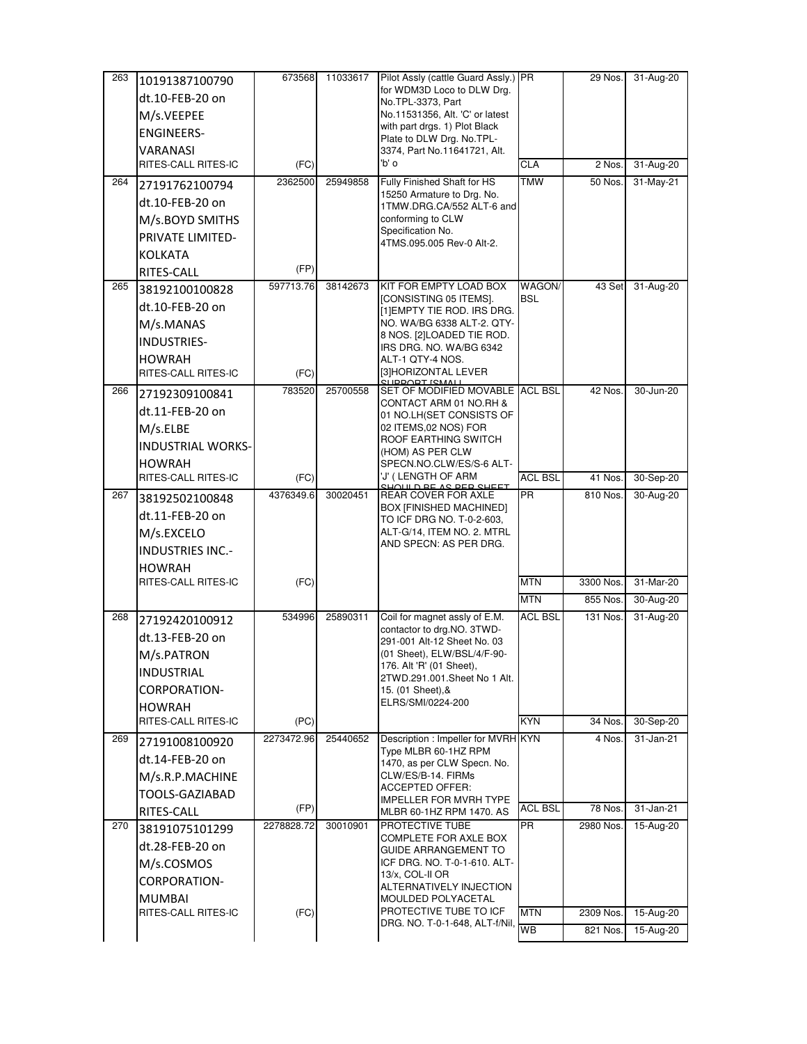|     | 10191387100790                       | 673568     | 11033617 | Pilot Assly (cattle Guard Assly.) PR                                           |                | 29 Nos.   | 31-Aug-20 |
|-----|--------------------------------------|------------|----------|--------------------------------------------------------------------------------|----------------|-----------|-----------|
|     | dt.10-FEB-20 on                      |            |          | for WDM3D Loco to DLW Drg.<br>No.TPL-3373, Part                                |                |           |           |
|     | M/s.VEEPEE                           |            |          | No.11531356, Alt. 'C' or latest                                                |                |           |           |
|     | <b>ENGINEERS-</b>                    |            |          | with part drgs. 1) Plot Black                                                  |                |           |           |
|     |                                      |            |          | Plate to DLW Drg. No.TPL-                                                      |                |           |           |
|     | VARANASI<br>RITES-CALL RITES-IC      | (FC)       |          | 3374, Part No.11641721, Alt.<br>'b' o                                          | CLA            | 2 Nos.    | 31-Aug-20 |
| 264 | 27191762100794                       | 2362500    | 25949858 | Fully Finished Shaft for HS                                                    | <b>TMW</b>     | 50 Nos.   | 31-May-21 |
|     | dt.10-FEB-20 on                      |            |          | 15250 Armature to Drg. No.                                                     |                |           |           |
|     |                                      |            |          | 1TMW.DRG.CA/552 ALT-6 and                                                      |                |           |           |
|     | M/s.BOYD SMITHS                      |            |          | conforming to CLW<br>Specification No.                                         |                |           |           |
|     | PRIVATE LIMITED-                     |            |          | 4TMS.095.005 Rev-0 Alt-2.                                                      |                |           |           |
|     | <b>KOLKATA</b>                       | (FP)       |          |                                                                                |                |           |           |
| 265 | RITES-CALL                           | 597713.76  | 38142673 | KIT FOR EMPTY LOAD BOX                                                         | WAGON/         | 43 Set    | 31-Aug-20 |
|     | 38192100100828                       |            |          | [CONSISTING 05 ITEMS].                                                         | <b>BSL</b>     |           |           |
|     | dt.10-FEB-20 on                      |            |          | [1] EMPTY TIE ROD. IRS DRG.                                                    |                |           |           |
|     | M/s.MANAS                            |            |          | NO. WA/BG 6338 ALT-2. QTY-<br>8 NOS. [2]LOADED TIE ROD.                        |                |           |           |
|     | <b>INDUSTRIES-</b>                   |            |          | IRS DRG. NO. WA/BG 6342                                                        |                |           |           |
|     | <b>HOWRAH</b>                        |            |          | ALT-1 QTY-4 NOS.                                                               |                |           |           |
|     | RITES-CALL RITES-IC                  | (FC)       |          | [3]HORIZONTAL LEVER<br>CLIDDODT ICMALL                                         |                |           |           |
| 266 | 27192309100841                       | 783520     | 25700558 | SET OF MODIFIED MOVABLE ACL BSL<br>CONTACT ARM 01 NO.RH &                      |                | 42 Nos.   | 30-Jun-20 |
|     | dt.11-FEB-20 on                      |            |          | 01 NO.LH(SET CONSISTS OF                                                       |                |           |           |
|     | M/s.ELBE                             |            |          | 02 ITEMS,02 NOS) FOR<br>ROOF EARTHING SWITCH                                   |                |           |           |
|     | <b>INDUSTRIAL WORKS-</b>             |            |          | (HOM) AS PER CLW                                                               |                |           |           |
|     | <b>HOWRAH</b>                        |            |          | SPECN.NO.CLW/ES/S-6 ALT-                                                       |                |           |           |
|     | RITES-CALL RITES-IC                  | (FC)       |          | 'J' ( LENGTH OF ARM<br><u>JOHLD BE AS BEB SHEET</u>                            | <b>ACL BSL</b> | 41 Nos.   | 30-Sep-20 |
| 267 | 38192502100848                       | 4376349.6  | 30020451 | <b>REAR COVER FOR AXLE</b><br>BOX [FINISHED MACHINED]                          | <b>PR</b>      | 810 Nos.  | 30-Aug-20 |
|     | dt.11-FEB-20 on                      |            |          | TO ICF DRG NO. T-0-2-603,                                                      |                |           |           |
|     | M/s.EXCELO                           |            |          | ALT-G/14, ITEM NO. 2. MTRL                                                     |                |           |           |
|     | <b>INDUSTRIES INC.-</b>              |            |          | AND SPECN: AS PER DRG.                                                         |                |           |           |
|     | <b>HOWRAH</b>                        |            |          |                                                                                |                |           |           |
|     | RITES-CALL RITES-IC                  | (FC)       |          |                                                                                |                |           |           |
|     |                                      |            |          |                                                                                | <b>MTN</b>     | 3300 Nos. | 31-Mar-20 |
|     |                                      |            |          |                                                                                | <b>MTN</b>     | 855 Nos.  | 30-Aug-20 |
|     | 27192420100912                       | 534996     | 25890311 | Coil for magnet assly of E.M.                                                  | <b>ACL BSL</b> | 131 Nos.  | 31-Aug-20 |
|     | dt.13-FEB-20 on                      |            |          | contactor to drg.NO. 3TWD-<br>291-001 Alt-12 Sheet No. 03                      |                |           |           |
|     | M/s.PATRON                           |            |          | (01 Sheet), ELW/BSL/4/F-90-                                                    |                |           |           |
|     | <b>INDUSTRIAL</b>                    |            |          | 176. Alt 'R' (01 Sheet),                                                       |                |           |           |
|     | <b>CORPORATION-</b>                  |            |          | 2TWD.291.001.Sheet No 1 Alt.<br>15. (01 Sheet), &                              |                |           |           |
| 268 | <b>HOWRAH</b>                        |            |          | ELRS/SMI/0224-200                                                              |                |           |           |
|     | RITES-CALL RITES-IC                  | (PC)       |          |                                                                                | <b>KYN</b>     | 34 Nos.   | 30-Sep-20 |
|     | 27191008100920                       | 2273472.96 | 25440652 | Description: Impeller for MVRH KYN                                             |                | 4 Nos.    | 31-Jan-21 |
|     | dt.14-FEB-20 on                      |            |          | Type MLBR 60-1HZ RPM                                                           |                |           |           |
|     | M/s.R.P.MACHINE                      |            |          | 1470, as per CLW Specn. No.<br>CLW/ES/B-14. FIRMs                              |                |           |           |
| 269 | TOOLS-GAZIABAD                       |            |          | <b>ACCEPTED OFFER:</b>                                                         |                |           |           |
|     | RITES-CALL                           | (FP)       |          | <b>IMPELLER FOR MVRH TYPE</b><br>MLBR 60-1HZ RPM 1470. AS                      | <b>ACL BSL</b> | 78 Nos.   | 31-Jan-21 |
|     | 38191075101299                       | 2278828.72 | 30010901 | PROTECTIVE TUBE                                                                | <b>PR</b>      | 2980 Nos. | 15-Aug-20 |
|     | dt.28-FEB-20 on                      |            |          | COMPLETE FOR AXLE BOX                                                          |                |           |           |
|     |                                      |            |          | <b>GUIDE ARRANGEMENT TO</b><br>ICF DRG. NO. T-0-1-610. ALT-                    |                |           |           |
|     | M/s.COSMOS                           |            |          | 13/x, COL-II OR                                                                |                |           |           |
| 270 | CORPORATION-                         |            |          | ALTERNATIVELY INJECTION                                                        |                |           |           |
|     | <b>MUMBAI</b><br>RITES-CALL RITES-IC | (FC)       |          | MOULDED POLYACETAL<br>PROTECTIVE TUBE TO ICF<br>DRG. NO. T-0-1-648, ALT-f/Nil, | <b>MTN</b>     | 2309 Nos. | 15-Aug-20 |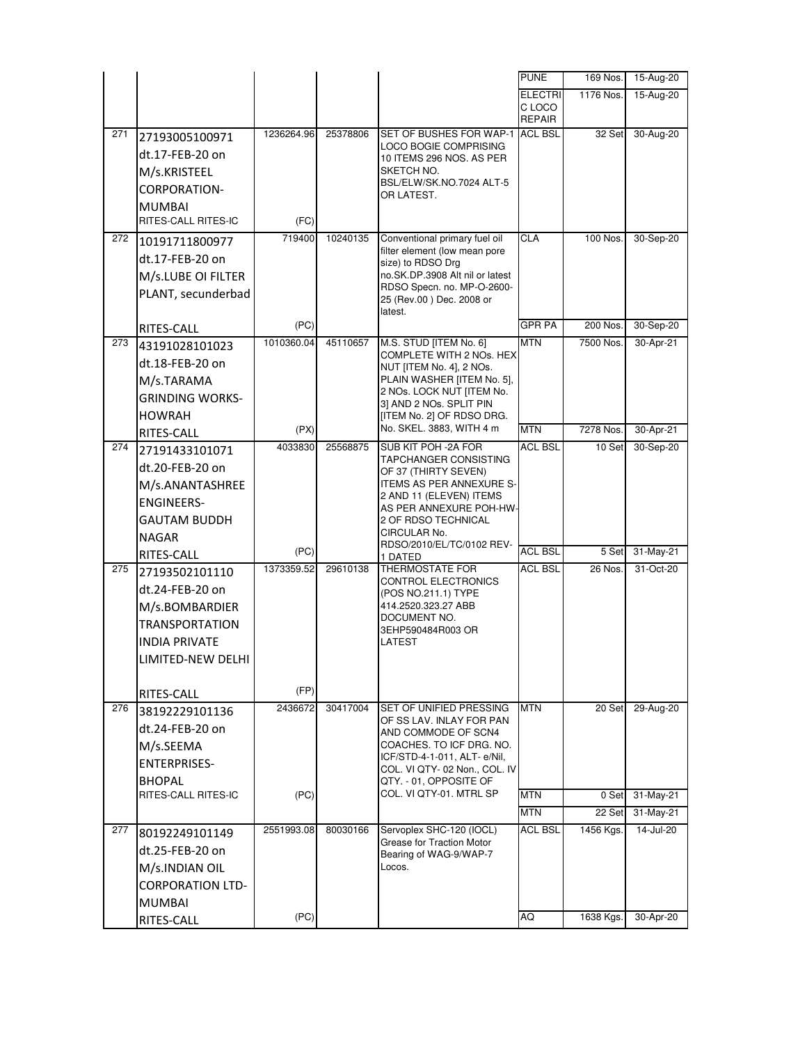|     |                         |                 |          |                                                          | <b>PUNE</b>             | 169 Nos.  | 15-Aug-20              |
|-----|-------------------------|-----------------|----------|----------------------------------------------------------|-------------------------|-----------|------------------------|
|     |                         |                 |          |                                                          | <b>ELECTRI</b>          | 1176 Nos. | 15-Aug-20              |
|     |                         |                 |          |                                                          | C LOCO<br><b>REPAIR</b> |           |                        |
| 271 | 27193005100971          | 1236264.96      | 25378806 | SET OF BUSHES FOR WAP-1                                  | <b>ACL BSL</b>          | 32 Set    | 30-Aug-20              |
|     | dt.17-FEB-20 on         |                 |          | LOCO BOGIE COMPRISING                                    |                         |           |                        |
|     | M/s.KRISTEEL            |                 |          | 10 ITEMS 296 NOS. AS PER<br>SKETCH NO.                   |                         |           |                        |
|     | CORPORATION-            |                 |          | BSL/ELW/SK.NO.7024 ALT-5                                 |                         |           |                        |
|     | <b>MUMBAI</b>           |                 |          | OR LATEST.                                               |                         |           |                        |
|     | RITES-CALL RITES-IC     | (FC)            |          |                                                          |                         |           |                        |
| 272 | 10191711800977          | 719400          | 10240135 | Conventional primary fuel oil                            | CLA                     | 100 Nos.  | 30-Sep-20              |
|     | dt.17-FEB-20 on         |                 |          | filter element (low mean pore                            |                         |           |                        |
|     |                         |                 |          | size) to RDSO Drg<br>no.SK.DP.3908 Alt nil or latest     |                         |           |                        |
|     | M/s.LUBE OI FILTER      |                 |          | RDSO Specn. no. MP-O-2600-                               |                         |           |                        |
|     | PLANT, secunderbad      |                 |          | 25 (Rev.00) Dec. 2008 or                                 |                         |           |                        |
|     |                         | (PC)            |          | latest.                                                  | GPR PA                  | 200 Nos.  | 30-Sep-20              |
| 273 | RITES-CALL              | 1010360.04      | 45110657 | M.S. STUD [ITEM No. 6]                                   | <b>MTN</b>              | 7500 Nos. | 30-Apr-21              |
|     | 43191028101023          |                 |          | COMPLETE WITH 2 NOs. HEX                                 |                         |           |                        |
|     | dt.18-FEB-20 on         |                 |          | NUT [ITEM No. 4], 2 NOs.                                 |                         |           |                        |
|     | M/s.TARAMA              |                 |          | PLAIN WASHER [ITEM No. 5],<br>2 NOs. LOCK NUT [ITEM No.  |                         |           |                        |
|     | <b>GRINDING WORKS-</b>  |                 |          | 3] AND 2 NOs. SPLIT PIN                                  |                         |           |                        |
|     | <b>HOWRAH</b>           |                 |          | [ITEM No. 2] OF RDSO DRG.<br>No. SKEL. 3883, WITH 4 m    | <b>MTN</b>              | 7278 Nos. |                        |
| 274 | RITES-CALL              | (PX)<br>4033830 | 25568875 | SUB KIT POH -2A FOR                                      | <b>ACL BSL</b>          | 10 Set    | 30-Apr-21<br>30-Sep-20 |
|     | 27191433101071          |                 |          | TAPCHANGER CONSISTING                                    |                         |           |                        |
|     | dt.20-FEB-20 on         |                 |          | OF 37 (THIRTY SEVEN)                                     |                         |           |                        |
|     | M/s.ANANTASHREE         |                 |          | ITEMS AS PER ANNEXURE S-<br>2 AND 11 (ELEVEN) ITEMS      |                         |           |                        |
|     | <b>ENGINEERS-</b>       |                 |          | AS PER ANNEXURE POH-HW-                                  |                         |           |                        |
|     | <b>GAUTAM BUDDH</b>     |                 |          | 2 OF RDSO TECHNICAL<br>CIRCULAR No.                      |                         |           |                        |
|     | <b>NAGAR</b>            |                 |          | RDSO/2010/EL/TC/0102 REV-                                |                         |           |                        |
|     | RITES-CALL              | (PC)            |          | 1 DATED                                                  | <b>ACL BSL</b>          | 5 Set     | 31-May-21              |
| 275 | 27193502101110          | 1373359.52      | 29610138 | THERMOSTATE FOR<br>CONTROL ELECTRONICS                   | <b>ACL BSL</b>          | 26 Nos.   | 31-Oct-20              |
|     | dt.24-FEB-20 on         |                 |          | (POS NO.211.1) TYPE                                      |                         |           |                        |
|     | M/s.BOMBARDIER          |                 |          | 414.2520.323.27 ABB<br>DOCUMENT NO.                      |                         |           |                        |
|     | TRANSPORTATION          |                 |          | 3EHP590484R003 OR                                        |                         |           |                        |
|     | <b>INDIA PRIVATE</b>    |                 |          | LATEST                                                   |                         |           |                        |
|     | LIMITED-NEW DELHI       |                 |          |                                                          |                         |           |                        |
|     |                         |                 |          |                                                          |                         |           |                        |
|     | RITES-CALL              | (FP)            |          |                                                          |                         |           |                        |
| 276 | 38192229101136          | 2436672         | 30417004 | SET OF UNIFIED PRESSING<br>OF SS LAV. INLAY FOR PAN      | <b>MTN</b>              | 20 Set    | 29-Aug-20              |
|     | dt.24-FEB-20 on         |                 |          | AND COMMODE OF SCN4                                      |                         |           |                        |
|     | M/s.SEEMA               |                 |          | COACHES. TO ICF DRG. NO.<br>ICF/STD-4-1-011, ALT- e/Nil, |                         |           |                        |
|     | <b>ENTERPRISES-</b>     |                 |          | COL. VI QTY- 02 Non., COL. IV                            |                         |           |                        |
|     | <b>BHOPAL</b>           |                 |          | QTY. - 01, OPPOSITE OF                                   |                         |           |                        |
|     | RITES-CALL RITES-IC     | (PC)            |          | COL. VI QTY-01. MTRL SP                                  | <b>MTN</b>              | 0 Set     | 31-May-21              |
|     |                         |                 |          |                                                          | <b>MTN</b>              | 22 Set    | 31-May-21              |
| 277 | 80192249101149          | 2551993.08      | 80030166 | Servoplex SHC-120 (IOCL)<br>Grease for Traction Motor    | <b>ACL BSL</b>          | 1456 Kgs. | 14-Jul-20              |
|     | dt.25-FEB-20 on         |                 |          | Bearing of WAG-9/WAP-7                                   |                         |           |                        |
|     | M/s.INDIAN OIL          |                 |          | Locos.                                                   |                         |           |                        |
|     | <b>CORPORATION LTD-</b> |                 |          |                                                          |                         |           |                        |
|     | <b>MUMBAI</b>           |                 |          |                                                          |                         |           |                        |
|     | RITES-CALL              | (PC)            |          |                                                          | AQ                      | 1638 Kgs. | 30-Apr-20              |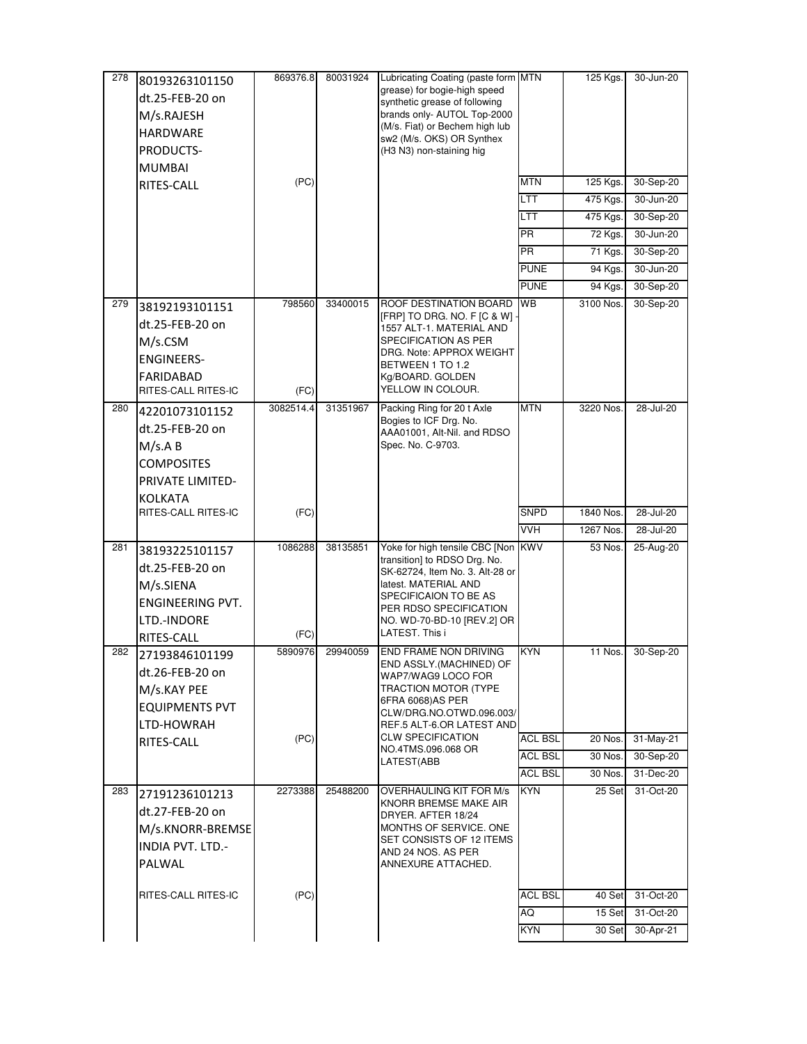| 278 | 80193263101150                              | 869376.8  | 80031924 | Lubricating Coating (paste form MTN                             |                | 125 Kgs.  | 30-Jun-20 |
|-----|---------------------------------------------|-----------|----------|-----------------------------------------------------------------|----------------|-----------|-----------|
|     | dt.25-FEB-20 on                             |           |          | grease) for bogie-high speed<br>synthetic grease of following   |                |           |           |
|     | M/s.RAJESH                                  |           |          | brands only- AUTOL Top-2000                                     |                |           |           |
|     | <b>HARDWARE</b>                             |           |          | (M/s. Fiat) or Bechem high lub                                  |                |           |           |
|     | PRODUCTS-                                   |           |          | sw2 (M/s. OKS) OR Synthex<br>(H3 N3) non-staining hig           |                |           |           |
|     | <b>MUMBAI</b>                               |           |          |                                                                 |                |           |           |
|     | RITES-CALL                                  | (PC)      |          |                                                                 | <b>MTN</b>     | 125 Kgs.  | 30-Sep-20 |
|     |                                             |           |          |                                                                 | LTT            | 475 Kgs.  | 30-Jun-20 |
|     |                                             |           |          |                                                                 | LTT            | 475 Kgs.  | 30-Sep-20 |
|     |                                             |           |          |                                                                 | <b>PR</b>      | 72 Kgs.   | 30-Jun-20 |
|     |                                             |           |          |                                                                 | <b>PR</b>      | 71 Kgs.   | 30-Sep-20 |
|     |                                             |           |          |                                                                 | <b>PUNE</b>    | 94 Kgs.   | 30-Jun-20 |
|     |                                             |           |          |                                                                 | <b>PUNE</b>    | 94 Kgs.   | 30-Sep-20 |
| 279 |                                             | 798560    | 33400015 | ROOF DESTINATION BOARD                                          | WВ             | 3100 Nos. | 30-Sep-20 |
|     | 38192193101151                              |           |          | [FRP] TO DRG. NO. F [C & W] ·                                   |                |           |           |
|     | dt.25-FEB-20 on                             |           |          | 1557 ALT-1. MATERIAL AND                                        |                |           |           |
|     | M/s.CSM                                     |           |          | SPECIFICATION AS PER<br>DRG. Note: APPROX WEIGHT                |                |           |           |
|     | <b>ENGINEERS-</b>                           |           |          | BETWEEN 1 TO 1.2                                                |                |           |           |
|     | <b>FARIDABAD</b>                            |           |          | Kg/BOARD. GOLDEN                                                |                |           |           |
|     | RITES-CALL RITES-IC                         | (FC)      |          | YELLOW IN COLOUR.                                               |                |           |           |
| 280 | 42201073101152                              | 3082514.4 | 31351967 | Packing Ring for 20 t Axle<br>Bogies to ICF Drg. No.            | <b>MTN</b>     | 3220 Nos. | 28-Jul-20 |
|     | dt.25-FEB-20 on                             |           |          | AAA01001, Alt-Nil. and RDSO                                     |                |           |           |
|     | M/s.A B                                     |           |          | Spec. No. C-9703.                                               |                |           |           |
|     | <b>COMPOSITES</b>                           |           |          |                                                                 |                |           |           |
|     | PRIVATE LIMITED-                            |           |          |                                                                 |                |           |           |
|     | KOLKATA                                     |           |          |                                                                 |                |           |           |
|     |                                             |           |          |                                                                 |                |           |           |
|     | RITES-CALL RITES-IC                         | (FC)      |          |                                                                 | <b>SNPD</b>    | 1840 Nos. | 28-Jul-20 |
|     |                                             |           |          |                                                                 | <b>VVH</b>     | 1267 Nos. | 28-Jul-20 |
| 281 | 38193225101157                              | 1086288   | 38135851 | Yoke for high tensile CBC [Non                                  | <b>KWV</b>     | 53 Nos.   | 25-Aug-20 |
|     | dt.25-FEB-20 on                             |           |          | transition] to RDSO Drg. No.<br>SK-62724, Item No. 3. Alt-28 or |                |           |           |
|     | M/s.SIENA                                   |           |          | latest. MATERIAL AND                                            |                |           |           |
|     | <b>ENGINEERING PVT.</b>                     |           |          | SPECIFICAION TO BE AS                                           |                |           |           |
|     | LTD.-INDORE                                 |           |          | PER RDSO SPECIFICATION<br>NO. WD-70-BD-10 [REV.2] OR            |                |           |           |
|     | RITES-CALL                                  | (FC)      |          | LATEST. This i                                                  |                |           |           |
| 282 | 27193846101199                              | 5890976   | 29940059 | END FRAME NON DRIVING                                           | KYN            | 11 Nos.   | 30-Sep-20 |
|     | dt.26-FEB-20 on                             |           |          | END ASSLY.(MACHINED) OF                                         |                |           |           |
|     | M/s.KAY PEE                                 |           |          | WAP7/WAG9 LOCO FOR<br>TRACTION MOTOR (TYPE                      |                |           |           |
|     | <b>EQUIPMENTS PVT</b>                       |           |          | 6FRA 6068)AS PER                                                |                |           |           |
|     | LTD-HOWRAH                                  |           |          | CLW/DRG.NO.OTWD.096.003/<br>REF.5 ALT-6.OR LATEST AND           |                |           |           |
|     | RITES-CALL                                  | (PC)      |          | <b>CLW SPECIFICATION</b>                                        | ACL BSL        | 20 Nos.   | 31-May-21 |
|     |                                             |           |          | NO.4TMS.096.068 OR<br>LATEST(ABB                                | <b>ACL BSL</b> | 30 Nos.   | 30-Sep-20 |
|     |                                             |           |          |                                                                 | <b>ACL BSL</b> | 30 Nos.   | 31-Dec-20 |
| 283 | 27191236101213                              | 2273388   | 25488200 | <b>OVERHAULING KIT FOR M/s</b>                                  | <b>KYN</b>     | 25 Set    | 31-Oct-20 |
|     | dt.27-FEB-20 on                             |           |          | KNORR BREMSE MAKE AIR                                           |                |           |           |
|     |                                             |           |          | DRYER. AFTER 18/24<br>MONTHS OF SERVICE. ONE                    |                |           |           |
|     | M/s.KNORR-BREMSE<br><b>INDIA PVT. LTD.-</b> |           |          | SET CONSISTS OF 12 ITEMS                                        |                |           |           |
|     | PALWAL                                      |           |          | AND 24 NOS. AS PER                                              |                |           |           |
|     |                                             |           |          | ANNEXURE ATTACHED.                                              |                |           |           |
|     | RITES-CALL RITES-IC                         | (PC)      |          |                                                                 | <b>ACL BSL</b> | 40 Set    | 31-Oct-20 |
|     |                                             |           |          |                                                                 | AQ             | 15 Set    | 31-Oct-20 |
|     |                                             |           |          |                                                                 | <b>KYN</b>     | 30 Set    | 30-Apr-21 |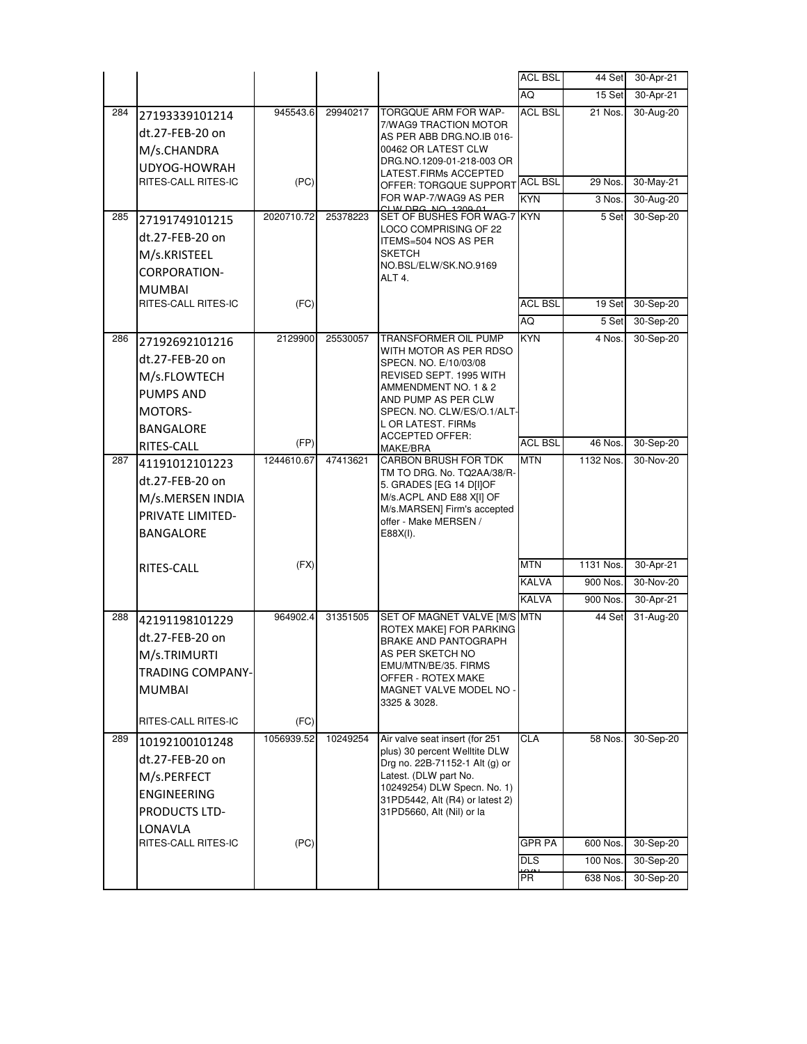|     |                                   |            |          |                                                                                 | <b>ACL BSL</b> | 44 Set    | 30-Apr-21 |
|-----|-----------------------------------|------------|----------|---------------------------------------------------------------------------------|----------------|-----------|-----------|
|     |                                   |            |          |                                                                                 | AQ             | 15 Set    | 30-Apr-21 |
| 284 | 27193339101214<br>dt.27-FEB-20 on | 945543.6   | 29940217 | TORGQUE ARM FOR WAP-<br>7/WAG9 TRACTION MOTOR                                   | <b>ACL BSL</b> | 21 Nos.   | 30-Aug-20 |
|     | M/s.CHANDRA                       |            |          | AS PER ABB DRG.NO.IB 016-<br>00462 OR LATEST CLW                                |                |           |           |
|     | UDYOG-HOWRAH                      |            |          | DRG.NO.1209-01-218-003 OR                                                       |                |           |           |
|     | RITES-CALL RITES-IC               | (PC)       |          | LATEST.FIRMs ACCEPTED                                                           | <b>ACL BSL</b> | 29 Nos.   | 30-May-21 |
|     |                                   |            |          | OFFER: TORGQUE SUPPORT<br>FOR WAP-7/WAG9 AS PER                                 | <b>KYN</b>     | 3 Nos.    | 30-Aug-20 |
| 285 |                                   | 2020710.72 | 25378223 | D <sub>DC</sub><br>$N$ $\cap$ $1$ $2$ $\cap$ $0$ $1$<br>SET OF BUSHES FOR WAG-7 | <b>KYN</b>     | 5 Set     | 30-Sep-20 |
|     | 27191749101215                    |            |          | LOCO COMPRISING OF 22                                                           |                |           |           |
|     | dt.27-FEB-20 on                   |            |          | ITEMS=504 NOS AS PER                                                            |                |           |           |
|     | M/s.KRISTEEL                      |            |          | <b>SKETCH</b><br>NO.BSL/ELW/SK.NO.9169                                          |                |           |           |
|     | CORPORATION-                      |            |          | ALT 4.                                                                          |                |           |           |
|     | <b>MUMBAI</b>                     |            |          |                                                                                 |                |           |           |
|     | RITES-CALL RITES-IC               | (FC)       |          |                                                                                 | <b>ACL BSL</b> | 19 Set    | 30-Sep-20 |
|     |                                   |            |          |                                                                                 | <b>AQ</b>      | 5 Set     | 30-Sep-20 |
| 286 | 27192692101216                    | 2129900    | 25530057 | TRANSFORMER OIL PUMP<br>WITH MOTOR AS PER RDSO                                  | <b>KYN</b>     | 4 Nos.    | 30-Sep-20 |
|     | dt.27-FEB-20 on                   |            |          | SPECN, NO. E/10/03/08                                                           |                |           |           |
|     | M/s.FLOWTECH                      |            |          | REVISED SEPT. 1995 WITH                                                         |                |           |           |
|     | <b>PUMPS AND</b>                  |            |          | AMMENDMENT NO. 1 & 2<br>AND PUMP AS PER CLW                                     |                |           |           |
|     | <b>MOTORS-</b>                    |            |          | SPECN. NO. CLW/ES/O.1/ALT-                                                      |                |           |           |
|     | BANGALORE                         |            |          | L OR LATEST. FIRMs<br><b>ACCEPTED OFFER:</b>                                    |                |           |           |
|     | RITES-CALL                        | (FP)       |          | MAKE/BRA                                                                        | <b>ACL BSL</b> | 46 Nos.   | 30-Sep-20 |
| 287 | 41191012101223                    | 1244610.67 | 47413621 | <b>CARBON BRUSH FOR TDK</b>                                                     | <b>MTN</b>     | 1132 Nos. | 30-Nov-20 |
|     | dt.27-FEB-20 on                   |            |          | TM TO DRG. No. TQ2AA/38/R-<br>5. GRADES [EG 14 D[I]OF                           |                |           |           |
|     | M/s.MERSEN INDIA                  |            |          | M/s.ACPL AND E88 X[I] OF                                                        |                |           |           |
|     | PRIVATE LIMITED-                  |            |          | M/s.MARSEN] Firm's accepted<br>offer - Make MERSEN /                            |                |           |           |
|     | <b>BANGALORE</b>                  |            |          | E88X(I).                                                                        |                |           |           |
|     |                                   |            |          |                                                                                 |                |           |           |
|     | RITES-CALL                        | (FX)       |          |                                                                                 | <b>MTN</b>     | 1131 Nos. | 30-Apr-21 |
|     |                                   |            |          |                                                                                 | <b>KALVA</b>   | 900 Nos.  | 30-Nov-20 |
|     |                                   |            |          |                                                                                 | <b>KALVA</b>   | 900 Nos.  | 30-Apr-21 |
| 288 | 42191198101229                    | 964902.4   | 31351505 | SET OF MAGNET VALVE [M/S MTN                                                    |                | 44 Set    | 31-Aug-20 |
|     | dt.27-FEB-20 on                   |            |          | ROTEX MAKE] FOR PARKING<br><b>BRAKE AND PANTOGRAPH</b>                          |                |           |           |
|     | M/s.TRIMURTI                      |            |          | AS PER SKETCH NO                                                                |                |           |           |
|     | <b>TRADING COMPANY-</b>           |            |          | EMU/MTN/BE/35. FIRMS<br>OFFER - ROTEX MAKE                                      |                |           |           |
|     | <b>MUMBAI</b>                     |            |          | MAGNET VALVE MODEL NO                                                           |                |           |           |
|     |                                   |            |          | 3325 & 3028.                                                                    |                |           |           |
|     | RITES-CALL RITES-IC               | (FC)       |          |                                                                                 |                |           |           |
| 289 | 10192100101248                    | 1056939.52 | 10249254 | Air valve seat insert (for 251                                                  | <b>CLA</b>     | 58 Nos.   | 30-Sep-20 |
|     | dt.27-FEB-20 on                   |            |          | plus) 30 percent Welltite DLW<br>Drg no. 22B-71152-1 Alt (g) or                 |                |           |           |
|     | M/s.PERFECT                       |            |          | Latest. (DLW part No.                                                           |                |           |           |
|     | ENGINEERING                       |            |          | 10249254) DLW Specn. No. 1)                                                     |                |           |           |
|     | PRODUCTS LTD-                     |            |          | 31PD5442, Alt (R4) or latest 2)<br>31PD5660, Alt (Nil) or la                    |                |           |           |
|     | LONAVLA                           |            |          |                                                                                 |                |           |           |
|     | RITES-CALL RITES-IC               | (PC)       |          |                                                                                 | GPR PA         | 600 Nos.  | 30-Sep-20 |
|     |                                   |            |          |                                                                                 | <b>DLS</b>     | 100 Nos.  | 30-Sep-20 |
|     |                                   |            |          |                                                                                 | <b>PR</b>      | 638 Nos.  | 30-Sep-20 |
|     |                                   |            |          |                                                                                 |                |           |           |